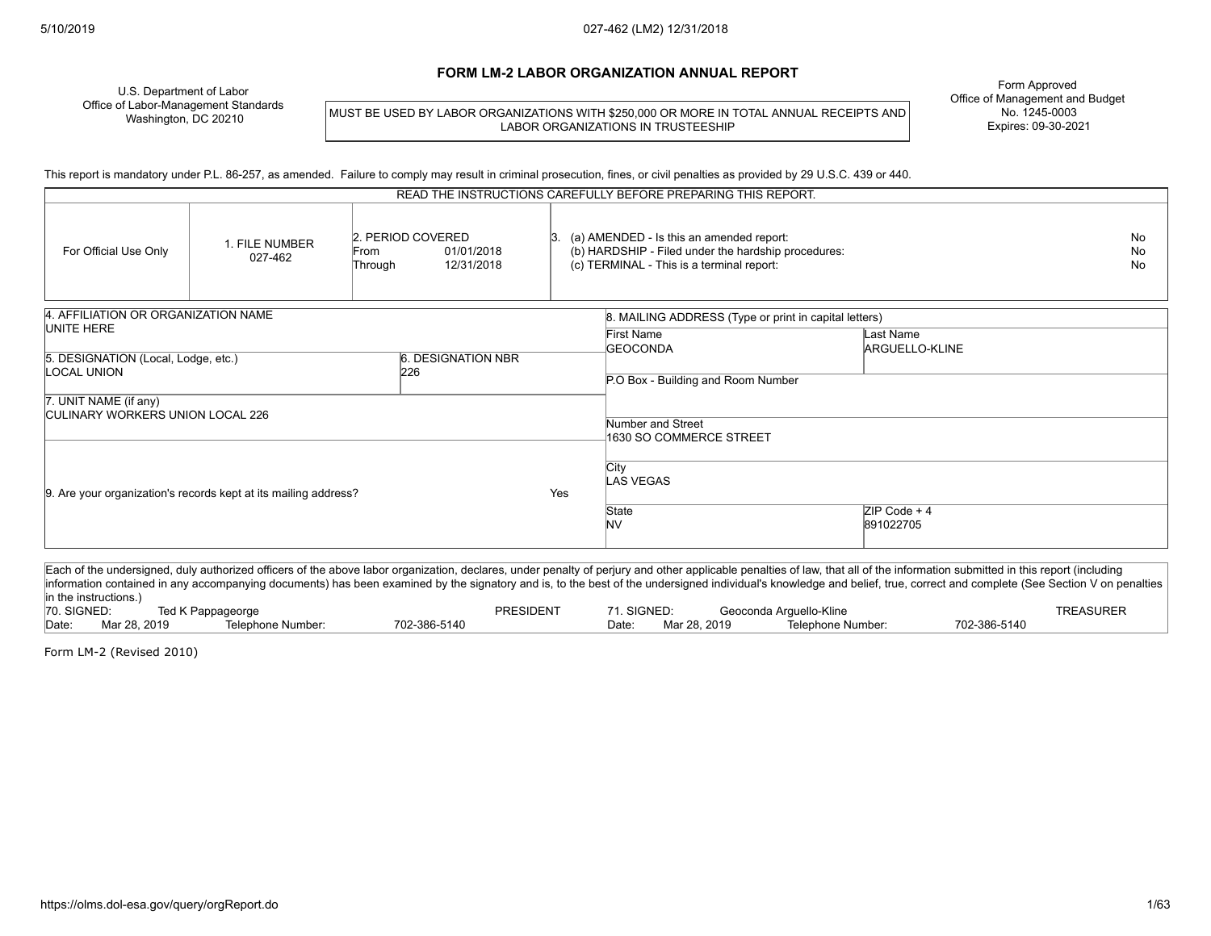#### **FORM LM-2 LABOR ORGANIZATION ANNUAL REPORT**

U.S. Department of Labor Office of Labor-Management Standards Washington, DC 20210

MUST BE USED BY LABOR ORGANIZATIONS WITH \$250,000 OR MORE IN TOTAL ANNUAL RECEIPTS AND LABOR ORGANIZATIONS IN TRUSTEESHIP

Form Approved Office of Management and Budget No. 1245-0003 Expires: 09-30-2021

This report is mandatory under P.L. 86-257, as amended. Failure to comply may result in criminal prosecution, fines, or civil penalties as provided by 29 U.S.C. 439 or 440.

| READ THE INSTRUCTIONS CAREFULLY BEFORE PREPARING THIS REPORT.                   |                           |                                                                  |                                                                           |                                                                                                                                              |                             |                        |
|---------------------------------------------------------------------------------|---------------------------|------------------------------------------------------------------|---------------------------------------------------------------------------|----------------------------------------------------------------------------------------------------------------------------------------------|-----------------------------|------------------------|
| For Official Use Only                                                           | 1. FILE NUMBER<br>027-462 | 2. PERIOD COVERED<br>From<br>01/01/2018<br>12/31/2018<br>Through |                                                                           | (a) AMENDED - Is this an amended report:<br>(b) HARDSHIP - Filed under the hardship procedures:<br>(c) TERMINAL - This is a terminal report: |                             | No<br><b>No</b><br>No. |
| 4. AFFILIATION OR ORGANIZATION NAME<br>UNITE HERE                               |                           |                                                                  |                                                                           | 8. MAILING ADDRESS (Type or print in capital letters)<br><b>First Name</b><br><b>GEOCONDA</b>                                                | Last Name<br>ARGUELLO-KLINE |                        |
| 6. DESIGNATION NBR<br>5. DESIGNATION (Local, Lodge, etc.)<br>LOCAL UNION<br>226 |                           |                                                                  | P.O Box - Building and Room Number                                        |                                                                                                                                              |                             |                        |
| 7. UNIT NAME (if any)<br><b>CULINARY WORKERS UNION LOCAL 226</b>                |                           |                                                                  | Number and Street                                                         |                                                                                                                                              |                             |                        |
| 9. Are your organization's records kept at its mailing address?                 |                           | Yes                                                              | 1630 SO COMMERCE STREET<br>City<br><b>LAS VEGAS</b><br>State<br><b>NV</b> | $ZIP Code + 4$<br>891022705                                                                                                                  |                             |                        |
|                                                                                 |                           |                                                                  |                                                                           |                                                                                                                                              |                             |                        |

Each of the undersigned, duly authorized officers of the above labor organization, declares, under penalty of perjury and other applicable penalties of law, that all of the information submitted in this report (including information contained in any accompanying documents) has been examined by the signatory and is, to the best of the undersigned individual's knowledge and belief, true, correct and complete (See Section V on penalties in the instructions.) 70. SIGNED: Ted K Pappageorge PRESIDENT 71. SIGNED: Geoconda Arguello-Kline TREASURER Date: Mar 28, 2019 Telephone Number: 702-386-5140 Date: Mar 28, 2019 Telephone Number: 702-386-5140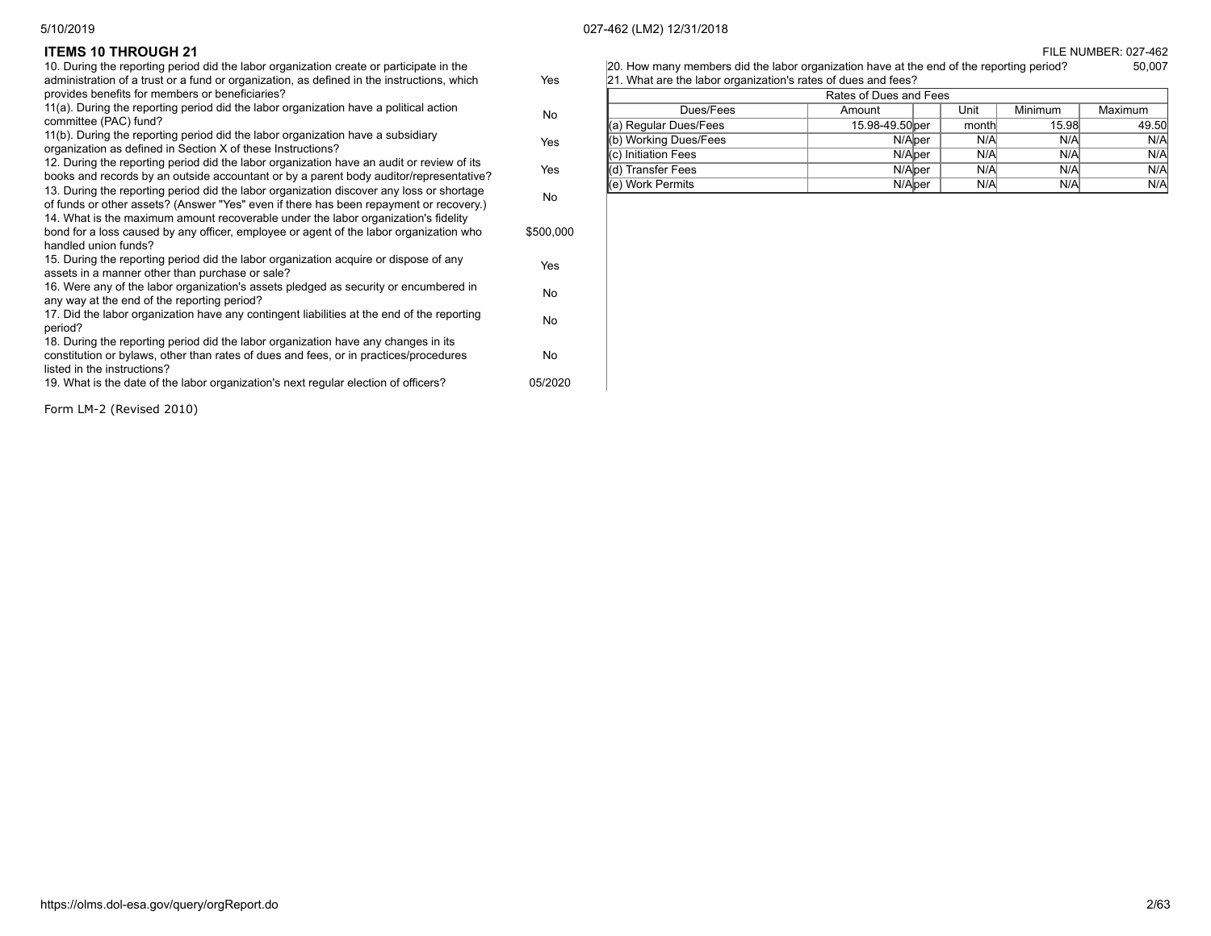|     | [20] How many members did the labor organization have at the end of the reporting period? | 50,007 |
|-----|-------------------------------------------------------------------------------------------|--------|
| Yes | 21. What are the labor organization's rates of dues and fees?                             |        |

| Rates of Dues and Fees       |                 |  |       |                |         |  |
|------------------------------|-----------------|--|-------|----------------|---------|--|
| Dues/Fees                    | Amount          |  | Unit  | <b>Minimum</b> | Maximum |  |
| (a) Regular Dues/Fees        | 15.98-49.50 ber |  | month | 15.98          | 49.50   |  |
| (b) Working Dues/Fees        | N/Alper         |  | N/A   | N/A            | N/A     |  |
| <b>I</b> (c) Initiation Fees | N/Alper         |  | N/A   | N/A            | N/A     |  |
| ) Transfer Fees              | N/Alper         |  | N/A   | N/A            | N/A     |  |
| l(e) Work Permits            | N/Alper         |  | N/A   | N/A            | N/A     |  |

**ITEMS 10 THROUGH 21** FILE NUMBER: 027-462

| 10. During the reporting period did the labor organization create or participate in the<br>administration of a trust or a fund or organization, as defined in the instructions, which                      | Yes       |
|------------------------------------------------------------------------------------------------------------------------------------------------------------------------------------------------------------|-----------|
| provides benefits for members or beneficiaries?                                                                                                                                                            |           |
| 11(a). During the reporting period did the labor organization have a political action<br>committee (PAC) fund?                                                                                             | No.       |
| 11(b). During the reporting period did the labor organization have a subsidiary<br>organization as defined in Section X of these Instructions?                                                             | Yes       |
| 12. During the reporting period did the labor organization have an audit or review of its<br>books and records by an outside accountant or by a parent body auditor/representative?                        | Yes       |
| 13. During the reporting period did the labor organization discover any loss or shortage<br>of funds or other assets? (Answer "Yes" even if there has been repayment or recovery.)                         | No        |
| 14. What is the maximum amount recoverable under the labor organization's fidelity<br>bond for a loss caused by any officer, employee or agent of the labor organization who<br>handled union funds?       | \$500,000 |
| 15. During the reporting period did the labor organization acquire or dispose of any<br>assets in a manner other than purchase or sale?                                                                    | Yes       |
| 16. Were any of the labor organization's assets pledged as security or encumbered in<br>any way at the end of the reporting period?                                                                        | No        |
| 17. Did the labor organization have any contingent liabilities at the end of the reporting<br>period?                                                                                                      | No        |
| 18. During the reporting period did the labor organization have any changes in its<br>constitution or bylaws, other than rates of dues and fees, or in practices/procedures<br>listed in the instructions? | No        |
| 19. What is the date of the labor organization's next regular election of officers?                                                                                                                        | 05/2020   |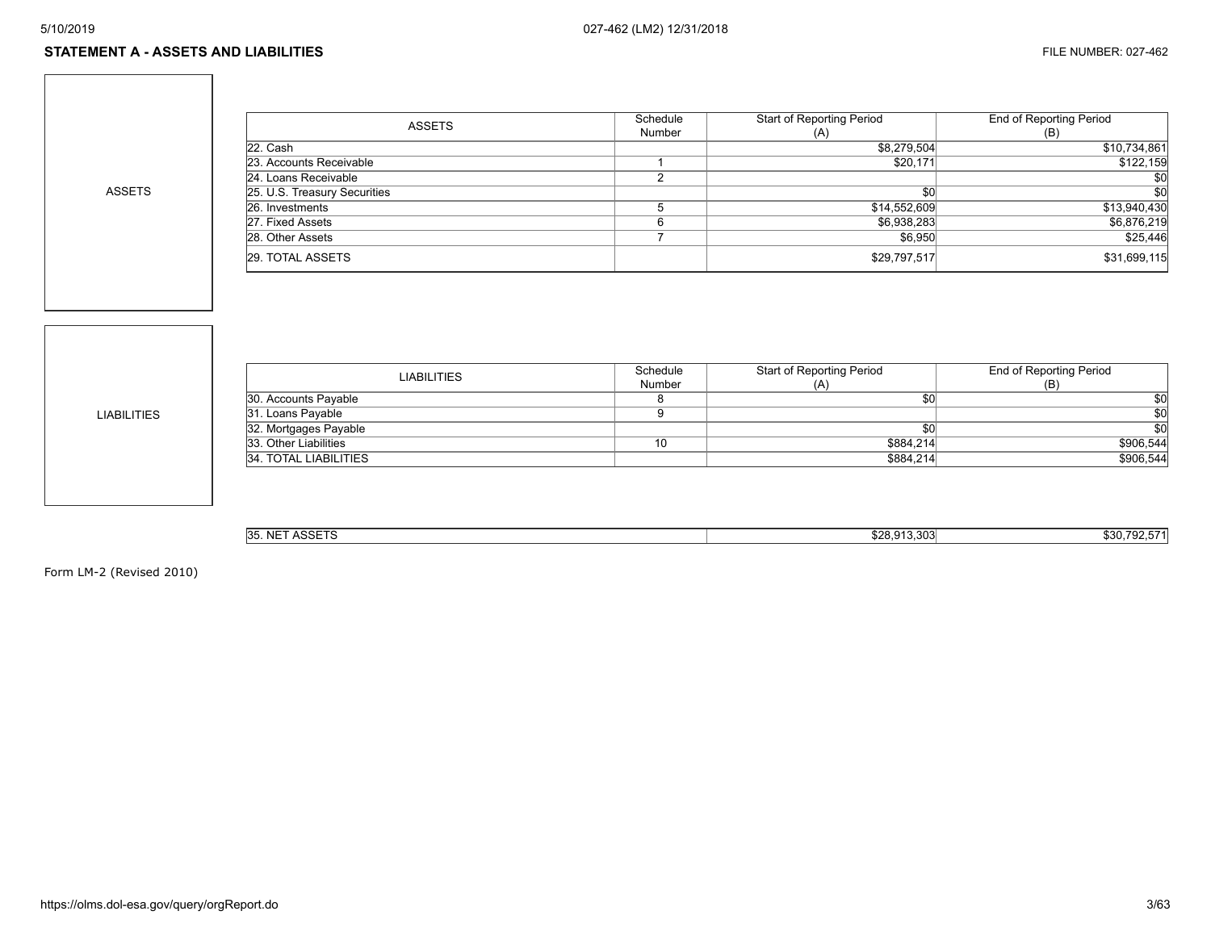#### **STATEMENT A - ASSETS AND LIABILITIES** FILE NUMBER: 027-462

ASSETS

| <b>ASSETS</b>                | Schedule | <b>Start of Reporting Period</b> | End of Reporting Period |
|------------------------------|----------|----------------------------------|-------------------------|
|                              | Number   | (A)                              | (B)                     |
| 22. Cash                     |          | \$8,279,504                      | \$10,734,861            |
| 23. Accounts Receivable      |          | \$20,171                         | \$122,159               |
| 24. Loans Receivable         |          |                                  | \$0                     |
| 25. U.S. Treasury Securities |          | \$0                              | \$0                     |
| 26. Investments              |          | \$14,552,609                     | \$13,940,430            |
| 27. Fixed Assets             |          | \$6,938,283                      | \$6,876,219             |
| 28. Other Assets             |          | \$6.950                          | \$25,446                |
| 29. TOTAL ASSETS             |          | \$29,797,517                     | \$31,699,115            |

LIABILITIES

| LIABILITIES           | Schedule | Start of Reporting Period | End of Reporting Period |
|-----------------------|----------|---------------------------|-------------------------|
|                       | Number   | (A)                       | (B)                     |
| 30. Accounts Payable  |          |                           | \$0                     |
| 31. Loans Payable     |          |                           | \$0                     |
| 32. Mortgages Payable |          |                           | \$0                     |
| 33. Other Liabilities | 10       | \$884.214                 | \$906,544               |
| 34. TOTAL LIABILITIES |          | \$884,214                 | \$906,544               |
|                       |          |                           |                         |

| 0.00570<br>135<br>.<br>$\sim$<br>135. IV'<br>AUU<br>. | \$28.913.303 | -571<br>702<br>\$30.<br>$-$ |
|-------------------------------------------------------|--------------|-----------------------------|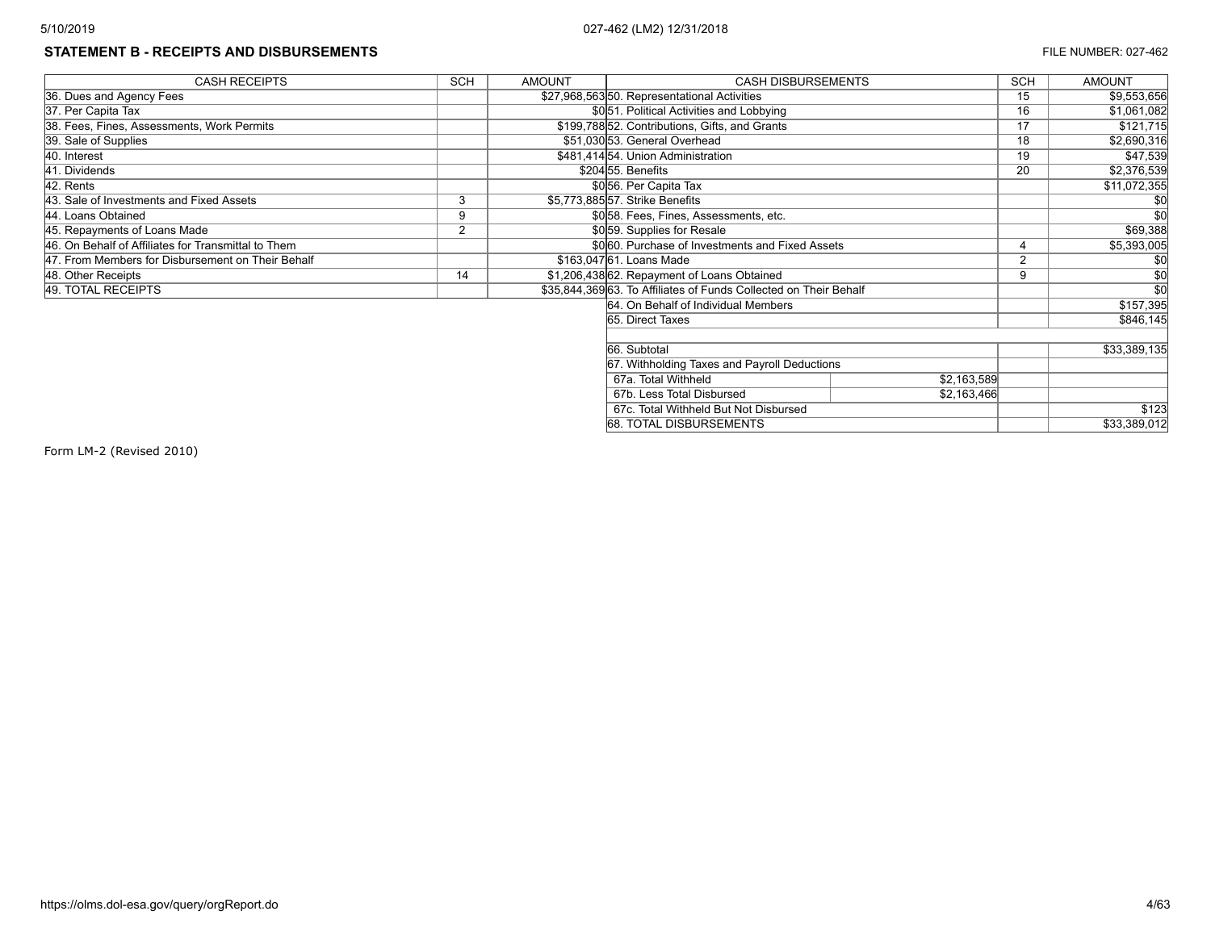# **STATEMENT B - RECEIPTS AND DISBURSEMENTS EXECUTE THE NUMBER: 027-462**

| <b>CASH RECEIPTS</b>                                | <b>SCH</b>     | <b>AMOUNT</b> | <b>CASH DISBURSEMENTS</b>                                         |  |               | <b>AMOUNT</b>    |
|-----------------------------------------------------|----------------|---------------|-------------------------------------------------------------------|--|---------------|------------------|
| 36. Dues and Agency Fees                            |                |               | \$27,968,56350. Representational Activities                       |  | 15            | \$9,553,656      |
| 37. Per Capita Tax                                  |                |               | \$051. Political Activities and Lobbying                          |  | 16            | \$1,061,082      |
| 38. Fees, Fines, Assessments, Work Permits          |                |               | \$199,788 52. Contributions, Gifts, and Grants                    |  | 17            | \$121,715        |
| 39. Sale of Supplies                                |                |               | \$51,030 53. General Overhead                                     |  | 18            | \$2,690,316      |
| 40. Interest                                        |                |               | \$481,41454. Union Administration                                 |  | 19            | \$47,539         |
| 41. Dividends                                       |                |               | \$20455. Benefits                                                 |  | 20            | \$2,376,539      |
| 42. Rents                                           |                |               | \$056. Per Capita Tax                                             |  |               | \$11,072,355     |
| 43. Sale of Investments and Fixed Assets            | 3              |               | \$5,773,885 57. Strike Benefits                                   |  |               |                  |
| 44. Loans Obtained                                  | 9              |               | \$0.58. Fees, Fines, Assessments, etc.                            |  |               | \$0              |
| 45. Repayments of Loans Made                        | $\overline{2}$ |               | \$059. Supplies for Resale                                        |  |               | \$69,388         |
| 46. On Behalf of Affiliates for Transmittal to Them |                |               | \$0060. Purchase of Investments and Fixed Assets                  |  |               | \$5,393,005      |
| 47. From Members for Disbursement on Their Behalf   |                |               | \$163.047 61. Loans Made                                          |  | $\mathcal{P}$ |                  |
| 48. Other Receipts                                  | 14             |               | \$1,206,438 62. Repayment of Loans Obtained                       |  | 9             | \$0              |
| 49. TOTAL RECEIPTS                                  |                |               | \$35,844,369 63. To Affiliates of Funds Collected on Their Behalf |  |               | $\overline{\$0}$ |
|                                                     |                |               | 64. On Behalf of Individual Members                               |  |               | \$157,395        |
|                                                     |                |               | 65. Direct Taxes                                                  |  |               | \$846,145        |
|                                                     |                |               |                                                                   |  |               |                  |
|                                                     |                |               | 66. Subtotal                                                      |  |               | \$33,389,135     |
|                                                     |                |               | 67. Withholding Taxes and Payroll Deductions                      |  |               |                  |
|                                                     |                |               | 67a. Total Withheld<br>\$2,163,589                                |  |               |                  |
|                                                     |                |               | 67b. Less Total Disbursed<br>\$2,163,466                          |  |               |                  |
|                                                     |                |               | 67c. Total Withheld But Not Disbursed                             |  |               | \$123            |
|                                                     |                |               | 68. TOTAL DISBURSEMENTS                                           |  |               | \$33,389,012     |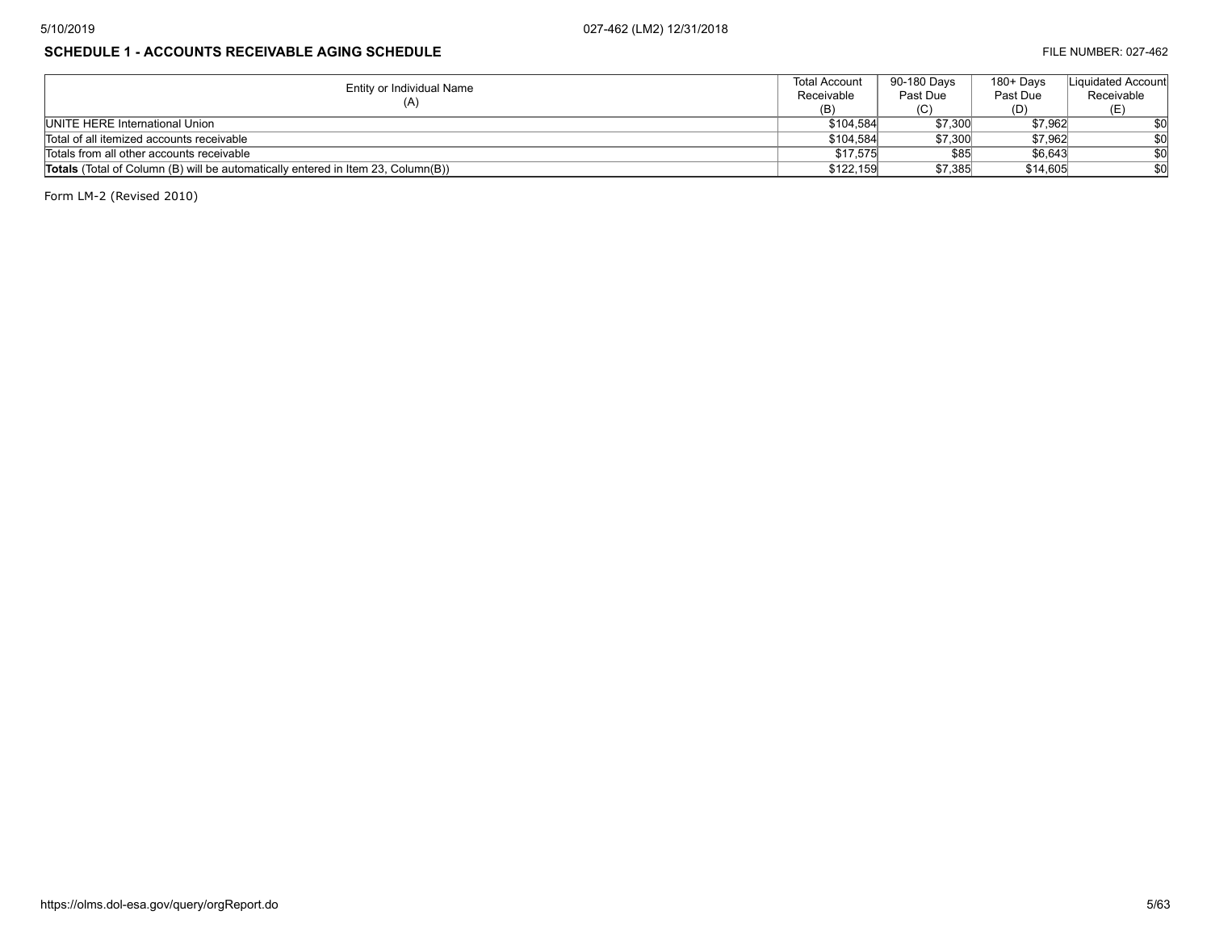# **SCHEDULE 1 - ACCOUNTS RECEIVABLE AGING SCHEDULE FILE NUMBER: 027-462**

| Entity or Individual Name                                                               | <b>Total Account</b> | 90-180 Davs | 180+ Days | Liquidated Accountl |
|-----------------------------------------------------------------------------------------|----------------------|-------------|-----------|---------------------|
|                                                                                         | Receivable           | Past Due    | Past Due  | Receivable          |
| (A)                                                                                     | (B)                  | (C)         | (D)       |                     |
| UNITE HERE International Union                                                          | \$104.584            | \$7,300     | \$7.962   | \$0                 |
| Total of all itemized accounts receivable                                               | \$104,584            | \$7,300     | \$7.962   | \$0                 |
| Totals from all other accounts receivable                                               | \$17.575             | \$85        | \$6,643   | \$0                 |
| <b>Totals</b> (Total of Column (B) will be automatically entered in Item 23, Column(B)) | \$122.159            | \$7,385     | \$14,605  | \$0                 |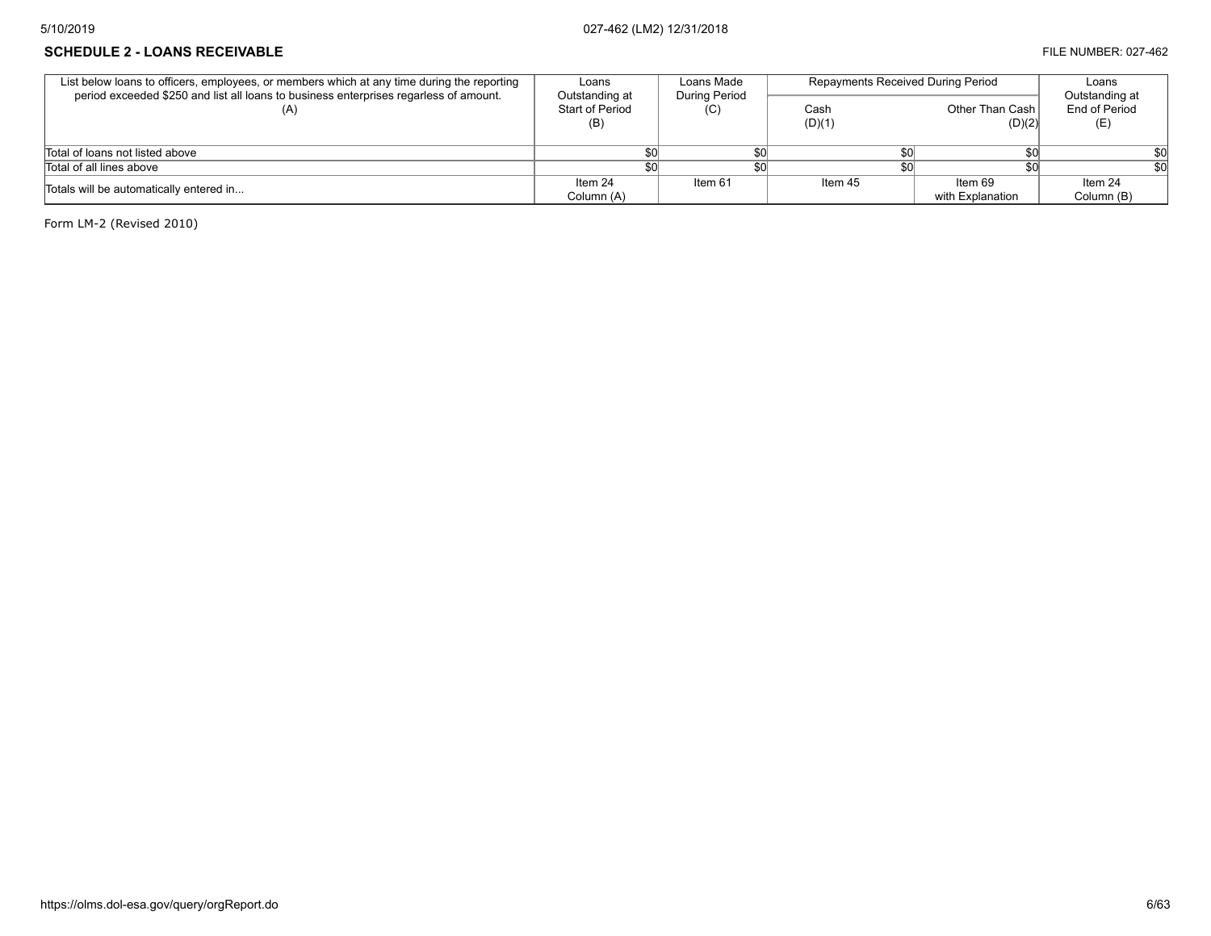#### **SCHEDULE 2 - LOANS RECEIVABLE EXECUPABLE FILE NUMBER: 027-462**

| List below loans to officers, employees, or members which at any time during the reporting<br>period exceeded \$250 and list all loans to business enterprises regarless of amount. | Loans<br>Outstanding at | Loans Made<br><b>During Period</b> | Repayments Received During Period |                             | Loans<br>Outstanding at |
|-------------------------------------------------------------------------------------------------------------------------------------------------------------------------------------|-------------------------|------------------------------------|-----------------------------------|-----------------------------|-------------------------|
| (A)                                                                                                                                                                                 | Start of Period<br>(B)  | (C)                                | Cash<br>(D)(1)                    | Other Than Cash<br>(D)(2)   | End of Period<br>(E)    |
| Total of loans not listed above                                                                                                                                                     |                         |                                    |                                   |                             |                         |
| Total of all lines above                                                                                                                                                            |                         |                                    |                                   |                             |                         |
| Totals will be automatically entered in                                                                                                                                             | Item 24<br>Column (A)   | Item 61                            | Item 45                           | Item 69<br>with Explanation | Item 24<br>Column (B)   |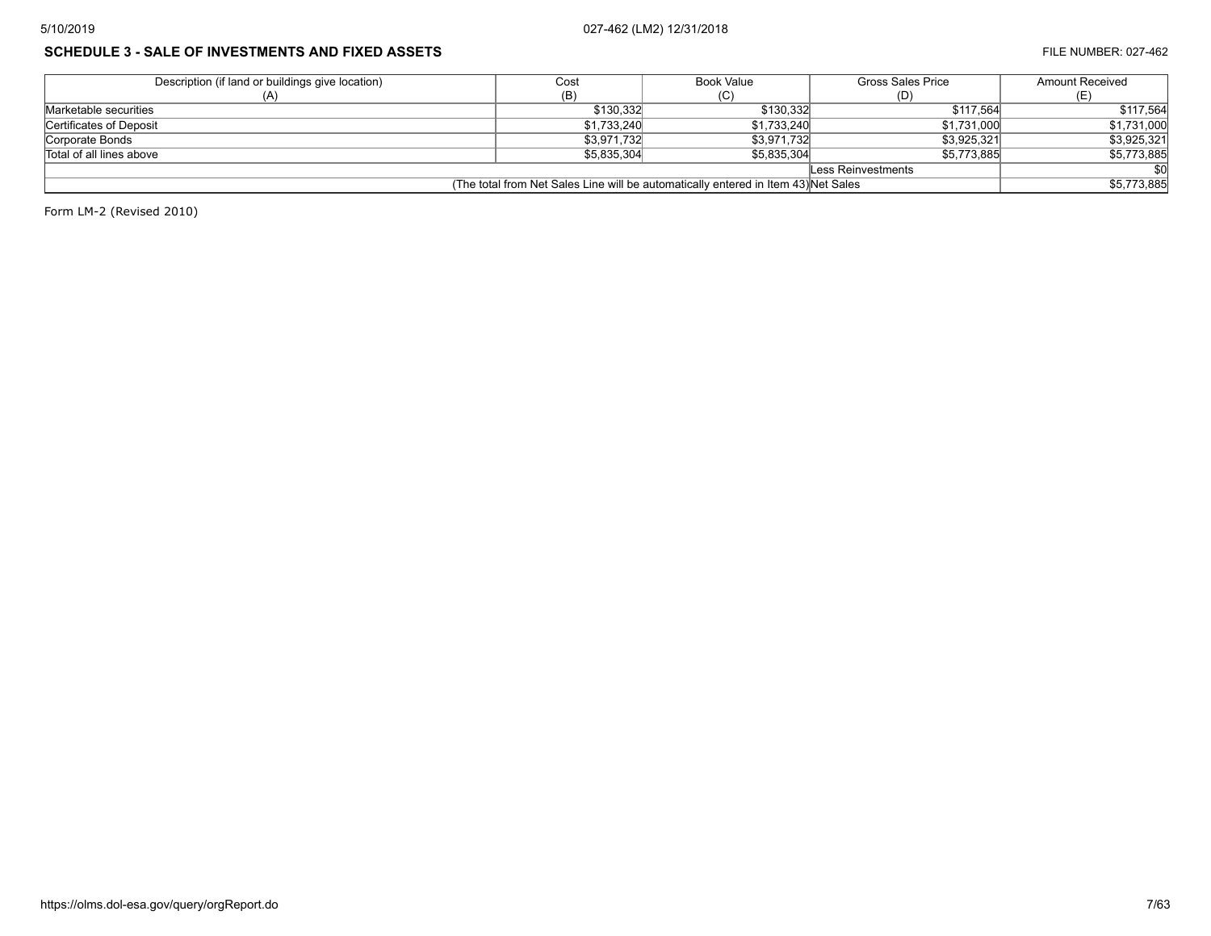# **SCHEDULE 3 - SALE OF INVESTMENTS AND FIXED ASSETS FILE NUMBER: 027-462**

| Description (if land or buildings give location)                                   | Cost        | Book Value  | <b>Gross Sales Price</b> | <b>Amount Received</b> |  |
|------------------------------------------------------------------------------------|-------------|-------------|--------------------------|------------------------|--|
|                                                                                    | (B)         |             | (D)                      |                        |  |
| Marketable securities                                                              | \$130.332   | \$130.332   | \$117.564                | \$117,564              |  |
| Certificates of Deposit                                                            | \$1,733,240 | \$1,733,240 | \$1,731,000              | \$1,731,000            |  |
| Corporate Bonds                                                                    | \$3,971,732 | \$3.971.732 | \$3.925.321              | \$3,925,321            |  |
| Total of all lines above                                                           | \$5,835,304 | \$5.835.304 | \$5,773,885              | \$5,773,885            |  |
| Less Reinvestments                                                                 |             |             |                          |                        |  |
| (The total from Net Sales Line will be automatically entered in Item 43) Net Sales |             |             |                          |                        |  |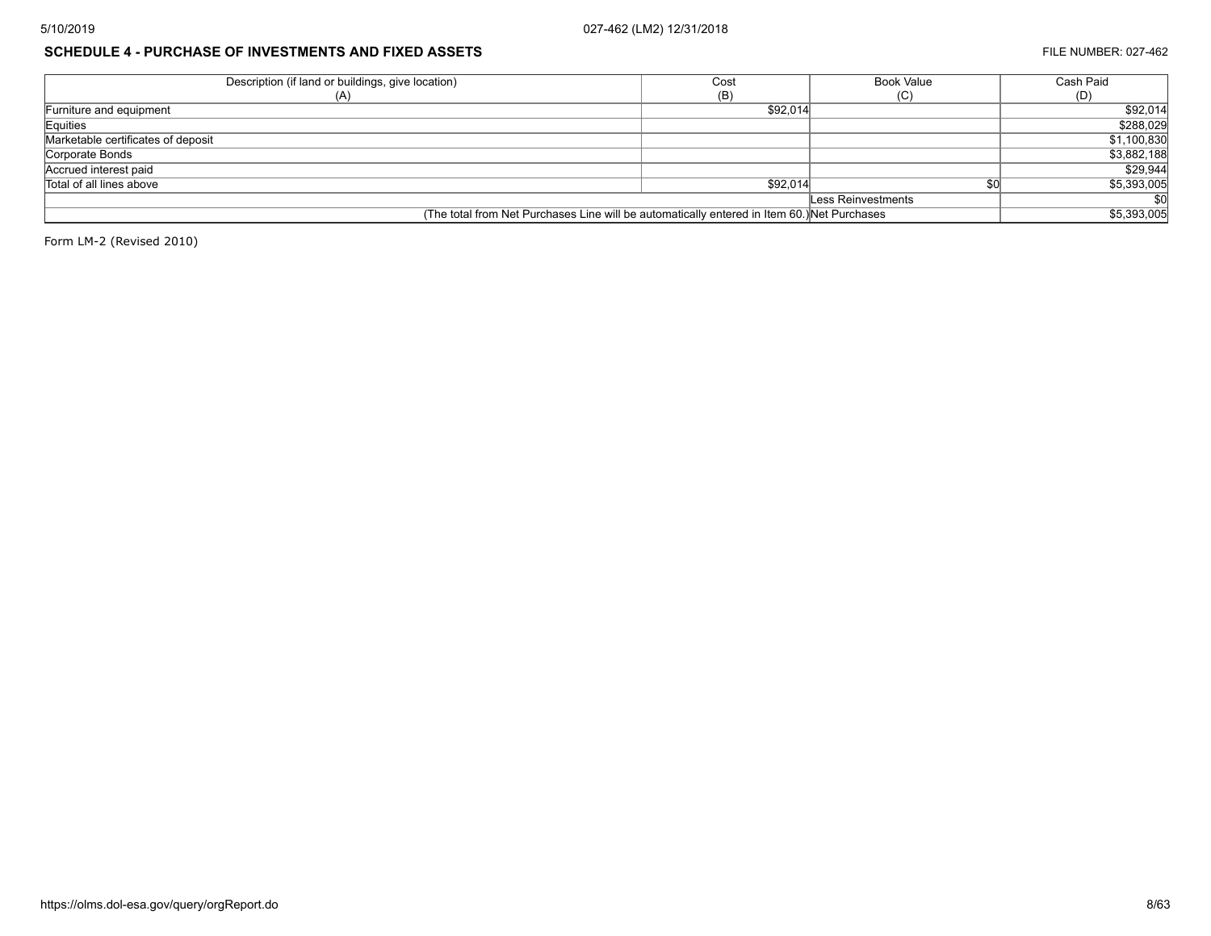## **SCHEDULE 4 - PURCHASE OF INVESTMENTS AND FIXED ASSETS FILE NUMBER: 027-462**

| Description (if land or buildings, give location)                                           | Cost     | <b>Book Value</b>  | Cash Paid               |
|---------------------------------------------------------------------------------------------|----------|--------------------|-------------------------|
|                                                                                             | (B)      | (C)                | (D)                     |
| Furniture and equipment                                                                     | \$92,014 |                    | \$92,014                |
| Equities                                                                                    |          |                    | \$288,029               |
| Marketable certificates of deposit                                                          |          |                    | \$1,100,830             |
| Corporate Bonds                                                                             |          |                    | \$3,882,188             |
| Accrued interest paid                                                                       |          |                    | \$29,944                |
| Total of all lines above                                                                    | \$92.014 |                    | $\overline{$5,393,005}$ |
|                                                                                             |          | Less Reinvestments |                         |
| (The total from Net Purchases Line will be automatically entered in Item 60.) Net Purchases |          |                    | \$5,393,005             |
|                                                                                             |          |                    |                         |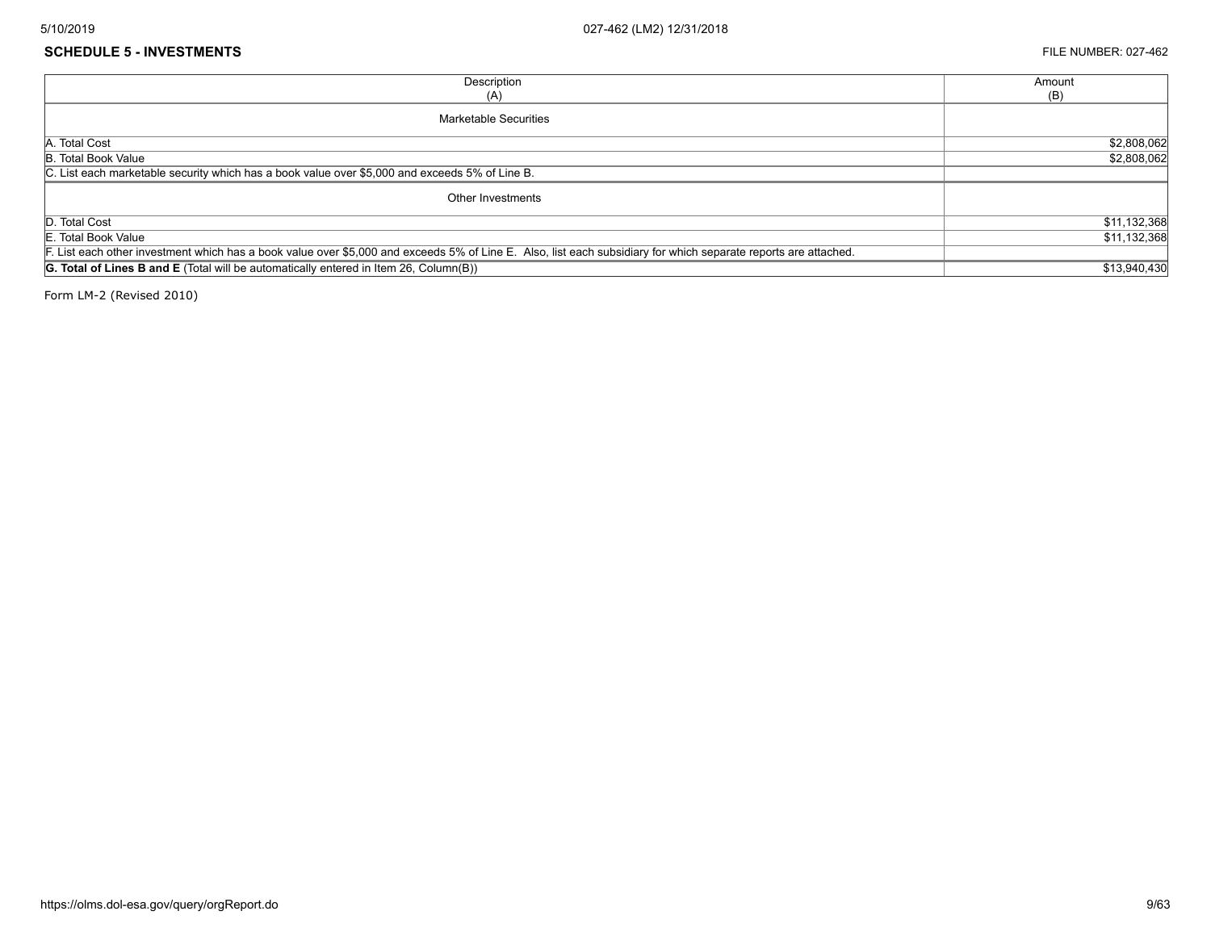#### **SCHEDULE 5 - INVESTMENTS** FILE NUMBER: 027-462

| Description                                                                                                                                                     | Amount       |
|-----------------------------------------------------------------------------------------------------------------------------------------------------------------|--------------|
| (A)                                                                                                                                                             | (B)          |
| <b>Marketable Securities</b>                                                                                                                                    |              |
| A. Total Cost                                                                                                                                                   | \$2,808,062  |
| B. Total Book Value                                                                                                                                             | \$2,808,062  |
| C. List each marketable security which has a book value over \$5,000 and exceeds 5% of Line B.                                                                  |              |
| Other Investments                                                                                                                                               |              |
| D. Total Cost                                                                                                                                                   | \$11,132,368 |
| E. Total Book Value                                                                                                                                             | \$11,132,368 |
| F. List each other investment which has a book value over \$5,000 and exceeds 5% of Line E. Also, list each subsidiary for which separate reports are attached. |              |
| <b>G. Total of Lines B and E</b> (Total will be automatically entered in Item 26, Column(B))                                                                    | \$13,940,430 |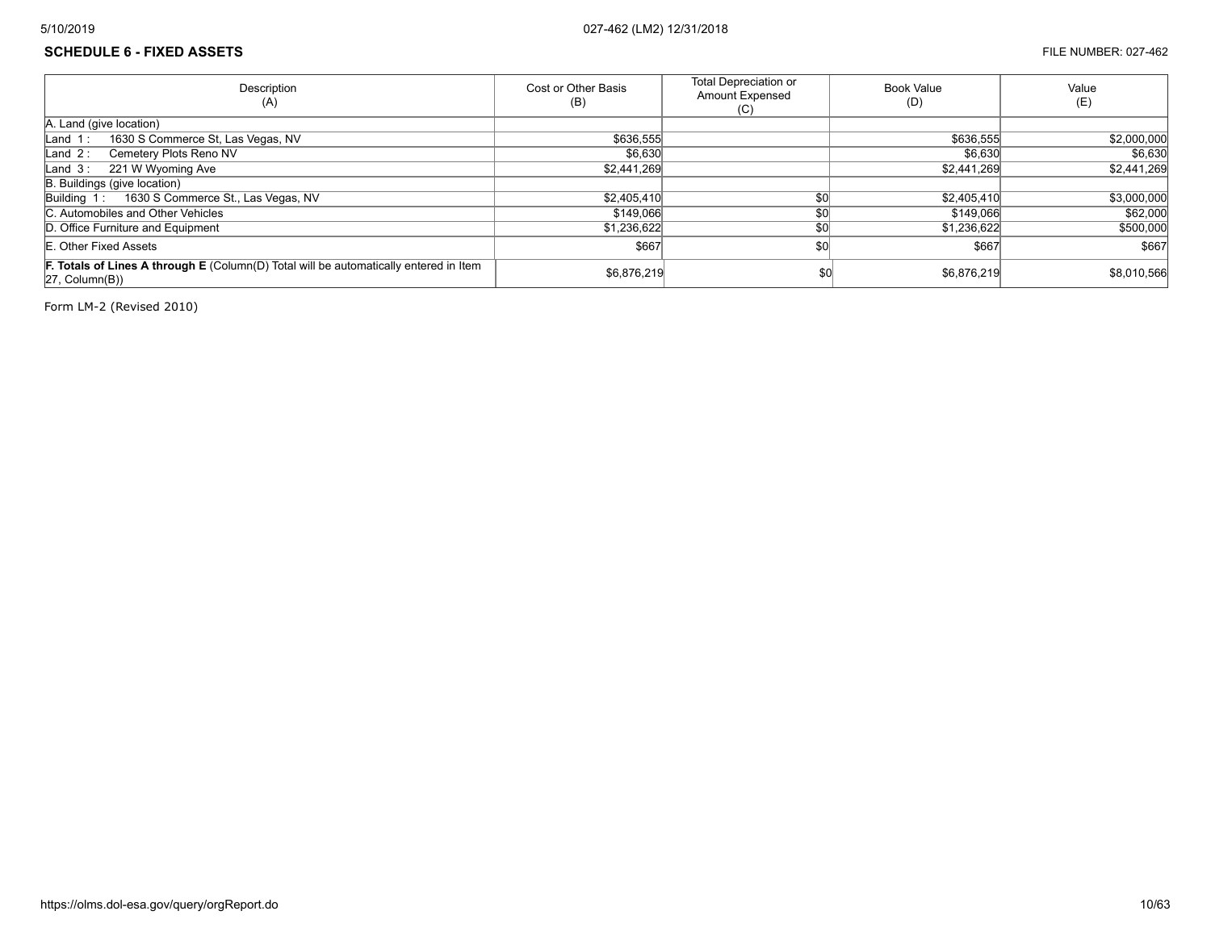## **SCHEDULE 6 - FIXED ASSETS** FILE NUMBER: 027-462

| Description<br>(A)                                                                                                             | Cost or Other Basis<br>(B) | <b>Total Depreciation or</b><br><b>Amount Expensed</b><br>(C) | <b>Book Value</b><br>(D) | Value<br>(E) |
|--------------------------------------------------------------------------------------------------------------------------------|----------------------------|---------------------------------------------------------------|--------------------------|--------------|
| A. Land (give location)                                                                                                        |                            |                                                               |                          |              |
| 1630 S Commerce St, Las Vegas, NV<br>Land $1:$                                                                                 | \$636,555                  |                                                               | \$636,555                | \$2,000,000  |
| Cemetery Plots Reno NV<br>Land $2:$                                                                                            | \$6.630                    |                                                               | \$6,630                  | \$6,630      |
| Land 3: 221 W Wyoming Ave                                                                                                      | \$2,441,269                |                                                               | \$2,441,269              | \$2,441,269  |
| B. Buildings (give location)                                                                                                   |                            |                                                               |                          |              |
| 1630 S Commerce St., Las Vegas, NV<br>Building 1:                                                                              | \$2,405,410                | ደበ                                                            | \$2,405,410              | \$3,000,000  |
| C. Automobiles and Other Vehicles                                                                                              | \$149,066                  | \$0                                                           | \$149,066                | \$62,000     |
| D. Office Furniture and Equipment                                                                                              | \$1,236,622                |                                                               | \$1,236,622              | \$500,000    |
| E. Other Fixed Assets                                                                                                          | \$667                      | \$0                                                           | \$667                    | \$667        |
| <b>F. Totals of Lines A through E</b> (Column(D) Total will be automatically entered in Item<br>$ 27, \text{Column}(B)\rangle$ | \$6,876,219                | \$0                                                           | \$6,876,219              | \$8,010,566  |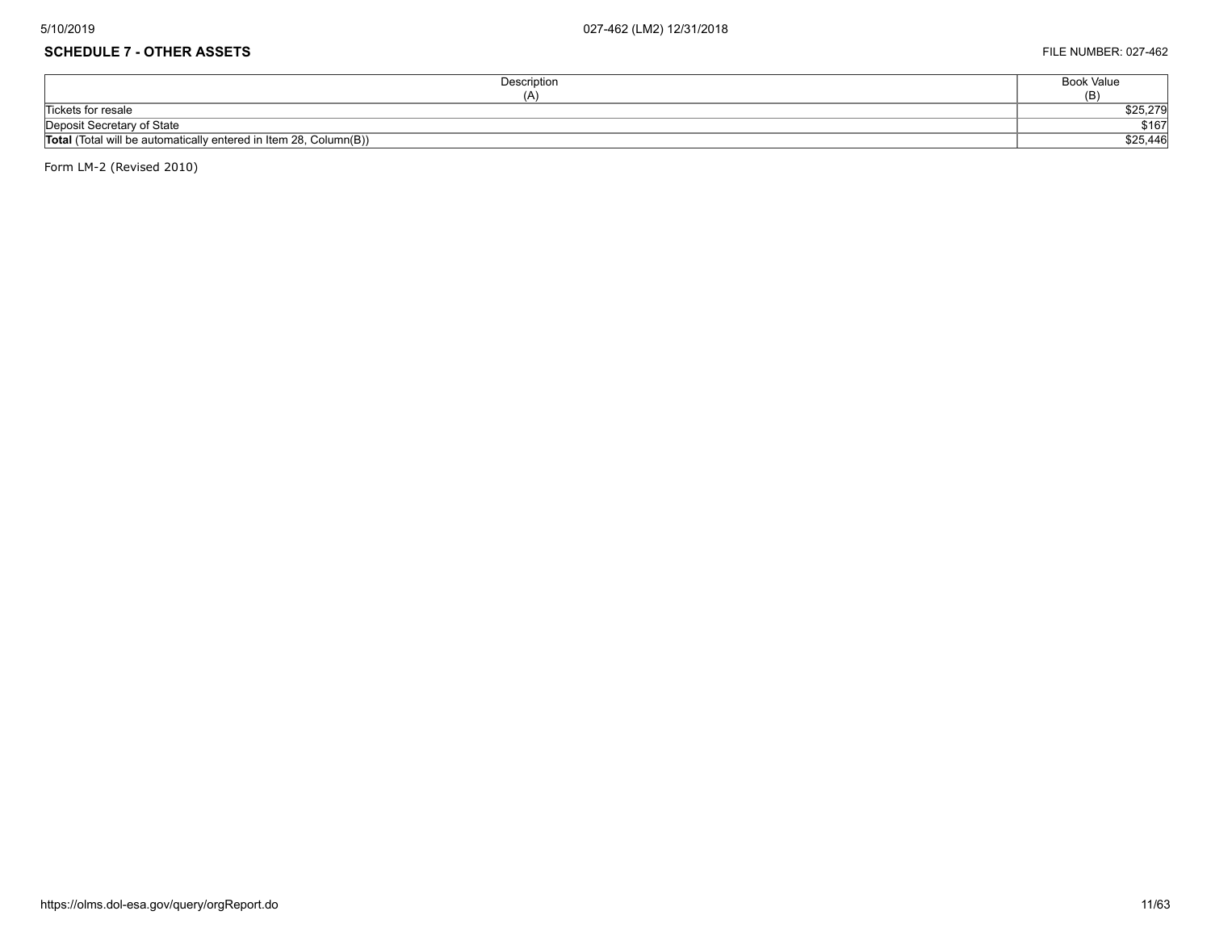# **SCHEDULE 7 - OTHER ASSETS** FILE NUMBER: 027-462

| Description                                                              | <b>Book Value</b> |
|--------------------------------------------------------------------------|-------------------|
| (A)                                                                      | (B)               |
| Tickets for resale                                                       | \$25,279          |
| Deposit Secretary of State                                               | \$167             |
| <b>Total</b> (Total will be automatically entered in Item 28, Column(B)) | \$25,446          |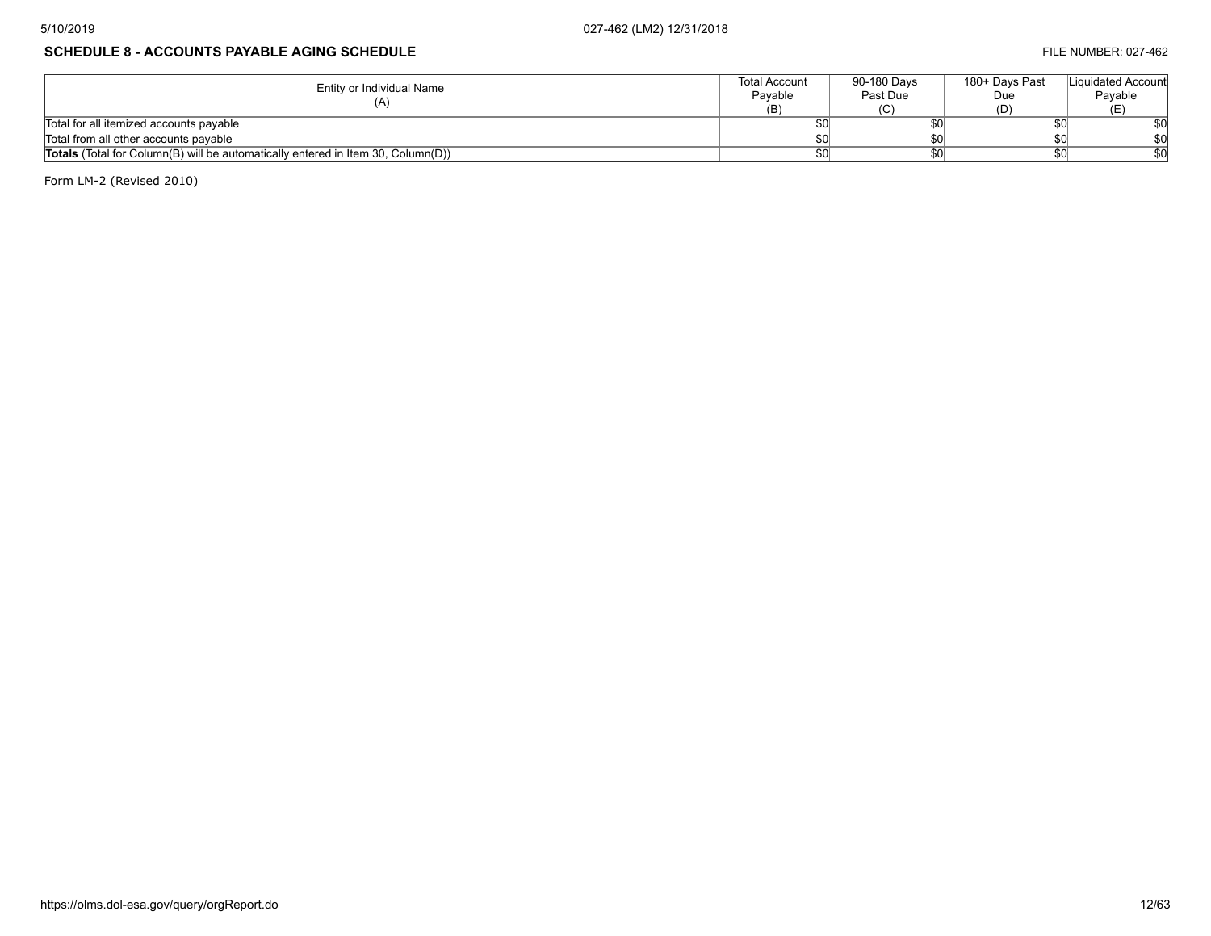# **SCHEDULE 8 - ACCOUNTS PAYABLE AGING SCHEDULE FILE NUMBER: 027-462**

| Entity or Individual Name                                                               | <b>Total Account</b><br>Pavable | 90-180 Davs<br>Past Due | 180+ Davs Past<br>Due | Liquidated Account<br>Payable |
|-----------------------------------------------------------------------------------------|---------------------------------|-------------------------|-----------------------|-------------------------------|
|                                                                                         | (B)                             |                         |                       |                               |
| Total for all itemized accounts payable                                                 |                                 |                         |                       |                               |
| Total from all other accounts payable                                                   |                                 |                         |                       |                               |
| <b>Totals</b> (Total for Column(B) will be automatically entered in Item 30, Column(D)) |                                 |                         |                       |                               |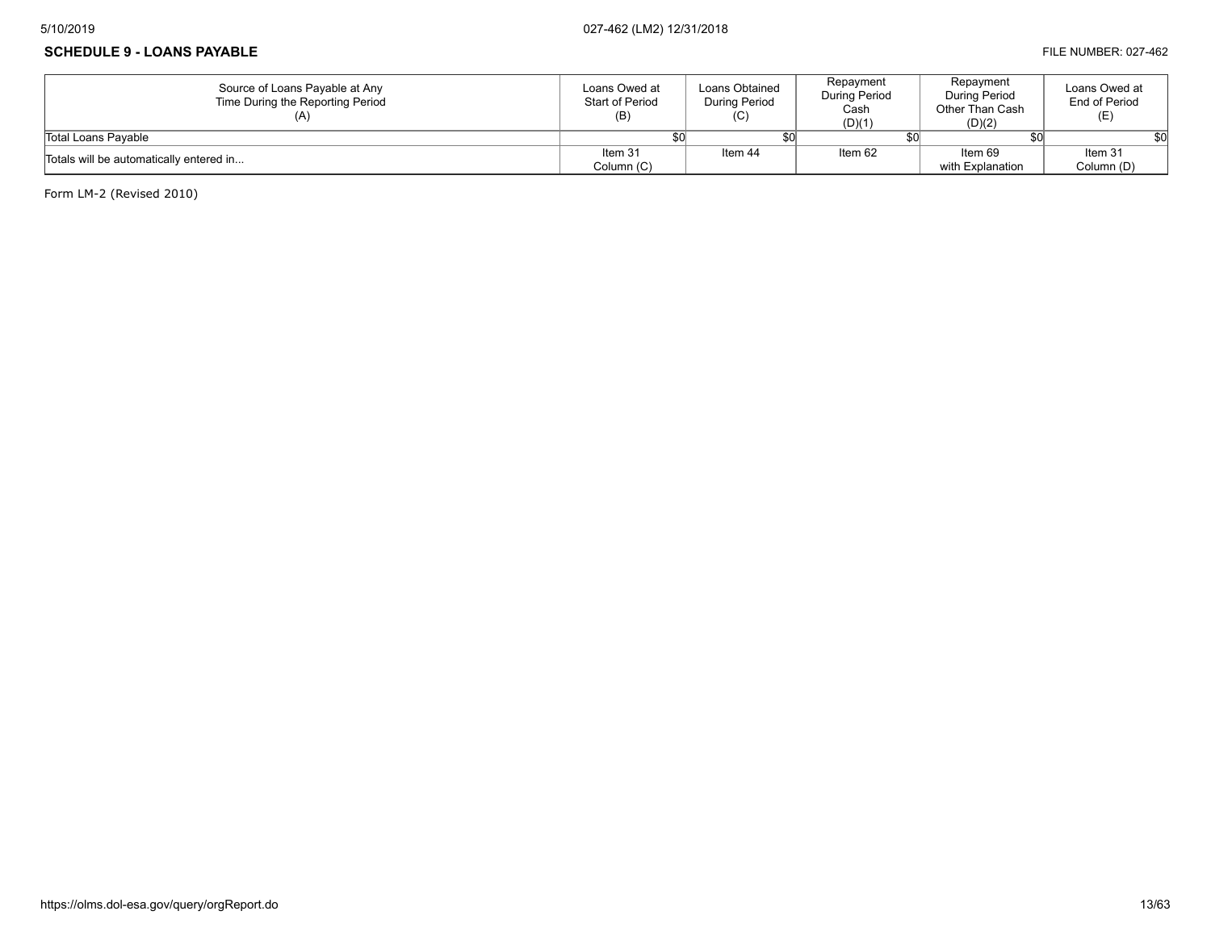## **SCHEDULE 9 - LOANS PAYABLE FILE NUMBER: 027-462**

| Source of Loans Payable at Any<br>Time During the Reporting Period | Loans Owed at<br><b>Start of Period</b><br>(B) | Loans Obtained<br><b>During Period</b><br>(C) | Repayment<br><b>During Period</b><br>Cash<br>(D)(1) | Repayment<br><b>During Period</b><br>Other Than Cash<br>(D)(2) | Loans Owed at<br>End of Period |
|--------------------------------------------------------------------|------------------------------------------------|-----------------------------------------------|-----------------------------------------------------|----------------------------------------------------------------|--------------------------------|
| Total Loans Pavable                                                |                                                |                                               |                                                     |                                                                |                                |
| Totals will be automatically entered in                            | Item 31                                        | Item 44                                       | Item 62                                             | Item 69                                                        | Item 31                        |
|                                                                    | Column (C)                                     |                                               |                                                     | with Explanation                                               | Column (D)                     |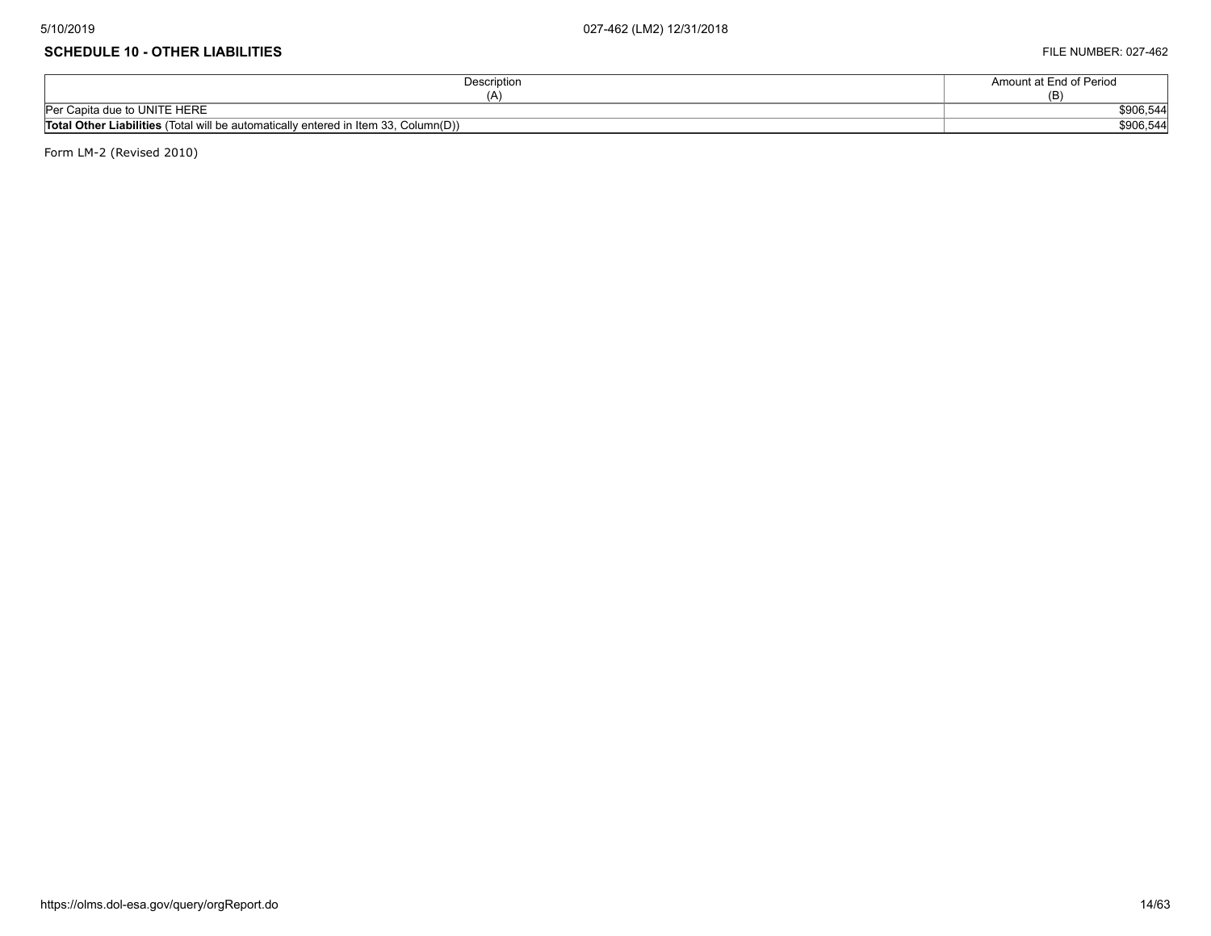#### **SCHEDULE 10 - OTHER LIABILITIES** FILE NUMBER: 027-462

| Description                                                                                   | Amount at End of Period |
|-----------------------------------------------------------------------------------------------|-------------------------|
| ΙA.                                                                                           |                         |
| Per Capita due to UNITE HERE                                                                  | \$906,544               |
| <b>Total Other Liabilities</b> (Total will be automatically entered in Item $33$ , Column(D)) | \$906,544               |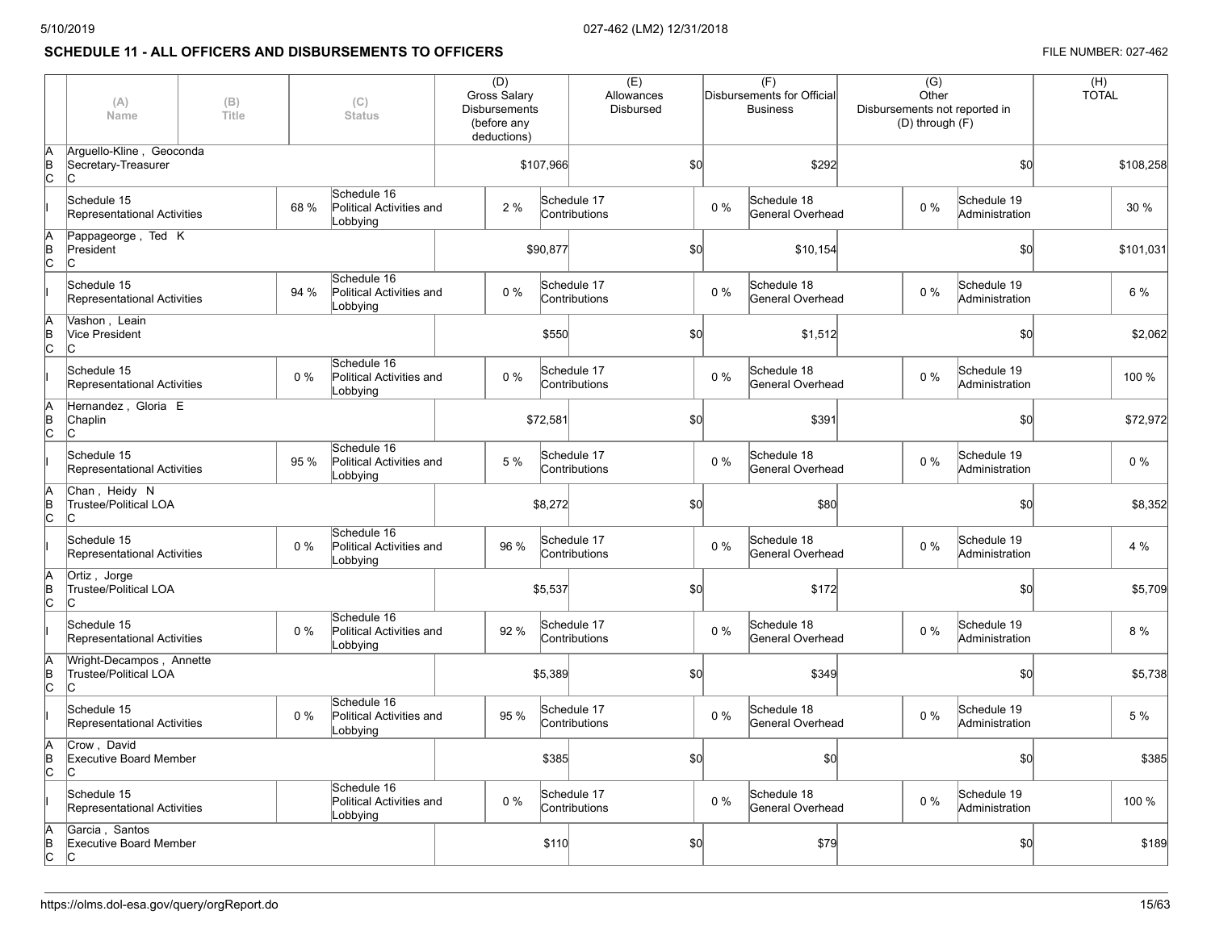# **SCHEDULE 11 - ALL OFFICERS AND DISBURSEMENTS TO OFFICERS FILE NUMBER: 027-462**

|         | (A)<br>Name                                              | (B)<br>Title |       | (C)<br><b>Status</b>                                | (D)<br><b>Gross Salary</b><br><b>Disbursements</b><br>(before any<br>deductions) |           | (E)<br>Allowances<br><b>Disbursed</b> |     |       | (F)<br>Disbursements for Official<br><b>Business</b> | Disbursements not reported in | $\overline{(G)}$<br>Other<br>(D) through (F) |                               | (H)<br><b>TOTAL</b> |           |
|---------|----------------------------------------------------------|--------------|-------|-----------------------------------------------------|----------------------------------------------------------------------------------|-----------|---------------------------------------|-----|-------|------------------------------------------------------|-------------------------------|----------------------------------------------|-------------------------------|---------------------|-----------|
| B<br>C  | Arguello-Kline, Geoconda<br>Secretary-Treasurer<br>Iс    |              |       |                                                     |                                                                                  | \$107,966 | \$0                                   |     |       | \$292                                                |                               |                                              | \$0                           |                     | \$108,258 |
|         | Schedule 15<br>Representational Activities               |              | 68 %  | Schedule 16<br>Political Activities and<br>Lobbying | 2%                                                                               |           | Schedule 17<br>Contributions          |     | 0%    | Schedule 18<br>General Overhead                      |                               | $0\%$                                        | Schedule 19<br>Administration |                     | 30 %      |
| B<br>C  | Pappageorge, Ted K<br>President<br>lc.                   |              |       |                                                     |                                                                                  | \$90,877  |                                       | \$0 |       | \$10,154                                             |                               |                                              | \$0                           |                     | \$101,031 |
|         | Schedule 15<br><b>Representational Activities</b>        |              | 94 %  | Schedule 16<br>Political Activities and<br>Lobbying | $0\%$                                                                            |           | Schedule 17<br>Contributions          |     | $0\%$ | Schedule 18<br>General Overhead                      |                               | $0\%$                                        | Schedule 19<br>Administration |                     | 6 %       |
| B<br>C  | Vashon, Leain<br>Vice President<br>lc.                   |              |       |                                                     |                                                                                  | \$550     |                                       | \$0 |       | \$1,512                                              |                               |                                              | \$0                           |                     | \$2,062   |
|         | Schedule 15<br><b>Representational Activities</b>        |              | 0%    | Schedule 16<br>Political Activities and<br>Lobbying | $0\%$                                                                            |           | Schedule 17<br>Contributions          |     | 0%    | Schedule 18<br>General Overhead                      |                               | $0\%$                                        | Schedule 19<br>Administration |                     | 100 %     |
| в<br> С | Hernandez, Gloria E<br>Chaplin<br>lc.                    |              |       |                                                     |                                                                                  | \$72,581  |                                       | \$0 |       | \$391                                                |                               |                                              | \$0                           |                     | \$72,972  |
|         | Schedule 15<br><b>Representational Activities</b>        |              | 95 %  | Schedule 16<br>Political Activities and<br>Lobbying | 5 %                                                                              |           | Schedule 17<br>Contributions          |     | 0%    | Schedule 18<br>General Overhead                      |                               | $0\%$                                        | Schedule 19<br>Administration |                     | $0\%$     |
| в<br> С | Chan, Heidy N<br>Trustee/Political LOA<br>lc.            |              |       |                                                     |                                                                                  | \$8,272   |                                       | \$0 |       | \$80                                                 |                               |                                              | \$0                           |                     | \$8,352   |
|         | Schedule 15<br>Representational Activities               |              | $0\%$ | Schedule 16<br>Political Activities and<br>Lobbying | 96 %                                                                             |           | Schedule 17<br>Contributions          |     | 0%    | Schedule 18<br>General Overhead                      |                               | $0\%$                                        | Schedule 19<br>Administration |                     | 4 %       |
| B<br>C  | Ortiz, Jorge<br><b>Trustee/Political LOA</b><br>ІС       |              |       |                                                     |                                                                                  | \$5,537   |                                       | \$0 |       | \$172                                                |                               |                                              | \$0                           |                     | \$5,709   |
|         | Schedule 15<br><b>Representational Activities</b>        |              | $0\%$ | Schedule 16<br>Political Activities and<br>Lobbying | 92 %                                                                             |           | Schedule 17<br>Contributions          |     | 0%    | Schedule 18<br>General Overhead                      |                               | $0\%$                                        | Schedule 19<br>Administration |                     | 8 %       |
| B<br>C  | Wright-Decampos, Annette<br>Trustee/Political LOA<br>lc. |              |       |                                                     |                                                                                  | \$5,389   |                                       | \$0 |       | \$349                                                |                               |                                              | \$0                           |                     | \$5,738   |
|         | Schedule 15<br><b>Representational Activities</b>        |              | $0\%$ | Schedule 16<br>Political Activities and<br>Lobbying | 95 %                                                                             |           | Schedule 17<br>Contributions          |     | $0\%$ | Schedule 18<br>General Overhead                      |                               | $0\%$                                        | Schedule 19<br>Administration |                     | 5 %       |
| B<br>C  | Crow, David<br>Executive Board Member<br>ІС              |              |       |                                                     |                                                                                  | \$385     |                                       | \$0 |       | \$0                                                  |                               |                                              | \$0                           |                     | \$385     |
|         | Schedule 15<br><b>Representational Activities</b>        |              |       | Schedule 16<br>Political Activities and<br>Lobbying | $0\%$                                                                            |           | Schedule 17<br>Contributions          |     | 0%    | Schedule 18<br>General Overhead                      |                               | $0\%$                                        | Schedule 19<br>Administration |                     | 100 %     |
| B<br>C  | Garcia, Santos<br><b>Executive Board Member</b><br>lc.   |              |       |                                                     |                                                                                  | \$110     |                                       | \$0 |       | \$79                                                 |                               |                                              | \$0                           |                     | \$189     |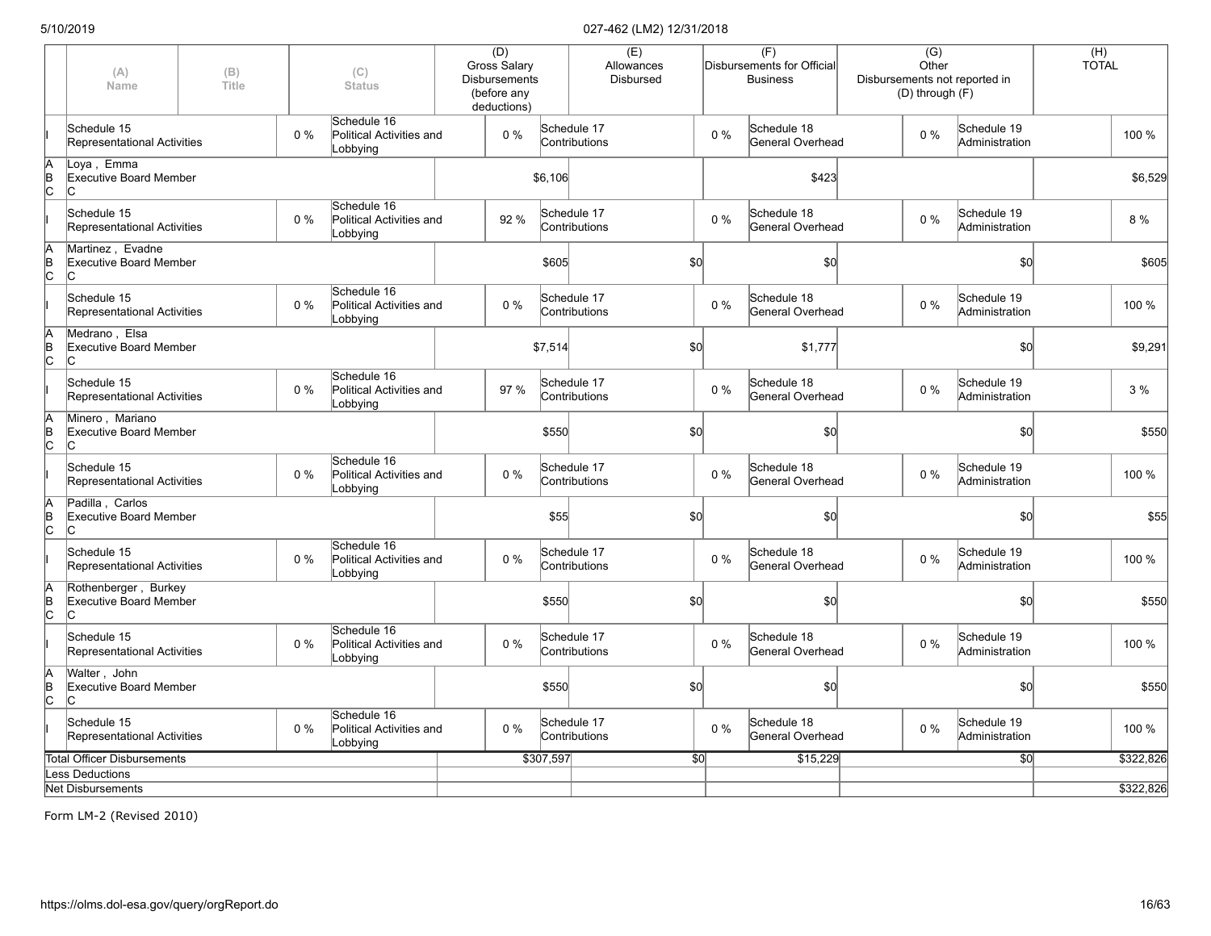|             | (A)<br>Name                                                 | (B)<br>(C)<br>Title<br><b>Status</b><br>Schedule 16 |       |                                                     | (D)<br><b>Gross Salary</b><br><b>Disbursements</b><br>(before any<br>deductions) |                 | (E)<br>Allowances<br><b>Disbursed</b> |          | (F)<br>Disbursements for Official<br><b>Business</b> |                                 | (G)<br>Other<br>Disbursements not reported in<br>(D) through (F) |                               | (H)<br><b>TOTAL</b> |           |
|-------------|-------------------------------------------------------------|-----------------------------------------------------|-------|-----------------------------------------------------|----------------------------------------------------------------------------------|-----------------|---------------------------------------|----------|------------------------------------------------------|---------------------------------|------------------------------------------------------------------|-------------------------------|---------------------|-----------|
|             | Schedule 15<br>Representational Activities                  |                                                     | $0\%$ | Political Activities and<br>Lobbying                | $0\%$                                                                            |                 | Schedule 17<br>Contributions          | $0\%$    |                                                      | Schedule 18<br>General Overhead | $0\%$                                                            | Schedule 19<br>Administration |                     | 100 %     |
| A<br>B<br>C | Loya, Emma<br>Executive Board Member<br>IС                  |                                                     |       |                                                     |                                                                                  | \$6,106         |                                       |          |                                                      | \$423                           |                                                                  |                               |                     | \$6,529   |
|             | Schedule 15<br>Representational Activities                  |                                                     | $0\%$ | Schedule 16<br>Political Activities and<br>Lobbying | 92 %                                                                             |                 | Schedule 17<br>Contributions          | $0\%$    |                                                      | Schedule 18<br>General Overhead | $0\%$                                                            | Schedule 19<br>Administration |                     | 8 %       |
| A<br>B<br>C | Martinez, Evadne<br>Executive Board Member<br>IС            |                                                     |       |                                                     |                                                                                  | \$605           | \$0                                   |          |                                                      | \$0                             |                                                                  | \$0                           |                     | \$605     |
|             | Schedule 15<br>Representational Activities                  |                                                     | 0%    | Schedule 16<br>Political Activities and<br>Lobbying | 0%                                                                               |                 | Schedule 17<br>Contributions          | $0\%$    |                                                      | Schedule 18<br>General Overhead | $0\%$                                                            | Schedule 19<br>Administration |                     | 100 %     |
| A<br>B<br>C | Medrano. Elsa<br><b>Executive Board Member</b><br>IС        |                                                     |       |                                                     |                                                                                  | \$7,514         | \$0                                   |          |                                                      | \$1,777                         |                                                                  | \$0                           |                     | \$9,291   |
|             | Schedule 15<br>Representational Activities                  |                                                     | $0\%$ | Schedule 16<br>Political Activities and<br>Lobbying | 97 %                                                                             |                 | Schedule 17<br>Contributions          | $0\%$    |                                                      | Schedule 18<br>General Overhead | $0\%$                                                            | Schedule 19<br>Administration |                     | 3%        |
| A<br>B<br>C | Minero, Mariano<br>Executive Board Member<br>IС             |                                                     |       |                                                     |                                                                                  | \$550           | \$0                                   |          |                                                      | \$0                             |                                                                  | \$0                           |                     | \$550     |
|             | Schedule 15<br>Representational Activities                  |                                                     | $0\%$ | Schedule 16<br>Political Activities and<br>Lobbying | 0%                                                                               |                 | Schedule 17<br>Contributions          | $0\%$    |                                                      | Schedule 18<br>General Overhead | $0\%$                                                            | Schedule 19<br>Administration |                     | 100 %     |
| A<br>B<br>C | Padilla, Carlos<br><b>Executive Board Member</b><br>C       |                                                     |       |                                                     |                                                                                  | \$55            | \$0                                   |          |                                                      | \$0                             |                                                                  | \$0                           |                     | \$55      |
|             | Schedule 15<br>Representational Activities                  |                                                     | $0\%$ | Schedule 16<br>Political Activities and<br>Lobbying | $0\%$                                                                            |                 | Schedule 17<br>Contributions          | $0\%$    |                                                      | Schedule 18<br>General Overhead | $0\%$                                                            | Schedule 19<br>Administration |                     | 100 %     |
| A<br>B<br>C | Rothenberger, Burkey<br><b>Executive Board Member</b><br>IС |                                                     |       |                                                     |                                                                                  | \$550           | \$0                                   |          |                                                      | \$0                             |                                                                  | \$0                           |                     | \$550     |
|             | Schedule 15<br>Representational Activities                  |                                                     | $0\%$ | Schedule 16<br>Political Activities and<br>Lobbying | $0\%$                                                                            |                 | Schedule 17<br>Contributions          | $0\%$    |                                                      | Schedule 18<br>General Overhead | $0\%$                                                            | Schedule 19<br>Administration |                     | 100 %     |
| A<br>B<br>C | Walter, John<br>Executive Board Member<br>Iс                |                                                     |       |                                                     |                                                                                  | \$550           | \$0                                   |          |                                                      | \$0                             |                                                                  | \$0                           |                     | \$550     |
|             | Schedule 15<br>Representational Activities                  |                                                     | 0%    | Schedule 16<br>Political Activities and<br>Lobbying | 0%                                                                               |                 | Schedule 17<br>Contributions          | $0\%$    |                                                      | Schedule 18<br>General Overhead | $0\%$                                                            | Schedule 19<br>Administration |                     | 100 %     |
|             | <b>Total Officer Disbursements</b>                          |                                                     |       | \$307,597                                           |                                                                                  | $\overline{30}$ |                                       | \$15,229 |                                                      | $\overline{50}$                 |                                                                  | \$322,826                     |                     |           |
|             | <b>Less Deductions</b>                                      |                                                     |       |                                                     |                                                                                  |                 |                                       |          |                                                      |                                 |                                                                  |                               |                     |           |
|             | <b>Net Disbursements</b>                                    |                                                     |       |                                                     |                                                                                  |                 |                                       |          |                                                      |                                 |                                                                  |                               |                     | \$322,826 |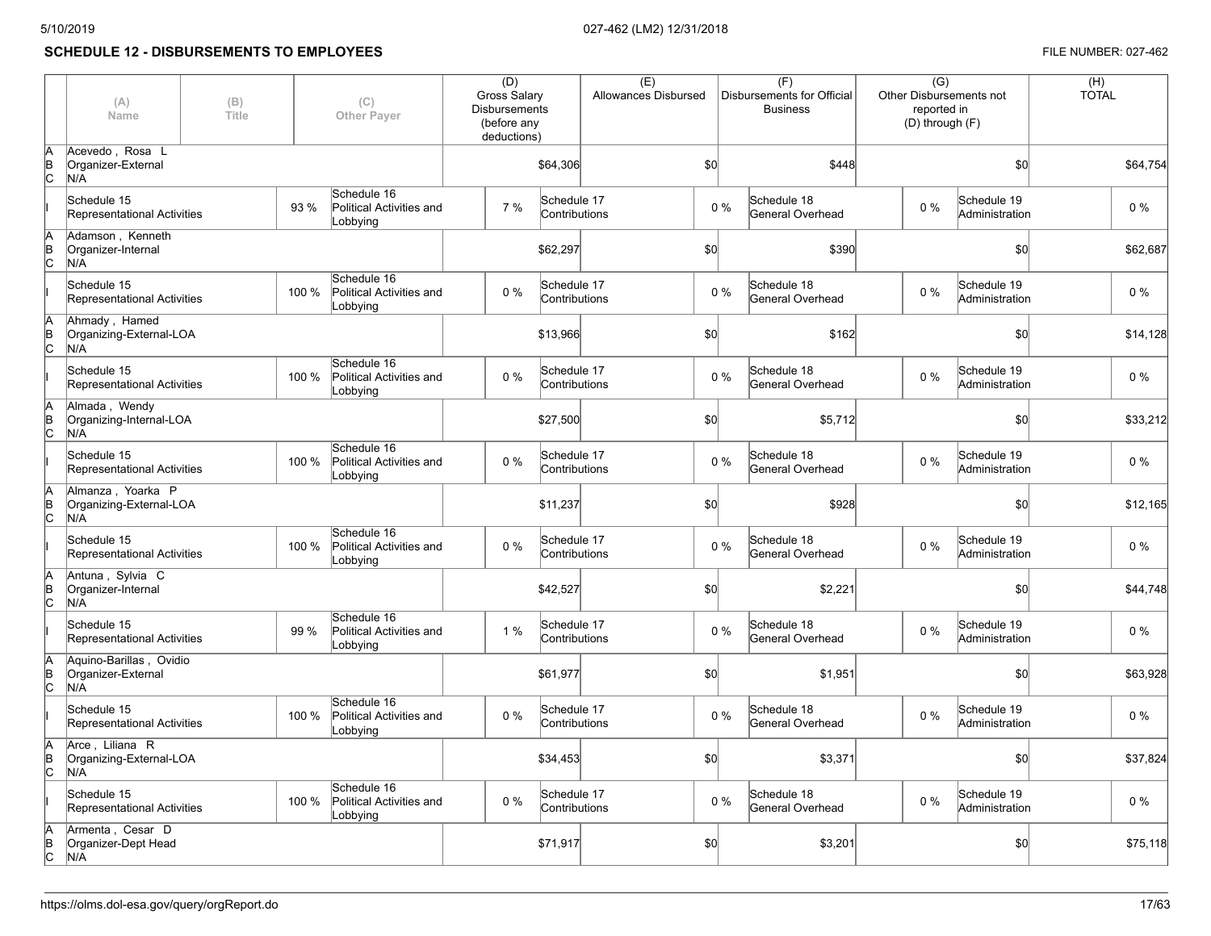# **SCHEDULE 12 - DISBURSEMENTS TO EMPLOYEES FILE NUMBER: 027-462**

|           | (A)<br>Name                                          | (B)<br>(C)<br>Title<br><b>Other Payer</b> |       |                                                     | (D)<br><b>Gross Salary</b><br><b>Disbursements</b><br>(before any<br>deductions) |                              | (E)<br>Allowances Disbursed |       | (F)<br>Disbursements for Official<br><b>Business</b> | $\overline{(G)}$<br>Other Disbursements not<br>reported in<br>(D) through (F) |                               |          |  | (H)<br><b>TOTAL</b> |
|-----------|------------------------------------------------------|-------------------------------------------|-------|-----------------------------------------------------|----------------------------------------------------------------------------------|------------------------------|-----------------------------|-------|------------------------------------------------------|-------------------------------------------------------------------------------|-------------------------------|----------|--|---------------------|
| lΒ<br>ІC  | Acevedo, Rosa L<br>Organizer-External<br>N/A         |                                           |       |                                                     |                                                                                  | \$64,306                     |                             | \$0   | \$448                                                |                                                                               | \$0                           | \$64,754 |  |                     |
|           | Schedule 15<br>Representational Activities           |                                           | 93 %  | Schedule 16<br>Political Activities and<br>Lobbying | 7%                                                                               | Schedule 17<br>Contributions |                             | 0%    | Schedule 18<br>General Overhead                      | 0%                                                                            | Schedule 19<br>Administration | $0\%$    |  |                     |
| ΙB<br>Іс  | Adamson, Kenneth<br>Organizer-Internal<br>N/A        |                                           |       |                                                     |                                                                                  | \$62,297                     |                             | \$0   | \$390                                                |                                                                               | \$0                           | \$62,687 |  |                     |
|           | Schedule 15<br>Representational Activities           |                                           | 100 % | Schedule 16<br>Political Activities and<br>Lobbying | 0%                                                                               | Schedule 17<br>Contributions |                             | 0%    | Schedule 18<br>General Overhead                      | 0%                                                                            | Schedule 19<br>Administration | $0\%$    |  |                     |
| ΙB<br>lc. | Ahmady, Hamed<br>Organizing-External-LOA<br>N/A      |                                           |       |                                                     |                                                                                  | \$13,966                     |                             | \$0   | \$162                                                |                                                                               | \$0                           | \$14,128 |  |                     |
|           | Schedule 15<br>Representational Activities           |                                           | 100 % | Schedule 16<br>Political Activities and<br>Lobbying | $0\%$                                                                            | Schedule 17<br>Contributions |                             | $0\%$ | Schedule 18<br>General Overhead                      | $0\%$                                                                         | Schedule 19<br>Administration | $0\%$    |  |                     |
| lΒ<br>lc. | Almada, Wendy<br>Organizing-Internal-LOA<br>N/A      |                                           |       |                                                     |                                                                                  | \$27,500                     |                             | \$0   | \$5,712                                              |                                                                               | \$0                           | \$33,212 |  |                     |
|           | Schedule 15<br>Representational Activities           |                                           | 100 % | Schedule 16<br>Political Activities and<br>Lobbying | 0%                                                                               | Schedule 17<br>Contributions |                             | 0%    | Schedule 18<br>General Overhead                      | 0%                                                                            | Schedule 19<br>Administration | $0\%$    |  |                     |
| lΒ<br>lc. | Almanza, Yoarka P<br>Organizing-External-LOA<br>N/A  |                                           |       |                                                     |                                                                                  | \$11,237                     |                             | \$0   | \$928                                                |                                                                               | \$0                           | \$12,165 |  |                     |
|           | Schedule 15<br>Representational Activities           |                                           | 100 % | Schedule 16<br>Political Activities and<br>Lobbying | $0\%$                                                                            | Schedule 17<br>Contributions |                             | 0%    | Schedule 18<br>General Overhead                      | 0%                                                                            | Schedule 19<br>Administration | $0\%$    |  |                     |
| lΒ<br>lc. | Antuna, Sylvia C<br>Organizer-Internal<br>N/A        |                                           |       |                                                     |                                                                                  | \$42,527                     |                             | \$0   | \$2,221                                              |                                                                               | \$0                           | \$44,748 |  |                     |
|           | Schedule 15<br>Representational Activities           |                                           | 99 %  | Schedule 16<br>Political Activities and<br>Lobbying | 1%                                                                               | Schedule 17<br>Contributions |                             | $0\%$ | Schedule 18<br>General Overhead                      | $0\%$                                                                         | Schedule 19<br>Administration | $0\%$    |  |                     |
| lΒ<br>lc. | Aquino-Barillas, Ovidio<br>Organizer-External<br>N/A |                                           |       |                                                     |                                                                                  | \$61,977                     |                             | \$0   | \$1,951                                              |                                                                               | \$0                           | \$63,928 |  |                     |
|           | Schedule 15<br>Representational Activities           |                                           | 100 % | Schedule 16<br>Political Activities and<br>Lobbying | $0\%$                                                                            | Schedule 17<br>Contributions |                             | $0\%$ | Schedule 18<br>General Overhead                      | 0%                                                                            | Schedule 19<br>Administration | $0\%$    |  |                     |
| lΒ<br>lc. | Arce, Liliana R<br>Organizing-External-LOA<br>N/A    |                                           |       |                                                     |                                                                                  | \$34,453                     |                             | \$0   | \$3,371                                              |                                                                               | \$0                           | \$37,824 |  |                     |
|           | Schedule 15<br>Representational Activities           |                                           | 100 % | Schedule 16<br>Political Activities and<br>Lobbying | 0%                                                                               | Schedule 17<br>Contributions |                             | 0%    | Schedule 18<br>General Overhead                      | 0%                                                                            | Schedule 19<br>Administration | $0\%$    |  |                     |
| B<br>lc.  | Armenta, Cesar D<br>Organizer-Dept Head<br>N/A       |                                           |       |                                                     |                                                                                  | \$71,917                     |                             | \$0   | \$3,201                                              |                                                                               | \$0                           | \$75,118 |  |                     |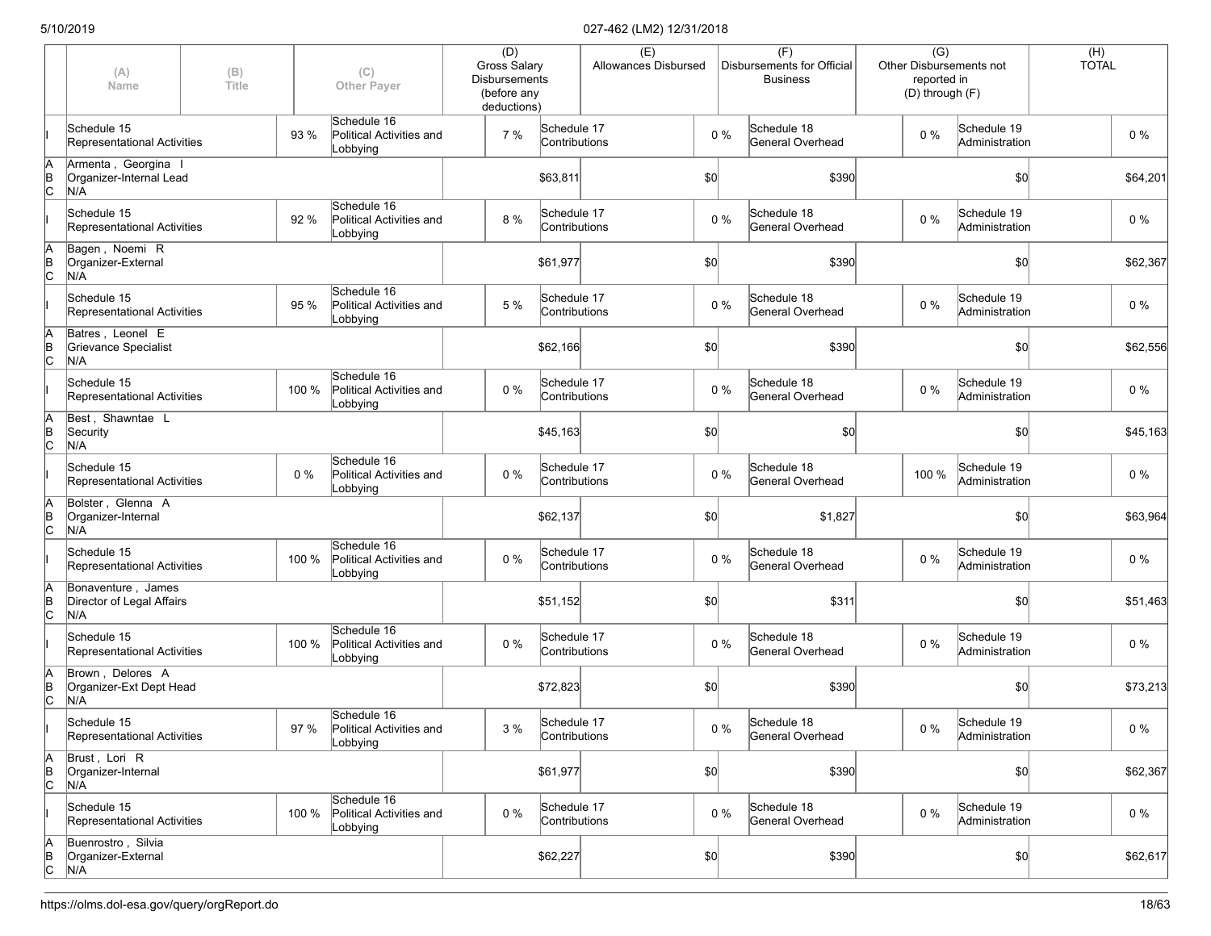|                      | (A)<br>Name                                            | (B)<br>(C)<br>Title<br><b>Other Payer</b> |       |                                                     | (D)<br><b>Gross Salary</b><br><b>Disbursements</b><br>(before any<br>deductions) |                              | (E)<br>Allowances Disbursed |     | (F)<br>Disbursements for Official<br><b>Business</b> |                                 | $\overline{(G)}$<br>Other Disbursements not<br>reported in<br>(D) through (F) |       |                               | (H)<br><b>TOTAL</b> |          |
|----------------------|--------------------------------------------------------|-------------------------------------------|-------|-----------------------------------------------------|----------------------------------------------------------------------------------|------------------------------|-----------------------------|-----|------------------------------------------------------|---------------------------------|-------------------------------------------------------------------------------|-------|-------------------------------|---------------------|----------|
|                      | Schedule 15<br>Representational Activities             |                                           | 93 %  | Schedule 16<br>Political Activities and<br>Lobbying | 7 %                                                                              | Schedule 17<br>Contributions |                             |     | $0\%$                                                | Schedule 18<br>General Overhead |                                                                               | 0%    | Schedule 19<br>Administration |                     | $0\%$    |
| ΙA<br>Þ<br>Iс        | Armenta, Georgina<br>Organizer-Internal Lead<br>N/A    |                                           |       |                                                     |                                                                                  | \$63,811                     |                             | \$0 |                                                      | \$390                           |                                                                               |       | \$0                           |                     | \$64,201 |
|                      | Schedule 15<br>Representational Activities             |                                           | 92 %  | Schedule 16<br>Political Activities and<br>Lobbying | 8 %                                                                              | Schedule 17<br>Contributions |                             |     | $0\%$                                                | Schedule 18<br>General Overhead |                                                                               | 0%    | Schedule 19<br>Administration |                     | $0\%$    |
| ΙA<br>$\overline{C}$ | Bagen, Noemi R<br>Organizer-External<br>N/A            |                                           |       |                                                     |                                                                                  | \$61,977                     |                             | \$0 |                                                      | \$390                           |                                                                               |       | \$0                           |                     | \$62,367 |
|                      | Schedule 15<br>Representational Activities             |                                           | 95 %  | Schedule 16<br>Political Activities and<br>Lobbying | 5 %                                                                              | Schedule 17<br>Contributions |                             |     | $0\%$                                                | Schedule 18<br>General Overhead |                                                                               | 0%    | Schedule 19<br>Administration |                     | $0\%$    |
| İΑ<br><b>B</b><br>lc | Batres, Leonel E<br>Grievance Specialist<br>N/A        |                                           |       |                                                     |                                                                                  | \$62,166                     |                             | \$0 |                                                      | \$390                           |                                                                               |       | \$0                           |                     | \$62,556 |
|                      | Schedule 15<br>Representational Activities             |                                           | 100 % | Schedule 16<br>Political Activities and<br>Lobbying | $0\%$                                                                            | Schedule 17<br>Contributions |                             |     | $0\%$                                                | Schedule 18<br>General Overhead |                                                                               | 0%    | Schedule 19<br>Administration |                     | $0\%$    |
| İΑ<br>$\overline{C}$ | Best, Shawntae L<br>Security<br>N/A                    |                                           |       |                                                     |                                                                                  | \$45,163                     |                             | \$0 |                                                      | \$0                             |                                                                               |       | \$0                           |                     | \$45,163 |
|                      | Schedule 15<br>Representational Activities             |                                           | $0\%$ | Schedule 16<br>Political Activities and<br>Lobbying | 0 %                                                                              | Schedule 17<br>Contributions |                             |     | $0\%$                                                | Schedule 18<br>General Overhead |                                                                               | 100 % | Schedule 19<br>Administration |                     | $0\%$    |
| ΙA<br>Þ<br>Iс        | Bolster, Glenna A<br>Organizer-Internal<br>N/A         |                                           |       |                                                     |                                                                                  | \$62,137                     |                             | \$0 |                                                      | \$1,827                         |                                                                               |       | \$0                           |                     | \$63,964 |
|                      | Schedule 15<br>Representational Activities             |                                           | 100 % | Schedule 16<br>Political Activities and<br>Lobbying | 0 %                                                                              | Schedule 17<br>Contributions |                             |     | $0\%$                                                | Schedule 18<br>General Overhead |                                                                               | 0%    | Schedule 19<br>Administration |                     | $0\%$    |
| $\overline{C}$       | Bonaventure, James<br>Director of Legal Affairs<br>N/A |                                           |       |                                                     |                                                                                  | \$51,152                     |                             | \$0 |                                                      | \$311                           |                                                                               |       | \$0                           |                     | \$51,463 |
|                      | Schedule 15<br>Representational Activities             |                                           | 100 % | Schedule 16<br>Political Activities and<br>Lobbying | 0 %                                                                              | Schedule 17<br>Contributions |                             |     | $0\%$                                                | Schedule 18<br>General Overhead |                                                                               | $0\%$ | Schedule 19<br>Administration |                     | $0\%$    |
| lA<br>B<br>lс        | Brown, Delores A<br>Organizer-Ext Dept Head<br>N/A     |                                           |       |                                                     |                                                                                  | \$72,823                     |                             | \$0 |                                                      | \$390                           |                                                                               |       | \$0                           |                     | \$73,213 |
|                      | Schedule 15<br>Representational Activities             |                                           | 97 %  | Schedule 16<br>Political Activities and<br>Lobbying | $3\%$                                                                            | Schedule 17<br>Contributions |                             |     | $0\%$                                                | Schedule 18<br>General Overhead |                                                                               | $0\%$ | Schedule 19<br>Administration |                     | $0\%$    |
| ΙA<br>$\overline{C}$ | Brust, Lori R<br>Organizer-Internal<br>N/A             |                                           |       |                                                     |                                                                                  | \$61,977                     |                             | \$0 |                                                      | \$390                           |                                                                               |       | \$0                           |                     | \$62,367 |
|                      | Schedule 15<br>Representational Activities             |                                           | 100 % | Schedule 16<br>Political Activities and<br>Lobbying | $0\%$                                                                            | Schedule 17<br>Contributions |                             |     | $0\%$                                                | Schedule 18<br>General Overhead |                                                                               | 0%    | Schedule 19<br>Administration |                     | $0\%$    |
| $\overline{6}$       | Buenrostro, Silvia<br>Organizer-External<br>N/A        |                                           |       |                                                     |                                                                                  | \$62,227                     |                             | \$0 |                                                      | \$390                           |                                                                               |       | \$0                           |                     | \$62,617 |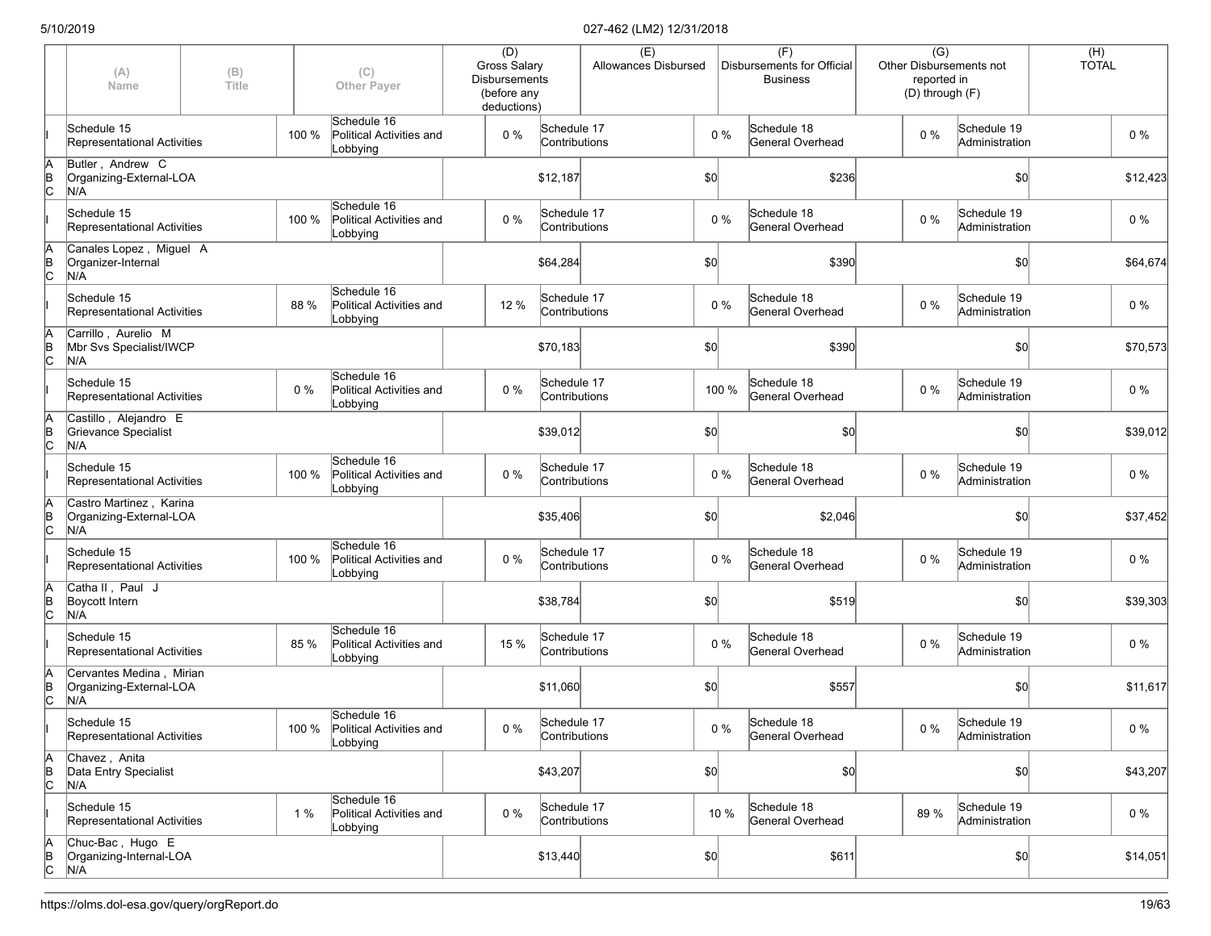|                      | (A)<br>Name                                                | (B)<br>Title |       | (C)<br><b>Other Payer</b>                                 | (D)<br><b>Gross Salary</b><br><b>Disbursements</b><br>(before any<br>deductions) |                              | (E) | Allowances Disbursed |       | (F)<br>Disbursements for Official<br><b>Business</b> | $\overline{(G)}$<br><b>Other Disbursements not</b><br>reported in<br>(D) through (F) |                               | (H)<br><b>TOTAL</b> |          |
|----------------------|------------------------------------------------------------|--------------|-------|-----------------------------------------------------------|----------------------------------------------------------------------------------|------------------------------|-----|----------------------|-------|------------------------------------------------------|--------------------------------------------------------------------------------------|-------------------------------|---------------------|----------|
|                      | Schedule 15<br>Representational Activities                 |              | 100 % | Schedule 16<br>Political Activities and<br>Lobbying       | 0%                                                                               | Schedule 17<br>Contributions |     |                      | $0\%$ | Schedule 18<br>General Overhead                      | $0\%$                                                                                | Schedule 19<br>Administration |                     | $0\%$    |
| ΙA<br>$\overline{C}$ | Butler, Andrew C<br>Organizing-External-LOA<br>N/A         |              |       |                                                           |                                                                                  | \$12,187                     |     | \$0                  |       | \$236                                                |                                                                                      | \$0                           |                     | \$12,423 |
|                      | Schedule 15<br>Representational Activities                 |              | 100 % | Schedule 16<br>Political Activities and<br>Lobbying       | $0\%$                                                                            | Schedule 17<br>Contributions |     |                      | $0\%$ | Schedule 18<br>General Overhead                      | $0\%$                                                                                | Schedule 19<br>Administration |                     | $0\%$    |
| ΙA<br>$\overline{C}$ | Canales Lopez, Miguel A<br>Organizer-Internal<br>N/A       |              |       |                                                           |                                                                                  | \$64,284                     |     | \$0                  |       | \$390                                                |                                                                                      | \$0                           |                     | \$64,674 |
|                      | Schedule 15<br>Representational Activities                 |              | 88 %  | Schedule 16<br>Political Activities and<br>Lobbying       | 12 %                                                                             | Schedule 17<br>Contributions |     |                      | $0\%$ | Schedule 18<br>General Overhead                      | $0\%$                                                                                | Schedule 19<br>Administration |                     | $0\%$    |
| ΙA<br>$\overline{C}$ | Carrillo, Aurelio M<br>Mbr Svs Specialist/IWCP<br>N/A      |              |       |                                                           |                                                                                  | \$70,183                     |     | \$0                  |       | \$390                                                |                                                                                      | \$0                           |                     | \$70,573 |
|                      | Schedule 15<br>Representational Activities                 |              | 0%    | Schedule 16<br>Political Activities and<br>Lobbying       | 0%                                                                               | Schedule 17<br>Contributions |     |                      | 100 % | Schedule 18<br>General Overhead                      | $0\%$                                                                                | Schedule 19<br>Administration |                     | $0\%$    |
| ΙA<br>$\overline{C}$ | Castillo, Alejandro E<br>Grievance Specialist<br>N/A       |              |       |                                                           |                                                                                  | \$39,012                     |     | \$0                  |       | \$0                                                  |                                                                                      | \$0                           |                     | \$39,012 |
|                      | Schedule 15<br>Representational Activities                 |              | 100 % | Schedule 16<br>Political Activities and<br>Lobbying       | $0\%$                                                                            | Schedule 17<br>Contributions |     |                      | $0\%$ | Schedule 18<br>General Overhead                      | $0\%$                                                                                | Schedule 19<br>Administration |                     | $0\%$    |
| A<br>$\overline{C}$  | Castro Martinez, Karina<br>Organizing-External-LOA<br>N/A  |              |       |                                                           |                                                                                  | \$35,406                     |     | \$0                  |       | \$2,046                                              |                                                                                      | \$0                           |                     | \$37,452 |
|                      | Schedule 15<br>Representational Activities                 |              | 100 % | Schedule 16<br>Political Activities and<br>Lobbying       | 0%                                                                               | Schedule 17<br>Contributions |     |                      | $0\%$ | Schedule 18<br>General Overhead                      | $0\%$                                                                                | Schedule 19<br>Administration |                     | 0%       |
| ΙA<br>$\overline{C}$ | Catha II, Paul J<br>Boycott Intern<br>N/A                  |              |       |                                                           |                                                                                  | \$38,784                     |     | \$0                  |       | \$519                                                |                                                                                      | \$0                           |                     | \$39,303 |
|                      | Schedule 15<br>Representational Activities                 |              | 85 %  | Schedule 16<br>Political Activities and<br>Lobbying       | 15 %                                                                             | Schedule 17<br>Contributions |     |                      | $0\%$ | Schedule 18<br>General Overhead                      | $0\%$                                                                                | Schedule 19<br>Administration |                     | $0\%$    |
| ΙA<br>$\overline{C}$ | Cervantes Medina, Mirian<br>Organizing-External-LOA<br>N/A |              |       |                                                           |                                                                                  | \$11,060                     |     | \$0                  |       | \$557                                                |                                                                                      | \$0                           |                     | \$11,617 |
|                      | Schedule 15<br>Representational Activities                 |              |       | Schedule 16<br>100 % Political Activities and<br>Lobbying | $0\%$                                                                            | Schedule 17<br>Contributions |     |                      | $0\%$ | Schedule 18<br>General Overhead                      | $0\%$                                                                                | Schedule 19<br>Administration |                     | $0\%$    |
| ΙA<br>$\overline{C}$ | Chavez, Anita<br>Data Entry Specialist<br>N/A              |              |       |                                                           |                                                                                  | \$43,207                     |     | $ 10\rangle$         |       | $ 10\rangle$                                         |                                                                                      | \$0                           |                     | \$43,207 |
|                      | Schedule 15<br>Representational Activities                 |              | 1 %   | Schedule 16<br>Political Activities and<br>Lobbying       | 0%                                                                               | Schedule 17<br>Contributions |     |                      | 10 %  | Schedule 18<br>General Overhead                      | 89%                                                                                  | Schedule 19<br>Administration |                     | $0\%$    |
| A<br>B<br>C          | Chuc-Bac, Hugo E<br>Organizing-Internal-LOA<br>N/A         |              |       |                                                           |                                                                                  | \$13,440                     |     | $ 10\rangle$         |       | \$611                                                |                                                                                      | \$0                           |                     | \$14,051 |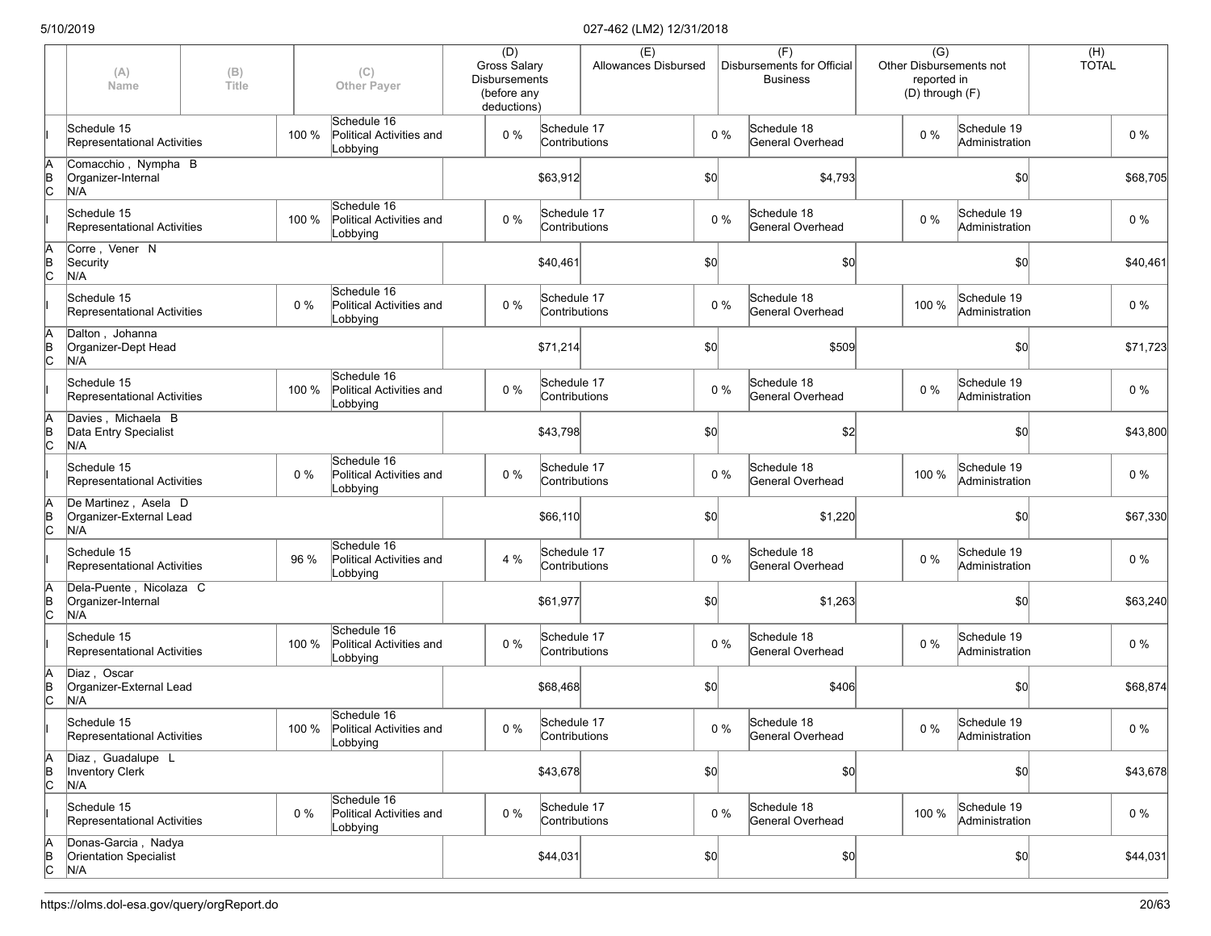|                      | (A)<br>Name                                                 | (B)<br>(C)<br>Title<br><b>Other Payer</b> |       |                                                           | (D)<br><b>Gross Salary</b><br><b>Disbursements</b><br>(before any<br>deductions) |                              | (E)<br>Allowances Disbursed |              |       | (F)<br>Disbursements for Official<br><b>Business</b> | $\overline{(G)}$<br><b>Other Disbursements not</b><br>reported in<br>(D) through (F) |                               | (H)<br><b>TOTAL</b> |          |
|----------------------|-------------------------------------------------------------|-------------------------------------------|-------|-----------------------------------------------------------|----------------------------------------------------------------------------------|------------------------------|-----------------------------|--------------|-------|------------------------------------------------------|--------------------------------------------------------------------------------------|-------------------------------|---------------------|----------|
|                      | Schedule 15<br>Representational Activities                  |                                           | 100 % | Schedule 16<br>Political Activities and<br>Lobbying       | 0%                                                                               | Schedule 17<br>Contributions |                             |              | $0\%$ | Schedule 18<br>General Overhead                      | $0\%$                                                                                | Schedule 19<br>Administration |                     | $0\%$    |
| ΙA<br>$\overline{B}$ | Comacchio, Nympha B<br>Organizer-Internal<br>N/A            |                                           |       |                                                           |                                                                                  | \$63,912                     |                             | \$0          |       | \$4,793                                              |                                                                                      | \$0                           |                     | \$68,705 |
|                      | Schedule 15<br>Representational Activities                  |                                           | 100 % | Schedule 16<br>Political Activities and<br>Lobbying       | $0\%$                                                                            | Schedule 17<br>Contributions |                             |              | $0\%$ | Schedule 18<br>General Overhead                      | $0\%$                                                                                | Schedule 19<br>Administration |                     | $0\%$    |
| ΙA<br>$\overline{C}$ | Corre, Vener N<br>Security<br>N/A                           |                                           |       |                                                           |                                                                                  | \$40,461                     |                             | \$0          |       | \$0]                                                 |                                                                                      | \$0                           |                     | \$40,461 |
|                      | Schedule 15<br>Representational Activities                  |                                           | 0%    | Schedule 16<br>Political Activities and<br>Lobbying       | 0%                                                                               | Schedule 17<br>Contributions |                             |              | $0\%$ | Schedule 18<br>General Overhead                      | 100 %                                                                                | Schedule 19<br>Administration |                     | $0\%$    |
| ΙA<br>$\overline{C}$ | Dalton, Johanna<br>Organizer-Dept Head<br>N/A               |                                           |       |                                                           |                                                                                  | \$71,214                     |                             | \$0          |       | \$509                                                |                                                                                      | \$0                           |                     | \$71,723 |
|                      | Schedule 15<br>Representational Activities                  |                                           | 100 % | Schedule 16<br>Political Activities and<br>Lobbying       | 0%                                                                               | Schedule 17<br>Contributions |                             |              | $0\%$ | Schedule 18<br>General Overhead                      | $0\%$                                                                                | Schedule 19<br>Administration |                     | $0\%$    |
| ΙA<br>ļв<br>lс       | Davies, Michaela B<br>Data Entry Specialist<br>N/A          |                                           |       |                                                           |                                                                                  | \$43,798                     |                             | \$0          |       | \$2                                                  |                                                                                      | \$0                           |                     | \$43,800 |
|                      | Schedule 15<br>Representational Activities                  |                                           | 0%    | Schedule 16<br>Political Activities and<br>Lobbying       | $0\%$                                                                            | Schedule 17<br>Contributions |                             |              | $0\%$ | Schedule 18<br>General Overhead                      | 100 %                                                                                | Schedule 19<br>Administration |                     | 0%       |
| ΙA<br>$\overline{C}$ | De Martinez, Asela D<br>Organizer-External Lead<br>N/A      |                                           |       |                                                           |                                                                                  | \$66,110                     |                             | \$0          |       | \$1,220                                              |                                                                                      | \$0                           |                     | \$67,330 |
|                      | Schedule 15<br>Representational Activities                  |                                           | 96 %  | Schedule 16<br>Political Activities and<br>Lobbying       | 4 %                                                                              | Schedule 17<br>Contributions |                             |              | $0\%$ | Schedule 18<br>General Overhead                      | $0\%$                                                                                | Schedule 19<br>Administration |                     | 0%       |
| ΙA<br>$\overline{C}$ | Dela-Puente, Nicolaza C<br>Organizer-Internal<br>N/A        |                                           |       |                                                           |                                                                                  | \$61,977                     |                             | \$0          |       | \$1,263                                              |                                                                                      | \$0                           |                     | \$63,240 |
|                      | Schedule 15<br>Representational Activities                  |                                           | 100 % | Schedule 16<br>Political Activities and<br>Lobbying       | 0%                                                                               | Schedule 17<br>Contributions |                             |              | $0\%$ | Schedule 18<br>General Overhead                      | $0\%$                                                                                | Schedule 19<br>Administration |                     | $0\%$    |
| ΙA<br>$\overline{C}$ | Diaz, Oscar<br>Organizer-External Lead<br>N/A               |                                           |       |                                                           |                                                                                  | \$68,468                     |                             | \$0          |       | \$406                                                |                                                                                      | \$0                           |                     | \$68,874 |
|                      | Schedule 15<br>Representational Activities                  |                                           |       | Schedule 16<br>100 % Political Activities and<br>Lobbying | $0\%$                                                                            | Schedule 17<br>Contributions |                             |              | $0\%$ | Schedule 18<br>General Overhead                      | $0\%$                                                                                | Schedule 19<br>Administration |                     | $0\%$    |
| A<br>$\overline{C}$  | Diaz, Guadalupe L<br>Inventory Clerk<br>N/A                 |                                           |       |                                                           |                                                                                  | \$43,678                     |                             | $ 10\rangle$ |       | \$0                                                  |                                                                                      | \$0                           |                     | \$43,678 |
|                      | Schedule 15<br>Representational Activities                  |                                           | 0%    | Schedule 16<br>Political Activities and<br>Lobbying       | 0%                                                                               | Schedule 17<br>Contributions |                             |              | $0\%$ | Schedule 18<br>General Overhead                      | 100 %                                                                                | Schedule 19<br>Administration |                     | $0\%$    |
| A<br>B<br>C          | Donas-Garcia, Nadya<br><b>Orientation Specialist</b><br>N/A |                                           |       |                                                           |                                                                                  | \$44,031                     |                             | $ 10\rangle$ |       | \$0]                                                 |                                                                                      | \$0                           |                     | \$44,031 |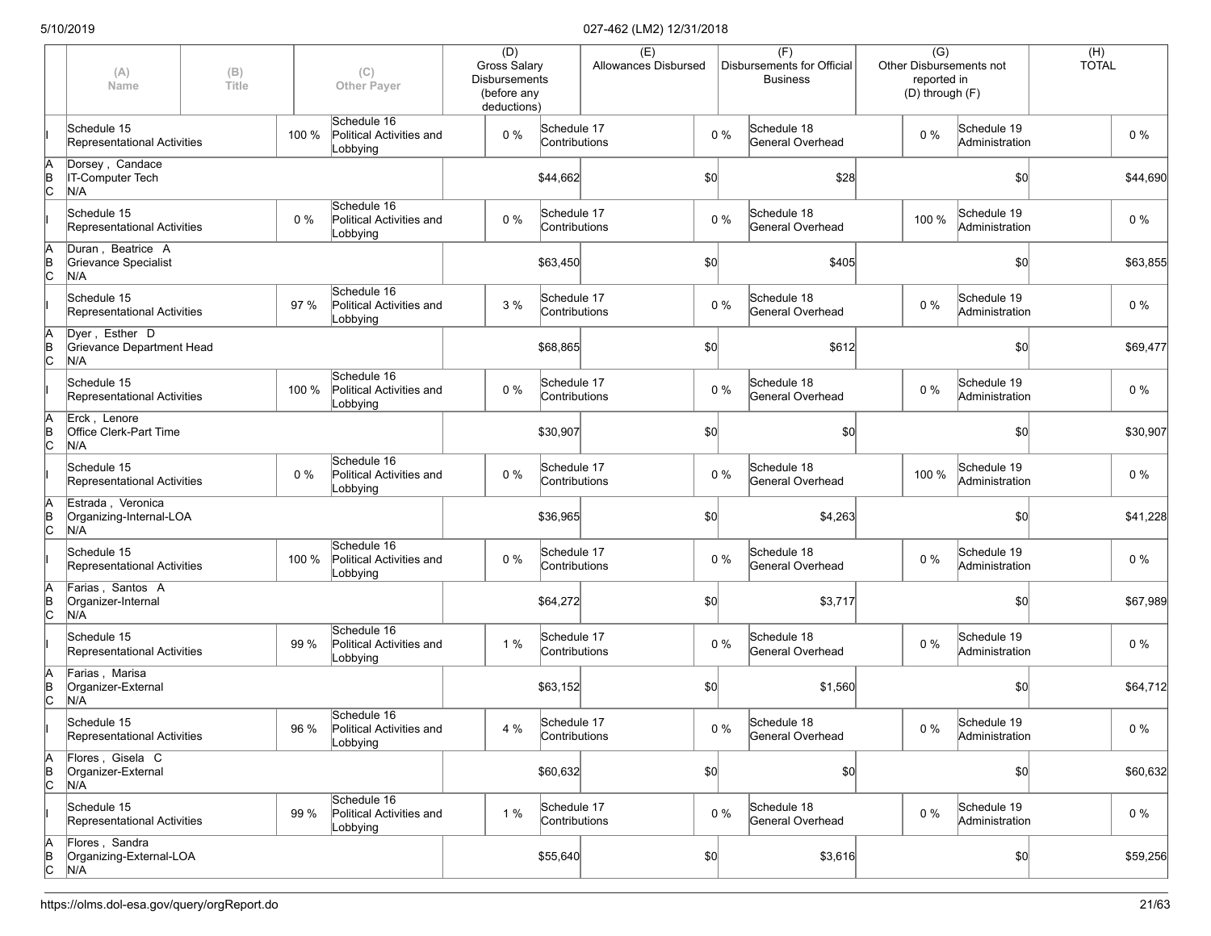|             | (A)<br>Name                                         | (B)<br><b>Title</b> |       | (C)<br><b>Other Payer</b>                           | (D)<br><b>Gross Salary</b><br><b>Disbursements</b><br>(before any<br>deductions) |                              | (E)<br>Allowances Disbursed |       | (F)<br>Disbursements for Official<br><b>Business</b> | $\overline{(G)}$<br>reported in<br>(D) through (F) | Other Disbursements not       | (H)<br><b>TOTAL</b> |          |
|-------------|-----------------------------------------------------|---------------------|-------|-----------------------------------------------------|----------------------------------------------------------------------------------|------------------------------|-----------------------------|-------|------------------------------------------------------|----------------------------------------------------|-------------------------------|---------------------|----------|
|             | Schedule 15<br><b>Representational Activities</b>   |                     | 100 % | Schedule 16<br>Political Activities and<br>Lobbying | 0 %                                                                              | Schedule 17<br>Contributions |                             | $0\%$ | Schedule 18<br>General Overhead                      | $0\%$                                              | Schedule 19<br>Administration |                     | $0\%$    |
| A<br>B<br>C | Dorsey, Candace<br>IT-Computer Tech<br>N/A          |                     |       |                                                     |                                                                                  | \$44,662                     |                             | \$0   | \$28                                                 |                                                    | \$0                           |                     | \$44,690 |
|             | Schedule 15<br>Representational Activities          |                     | 0%    | Schedule 16<br>Political Activities and<br>Lobbying | 0 %                                                                              | Schedule 17<br>Contributions |                             | $0\%$ | Schedule 18<br>General Overhead                      | 100 %                                              | Schedule 19<br>Administration |                     | 0%       |
| A<br>B<br>C | Duran, Beatrice A<br>Grievance Specialist<br>N/A    |                     |       |                                                     |                                                                                  | \$63,450                     |                             | \$0   | \$405                                                |                                                    | \$0                           |                     | \$63,855 |
|             | Schedule 15<br>Representational Activities          |                     | 97 %  | Schedule 16<br>Political Activities and<br>Lobbying | 3%                                                                               | Schedule 17<br>Contributions |                             | $0\%$ | Schedule 18<br>General Overhead                      | 0 %                                                | Schedule 19<br>Administration |                     | $0\%$    |
| A<br>B<br>C | Dyer, Esther D<br>Grievance Department Head<br>N/A  |                     |       |                                                     |                                                                                  | \$68,865                     |                             | \$0   | \$612                                                |                                                    | \$0                           |                     | \$69,477 |
|             | Schedule 15<br>Representational Activities          |                     | 100 % | Schedule 16<br>Political Activities and<br>Lobbying | 0 %                                                                              | Schedule 17<br>Contributions |                             | $0\%$ | Schedule 18<br>General Overhead                      | 0 %                                                | Schedule 19<br>Administration |                     | $0\%$    |
| A<br>B<br>C | Erck, Lenore<br>Office Clerk-Part Time<br>N/A       |                     |       |                                                     |                                                                                  | \$30,907                     |                             | \$0   | \$0                                                  |                                                    | \$0                           |                     | \$30,907 |
|             | Schedule 15<br>Representational Activities          |                     | 0%    | Schedule 16<br>Political Activities and<br>Lobbying | 0 %                                                                              | Schedule 17<br>Contributions |                             | $0\%$ | Schedule 18<br>General Overhead                      | 100 %                                              | Schedule 19<br>Administration |                     | 0%       |
| A<br>B<br>C | Estrada, Veronica<br>Organizing-Internal-LOA<br>N/A |                     |       |                                                     |                                                                                  | \$36,965                     |                             | \$0   | \$4,263                                              |                                                    | \$0                           |                     | \$41,228 |
|             | Schedule 15<br>Representational Activities          |                     | 100 % | Schedule 16<br>Political Activities and<br>Lobbying | 0 %                                                                              | Schedule 17<br>Contributions |                             | $0\%$ | Schedule 18<br>General Overhead                      | 0 %                                                | Schedule 19<br>Administration |                     | 0%       |
| A<br>B<br>C | Farias, Santos A<br>Organizer-Internal<br>N/A       |                     |       |                                                     |                                                                                  | \$64,272                     |                             | \$0   | \$3,717                                              |                                                    | \$0                           |                     | \$67,989 |
|             | Schedule 15<br>Representational Activities          |                     | 99 %  | Schedule 16<br>Political Activities and<br>Lobbying | 1 %                                                                              | Schedule 17<br>Contributions |                             | $0\%$ | Schedule 18<br>General Overhead                      | $0\%$                                              | Schedule 19<br>Administration |                     | $0\%$    |
| A<br>B<br>C | Farias, Marisa<br>Organizer-External<br>N/A         |                     |       |                                                     |                                                                                  | \$63,152                     |                             | \$0   | \$1,560                                              |                                                    | \$0                           |                     | \$64,712 |
|             | Schedule 15<br>Representational Activities          |                     | 96 %  | Schedule 16<br>Political Activities and<br>Lobbying | 4 %                                                                              | Schedule 17<br>Contributions |                             | $0\%$ | Schedule 18<br>General Overhead                      | $0\%$                                              | Schedule 19<br>Administration |                     | $0\%$    |
| A<br>B<br>C | Flores, Gisela C<br>Organizer-External<br>N/A       |                     |       |                                                     |                                                                                  | \$60,632                     |                             | \$0]  | $ 10\rangle$                                         |                                                    | \$0                           |                     | \$60,632 |
|             | Schedule 15<br>Representational Activities          |                     | 99 %  | Schedule 16<br>Political Activities and<br>Lobbying | 1 %                                                                              | Schedule 17<br>Contributions |                             | $0\%$ | Schedule 18<br>General Overhead                      | $0\%$                                              | Schedule 19<br>Administration |                     | $0\%$    |
| A<br>B<br>C | Flores, Sandra<br>Organizing-External-LOA<br>N/A    |                     |       |                                                     |                                                                                  | \$55,640                     |                             | \$0]  | \$3,616                                              |                                                    | \$0                           |                     | \$59,256 |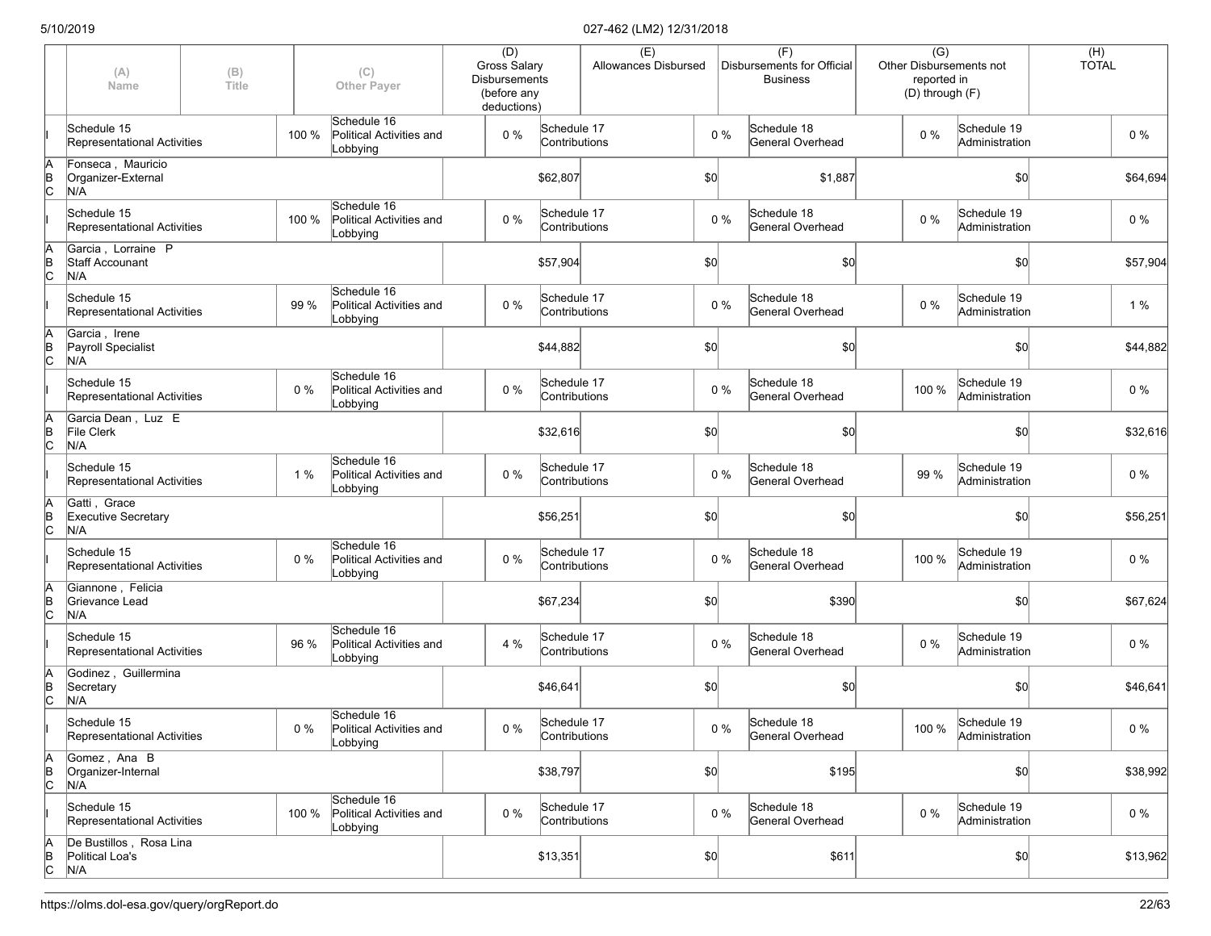|                      | (A)<br>Name                                         | (B)<br>Title |       | (C)<br><b>Other Paver</b>                           | (D)<br><b>Gross Salary</b><br><b>Disbursements</b><br>(before any<br>deductions) |                              | (E)<br>Allowances Disbursed |              |       | (F)<br>Disbursements for Official<br><b>Business</b> | $\overline{(G)}$<br>reported in | <b>Other Disbursements not</b><br>(D) through (F) | (H)<br><b>TOTAL</b> |          |
|----------------------|-----------------------------------------------------|--------------|-------|-----------------------------------------------------|----------------------------------------------------------------------------------|------------------------------|-----------------------------|--------------|-------|------------------------------------------------------|---------------------------------|---------------------------------------------------|---------------------|----------|
|                      | Schedule 15<br>Representational Activities          |              | 100 % | Schedule 16<br>Political Activities and<br>Lobbying | 0%                                                                               | Schedule 17<br>Contributions |                             |              | $0\%$ | Schedule 18<br>General Overhead                      | $0\%$                           | Schedule 19<br>Administration                     |                     | $0\%$    |
| ΙA<br>$\overline{B}$ | Fonseca, Mauricio<br>Organizer-External<br>N/A      |              |       |                                                     |                                                                                  | \$62,807                     |                             | \$0          |       | \$1,887                                              |                                 | \$0                                               |                     | \$64,694 |
|                      | Schedule 15<br>Representational Activities          |              | 100 % | Schedule 16<br>Political Activities and<br>Lobbying | $0\%$                                                                            | Schedule 17<br>Contributions |                             |              | $0\%$ | Schedule 18<br>General Overhead                      | $0\%$                           | Schedule 19<br>Administration                     |                     | $0\%$    |
| ΙA<br>$\overline{C}$ | Garcia, Lorraine P<br><b>Staff Accounant</b><br>N/A |              |       |                                                     |                                                                                  | \$57,904                     |                             | \$0          |       | \$0]                                                 |                                 | \$0                                               |                     | \$57,904 |
|                      | Schedule 15<br>Representational Activities          |              | 99 %  | Schedule 16<br>Political Activities and<br>Lobbying | 0%                                                                               | Schedule 17<br>Contributions |                             |              | $0\%$ | Schedule 18<br>General Overhead                      | $0\%$                           | Schedule 19<br>Administration                     |                     | 1%       |
| ΙA<br>$\overline{C}$ | Garcia, Irene<br>Payroll Specialist<br>N/A          |              |       |                                                     |                                                                                  | \$44,882                     |                             | \$0          |       | \$0                                                  |                                 | \$0                                               |                     | \$44,882 |
|                      | Schedule 15<br>Representational Activities          |              | 0%    | Schedule 16<br>Political Activities and<br>Lobbying | 0%                                                                               | Schedule 17<br>Contributions |                             |              | $0\%$ | Schedule 18<br>General Overhead                      | 100 %                           | Schedule 19<br>Administration                     |                     | $0\%$    |
| ΙA<br>$\overline{C}$ | Garcia Dean, Luz E<br>File Clerk<br>N/A             |              |       |                                                     |                                                                                  | \$32,616                     |                             | \$0          |       | \$0                                                  |                                 | \$0                                               |                     | \$32,616 |
|                      | Schedule 15<br>Representational Activities          |              | 1 %   | Schedule 16<br>Political Activities and<br>Lobbying | $0\%$                                                                            | Schedule 17<br>Contributions |                             |              | $0\%$ | Schedule 18<br>General Overhead                      | 99 %                            | Schedule 19<br>Administration                     |                     | 0%       |
| ΙA<br>$\overline{C}$ | Gatti, Grace<br><b>Executive Secretary</b><br>N/A   |              |       |                                                     |                                                                                  | \$56,251                     |                             | $ 10\rangle$ |       | \$0]                                                 |                                 | \$0                                               |                     | \$56,251 |
|                      | Schedule 15<br>Representational Activities          |              | 0%    | Schedule 16<br>Political Activities and<br>Lobbying | 0%                                                                               | Schedule 17<br>Contributions |                             |              | $0\%$ | Schedule 18<br>General Overhead                      | 100 %                           | Schedule 19<br>Administration                     |                     | 0%       |
| ΙA<br>$\overline{C}$ | Giannone, Felicia<br>Grievance Lead<br>N/A          |              |       |                                                     |                                                                                  | \$67,234                     |                             | \$0          |       | \$390                                                |                                 | \$0                                               |                     | \$67,624 |
|                      | Schedule 15<br>Representational Activities          |              | 96 %  | Schedule 16<br>Political Activities and<br>Lobbying | 4 %                                                                              | Schedule 17<br>Contributions |                             |              | $0\%$ | Schedule 18<br>General Overhead                      | $0\%$                           | Schedule 19<br>Administration                     |                     | $0\%$    |
| ΙA<br>$\overline{C}$ | Godinez, Guillermina<br>Secretary<br>N/A            |              |       |                                                     |                                                                                  | \$46,641                     |                             | \$0          |       | \$0                                                  |                                 | \$0                                               |                     | \$46,641 |
|                      | Schedule 15<br>Representational Activities          |              | $0\%$ | Schedule 16<br>Political Activities and<br>Lobbying | $0\%$                                                                            | Schedule 17<br>Contributions |                             |              | $0\%$ | Schedule 18<br>General Overhead                      |                                 | 100 % Schedule 19<br>Administration               |                     | $0\%$    |
| ΙA<br>$\overline{C}$ | Gomez, Ana B<br>Organizer-Internal<br>N/A           |              |       |                                                     |                                                                                  | \$38,797                     |                             | $ 10\rangle$ |       | \$195                                                |                                 | \$0                                               |                     | \$38,992 |
|                      | Schedule 15<br>Representational Activities          |              | 100 % | Schedule 16<br>Political Activities and<br>Lobbying | 0%                                                                               | Schedule 17<br>Contributions |                             |              | $0\%$ | Schedule 18<br>General Overhead                      | $0\%$                           | Schedule 19<br>Administration                     |                     | $0\%$    |
| $\overline{C}$       | De Bustillos, Rosa Lina<br>Political Loa's<br>N/A   |              |       |                                                     |                                                                                  | \$13,351                     |                             | $ 10\rangle$ |       | \$611                                                |                                 | \$0                                               |                     | \$13,962 |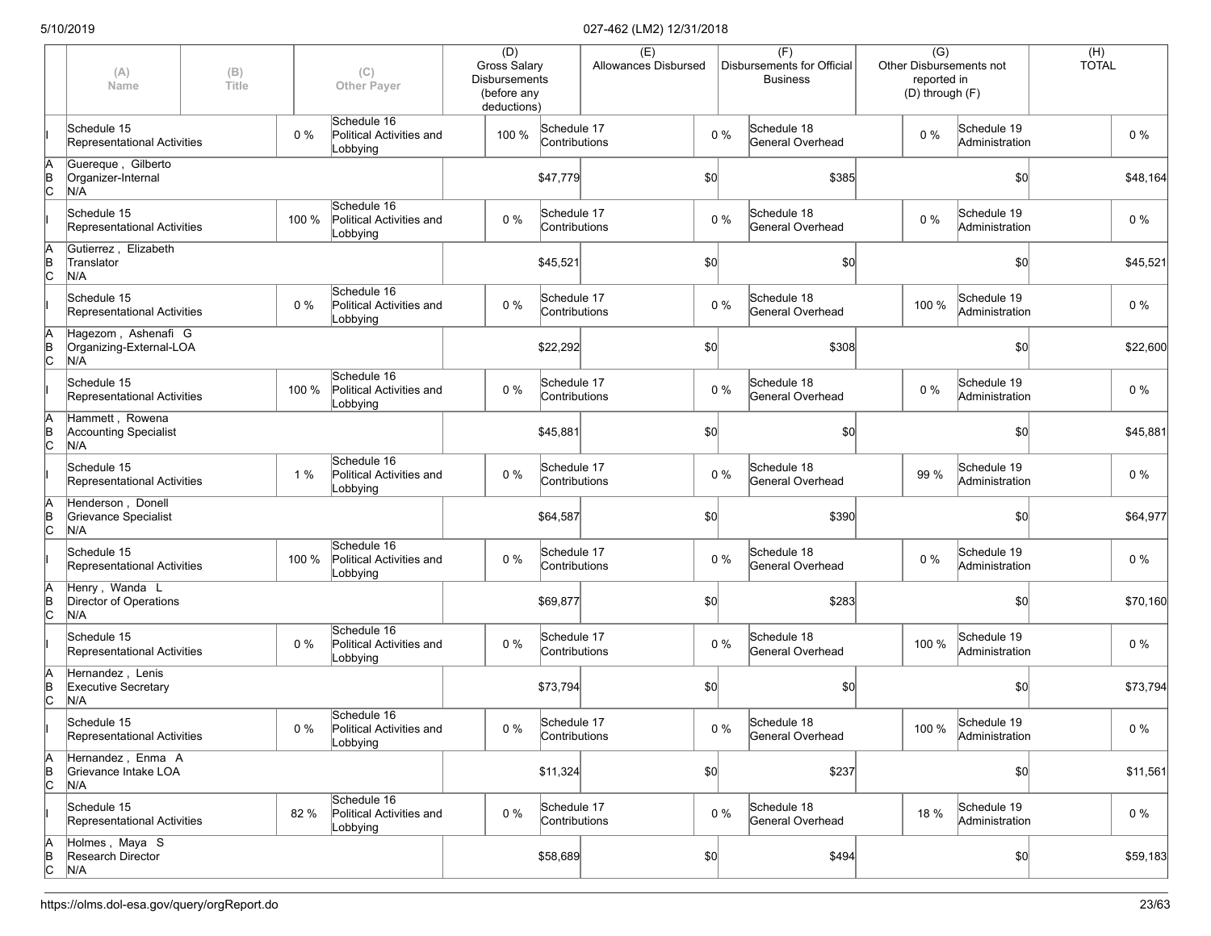|                      | (A)<br>Name                                             | (B)<br>Title |       | (C)<br><b>Other Payer</b>                           | (D)<br><b>Gross Salary</b><br><b>Disbursements</b><br>(before any<br>deductions) |                              | (E)<br>Allowances Disbursed |              |       | (F)<br>Disbursements for Official<br><b>Business</b> | $\overline{(G)}$<br><b>Other Disbursements not</b><br>reported in<br>(D) through (F) |                                     | (H)<br><b>TOTAL</b> |          |
|----------------------|---------------------------------------------------------|--------------|-------|-----------------------------------------------------|----------------------------------------------------------------------------------|------------------------------|-----------------------------|--------------|-------|------------------------------------------------------|--------------------------------------------------------------------------------------|-------------------------------------|---------------------|----------|
|                      | Schedule 15<br>Representational Activities              |              | 0%    | Schedule 16<br>Political Activities and<br>Lobbying | 100 %                                                                            | Schedule 17<br>Contributions |                             |              | $0\%$ | Schedule 18<br>General Overhead                      | $0\%$                                                                                | Schedule 19<br>Administration       |                     | $0\%$    |
| ΙA<br>$\overline{B}$ | Guereque, Gilberto<br>Organizer-Internal<br>N/A         |              |       |                                                     |                                                                                  | \$47,779                     |                             | \$0          |       | \$385                                                |                                                                                      | \$0                                 |                     | \$48,164 |
|                      | Schedule 15<br>Representational Activities              |              | 100 % | Schedule 16<br>Political Activities and<br>Lobbying | $0\%$                                                                            | Schedule 17<br>Contributions |                             |              | $0\%$ | Schedule 18<br>General Overhead                      | $0\%$                                                                                | Schedule 19<br>Administration       |                     | $0\%$    |
| ΙA<br>$\overline{C}$ | Gutierrez, Elizabeth<br>Translator<br>N/A               |              |       |                                                     |                                                                                  | \$45,521                     |                             | \$0          |       | \$0]                                                 |                                                                                      | \$0                                 |                     | \$45,521 |
|                      | Schedule 15<br>Representational Activities              |              | 0%    | Schedule 16<br>Political Activities and<br>Lobbying | 0%                                                                               | Schedule 17<br>Contributions |                             |              | $0\%$ | Schedule 18<br>General Overhead                      | 100 %                                                                                | Schedule 19<br>Administration       |                     | $0\%$    |
| ΙA<br>$\overline{C}$ | Hagezom, Ashenafi G<br>Organizing-External-LOA<br>N/A   |              |       |                                                     |                                                                                  | \$22,292                     |                             | \$0          |       | \$308                                                |                                                                                      | \$0                                 |                     | \$22,600 |
|                      | Schedule 15<br>Representational Activities              |              | 100 % | Schedule 16<br>Political Activities and<br>Lobbying | 0%                                                                               | Schedule 17<br>Contributions |                             |              | $0\%$ | Schedule 18<br>General Overhead                      | $0\%$                                                                                | Schedule 19<br>Administration       |                     | $0\%$    |
| ΙA<br>$\overline{C}$ | Hammett . Rowena<br><b>Accounting Specialist</b><br>N/A |              |       |                                                     |                                                                                  | \$45,881                     |                             | \$0          |       | \$0                                                  |                                                                                      | \$0                                 |                     | \$45,881 |
|                      | Schedule 15<br>Representational Activities              |              | 1 %   | Schedule 16<br>Political Activities and<br>Lobbying | $0\%$                                                                            | Schedule 17<br>Contributions |                             |              | $0\%$ | Schedule 18<br>General Overhead                      | 99 %                                                                                 | Schedule 19<br>Administration       |                     | 0%       |
| ļΑ<br>$\overline{C}$ | Henderson, Donell<br>Grievance Specialist<br>N/A        |              |       |                                                     |                                                                                  | \$64,587                     |                             | \$0          |       | \$390                                                |                                                                                      | \$0                                 |                     | \$64,977 |
|                      | Schedule 15<br>Representational Activities              |              | 100 % | Schedule 16<br>Political Activities and<br>Lobbying | 0%                                                                               | Schedule 17<br>Contributions |                             |              | $0\%$ | Schedule 18<br>General Overhead                      | $0\%$                                                                                | Schedule 19<br>Administration       |                     | 0%       |
| ΙA<br>$\overline{C}$ | Henry, Wanda L<br>Director of Operations<br>N/A         |              |       |                                                     |                                                                                  | \$69,877                     |                             | \$0          |       | \$283                                                |                                                                                      | \$0                                 |                     | \$70,160 |
|                      | Schedule 15<br>Representational Activities              |              | 0%    | Schedule 16<br>Political Activities and<br>Lobbying | 0%                                                                               | Schedule 17<br>Contributions |                             |              | $0\%$ | Schedule 18<br>General Overhead                      | 100 %                                                                                | Schedule 19<br>Administration       |                     | $0\%$    |
| ΙA<br>$\overline{C}$ | Hernandez, Lenis<br><b>Executive Secretary</b><br>N/A   |              |       |                                                     |                                                                                  | \$73,794                     |                             | \$0          |       | \$0                                                  |                                                                                      | \$0                                 |                     | \$73,794 |
|                      | Schedule 15<br>Representational Activities              |              | $0\%$ | Schedule 16<br>Political Activities and<br>Lobbying | $0\%$                                                                            | Schedule 17<br>Contributions |                             |              | $0\%$ | Schedule 18<br>General Overhead                      |                                                                                      | 100 % Schedule 19<br>Administration |                     | $0\%$    |
| ΙA<br>$\overline{C}$ | Hernandez, Enma A<br>Grievance Intake LOA<br>N/A        |              |       |                                                     |                                                                                  | \$11,324                     |                             | $ 10\rangle$ |       | \$237                                                |                                                                                      | \$0                                 |                     | \$11,561 |
|                      | Schedule 15<br>Representational Activities              |              | 82 %  | Schedule 16<br>Political Activities and<br>Lobbying | 0%                                                                               | Schedule 17<br>Contributions |                             |              | $0\%$ | Schedule 18<br>General Overhead                      | 18 %                                                                                 | Schedule 19<br>Administration       |                     | $0\%$    |
| $\overline{C}$       | Holmes, Maya S<br>Research Director<br>N/A              |              |       |                                                     |                                                                                  | \$58,689                     |                             | $ 10\rangle$ |       | \$494                                                |                                                                                      | \$0                                 |                     | \$59,183 |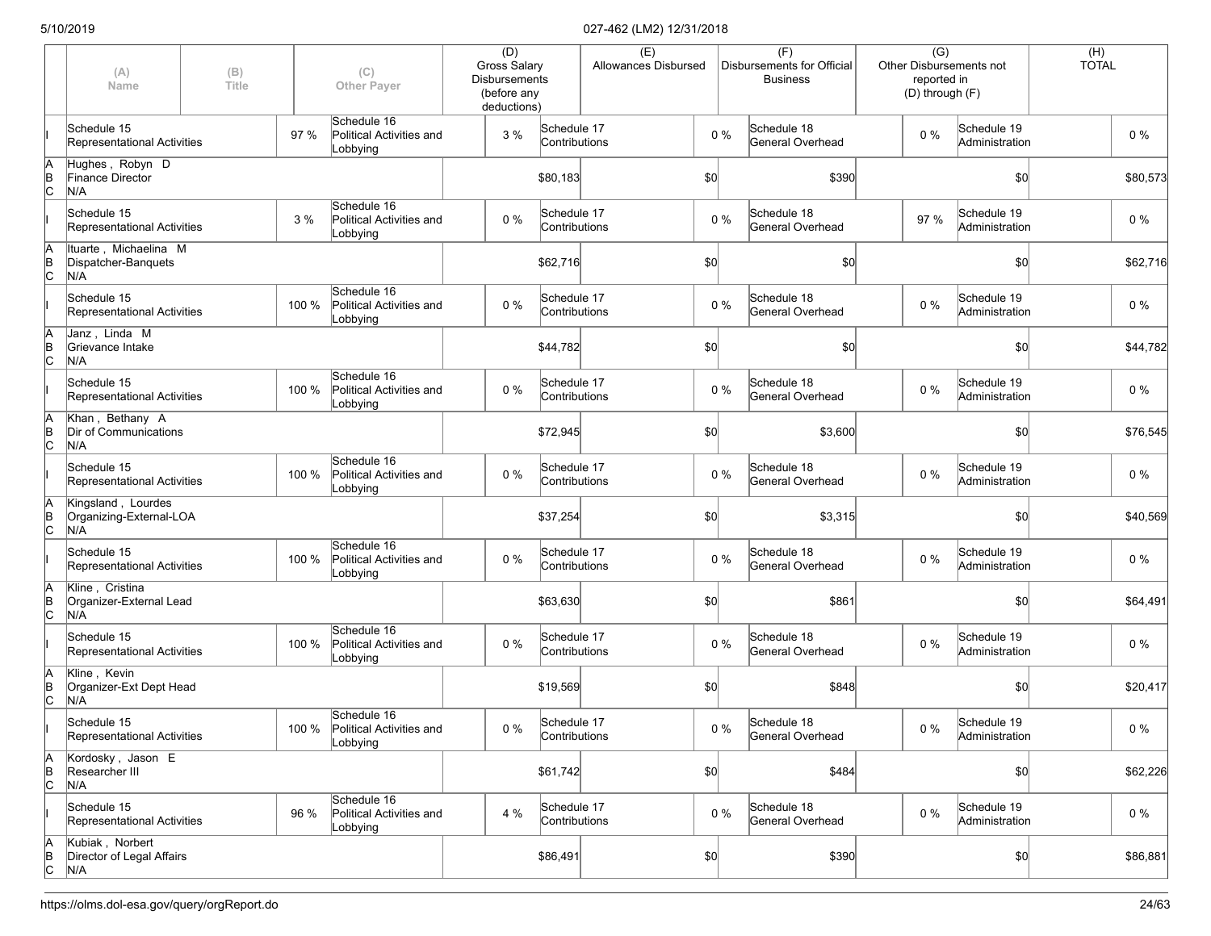|                      | (A)<br>Name                                          | (B)<br>Title |       | (C)<br><b>Other Payer</b>                                 | (D)<br><b>Gross Salary</b><br><b>Disbursements</b><br>(before any<br>deductions) |                              | (E)<br>Allowances Disbursed |              |       | (F)<br>Disbursements for Official<br><b>Business</b> | $\overline{(G)}$<br>reported in<br>(D) through (F) | <b>Other Disbursements not</b> | (H)<br><b>TOTAL</b> |          |
|----------------------|------------------------------------------------------|--------------|-------|-----------------------------------------------------------|----------------------------------------------------------------------------------|------------------------------|-----------------------------|--------------|-------|------------------------------------------------------|----------------------------------------------------|--------------------------------|---------------------|----------|
|                      | Schedule 15<br>Representational Activities           |              | 97 %  | Schedule 16<br>Political Activities and<br>Lobbying       | 3 %                                                                              | Schedule 17<br>Contributions |                             |              | $0\%$ | Schedule 18<br>General Overhead                      | $0\%$                                              | Schedule 19<br>Administration  |                     | $0\%$    |
| ΙA<br>$\overline{B}$ | Hughes, Robyn D<br>Finance Director<br>N/A           |              |       |                                                           |                                                                                  | \$80,183                     |                             | \$0          |       | \$390                                                |                                                    | \$0                            |                     | \$80,573 |
|                      | Schedule 15<br>Representational Activities           |              | 3 %   | Schedule 16<br>Political Activities and<br>Lobbying       | $0\%$                                                                            | Schedule 17<br>Contributions |                             |              | $0\%$ | Schedule 18<br>General Overhead                      | 97 %                                               | Schedule 19<br>Administration  |                     | $0\%$    |
| ΙA<br>$\overline{C}$ | Ituarte, Michaelina M<br>Dispatcher-Banquets<br>N/A  |              |       |                                                           |                                                                                  | \$62,716                     |                             | \$0          |       | \$0]                                                 |                                                    | \$0                            |                     | \$62,716 |
|                      | Schedule 15<br>Representational Activities           |              | 100 % | Schedule 16<br>Political Activities and<br>Lobbying       | 0%                                                                               | Schedule 17<br>Contributions |                             |              | $0\%$ | Schedule 18<br>General Overhead                      | $0\%$                                              | Schedule 19<br>Administration  |                     | $0\%$    |
| ΙA<br>$\overline{C}$ | Janz, Linda M<br>Grievance Intake<br>N/A             |              |       |                                                           |                                                                                  | \$44,782                     |                             | \$0          |       | \$0                                                  |                                                    | \$0                            |                     | \$44,782 |
|                      | Schedule 15<br>Representational Activities           |              | 100 % | Schedule 16<br>Political Activities and<br>Lobbying       | 0%                                                                               | Schedule 17<br>Contributions |                             |              | $0\%$ | Schedule 18<br>General Overhead                      | $0\%$                                              | Schedule 19<br>Administration  |                     | $0\%$    |
| ΙA<br>$\overline{C}$ | Khan, Bethany A<br>Dir of Communications<br>N/A      |              |       |                                                           |                                                                                  | \$72,945                     |                             | \$0          |       | \$3,600                                              |                                                    | \$0                            |                     | \$76,545 |
|                      | Schedule 15<br>Representational Activities           |              | 100 % | Schedule 16<br>Political Activities and<br>Lobbying       | 0%                                                                               | Schedule 17<br>Contributions |                             |              | $0\%$ | Schedule 18<br>General Overhead                      | $0\%$                                              | Schedule 19<br>Administration  |                     | 0%       |
| A<br>B<br>C          | Kingsland, Lourdes<br>Organizing-External-LOA<br>N/A |              |       |                                                           |                                                                                  | \$37,254                     |                             | \$0          |       | \$3,315                                              |                                                    | \$0                            |                     | \$40,569 |
|                      | Schedule 15<br>Representational Activities           |              | 100 % | Schedule 16<br>Political Activities and<br>Lobbying       | 0%                                                                               | Schedule 17<br>Contributions |                             |              | $0\%$ | Schedule 18<br>General Overhead                      | $0\%$                                              | Schedule 19<br>Administration  |                     | 0%       |
| ΙA<br>$\overline{C}$ | Kline, Cristina<br>Organizer-External Lead<br>N/A    |              |       |                                                           |                                                                                  | \$63,630                     |                             | \$0          |       | \$861                                                |                                                    | \$0                            |                     | \$64,491 |
|                      | Schedule 15<br>Representational Activities           |              | 100 % | Schedule 16<br>Political Activities and<br>Lobbying       | 0%                                                                               | Schedule 17<br>Contributions |                             |              | $0\%$ | Schedule 18<br>General Overhead                      | $0\%$                                              | Schedule 19<br>Administration  |                     | $0\%$    |
| ΙA<br>$\overline{C}$ | Kline, Kevin<br>Organizer-Ext Dept Head<br>N/A       |              |       |                                                           |                                                                                  | \$19,569                     |                             | \$0          |       | \$848                                                |                                                    | \$0                            |                     | \$20,417 |
|                      | Schedule 15<br>Representational Activities           |              |       | Schedule 16<br>100 % Political Activities and<br>Lobbying | $0\%$                                                                            | Schedule 17<br>Contributions |                             |              | $0\%$ | Schedule 18<br>General Overhead                      | $0\%$                                              | Schedule 19<br>Administration  |                     | $0\%$    |
| ΙA<br>$\overline{C}$ | Kordosky, Jason E<br>Researcher III<br>N/A           |              |       |                                                           |                                                                                  | \$61,742                     |                             | $ 10\rangle$ |       | \$484                                                |                                                    | \$0                            |                     | \$62,226 |
|                      | Schedule 15<br>Representational Activities           |              | 96 %  | Schedule 16<br>Political Activities and<br>Lobbying       | 4 %                                                                              | Schedule 17<br>Contributions |                             |              | $0\%$ | Schedule 18<br>General Overhead                      | $0\%$                                              | Schedule 19<br>Administration  |                     | $0\%$    |
| $\overline{C}$       | Kubiak, Norbert<br>Director of Legal Affairs<br>N/A  |              |       |                                                           |                                                                                  | \$86,491                     |                             | $ 10\rangle$ |       | \$390                                                |                                                    | \$0                            |                     | \$86,881 |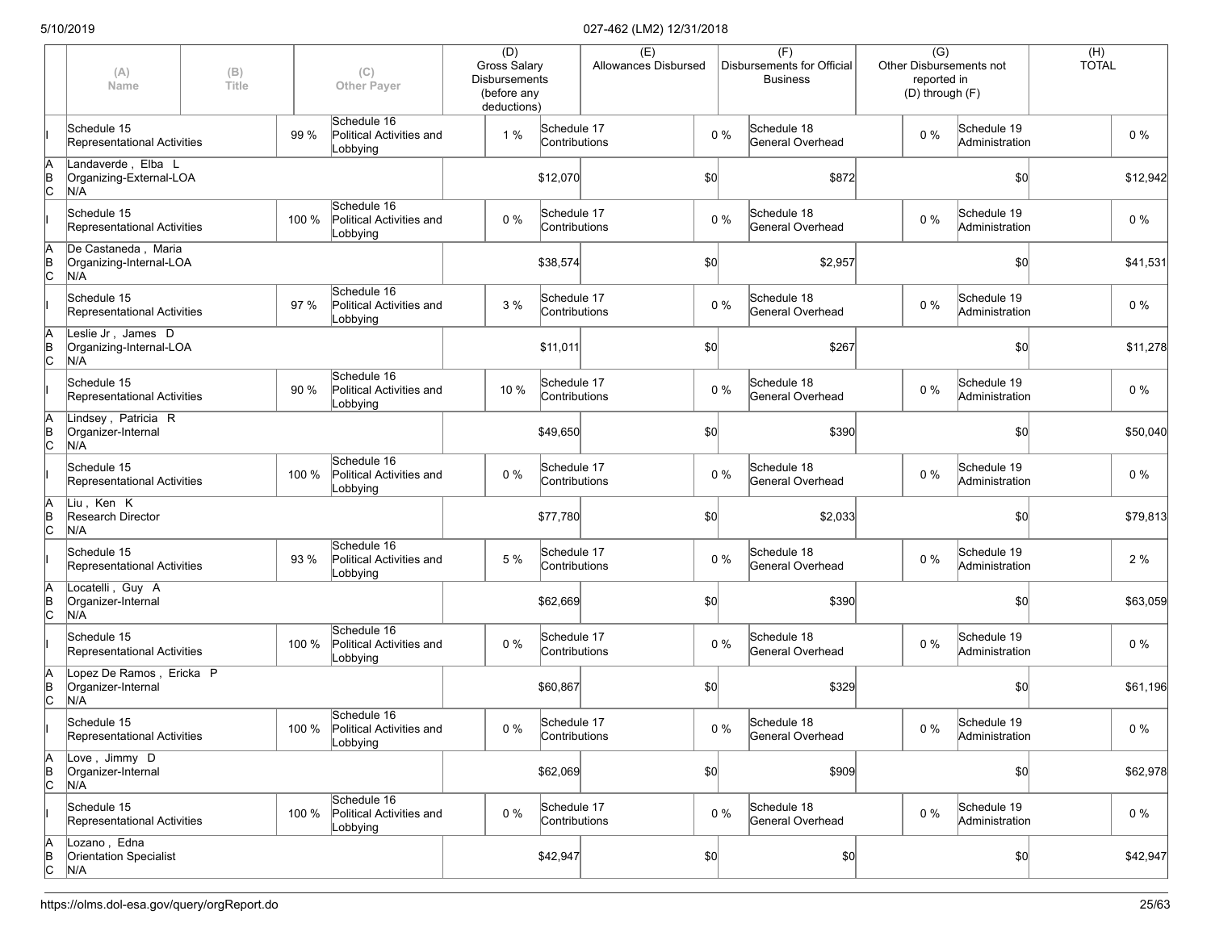|                      | (A)<br>Name                                           | (B)<br>Title |       | (C)<br><b>Other Payer</b>                                 | (D)<br><b>Gross Salary</b><br><b>Disbursements</b><br>(before any<br>deductions) |                              | (E)<br>Allowances Disbursed |              |       | (F)<br>Disbursements for Official<br><b>Business</b> | $\overline{(G)}$<br>reported in<br>(D) through (F) | Other Disbursements not       | (H)<br><b>TOTAL</b> |          |
|----------------------|-------------------------------------------------------|--------------|-------|-----------------------------------------------------------|----------------------------------------------------------------------------------|------------------------------|-----------------------------|--------------|-------|------------------------------------------------------|----------------------------------------------------|-------------------------------|---------------------|----------|
|                      | Schedule 15<br>Representational Activities            |              | 99 %  | Schedule 16<br>Political Activities and<br>Lobbying       | 1%                                                                               | Schedule 17<br>Contributions |                             |              | $0\%$ | Schedule 18<br>General Overhead                      | $0\%$                                              | Schedule 19<br>Administration |                     | $0\%$    |
| ΙA<br>$\overline{B}$ | Landaverde, Elba L<br>Organizing-External-LOA<br>N/A  |              |       |                                                           |                                                                                  | \$12,070                     |                             | \$0          |       | \$872                                                |                                                    | \$0                           |                     | \$12,942 |
|                      | Schedule 15<br>Representational Activities            |              | 100 % | Schedule 16<br>Political Activities and<br>Lobbying       | $0\%$                                                                            | Schedule 17<br>Contributions |                             |              | $0\%$ | Schedule 18<br>General Overhead                      | $0\%$                                              | Schedule 19<br>Administration |                     | 0%       |
| ΙA<br>$\overline{C}$ | De Castaneda, Maria<br>Organizing-Internal-LOA<br>N/A |              |       |                                                           |                                                                                  | \$38,574                     |                             | \$0          |       | \$2,957                                              |                                                    | \$0                           |                     | \$41,531 |
|                      | Schedule 15<br>Representational Activities            |              | 97 %  | Schedule 16<br>Political Activities and<br>Lobbying       | 3 %                                                                              | Schedule 17<br>Contributions |                             |              | $0\%$ | Schedule 18<br>General Overhead                      | $0\%$                                              | Schedule 19<br>Administration |                     | $0\%$    |
| ΙA<br>$\overline{C}$ | Leslie Jr, James D<br>Organizing-Internal-LOA<br>N/A  |              |       |                                                           |                                                                                  | \$11,011                     |                             | \$0          |       | \$267                                                |                                                    | \$0                           |                     | \$11,278 |
|                      | Schedule 15<br>Representational Activities            |              | 90 %  | Schedule 16<br>Political Activities and<br>Lobbying       | 10 %                                                                             | Schedule 17<br>Contributions |                             |              | $0\%$ | Schedule 18<br>General Overhead                      | $0\%$                                              | Schedule 19<br>Administration |                     | $0\%$    |
| ΙA<br>B<br>C         | Lindsey, Patricia R<br>Organizer-Internal<br>N/A      |              |       |                                                           |                                                                                  | \$49,650                     |                             | \$0          |       | \$390                                                |                                                    | \$0                           |                     | \$50,040 |
|                      | Schedule 15<br>Representational Activities            |              | 100 % | Schedule 16<br>Political Activities and<br>Lobbying       | 0%                                                                               | Schedule 17<br>Contributions |                             |              | $0\%$ | Schedule 18<br>General Overhead                      | $0\%$                                              | Schedule 19<br>Administration |                     | 0 %      |
| A<br>$\overline{C}$  | Liu, Ken K<br>Research Director<br>N/A                |              |       |                                                           |                                                                                  | \$77,780                     |                             | \$0          |       | \$2,033                                              |                                                    | \$0                           |                     | \$79,813 |
|                      | Schedule 15<br>Representational Activities            |              | 93 %  | Schedule 16<br>Political Activities and<br>Lobbying       | 5 %                                                                              | Schedule 17<br>Contributions |                             |              | $0\%$ | Schedule 18<br>General Overhead                      | 0%                                                 | Schedule 19<br>Administration |                     | 2 %      |
| ΙA<br>$\overline{C}$ | Locatelli, Guy A<br>Organizer-Internal<br>N/A         |              |       |                                                           |                                                                                  | \$62,669                     |                             | \$0          |       | \$390                                                |                                                    | \$0                           |                     | \$63,059 |
|                      | Schedule 15<br>Representational Activities            |              | 100 % | Schedule 16<br>Political Activities and<br>Lobbying       | 0%                                                                               | Schedule 17<br>Contributions |                             |              | $0\%$ | Schedule 18<br>General Overhead                      | $0\%$                                              | Schedule 19<br>Administration |                     | $0\%$    |
| ΙA<br>$\overline{C}$ | Lopez De Ramos, Ericka P<br>Organizer-Internal<br>N/A |              |       |                                                           |                                                                                  | \$60,867                     |                             | \$0          |       | \$329                                                |                                                    | \$0                           |                     | \$61,196 |
|                      | Schedule 15<br>Representational Activities            |              |       | Schedule 16<br>100 % Political Activities and<br>Lobbying | $0\%$                                                                            | Schedule 17<br>Contributions |                             | $0\%$        |       | Schedule 18<br>General Overhead                      | $0\%$                                              | Schedule 19<br>Administration |                     | $0\%$    |
| A<br>$\overline{C}$  | Love, Jimmy D<br>Organizer-Internal<br>N/A            |              |       |                                                           |                                                                                  | \$62,069                     |                             | $ 10\rangle$ |       | \$909                                                |                                                    | \$0                           |                     | \$62,978 |
|                      | Schedule 15<br>Representational Activities            |              | 100 % | Schedule 16<br>Political Activities and<br>Lobbying       | 0%                                                                               | Schedule 17<br>Contributions |                             |              | $0\%$ | Schedule 18<br>General Overhead                      | $0\%$                                              | Schedule 19<br>Administration |                     | $0\%$    |
| A<br>B<br>C          | Lozano, Edna<br>Orientation Specialist<br>N/A         |              |       |                                                           |                                                                                  | \$42,947                     |                             | $ 10\rangle$ |       | \$0]                                                 |                                                    | \$0]                          |                     | \$42,947 |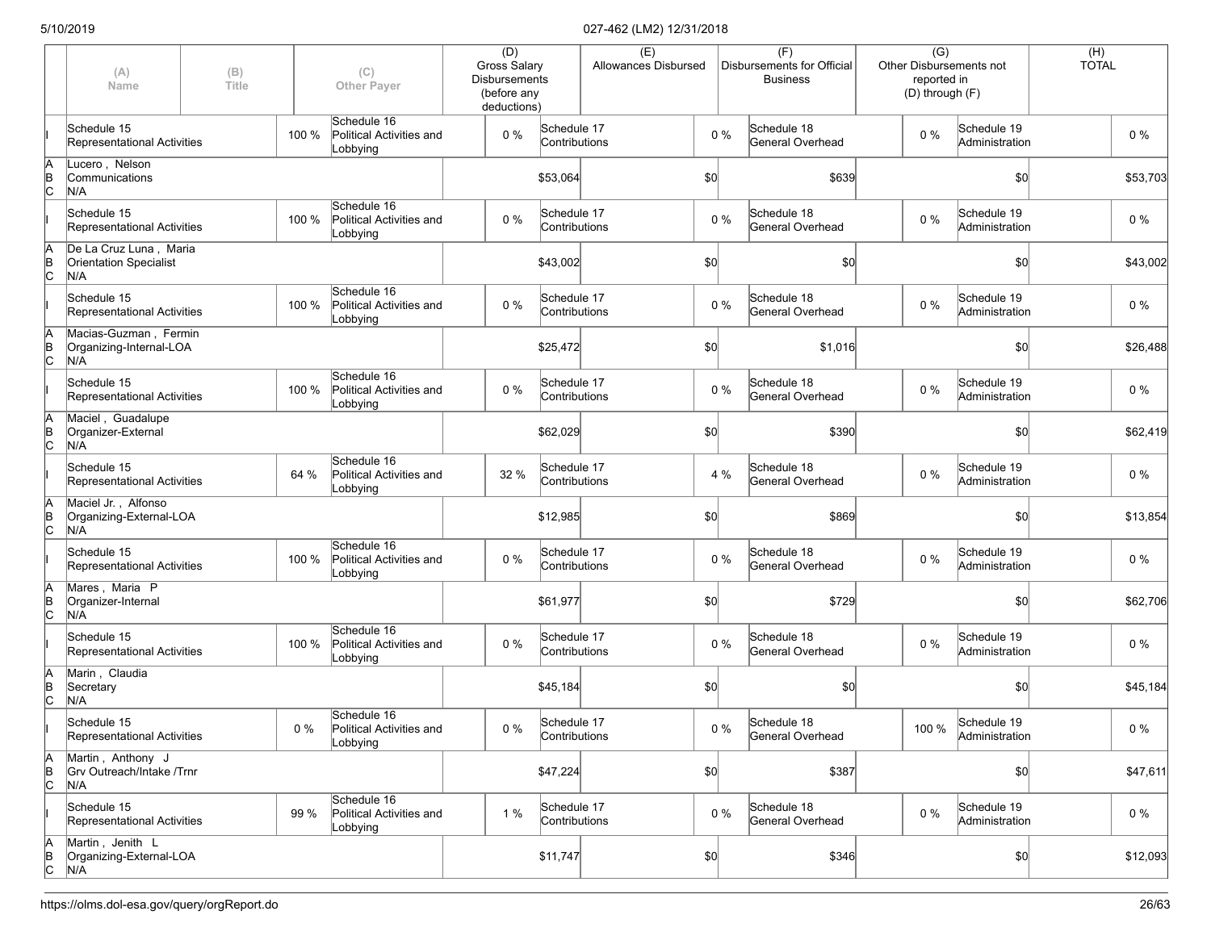|             | (A)<br>Name                                                    | (B)<br>Title |       | (C)<br><b>Other Payer</b>                           | (D)<br><b>Gross Salary</b><br><b>Disbursements</b><br>(before any<br>deductions) |                              | (E)<br>Allowances Disbursed |       | (F)<br>Disbursements for Official<br><b>Business</b> |                  | $\overline{(G)}$<br>reported in<br>(D) through (F) | Other Disbursements not             | (H)<br><b>TOTAL</b> |          |
|-------------|----------------------------------------------------------------|--------------|-------|-----------------------------------------------------|----------------------------------------------------------------------------------|------------------------------|-----------------------------|-------|------------------------------------------------------|------------------|----------------------------------------------------|-------------------------------------|---------------------|----------|
|             | Schedule 15<br><b>Representational Activities</b>              |              | 100 % | Schedule 16<br>Political Activities and<br>Lobbying | 0 %                                                                              | Schedule 17<br>Contributions |                             | $0\%$ | Schedule 18                                          | General Overhead | $0\%$                                              | Schedule 19<br>Administration       |                     | $0\%$    |
| A<br>B<br>C | Lucero, Nelson<br>Communications<br>N/A                        |              |       |                                                     |                                                                                  | \$53,064                     |                             | \$0   |                                                      | \$639            |                                                    | \$0                                 |                     | \$53,703 |
|             | Schedule 15<br>Representational Activities                     |              | 100 % | Schedule 16<br>Political Activities and<br>Lobbying | 0 %                                                                              | Schedule 17<br>Contributions |                             | $0\%$ | Schedule 18                                          | General Overhead | $0\%$                                              | Schedule 19<br>Administration       |                     | 0 %      |
| A<br>B<br>C | De La Cruz Luna, Maria<br><b>Orientation Specialist</b><br>N/A |              |       |                                                     |                                                                                  | \$43,002                     |                             | \$0   |                                                      | \$0]             |                                                    | \$0                                 |                     | \$43,002 |
|             | Schedule 15<br>Representational Activities                     |              | 100 % | Schedule 16<br>Political Activities and<br>Lobbying | 0%                                                                               | Schedule 17<br>Contributions |                             | $0\%$ | Schedule 18                                          | General Overhead | 0 %                                                | Schedule 19<br>Administration       |                     | $0\%$    |
| A<br>B<br>C | Macias-Guzman, Fermin<br>Organizing-Internal-LOA<br>N/A        |              |       |                                                     |                                                                                  | \$25,472                     |                             | \$0   |                                                      | \$1,016          |                                                    | \$0                                 |                     | \$26,488 |
|             | Schedule 15<br>Representational Activities                     |              | 100 % | Schedule 16<br>Political Activities and<br>Lobbying | 0 %                                                                              | Schedule 17<br>Contributions |                             | $0\%$ | Schedule 18                                          | General Overhead | 0 %                                                | Schedule 19<br>Administration       |                     | $0\%$    |
| A<br>B<br>C | Maciel, Guadalupe<br>Organizer-External<br>N/A                 |              |       |                                                     |                                                                                  | \$62,029                     |                             | \$0   |                                                      | \$390            |                                                    | \$0                                 |                     | \$62,419 |
|             | Schedule 15<br>Representational Activities                     |              | 64 %  | Schedule 16<br>Political Activities and<br>Lobbying | 32 %                                                                             | Schedule 17<br>Contributions |                             | 4 %   | Schedule 18                                          | General Overhead | $0\%$                                              | Schedule 19<br>Administration       |                     | 0 %      |
| A<br>B<br>C | Maciel Jr., Alfonso<br>Organizing-External-LOA<br>N/A          |              |       |                                                     |                                                                                  | \$12,985                     |                             | \$0   |                                                      | \$869            |                                                    | \$0                                 |                     | \$13,854 |
|             | Schedule 15<br>Representational Activities                     |              | 100 % | Schedule 16<br>Political Activities and<br>Lobbying | 0 %                                                                              | Schedule 17<br>Contributions |                             | $0\%$ | Schedule 18                                          | General Overhead | 0 %                                                | Schedule 19<br>Administration       |                     | 0 %      |
| A<br>B<br>C | Mares, Maria P<br>Organizer-Internal<br>N/A                    |              |       |                                                     |                                                                                  | \$61,977                     |                             | \$0   |                                                      | \$729            |                                                    | \$0                                 |                     | \$62,706 |
|             | Schedule 15<br>Representational Activities                     |              | 100 % | Schedule 16<br>Political Activities and<br>Lobbying | 0%                                                                               | Schedule 17<br>Contributions |                             | $0\%$ | Schedule 18                                          | General Overhead | $0\%$                                              | Schedule 19<br>Administration       |                     | $0\%$    |
| A<br>B<br>C | Marin, Claudia<br>Secretary<br>N/A                             |              |       |                                                     |                                                                                  | \$45,184                     |                             | \$0   |                                                      | \$0              |                                                    | \$0                                 |                     | \$45,184 |
|             | Schedule 15<br>Representational Activities                     |              | $0\%$ | Schedule 16<br>Political Activities and<br>Lobbying | $0\%$                                                                            | Schedule 17<br>Contributions |                             | $0\%$ | Schedule 18                                          | General Overhead |                                                    | 100 % Schedule 19<br>Administration |                     | $0\%$    |
| A<br>B<br>C | Martin, Anthony J<br>Grv Outreach/Intake /Trnr<br>N/A          |              |       |                                                     |                                                                                  | \$47,224                     |                             | \$0]  |                                                      | \$387            |                                                    | \$0                                 |                     | \$47,611 |
|             | Schedule 15<br>Representational Activities                     |              | 99 %  | Schedule 16<br>Political Activities and<br>Lobbying | 1 %                                                                              | Schedule 17<br>Contributions |                             | $0\%$ | Schedule 18                                          | General Overhead | $0\%$                                              | Schedule 19<br>Administration       |                     | $0\%$    |
| A<br>B<br>C | Martin, Jenith L<br>Organizing-External-LOA<br>N/A             |              |       |                                                     |                                                                                  | \$11,747                     |                             | \$0]  |                                                      | \$346            |                                                    | \$0                                 |                     | \$12,093 |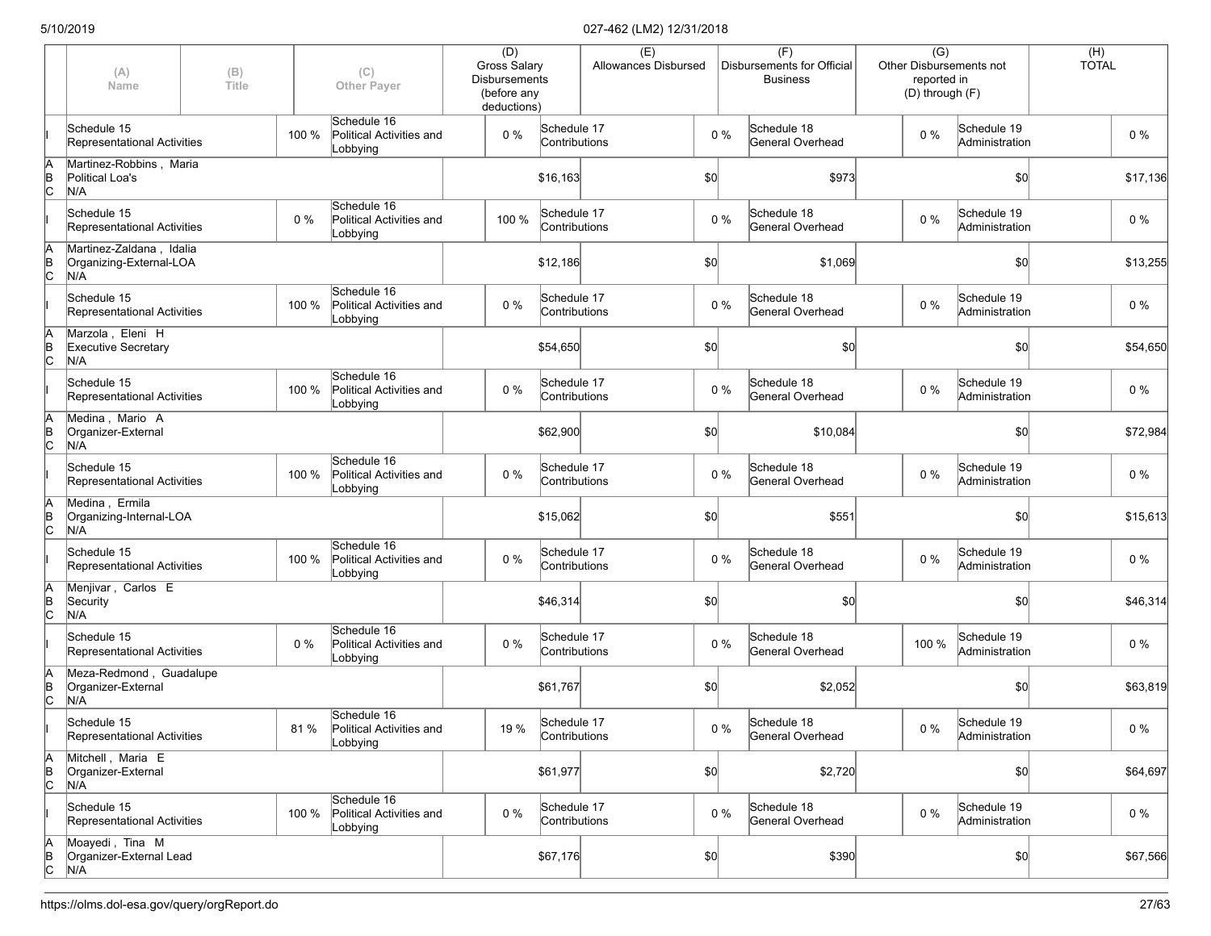|                      | (A)<br>Name                                                | (B)<br>Title |       | (C)<br><b>Other Payer</b>                           | (D)<br><b>Gross Salary</b><br><b>Disbursements</b><br>(before any<br>deductions) |                              | (E)<br>Allowances Disbursed |              |       | (F)<br>Disbursements for Official<br><b>Business</b> |       | $\overline{(G)}$<br><b>Other Disbursements not</b><br>reported in<br>(D) through (F) | (H)<br><b>TOTAL</b> |          |
|----------------------|------------------------------------------------------------|--------------|-------|-----------------------------------------------------|----------------------------------------------------------------------------------|------------------------------|-----------------------------|--------------|-------|------------------------------------------------------|-------|--------------------------------------------------------------------------------------|---------------------|----------|
|                      | Schedule 15<br>Representational Activities                 |              | 100 % | Schedule 16<br>Political Activities and<br>Lobbying | 0%                                                                               | Schedule 17<br>Contributions |                             |              | $0\%$ | Schedule 18<br>General Overhead                      | $0\%$ | Schedule 19<br>Administration                                                        |                     | $0\%$    |
| ΙA<br>$\overline{C}$ | Martinez-Robbins, Maria<br>Political Loa's<br>N/A          |              |       |                                                     |                                                                                  | \$16,163                     |                             | \$0          |       | \$973                                                |       | \$0                                                                                  |                     | \$17,136 |
|                      | Schedule 15<br>Representational Activities                 |              | 0%    | Schedule 16<br>Political Activities and<br>Lobbying | 100 %                                                                            | Schedule 17<br>Contributions |                             |              | $0\%$ | Schedule 18<br>General Overhead                      | $0\%$ | Schedule 19<br>Administration                                                        |                     | 0 %      |
| ΙA<br>$\overline{C}$ | Martinez-Zaldana, Idalia<br>Organizing-External-LOA<br>N/A |              |       |                                                     |                                                                                  | \$12,186                     |                             | \$0          |       | \$1,069                                              |       | \$0                                                                                  |                     | \$13,255 |
|                      | Schedule 15<br>Representational Activities                 |              | 100 % | Schedule 16<br>Political Activities and<br>Lobbying | 0%                                                                               | Schedule 17<br>Contributions |                             |              | $0\%$ | Schedule 18<br>General Overhead                      | $0\%$ | Schedule 19<br>Administration                                                        |                     | $0\%$    |
| ΙA<br>$\overline{C}$ | Marzola, Eleni H<br><b>Executive Secretary</b><br>N/A      |              |       |                                                     |                                                                                  | \$54,650                     |                             | \$0          |       | \$0                                                  |       | \$0                                                                                  |                     | \$54,650 |
|                      | Schedule 15<br>Representational Activities                 |              | 100 % | Schedule 16<br>Political Activities and<br>Lobbying | 0%                                                                               | Schedule 17<br>Contributions |                             |              | $0\%$ | Schedule 18<br>General Overhead                      | $0\%$ | Schedule 19<br>Administration                                                        |                     | $0\%$    |
| ΙA<br>Þ<br>Iс        | Medina, Mario A<br>Organizer-External<br>N/A               |              |       |                                                     |                                                                                  | \$62,900                     |                             | \$0          |       | \$10,084                                             |       | \$0                                                                                  |                     | \$72,984 |
|                      | Schedule 15<br>Representational Activities                 |              | 100 % | Schedule 16<br>Political Activities and<br>Lobbying | 0%                                                                               | Schedule 17<br>Contributions |                             |              | $0\%$ | Schedule 18<br>General Overhead                      | $0\%$ | Schedule 19<br>Administration                                                        |                     | 0 %      |
| ΙA<br>$\overline{C}$ | Medina, Ermila<br>Organizing-Internal-LOA<br>N/A           |              |       |                                                     |                                                                                  | \$15,062                     |                             | \$0          |       | \$551                                                |       | \$0                                                                                  |                     | \$15,613 |
|                      | Schedule 15<br>Representational Activities                 |              | 100 % | Schedule 16<br>Political Activities and<br>Lobbying | 0%                                                                               | Schedule 17<br>Contributions |                             |              | $0\%$ | Schedule 18<br>General Overhead                      | $0\%$ | Schedule 19<br>Administration                                                        |                     | 0 %      |
| ļΑ<br>$\overline{C}$ | Menjivar, Carlos E<br>Security<br>N/A                      |              |       |                                                     |                                                                                  | \$46,314                     |                             | \$0          |       | \$0                                                  |       | \$0                                                                                  |                     | \$46,314 |
|                      | Schedule 15<br>Representational Activities                 |              | 0%    | Schedule 16<br>Political Activities and<br>Lobbying | 0%                                                                               | Schedule 17<br>Contributions |                             |              | $0\%$ | Schedule 18<br>General Overhead                      | 100 % | Schedule 19<br>Administration                                                        |                     | $0\%$    |
| ΙA<br>$\overline{C}$ | Meza-Redmond, Guadalupe<br>Organizer-External<br>N/A       |              |       |                                                     |                                                                                  | \$61,767                     |                             | \$0          |       | \$2,052                                              |       | \$0                                                                                  |                     | \$63,819 |
|                      | Schedule 15<br>Representational Activities                 |              | 81 %  | Schedule 16<br>Political Activities and<br>Lobbying | 19 %                                                                             | Schedule 17<br>Contributions |                             |              | $0\%$ | Schedule 18<br>General Overhead                      | $0\%$ | Schedule 19<br>Administration                                                        |                     | $0\%$    |
| ΙA<br>$\overline{C}$ | Mitchell, Maria E<br>Organizer-External<br>N/A             |              |       |                                                     |                                                                                  | \$61,977                     |                             | $ 10\rangle$ |       | \$2,720                                              |       | \$0                                                                                  |                     | \$64,697 |
|                      | Schedule 15<br>Representational Activities                 |              | 100 % | Schedule 16<br>Political Activities and<br>Lobbying | 0%                                                                               | Schedule 17<br>Contributions |                             |              | $0\%$ | Schedule 18<br>General Overhead                      | $0\%$ | Schedule 19<br>Administration                                                        |                     | $0\%$    |
| A<br>$\overline{C}$  | Moayedi, Tina M<br>Organizer-External Lead<br>N/A          |              |       |                                                     |                                                                                  | \$67,176                     |                             | $ 10\rangle$ |       | \$390                                                |       | \$0                                                                                  |                     | \$67,566 |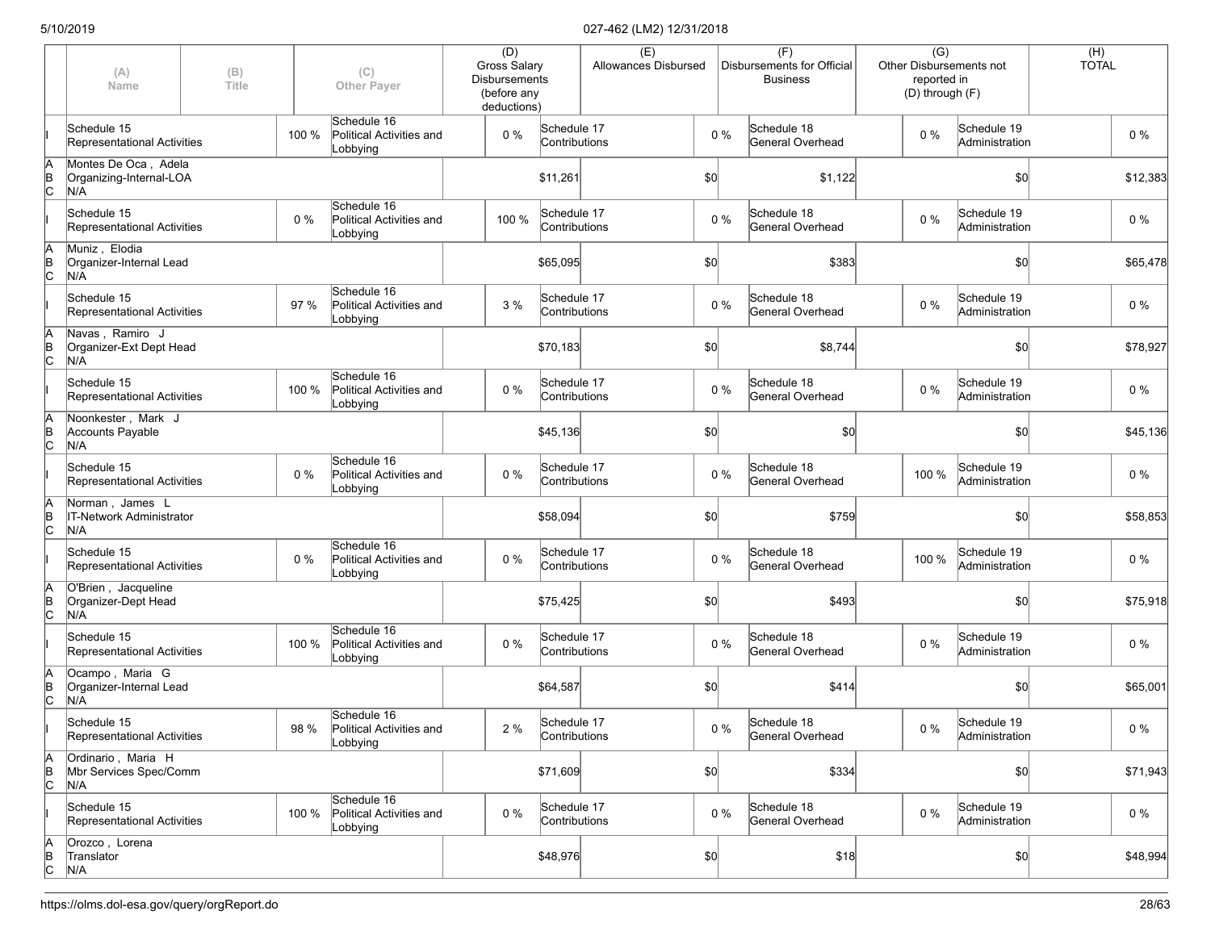|             | (A)<br>Name                                               | (B)<br>Title |       | (C)<br><b>Other Payer</b>                           | (D)<br><b>Gross Salary</b><br><b>Disbursements</b><br>(before any<br>deductions) |                              | (E)<br>Allowances Disbursed |       |       | (F)<br>Disbursements for Official<br><b>Business</b> | $\overline{(G)}$<br>reported in | Other Disbursements not<br>(D) through (F) | (H)<br><b>TOTAL</b> |          |
|-------------|-----------------------------------------------------------|--------------|-------|-----------------------------------------------------|----------------------------------------------------------------------------------|------------------------------|-----------------------------|-------|-------|------------------------------------------------------|---------------------------------|--------------------------------------------|---------------------|----------|
|             | Schedule 15<br><b>Representational Activities</b>         |              | 100 % | Schedule 16<br>Political Activities and<br>Lobbying | 0 %                                                                              | Schedule 17<br>Contributions |                             |       | $0\%$ | Schedule 18<br>General Overhead                      | $0\%$                           | Schedule 19<br>Administration              |                     | $0\%$    |
| A<br>B<br>C | Montes De Oca, Adela<br>Organizing-Internal-LOA<br>N/A    |              |       |                                                     |                                                                                  | \$11,261                     |                             | \$0   |       | \$1,122                                              |                                 | \$0                                        |                     | \$12,383 |
|             | Schedule 15<br>Representational Activities                |              | 0%    | Schedule 16<br>Political Activities and<br>Lobbying | 100 %                                                                            | Schedule 17<br>Contributions |                             |       | $0\%$ | Schedule 18<br>General Overhead                      | $0\%$                           | Schedule 19<br>Administration              |                     | 0 %      |
| A<br>B<br>C | Muniz, Elodia<br>Organizer-Internal Lead<br>N/A           |              |       |                                                     |                                                                                  | \$65,095                     |                             | \$0   |       | \$383                                                |                                 | \$0                                        |                     | \$65,478 |
|             | Schedule 15<br>Representational Activities                |              | 97 %  | Schedule 16<br>Political Activities and<br>Lobbying | 3%                                                                               | Schedule 17<br>Contributions |                             | $0\%$ |       | Schedule 18<br>General Overhead                      | 0 %                             | Schedule 19<br>Administration              |                     | $0\%$    |
| A<br>B<br>C | Navas, Ramiro J<br>Organizer-Ext Dept Head<br>N/A         |              |       |                                                     |                                                                                  | \$70,183                     |                             | \$0   |       | \$8,744                                              |                                 | \$0                                        |                     | \$78,927 |
|             | Schedule 15<br>Representational Activities                |              | 100 % | Schedule 16<br>Political Activities and<br>Lobbying | 0 %                                                                              | Schedule 17<br>Contributions |                             | $0\%$ |       | Schedule 18<br>General Overhead                      | 0 %                             | Schedule 19<br>Administration              |                     | $0\%$    |
| A<br>B<br>C | Noonkester, Mark J<br><b>Accounts Payable</b><br>N/A      |              |       |                                                     |                                                                                  | \$45,136                     |                             | \$0   |       | \$0                                                  |                                 | \$0                                        |                     | \$45,136 |
|             | Schedule 15<br>Representational Activities                |              | $0\%$ | Schedule 16<br>Political Activities and<br>Lobbying | 0 %                                                                              | Schedule 17<br>Contributions |                             | $0\%$ |       | Schedule 18<br>General Overhead                      | 100 %                           | Schedule 19<br>Administration              |                     | 0 %      |
| A<br>B<br>C | Norman, James L<br><b>IT-Network Administrator</b><br>N/A |              |       |                                                     |                                                                                  | \$58,094                     |                             | \$0   |       | \$759                                                |                                 | \$0                                        |                     | \$58,853 |
|             | Schedule 15<br>Representational Activities                |              | $0\%$ | Schedule 16<br>Political Activities and<br>Lobbying | 0 %                                                                              | Schedule 17<br>Contributions |                             |       | $0\%$ | Schedule 18<br>General Overhead                      | 100 %                           | Schedule 19<br>Administration              |                     | 0 %      |
| A<br>B<br>C | O'Brien, Jacqueline<br>Organizer-Dept Head<br>N/A         |              |       |                                                     |                                                                                  | \$75,425                     |                             | \$0   |       | \$493                                                |                                 | \$0                                        |                     | \$75,918 |
|             | Schedule 15<br>Representational Activities                |              | 100 % | Schedule 16<br>Political Activities and<br>Lobbying | 0%                                                                               | Schedule 17<br>Contributions |                             |       | $0\%$ | Schedule 18<br>General Overhead                      | $0\%$                           | Schedule 19<br>Administration              |                     | $0\%$    |
| A<br>B<br>C | Ocampo, Maria G<br>Organizer-Internal Lead<br>N/A         |              |       |                                                     |                                                                                  | \$64,587                     |                             | \$0   |       | \$414                                                |                                 | \$0                                        |                     | \$65,001 |
|             | Schedule 15<br>Representational Activities                |              | 98 %  | Schedule 16<br>Political Activities and<br>Lobbying | 2 %                                                                              | Schedule 17<br>Contributions |                             |       | $0\%$ | Schedule 18<br>General Overhead                      | $0\%$                           | Schedule 19<br>Administration              |                     | $0\%$    |
| A<br>B<br>C | Ordinario, Maria H<br>Mbr Services Spec/Comm<br>N/A       |              |       |                                                     |                                                                                  | \$71,609                     |                             | \$0]  |       | \$334                                                |                                 | \$0                                        |                     | \$71,943 |
|             | Schedule 15<br>Representational Activities                |              | 100 % | Schedule 16<br>Political Activities and<br>Lobbying | 0 %                                                                              | Schedule 17<br>Contributions |                             | $0\%$ |       | Schedule 18<br>General Overhead                      | $0\%$                           | Schedule 19<br>Administration              |                     | $0\%$    |
| A<br>B<br>C | Orozco, Lorena<br>Translator<br>N/A                       |              |       |                                                     |                                                                                  | \$48,976                     |                             | \$0]  |       | \$18                                                 |                                 | \$0                                        |                     | \$48,994 |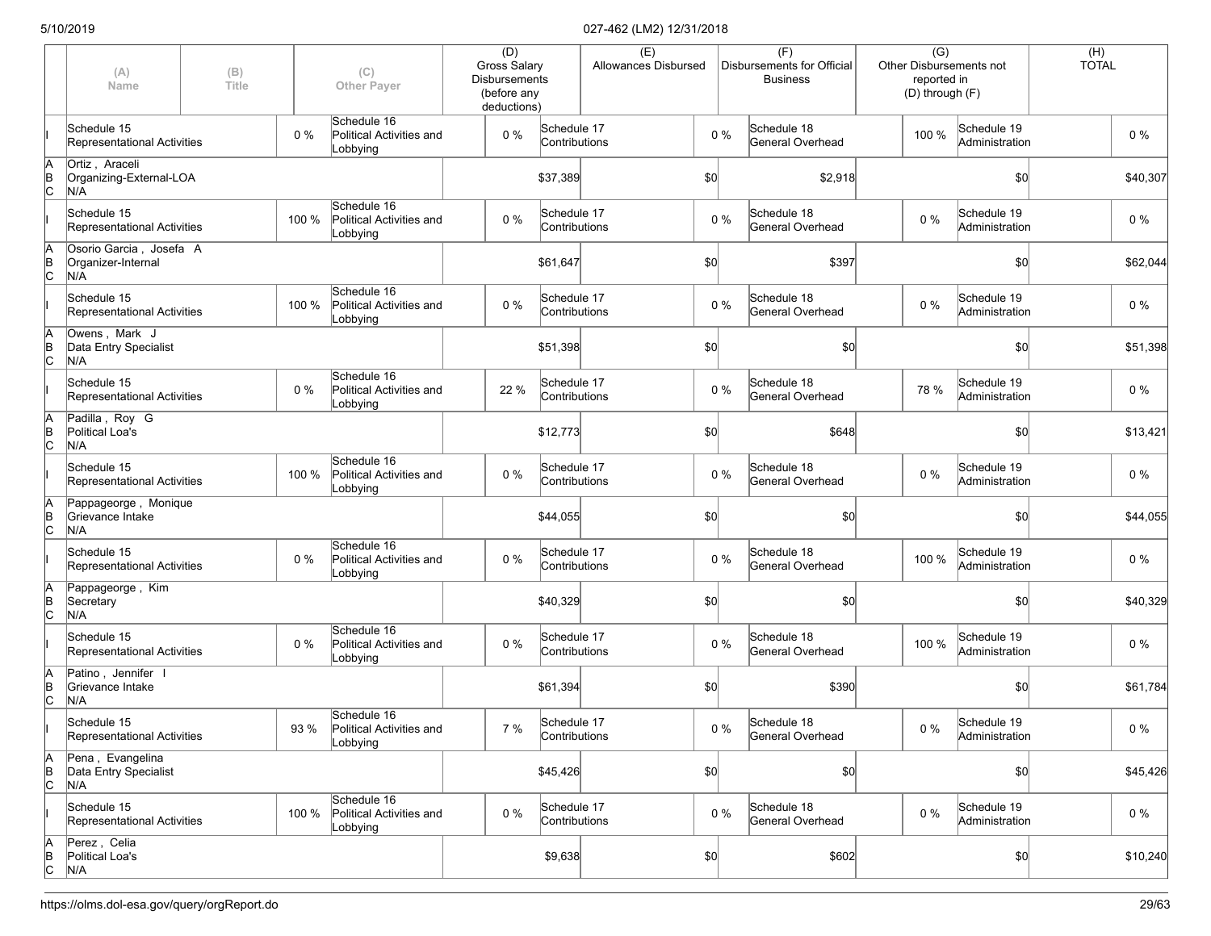|             | (A)<br>Name                                          | (B)<br>Title |       | (C)<br><b>Other Payer</b>                           | (D)<br><b>Gross Salary</b><br><b>Disbursements</b><br>(before any<br>deductions) |                              | (E)<br>Allowances Disbursed |       | (F)<br>Disbursements for Official<br><b>Business</b> | $\overline{(G)}$<br>reported in<br>(D) through (F) | Other Disbursements not       | (H)<br><b>TOTAL</b> |          |
|-------------|------------------------------------------------------|--------------|-------|-----------------------------------------------------|----------------------------------------------------------------------------------|------------------------------|-----------------------------|-------|------------------------------------------------------|----------------------------------------------------|-------------------------------|---------------------|----------|
|             | Schedule 15<br><b>Representational Activities</b>    |              | $0\%$ | Schedule 16<br>Political Activities and<br>Lobbying | 0 %                                                                              | Schedule 17<br>Contributions |                             | $0\%$ | Schedule 18<br>General Overhead                      | 100 %                                              | Schedule 19<br>Administration |                     | $0\%$    |
| A<br>B<br>C | Ortiz, Araceli<br>Organizing-External-LOA<br>N/A     |              |       |                                                     |                                                                                  | \$37,389                     |                             | \$0   | \$2,918                                              |                                                    | \$0                           |                     | \$40,307 |
|             | Schedule 15<br>Representational Activities           |              | 100 % | Schedule 16<br>Political Activities and<br>Lobbying | 0 %                                                                              | Schedule 17<br>Contributions |                             | $0\%$ | Schedule 18<br>General Overhead                      | $0\%$                                              | Schedule 19<br>Administration |                     | 0%       |
| A<br>B<br>C | Osorio Garcia, Josefa A<br>Organizer-Internal<br>N/A |              |       |                                                     |                                                                                  | \$61,647                     |                             | \$0   | \$397                                                |                                                    | \$0                           |                     | \$62,044 |
|             | Schedule 15<br>Representational Activities           |              | 100 % | Schedule 16<br>Political Activities and<br>Lobbying | 0%                                                                               | Schedule 17<br>Contributions |                             | $0\%$ | Schedule 18<br>General Overhead                      | 0 %                                                | Schedule 19<br>Administration |                     | $0\%$    |
| A<br>B<br>C | Owens, Mark J<br>Data Entry Specialist<br>N/A        |              |       |                                                     |                                                                                  | \$51,398                     |                             | \$0   | \$0                                                  |                                                    | \$0                           |                     | \$51,398 |
|             | Schedule 15<br>Representational Activities           |              | 0%    | Schedule 16<br>Political Activities and<br>Lobbying | 22 %                                                                             | Schedule 17<br>Contributions |                             | $0\%$ | Schedule 18<br>General Overhead                      | 78 %                                               | Schedule 19<br>Administration |                     | $0\%$    |
| A<br>B<br>C | Padilla, Roy G<br>Political Loa's<br>N/A             |              |       |                                                     |                                                                                  | \$12,773                     |                             | \$0   | \$648                                                |                                                    | \$0                           |                     | \$13,421 |
|             | Schedule 15<br>Representational Activities           |              | 100 % | Schedule 16<br>Political Activities and<br>Lobbying | 0 %                                                                              | Schedule 17<br>Contributions |                             | $0\%$ | Schedule 18<br>General Overhead                      | $0\%$                                              | Schedule 19<br>Administration |                     | 0%       |
| A<br>B<br>C | Pappageorge, Monique<br>Grievance Intake<br>N/A      |              |       |                                                     |                                                                                  | \$44,055                     |                             | \$0   | \$0                                                  |                                                    | \$0                           |                     | \$44,055 |
|             | Schedule 15<br>Representational Activities           |              | $0\%$ | Schedule 16<br>Political Activities and<br>Lobbying | 0 %                                                                              | Schedule 17<br>Contributions |                             | $0\%$ | Schedule 18<br>General Overhead                      | 100 %                                              | Schedule 19<br>Administration |                     | 0%       |
| A<br>B<br>C | Pappageorge, Kim<br>Secretary<br>N/A                 |              |       |                                                     |                                                                                  | \$40,329                     |                             | \$0   | \$0                                                  |                                                    | \$0                           |                     | \$40,329 |
|             | Schedule 15<br>Representational Activities           |              | 0%    | Schedule 16<br>Political Activities and<br>Lobbying | 0%                                                                               | Schedule 17<br>Contributions |                             | $0\%$ | Schedule 18<br>General Overhead                      | 100 %                                              | Schedule 19<br>Administration |                     | $0\%$    |
| A<br>B<br>C | Patino, Jennifer I<br>Grievance Intake<br>N/A        |              |       |                                                     |                                                                                  | \$61,394                     |                             | \$0   | \$390                                                |                                                    | \$0                           |                     | \$61,784 |
|             | Schedule 15<br>Representational Activities           |              | 93 %  | Schedule 16<br>Political Activities and<br>Lobbying | 7 %                                                                              | Schedule 17<br>Contributions |                             | $0\%$ | Schedule 18<br>General Overhead                      | $0\%$                                              | Schedule 19<br>Administration |                     | $0\%$    |
| A<br>B<br>C | Pena, Evangelina<br>Data Entry Specialist<br>N/A     |              |       |                                                     |                                                                                  | \$45,426                     |                             | \$0]  | $ 10\rangle$                                         |                                                    | \$0                           |                     | \$45,426 |
|             | Schedule 15<br>Representational Activities           |              | 100 % | Schedule 16<br>Political Activities and<br>Lobbying | 0 %                                                                              | Schedule 17<br>Contributions |                             | $0\%$ | Schedule 18<br>General Overhead                      | $0\%$                                              | Schedule 19<br>Administration |                     | $0\%$    |
| A<br>B<br>C | Perez, Celia<br>Political Loa's<br>N/A               |              |       |                                                     |                                                                                  | \$9,638                      |                             | \$0]  | \$602                                                |                                                    | \$0                           |                     | \$10,240 |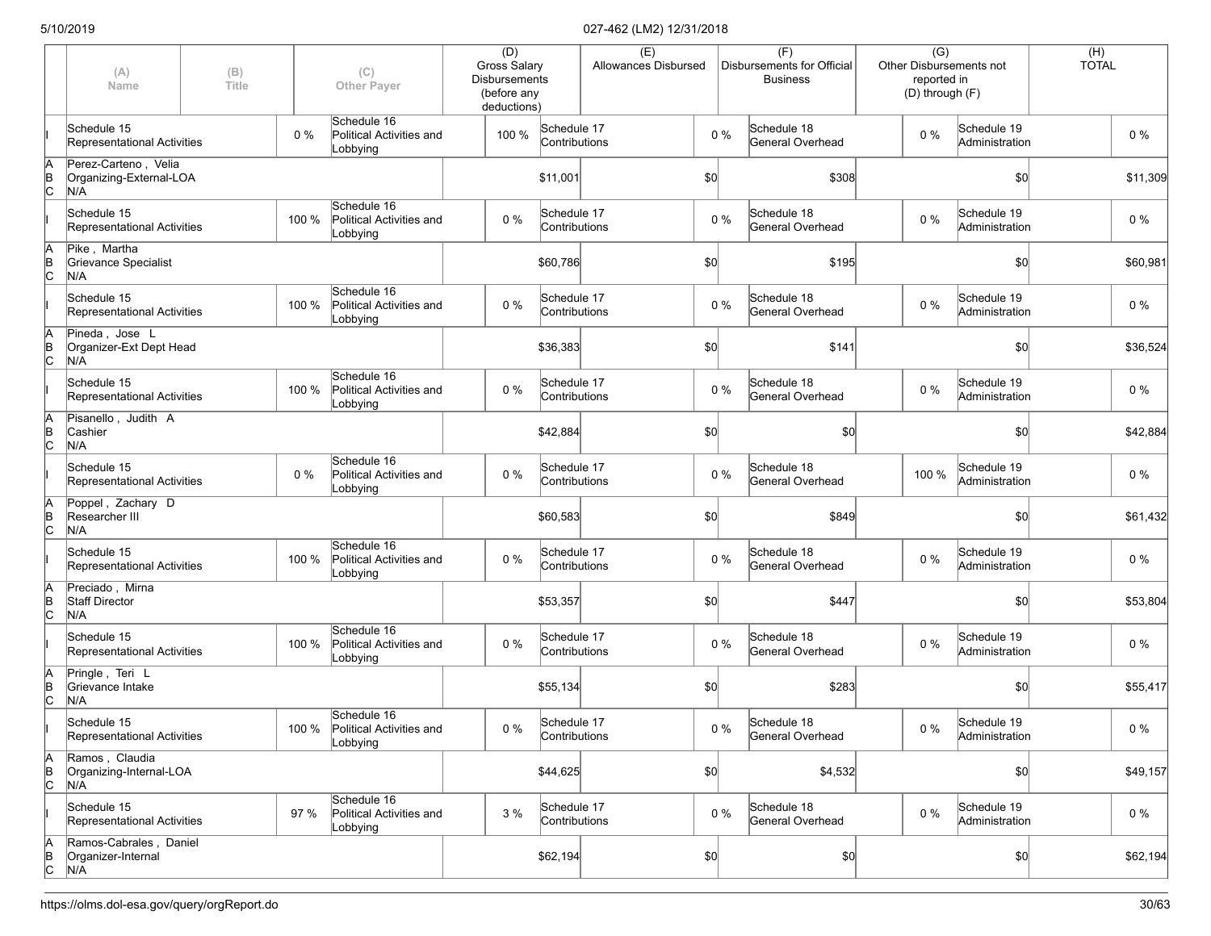|                      | (A)<br>Name                                            | (B)<br>Title |       | (C)<br><b>Other Payer</b>                                 | (D)<br><b>Gross Salary</b><br><b>Disbursements</b><br>(before any<br>deductions) |                              | (E)<br>Allowances Disbursed |              | (F)<br>Disbursements for Official<br><b>Business</b> | $\overline{(G)}$<br>Other Disbursements not<br>reported in<br>(D) through (F) |                               | (H)<br><b>TOTAL</b> |
|----------------------|--------------------------------------------------------|--------------|-------|-----------------------------------------------------------|----------------------------------------------------------------------------------|------------------------------|-----------------------------|--------------|------------------------------------------------------|-------------------------------------------------------------------------------|-------------------------------|---------------------|
|                      | Schedule 15<br>Representational Activities             |              | 0%    | Schedule 16<br>Political Activities and<br>Lobbying       | 100 %                                                                            | Schedule 17<br>Contributions |                             | $0\%$        | Schedule 18<br>General Overhead                      | $0\%$                                                                         | Schedule 19<br>Administration | $0\%$               |
| A<br>B<br>C          | Perez-Carteno, Velia<br>Organizing-External-LOA<br>N/A |              |       |                                                           |                                                                                  | \$11,001                     |                             | \$0          | \$308                                                |                                                                               | \$0                           | \$11,309            |
|                      | Schedule 15<br>Representational Activities             |              | 100 % | Schedule 16<br>Political Activities and<br>Lobbying       | $0\%$                                                                            | Schedule 17<br>Contributions |                             | $0\%$        | Schedule 18<br>General Overhead                      | $0\%$                                                                         | Schedule 19<br>Administration | 0%                  |
| ΙA<br>$\overline{C}$ | Pike, Martha<br>Grievance Specialist<br>N/A            |              |       |                                                           |                                                                                  | \$60,786                     |                             | \$0          | \$195                                                |                                                                               | \$0                           | \$60,981            |
|                      | Schedule 15<br>Representational Activities             |              | 100 % | Schedule 16<br>Political Activities and<br>Lobbying       | 0%                                                                               | Schedule 17<br>Contributions |                             | $0\%$        | Schedule 18<br>General Overhead                      | $0\%$                                                                         | Schedule 19<br>Administration | $0\%$               |
| ΙA<br>$\overline{C}$ | Pineda, Jose L<br>Organizer-Ext Dept Head<br>N/A       |              |       |                                                           |                                                                                  | \$36,383                     |                             | \$0          | \$141                                                |                                                                               | \$0                           | \$36,524            |
|                      | Schedule 15<br>Representational Activities             |              | 100 % | Schedule 16<br>Political Activities and<br>Lobbying       | $0\%$                                                                            | Schedule 17<br>Contributions |                             | $0\%$        | Schedule 18<br>General Overhead                      | $0\%$                                                                         | Schedule 19<br>Administration | $0\%$               |
| A<br>$\overline{C}$  | Pisanello, Judith A<br>Cashier<br>N/A                  |              |       |                                                           |                                                                                  | \$42,884                     |                             | \$0          | \$0                                                  |                                                                               | \$0                           | \$42,884            |
|                      | Schedule 15<br>Representational Activities             |              | 0 %   | Schedule 16<br>Political Activities and<br>Lobbying       | 0%                                                                               | Schedule 17<br>Contributions |                             | $0\%$        | Schedule 18<br>General Overhead                      | 100 %                                                                         | Schedule 19<br>Administration | 0%                  |
| A<br>B<br>C          | Poppel, Zachary D<br>Researcher III<br>N/A             |              |       |                                                           |                                                                                  | \$60,583                     |                             | \$0          | \$849                                                |                                                                               | \$0                           | \$61,432            |
|                      | Schedule 15<br>Representational Activities             |              | 100 % | Schedule 16<br>Political Activities and<br>Lobbying       | 0%                                                                               | Schedule 17<br>Contributions |                             | $0\%$        | Schedule 18<br>General Overhead                      | 0%                                                                            | Schedule 19<br>Administration | $0\%$               |
| ΙA<br>$\overline{C}$ | Preciado, Mirna<br><b>Staff Director</b><br>N/A        |              |       |                                                           |                                                                                  | \$53,357                     |                             | \$0          | \$447                                                |                                                                               | \$0                           | \$53,804            |
|                      | Schedule 15<br>Representational Activities             |              | 100 % | Schedule 16<br>Political Activities and<br>Lobbying       | 0%                                                                               | Schedule 17<br>Contributions |                             | $0\%$        | Schedule 18<br>General Overhead                      | $0\%$                                                                         | Schedule 19<br>Administration | $0\%$               |
| ΙA<br>$\overline{C}$ | Pringle, Teri L<br>Grievance Intake<br>N/A             |              |       |                                                           |                                                                                  | \$55,134                     |                             | \$0          | \$283                                                |                                                                               | \$0                           | \$55,417            |
|                      | Schedule 15<br>Representational Activities             |              |       | Schedule 16<br>100 % Political Activities and<br>Lobbying | $0\%$                                                                            | Schedule 17<br>Contributions |                             | $0\%$        | Schedule 18<br>General Overhead                      | $0\%$                                                                         | Schedule 19<br>Administration | $0\%$               |
| A<br>$\overline{C}$  | Ramos, Claudia<br>Organizing-Internal-LOA<br>N/A       |              |       |                                                           |                                                                                  | \$44,625                     |                             | $ 10\rangle$ | \$4,532                                              |                                                                               | \$0                           | \$49,157            |
|                      | Schedule 15<br>Representational Activities             |              | 97 %  | Schedule 16<br>Political Activities and<br>Lobbying       | 3 %                                                                              | Schedule 17<br>Contributions |                             | $0\%$        | Schedule 18<br>General Overhead                      | $0\%$                                                                         | Schedule 19<br>Administration | $0\%$               |
| $\overline{C}$       | Ramos-Cabrales, Daniel<br>Organizer-Internal<br>N/A    |              |       |                                                           |                                                                                  | \$62,194                     |                             | $ 10\rangle$ | \$0]                                                 |                                                                               | \$0]                          | \$62,194            |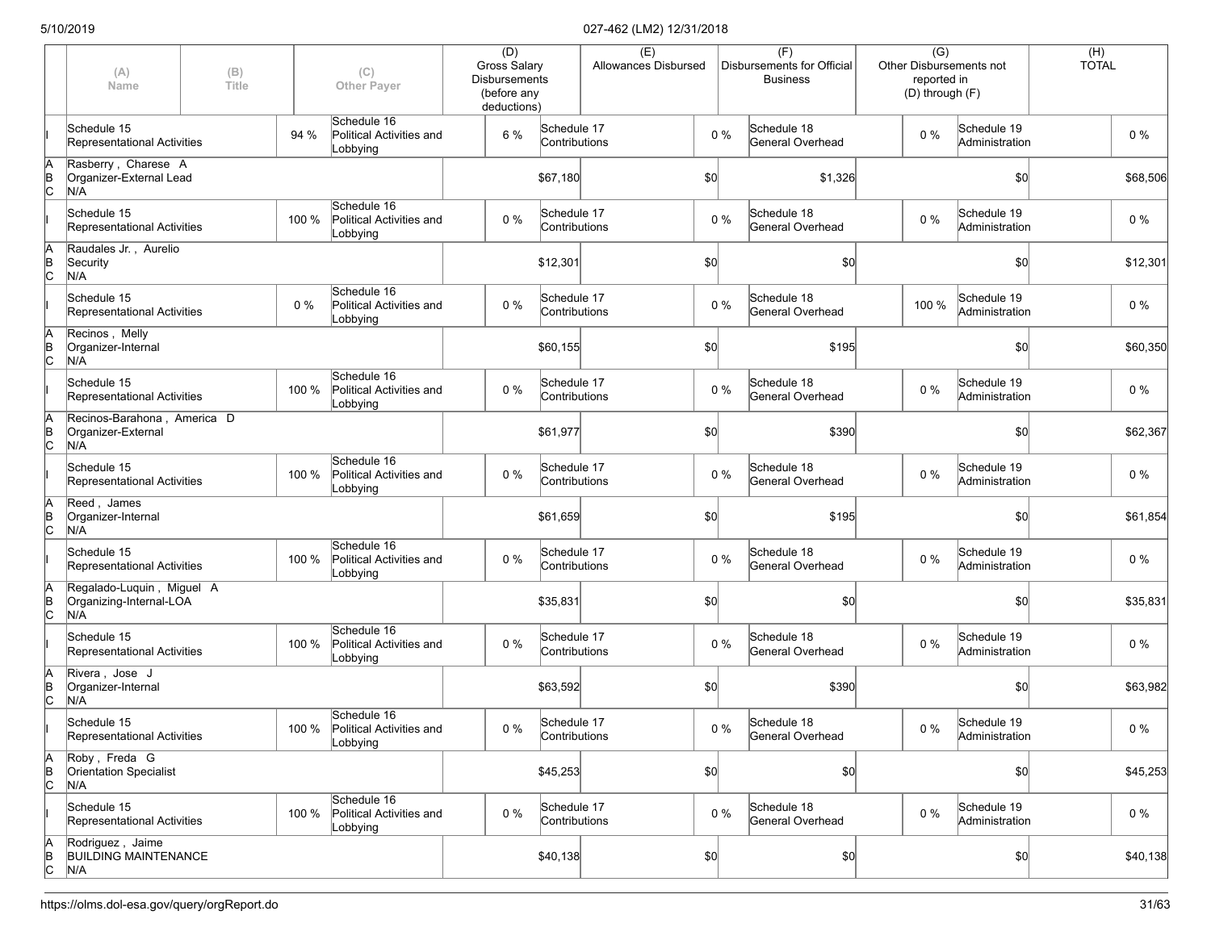|                      | (A)<br>Name                                                 | (B)<br>Title |       | (C)<br><b>Other Payer</b>                                 | (D)<br><b>Gross Salary</b><br><b>Disbursements</b><br>(before any<br>deductions) |                              | (E)<br>Allowances Disbursed |              |       | (F)<br>Disbursements for Official<br><b>Business</b> | $\overline{(G)}$<br>reported in<br>(D) through (F) | Other Disbursements not       | (H)<br><b>TOTAL</b> |          |
|----------------------|-------------------------------------------------------------|--------------|-------|-----------------------------------------------------------|----------------------------------------------------------------------------------|------------------------------|-----------------------------|--------------|-------|------------------------------------------------------|----------------------------------------------------|-------------------------------|---------------------|----------|
|                      | Schedule 15<br>Representational Activities                  |              | 94 %  | Schedule 16<br>Political Activities and<br>Lobbying       | 6 %                                                                              | Schedule 17<br>Contributions |                             |              | 0 %   | Schedule 18<br><b>General Overhead</b>               | $0\%$                                              | Schedule 19<br>Administration |                     | $0\%$    |
| ΙA<br>$\overline{C}$ | Rasberry, Charese A<br>Organizer-External Lead<br>N/A       |              |       |                                                           |                                                                                  | \$67,180                     |                             | \$0          |       | \$1,326                                              |                                                    | \$0                           |                     | \$68,506 |
|                      | Schedule 15<br>Representational Activities                  |              | 100 % | Schedule 16<br>Political Activities and<br>Lobbying       | $0\%$                                                                            | Schedule 17<br>Contributions |                             |              | $0\%$ | Schedule 18<br>General Overhead                      | $0\%$                                              | Schedule 19<br>Administration |                     | $0\%$    |
| İΑ<br>$\overline{C}$ | Raudales Jr., Aurelio<br>Security<br>N/A                    |              |       |                                                           |                                                                                  | \$12,301                     |                             | \$0          |       | \$0                                                  |                                                    | \$0                           |                     | \$12,301 |
|                      | Schedule 15<br>Representational Activities                  |              | $0\%$ | Schedule 16<br>Political Activities and<br>Lobbying       | $0\%$                                                                            | Schedule 17<br>Contributions |                             |              | $0\%$ | Schedule 18<br>General Overhead                      | 100 %                                              | Schedule 19<br>Administration |                     | $0\%$    |
| İΑ<br>$\overline{C}$ | Recinos, Melly<br>Organizer-Internal<br>N/A                 |              |       |                                                           |                                                                                  | \$60,155                     |                             | \$0          |       | \$195                                                |                                                    | \$0                           |                     | \$60,350 |
|                      | Schedule 15<br>Representational Activities                  |              | 100 % | Schedule 16<br>Political Activities and<br>Lobbying       | $0\%$                                                                            | Schedule 17<br>Contributions |                             |              | $0\%$ | Schedule 18<br>General Overhead                      | $0\%$                                              | Schedule 19<br>Administration |                     | $0\%$    |
| lA<br>$\overline{C}$ | Recinos-Barahona, America D<br>Organizer-External<br>N/A    |              |       |                                                           |                                                                                  | \$61,977                     |                             | \$0          |       | \$390                                                |                                                    | \$0                           |                     | \$62,367 |
|                      | Schedule 15<br>Representational Activities                  |              | 100 % | Schedule 16<br>Political Activities and<br>Lobbying       | $0\%$                                                                            | Schedule 17<br>Contributions |                             |              | $0\%$ | Schedule 18<br>General Overhead                      | $0\%$                                              | Schedule 19<br>Administration |                     | $0\%$    |
| İΑ<br>Þ<br>c         | Reed, James<br>Organizer-Internal<br>N/A                    |              |       |                                                           |                                                                                  | \$61,659                     |                             | \$0          |       | \$195                                                |                                                    | \$0                           |                     | \$61,854 |
|                      | Schedule 15<br>Representational Activities                  |              | 100 % | Schedule 16<br>Political Activities and<br>Lobbying       | $0\%$                                                                            | Schedule 17<br>Contributions |                             |              | $0\%$ | Schedule 18<br>General Overhead                      | $0\%$                                              | Schedule 19<br>Administration |                     | 0%       |
| ΙA<br>$\overline{C}$ | Regalado-Luquin, Miguel A<br>Organizing-Internal-LOA<br>N/A |              |       |                                                           |                                                                                  | \$35,831                     |                             | \$0          |       | \$0                                                  |                                                    | \$0                           |                     | \$35,831 |
|                      | Schedule 15<br>Representational Activities                  |              | 100 % | Schedule 16<br>Political Activities and<br>Lobbying       | $0\%$                                                                            | Schedule 17<br>Contributions |                             |              | $0\%$ | Schedule 18<br>General Overhead                      | $0\%$                                              | Schedule 19<br>Administration |                     | $0\%$    |
| lA<br>$\overline{C}$ | Rivera, Jose J<br>Organizer-Internal<br>N/A                 |              |       |                                                           |                                                                                  | \$63,592                     |                             | \$0          |       | \$390                                                |                                                    | \$0                           |                     | \$63,982 |
|                      | Schedule 15<br>Representational Activities                  |              |       | Schedule 16<br>100 % Political Activities and<br>Lobbying | $0\%$                                                                            | Schedule 17<br>Contributions |                             |              | $0\%$ | Schedule 18<br>General Overhead                      | $0\%$                                              | Schedule 19<br>Administration |                     | $0\%$    |
| A<br>$\overline{C}$  | Roby, Freda G<br><b>Orientation Specialist</b><br>N/A       |              |       |                                                           |                                                                                  | \$45,253                     |                             | $ 10\rangle$ |       | \$0                                                  |                                                    | \$0                           |                     | \$45,253 |
|                      | Schedule 15<br>Representational Activities                  |              | 100 % | Schedule 16<br>Political Activities and<br>Lobbying       | $0\%$                                                                            | Schedule 17<br>Contributions |                             |              | $0\%$ | Schedule 18<br>General Overhead                      | $0\%$                                              | Schedule 19<br>Administration |                     | $0\%$    |
| $\overline{6}$       | Rodriguez, Jaime<br><b>BUILDING MAINTENANCE</b><br>N/A      |              |       |                                                           |                                                                                  | \$40,138                     |                             | $ 10\rangle$ |       | \$0]                                                 |                                                    | \$0                           |                     | \$40,138 |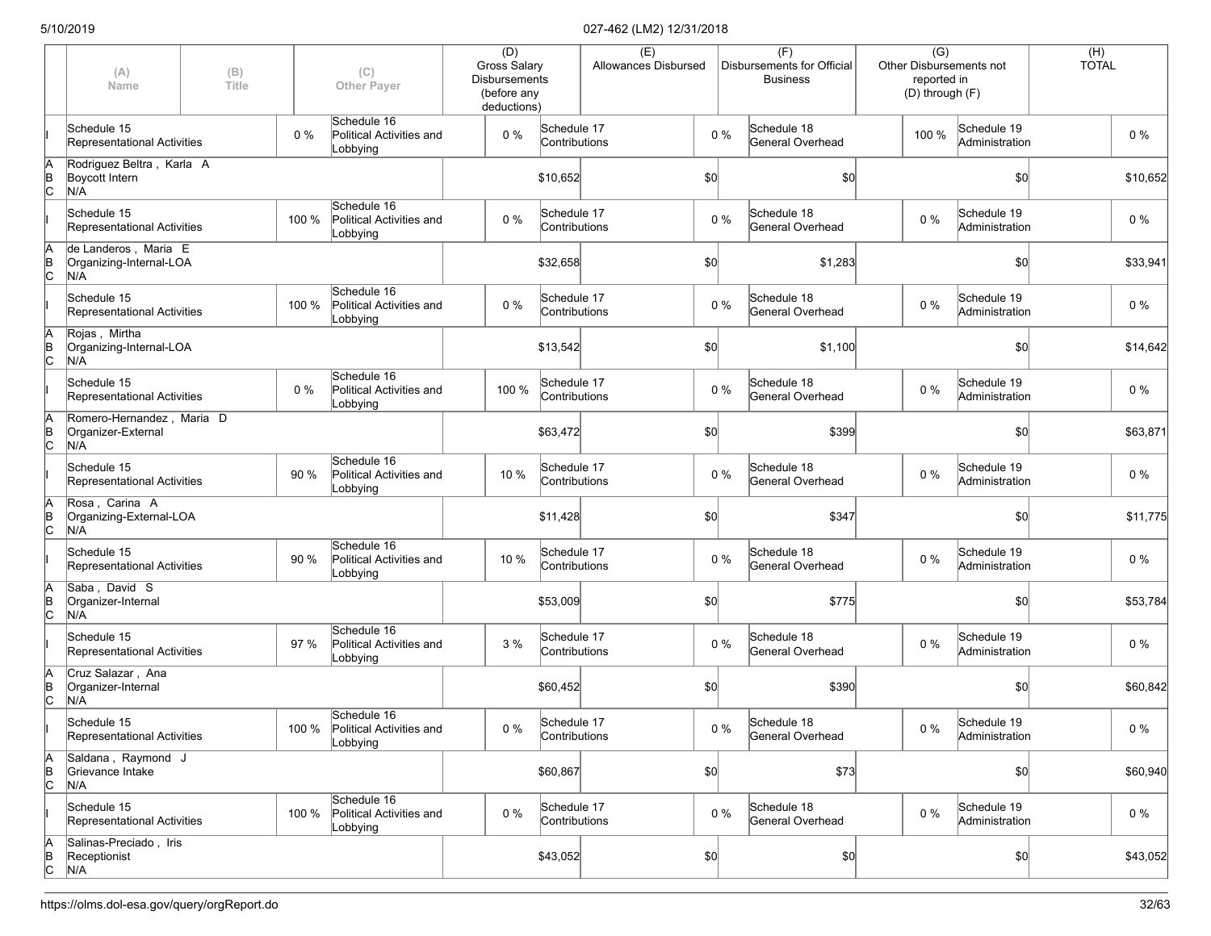|                      | (A)<br>Name                                            | (B)<br>Title |       | (C)<br><b>Other Payer</b>                                 | (D)<br><b>Gross Salary</b><br><b>Disbursements</b><br>(before any<br>deductions) |                              | (E)<br>Allowances Disbursed |              |       | (F)<br>Disbursements for Official<br><b>Business</b> | $\overline{(G)}$<br>reported in<br>(D) through (F) | <b>Other Disbursements not</b> | (H)<br><b>TOTAL</b> |          |
|----------------------|--------------------------------------------------------|--------------|-------|-----------------------------------------------------------|----------------------------------------------------------------------------------|------------------------------|-----------------------------|--------------|-------|------------------------------------------------------|----------------------------------------------------|--------------------------------|---------------------|----------|
|                      | Schedule 15<br>Representational Activities             |              | 0%    | Schedule 16<br>Political Activities and<br>Lobbying       | 0%                                                                               | Schedule 17<br>Contributions |                             |              | $0\%$ | Schedule 18<br>General Overhead                      | 100 %                                              | Schedule 19<br>Administration  |                     | $0\%$    |
| A<br>$\overline{B}$  | Rodriguez Beltra, Karla A<br>Boycott Intern<br>N/A     |              |       |                                                           |                                                                                  | \$10,652                     |                             | \$0          |       | \$0                                                  |                                                    | \$0                            |                     | \$10,652 |
|                      | Schedule 15<br>Representational Activities             |              | 100 % | Schedule 16<br>Political Activities and<br>Lobbying       | $0\%$                                                                            | Schedule 17<br>Contributions |                             |              | $0\%$ | Schedule 18<br>General Overhead                      | $0\%$                                              | Schedule 19<br>Administration  |                     | $0\%$    |
| ΙA<br>$\overline{C}$ | de Landeros, Maria E<br>Organizing-Internal-LOA<br>N/A |              |       |                                                           |                                                                                  | \$32,658                     |                             | \$0          |       | \$1,283                                              |                                                    | \$0                            |                     | \$33,941 |
|                      | Schedule 15<br>Representational Activities             |              | 100 % | Schedule 16<br>Political Activities and<br>Lobbying       | 0%                                                                               | Schedule 17<br>Contributions |                             |              | $0\%$ | Schedule 18<br>General Overhead                      | $0\%$                                              | Schedule 19<br>Administration  |                     | $0\%$    |
| ΙA<br>$\overline{C}$ | Rojas, Mirtha<br>Organizing-Internal-LOA<br>N/A        |              |       |                                                           |                                                                                  | \$13,542                     |                             | \$0          |       | \$1,100                                              |                                                    | \$0                            |                     | \$14,642 |
|                      | Schedule 15<br>Representational Activities             |              | $0\%$ | Schedule 16<br>Political Activities and<br>Lobbying       | 100 %                                                                            | Schedule 17<br>Contributions |                             |              | $0\%$ | Schedule 18<br>General Overhead                      | $0\%$                                              | Schedule 19<br>Administration  |                     | $0\%$    |
| ΙA<br>ļв<br>lс       | Romero-Hernandez, Maria D<br>Organizer-External<br>N/A |              |       |                                                           |                                                                                  | \$63,472                     |                             | \$0          |       | \$399                                                |                                                    | \$0                            |                     | \$63,871 |
|                      | Schedule 15<br>Representational Activities             |              | 90 %  | Schedule 16<br>Political Activities and<br>Lobbying       | 10 %                                                                             | Schedule 17<br>Contributions |                             |              | $0\%$ | Schedule 18<br>General Overhead                      | $0\%$                                              | Schedule 19<br>Administration  |                     | $0\%$    |
| ļΑ<br>$\overline{C}$ | Rosa, Carina A<br>Organizing-External-LOA<br>N/A       |              |       |                                                           |                                                                                  | \$11,428                     |                             | \$0          |       | \$347                                                |                                                    | \$0                            |                     | \$11,775 |
|                      | Schedule 15<br>Representational Activities             |              | 90 %  | Schedule 16<br>Political Activities and<br>Lobbying       | 10 %                                                                             | Schedule 17<br>Contributions |                             |              | $0\%$ | Schedule 18<br>General Overhead                      | $0\%$                                              | Schedule 19<br>Administration  |                     | 0 %      |
| ΙA<br>$\overline{C}$ | Saba, David S<br>Organizer-Internal<br>N/A             |              |       |                                                           |                                                                                  | \$53,009                     |                             | \$0          |       | \$775                                                |                                                    | \$0                            |                     | \$53,784 |
|                      | Schedule 15<br>Representational Activities             |              | 97 %  | Schedule 16<br>Political Activities and<br>Lobbying       | 3 %                                                                              | Schedule 17<br>Contributions |                             |              | $0\%$ | Schedule 18<br>General Overhead                      | $0\%$                                              | Schedule 19<br>Administration  |                     | $0\%$    |
| ΙA<br>$\overline{C}$ | Cruz Salazar, Ana<br>Organizer-Internal<br>N/A         |              |       |                                                           |                                                                                  | \$60,452                     |                             | \$0          |       | \$390                                                |                                                    | \$0                            |                     | \$60,842 |
|                      | Schedule 15<br>Representational Activities             |              |       | Schedule 16<br>100 % Political Activities and<br>Lobbying | $0\%$                                                                            | Schedule 17<br>Contributions |                             |              | $0\%$ | Schedule 18<br>General Overhead                      | $0\%$                                              | Schedule 19<br>Administration  |                     | $0\%$    |
| ΙA<br>$\overline{C}$ | Saldana, Raymond J<br>Grievance Intake<br>N/A          |              |       |                                                           |                                                                                  | \$60,867                     |                             | $ 10\rangle$ |       | \$73                                                 |                                                    | \$0                            |                     | \$60,940 |
|                      | Schedule 15<br>Representational Activities             |              | 100 % | Schedule 16<br>Political Activities and<br>Lobbying       | 0%                                                                               | Schedule 17<br>Contributions |                             |              | $0\%$ | Schedule 18<br>General Overhead                      | $0\%$                                              | Schedule 19<br>Administration  |                     | $0\%$    |
| A<br>B<br>C          | Salinas-Preciado, Iris<br>Receptionist<br>N/A          |              |       |                                                           |                                                                                  | \$43,052                     |                             | $ 10\rangle$ |       | $ 10\rangle$                                         |                                                    | \$0                            |                     | \$43,052 |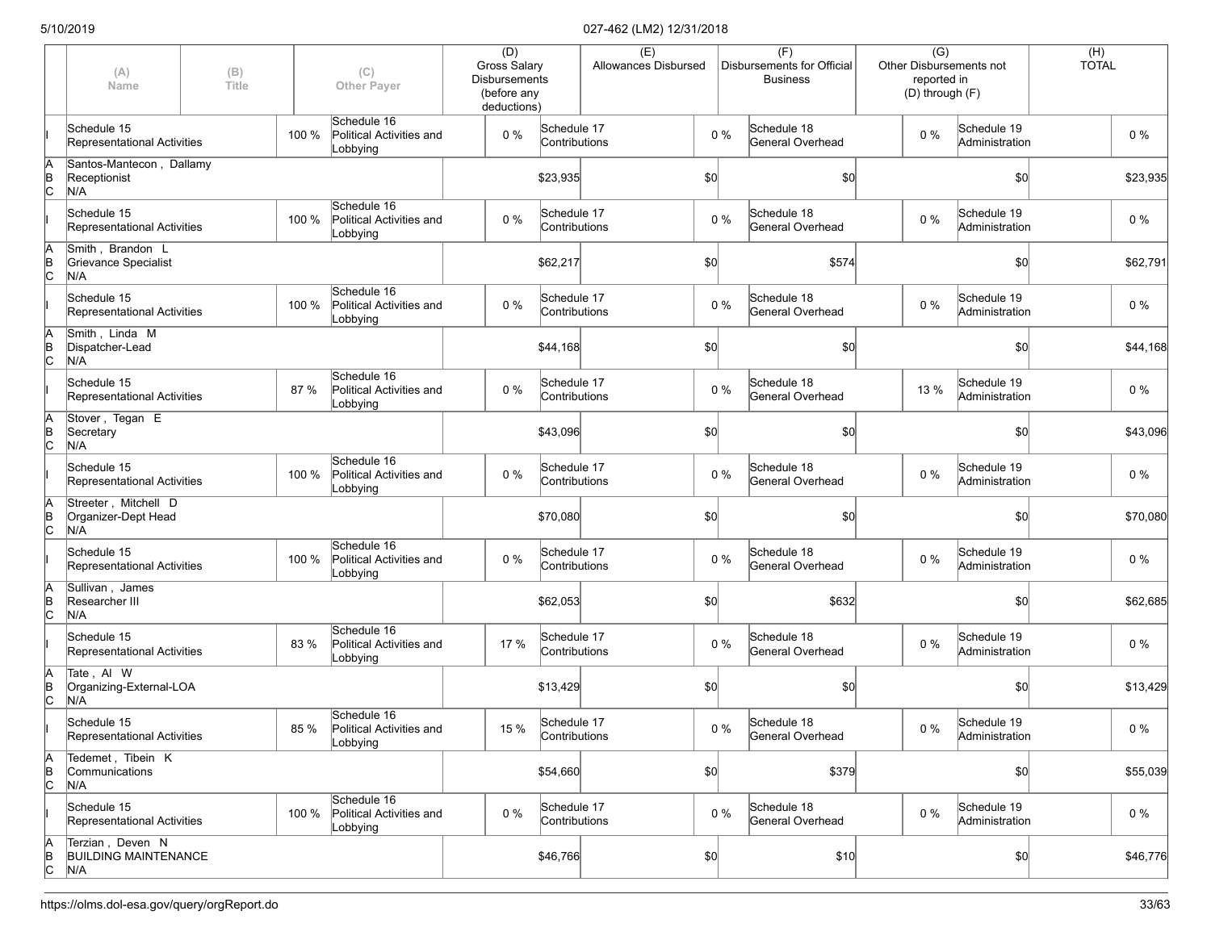|                      | (A)<br>Name                                            | (B)<br>Title |       | (C)<br><b>Other Payer</b>                           | (D)<br><b>Gross Salary</b><br><b>Disbursements</b><br>(before any<br>deductions) |                              | (E)<br>Allowances Disbursed |              |       | (F)<br>Disbursements for Official<br><b>Business</b> |       | $\overline{(G)}$<br>Other Disbursements not<br>reported in<br>(D) through (F) |     | (H)<br><b>TOTAL</b> |          |
|----------------------|--------------------------------------------------------|--------------|-------|-----------------------------------------------------|----------------------------------------------------------------------------------|------------------------------|-----------------------------|--------------|-------|------------------------------------------------------|-------|-------------------------------------------------------------------------------|-----|---------------------|----------|
|                      | Schedule 15<br>Representational Activities             |              | 100 % | Schedule 16<br>Political Activities and<br>Lobbying | $0\%$                                                                            | Schedule 17<br>Contributions |                             |              | 0 %   | Schedule 18<br><b>General Overhead</b>               | $0\%$ | Schedule 19<br>Administration                                                 |     |                     | $0\%$    |
| ΙA<br>$\overline{C}$ | Santos-Mantecon, Dallamy<br>Receptionist<br>N/A        |              |       |                                                     |                                                                                  | \$23,935                     |                             | \$0          |       | \$0]                                                 |       |                                                                               | \$0 |                     | \$23,935 |
|                      | Schedule 15<br>Representational Activities             |              | 100 % | Schedule 16<br>Political Activities and<br>Lobbying | $0\%$                                                                            | Schedule 17<br>Contributions |                             |              | $0\%$ | Schedule 18<br><b>General Overhead</b>               | $0\%$ | Schedule 19<br>Administration                                                 |     |                     | $0\%$    |
| İΑ<br>$\overline{C}$ | Smith, Brandon L<br>Grievance Specialist<br>N/A        |              |       |                                                     |                                                                                  | \$62,217                     |                             | \$0          |       | \$574                                                |       |                                                                               | \$0 |                     | \$62,791 |
|                      | Schedule 15<br>Representational Activities             |              | 100 % | Schedule 16<br>Political Activities and<br>Lobbying | $0\%$                                                                            | Schedule 17<br>Contributions |                             |              | $0\%$ | Schedule 18<br>General Overhead                      | $0\%$ | Schedule 19<br>Administration                                                 |     |                     | $0\%$    |
| İΑ<br>$\overline{C}$ | Smith, Linda M<br>Dispatcher-Lead<br>N/A               |              |       |                                                     |                                                                                  | \$44,168                     |                             | \$0          |       | \$0                                                  |       |                                                                               | \$0 |                     | \$44,168 |
|                      | Schedule 15<br>Representational Activities             |              | 87 %  | Schedule 16<br>Political Activities and<br>Lobbying | $0\%$                                                                            | Schedule 17<br>Contributions |                             |              | $0\%$ | Schedule 18<br>General Overhead                      | 13 %  | Schedule 19<br>Administration                                                 |     |                     | $0\%$    |
| İΑ<br>$\overline{a}$ | Stover, Tegan E<br>Secretary<br>N/A                    |              |       |                                                     |                                                                                  | \$43,096                     |                             | \$0          |       | \$0                                                  |       |                                                                               | \$0 |                     | \$43,096 |
|                      | Schedule 15<br>Representational Activities             |              | 100 % | Schedule 16<br>Political Activities and<br>Lobbying | $0\%$                                                                            | Schedule 17<br>Contributions |                             |              | $0\%$ | Schedule 18<br>General Overhead                      | $0\%$ | Schedule 19<br>Administration                                                 |     |                     | 0%       |
| İΑ<br>Þ<br>c         | Streeter, Mitchell D<br>Organizer-Dept Head<br>N/A     |              |       |                                                     |                                                                                  | \$70,080                     |                             | \$0          |       | \$0]                                                 |       |                                                                               | \$0 |                     | \$70,080 |
|                      | Schedule 15<br>Representational Activities             |              | 100 % | Schedule 16<br>Political Activities and<br>Lobbying | $0\%$                                                                            | Schedule 17<br>Contributions |                             |              | $0\%$ | Schedule 18<br>General Overhead                      | $0\%$ | Schedule 19<br>Administration                                                 |     |                     | 0%       |
| ΙA<br>$\overline{C}$ | Sullivan, James<br>Researcher III<br>N/A               |              |       |                                                     |                                                                                  | \$62,053                     |                             | \$0          |       | \$632                                                |       |                                                                               | \$0 |                     | \$62,685 |
|                      | Schedule 15<br>Representational Activities             |              | 83 %  | Schedule 16<br>Political Activities and<br>Lobbying | 17 %                                                                             | Schedule 17<br>Contributions |                             |              | $0\%$ | Schedule 18<br>General Overhead                      | $0\%$ | Schedule 19<br>Administration                                                 |     |                     | $0\%$    |
| İΑ<br>$\overline{C}$ | Tate, Al W<br>Organizing-External-LOA<br>N/A           |              |       |                                                     |                                                                                  | \$13,429                     |                             | \$0          |       | \$0                                                  |       |                                                                               | \$0 |                     | \$13,429 |
|                      | Schedule 15<br>Representational Activities             |              | 85 %  | Schedule 16<br>Political Activities and<br>Lobbying | 15 %                                                                             | Schedule 17<br>Contributions |                             |              | $0\%$ | Schedule 18<br>General Overhead                      | $0\%$ | Schedule 19<br>Administration                                                 |     |                     | $0\%$    |
| ΙA<br>$\overline{C}$ | Tedemet, Tibein K<br>Communications<br>N/A             |              |       |                                                     |                                                                                  | \$54,660                     |                             | $ 10\rangle$ |       | \$379                                                |       |                                                                               | \$0 |                     | \$55,039 |
|                      | Schedule 15<br>Representational Activities             |              | 100 % | Schedule 16<br>Political Activities and<br>Lobbying | $0\%$                                                                            | Schedule 17<br>Contributions |                             |              | $0\%$ | Schedule 18<br>General Overhead                      | $0\%$ | Schedule 19<br>Administration                                                 |     |                     | $0\%$    |
| $\overline{C}$       | Terzian, Deven N<br><b>BUILDING MAINTENANCE</b><br>N/A |              |       |                                                     |                                                                                  | \$46,766                     |                             | $ 10\rangle$ |       | \$10                                                 |       |                                                                               | \$0 |                     | \$46,776 |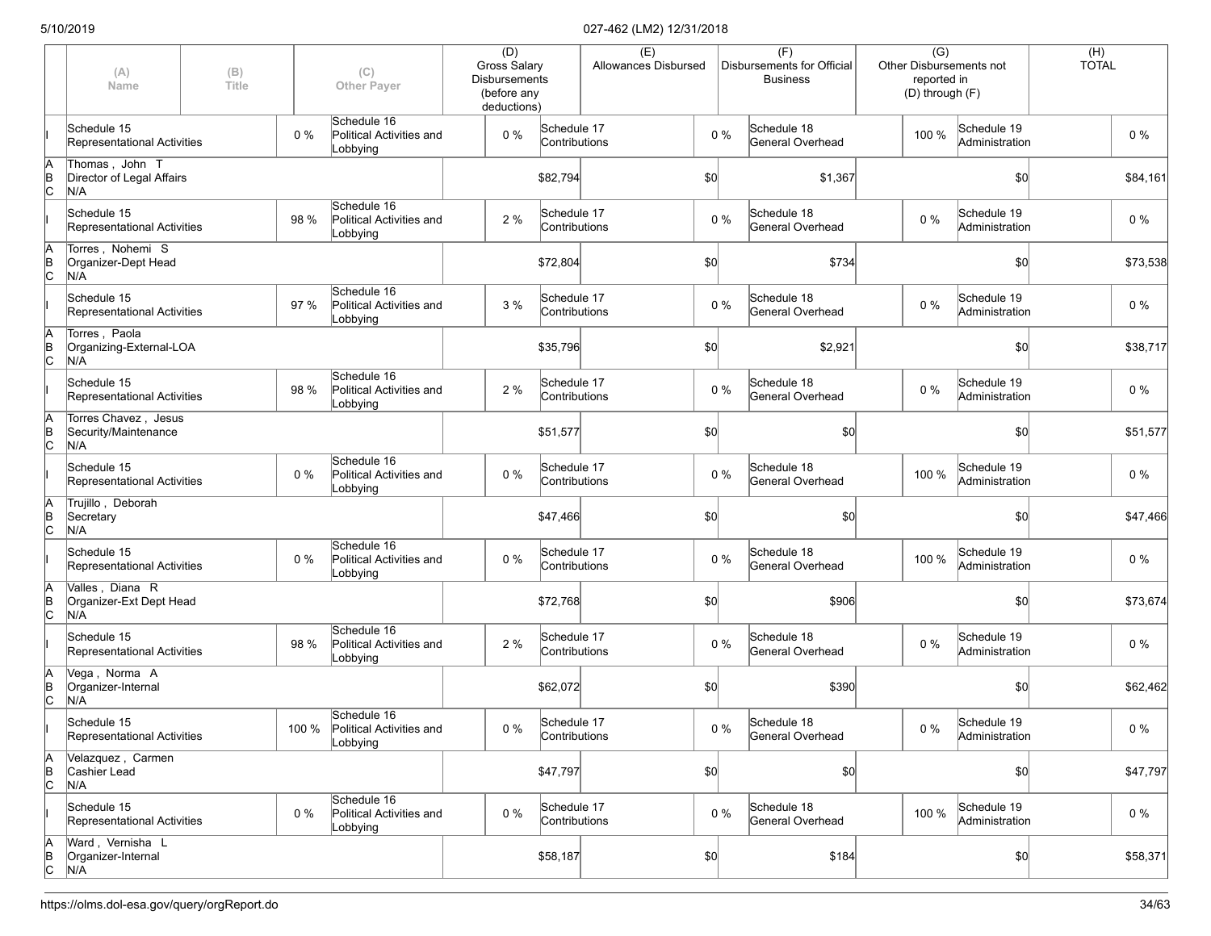|             | (A)<br>Name                                         | (B)<br>Title |       | (C)<br><b>Other Paver</b>                                 | (D)<br><b>Gross Salary</b><br><b>Disbursements</b><br>(before any<br>deductions) |                              | (E)<br>Allowances Disbursed |       | (F)<br>Disbursements for Official<br><b>Business</b> | $\overline{(G)}$<br>Other Disbursements not<br>reported in<br>(D) through (F) |                               | (H)<br><b>TOTAL</b> |
|-------------|-----------------------------------------------------|--------------|-------|-----------------------------------------------------------|----------------------------------------------------------------------------------|------------------------------|-----------------------------|-------|------------------------------------------------------|-------------------------------------------------------------------------------|-------------------------------|---------------------|
|             | Schedule 15<br>Representational Activities          |              | $0\%$ | Schedule 16<br>Political Activities and<br>Lobbying       | 0 %                                                                              | Schedule 17<br>Contributions |                             | $0\%$ | Schedule 18<br>General Overhead                      | 100 %                                                                         | Schedule 19<br>Administration | $0\%$               |
| A<br>B<br>C | Thomas, John T<br>Director of Legal Affairs<br>N/A  |              |       |                                                           |                                                                                  | \$82,794                     |                             | \$0   | \$1,367                                              |                                                                               | \$0                           | \$84,161            |
|             | Schedule 15<br>Representational Activities          |              | 98 %  | Schedule 16<br>Political Activities and<br>Lobbying       | 2 %                                                                              | Schedule 17<br>Contributions |                             | $0\%$ | Schedule 18<br>General Overhead                      | $0\%$                                                                         | Schedule 19<br>Administration | $0\%$               |
| A<br>B<br>C | Torres, Nohemi S<br>Organizer-Dept Head<br>N/A      |              |       |                                                           |                                                                                  | \$72,804                     |                             | \$0   | \$734                                                |                                                                               | \$0                           | \$73,538            |
|             | Schedule 15<br>Representational Activities          |              | 97 %  | Schedule 16<br>Political Activities and<br>Lobbying       | 3 %                                                                              | Schedule 17<br>Contributions |                             | $0\%$ | Schedule 18<br>General Overhead                      | 0 %                                                                           | Schedule 19<br>Administration | $0\%$               |
| A<br>B<br>C | Torres, Paola<br>Organizing-External-LOA<br>N/A     |              |       |                                                           |                                                                                  | \$35,796                     |                             | \$0   | \$2,921                                              |                                                                               | \$0                           | \$38,717            |
|             | Schedule 15<br>Representational Activities          |              | 98 %  | Schedule 16<br>Political Activities and<br>Lobbying       | 2 %                                                                              | Schedule 17<br>Contributions |                             | $0\%$ | Schedule 18<br>General Overhead                      | $0\%$                                                                         | Schedule 19<br>Administration | $0\%$               |
| A<br>B<br>C | Torres Chavez, Jesus<br>Security/Maintenance<br>N/A |              |       |                                                           |                                                                                  | \$51,577                     |                             | \$0   | \$0                                                  |                                                                               | \$0                           | \$51,577            |
|             | Schedule 15<br>Representational Activities          |              | $0\%$ | Schedule 16<br>Political Activities and<br>Lobbying       | 0 %                                                                              | Schedule 17<br>Contributions |                             | $0\%$ | Schedule 18<br>General Overhead                      | 100 %                                                                         | Schedule 19<br>Administration | $0\%$               |
| A<br>B<br>C | Trujillo, Deborah<br>Secretary<br>N/A               |              |       |                                                           |                                                                                  | \$47,466                     |                             | \$0   | \$0]                                                 |                                                                               | \$0                           | \$47,466            |
|             | Schedule 15<br>Representational Activities          |              | 0%    | Schedule 16<br>Political Activities and<br>Lobbying       | 0%                                                                               | Schedule 17<br>Contributions |                             | $0\%$ | Schedule 18<br>General Overhead                      | 100 %                                                                         | Schedule 19<br>Administration | $0\%$               |
| A<br>B<br>C | Valles, Diana R<br>Organizer-Ext Dept Head<br>N/A   |              |       |                                                           |                                                                                  | \$72,768                     |                             | \$0   | \$906                                                |                                                                               | \$0                           | \$73,674            |
|             | Schedule 15<br>Representational Activities          |              | 98 %  | Schedule 16<br>Political Activities and<br>Lobbying       | 2 %                                                                              | Schedule 17<br>Contributions |                             | $0\%$ | Schedule 18<br>General Overhead                      | $0\%$                                                                         | Schedule 19<br>Administration | $0\%$               |
| A<br>B<br>C | Vega, Norma A<br>Organizer-Internal<br>N/A          |              |       |                                                           |                                                                                  | \$62,072                     |                             | \$0   | \$390                                                |                                                                               | \$0                           | \$62,462            |
|             | Schedule 15<br>Representational Activities          |              |       | Schedule 16<br>100 % Political Activities and<br>Lobbying | $0\%$                                                                            | Schedule 17<br>Contributions |                             | $0\%$ | Schedule 18<br>General Overhead                      | $0\%$                                                                         | Schedule 19<br>Administration | $0\%$               |
| A<br>B<br>C | Velazquez, Carmen<br>Cashier Lead<br>N/A            |              |       |                                                           |                                                                                  | \$47,797                     |                             | \$0]  | $ 10\rangle$                                         |                                                                               | \$0                           | \$47,797            |
|             | Schedule 15<br>Representational Activities          |              | 0%    | Schedule 16<br>Political Activities and<br>Lobbying       | 0 %                                                                              | Schedule 17<br>Contributions |                             | $0\%$ | Schedule 18<br>General Overhead                      | 100 %                                                                         | Schedule 19<br>Administration | $0\%$               |
| A<br>B<br>C | Ward, Vernisha L<br>Organizer-Internal<br>N/A       |              |       |                                                           |                                                                                  | \$58,187                     |                             | \$0]  | \$184                                                |                                                                               | \$0]                          | \$58,371            |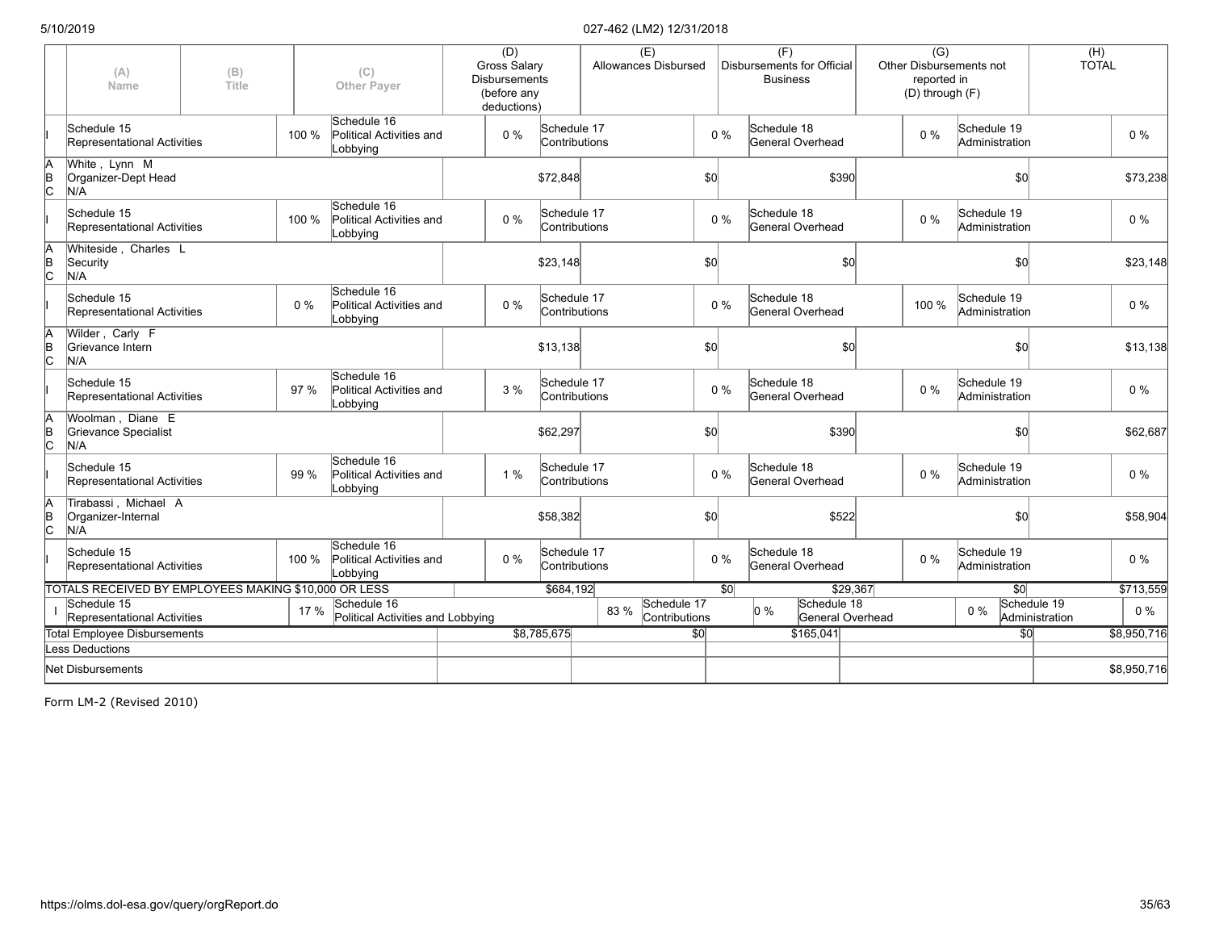|                     | (A)<br>Name                                          | (B)<br>Title |       | (C)<br><b>Other Payer</b>                           | (D)<br>Gross Salary<br><b>Disbursements</b><br>(before any |                              | (E)<br><b>Allowances Disbursed</b>   |                 |                 | (F)<br><b>Disbursements for Official</b><br><b>Business</b> | $\overline{(G)}$<br>reported in<br>(D) through (F) | Other Disbursements not       | (H)<br><b>TOTAL</b>           |             |
|---------------------|------------------------------------------------------|--------------|-------|-----------------------------------------------------|------------------------------------------------------------|------------------------------|--------------------------------------|-----------------|-----------------|-------------------------------------------------------------|----------------------------------------------------|-------------------------------|-------------------------------|-------------|
|                     | Schedule 15<br>Representational Activities           |              | 100 % | Schedule 16<br>Political Activities and<br>Lobbying | deductions)<br>$0\%$                                       | Schedule 17<br>Contributions |                                      |                 | $0\%$           | Schedule 18<br>General Overhead                             | $0\%$                                              | Schedule 19<br>Administration |                               | $0\%$       |
| A<br>$\overline{C}$ | White, Lynn M<br>Organizer-Dept Head<br>N/A          |              |       |                                                     |                                                            | \$72,848                     |                                      | \$0]            |                 | \$390                                                       |                                                    | \$0                           |                               | \$73,238    |
|                     | Schedule 15<br>Representational Activities           |              | 100 % | Schedule 16<br>Political Activities and<br>Lobbying | $0\%$                                                      | Schedule 17<br>Contributions |                                      |                 | $0\%$           | Schedule 18<br>General Overhead                             | $0\%$                                              | Schedule 19<br>Administration |                               | $0\%$       |
| B<br>C              | Whiteside, Charles L<br>Security<br>N/A              |              |       |                                                     |                                                            | \$23,148                     |                                      | \$0]            |                 | \$0                                                         |                                                    | \$0                           |                               | \$23,148    |
|                     | Schedule 15<br>Representational Activities           |              | $0\%$ | Schedule 16<br>Political Activities and<br>Lobbying | $0\%$                                                      | Schedule 17<br>Contributions |                                      |                 | $0\%$           | Schedule 18<br>General Overhead                             | 100 %                                              | Schedule 19<br>Administration |                               | $0\%$       |
| B<br> C             | Wilder, Carly F<br>Grievance Intern<br>N/A           |              |       |                                                     |                                                            | \$13,138                     |                                      | \$0             |                 | \$0                                                         |                                                    | \$0                           |                               | \$13,138    |
|                     | Schedule 15<br>Representational Activities           |              | 97 %  | Schedule 16<br>Political Activities and<br>Lobbying | 3%                                                         | Schedule 17<br>Contributions |                                      |                 | $0\%$           | Schedule 18<br>General Overhead                             | $0\%$                                              | Schedule 19<br>Administration |                               | $0\%$       |
| $\overline{C}$      | Woolman, Diane E<br>Grievance Specialist<br>N/A      |              |       |                                                     |                                                            | \$62,297                     |                                      | \$0             |                 | \$390                                                       |                                                    | \$0                           |                               | \$62,687    |
|                     | Schedule 15<br>Representational Activities           |              | 99 %  | Schedule 16<br>Political Activities and<br>Lobbying | 1 %                                                        | Schedule 17<br>Contributions |                                      |                 | $0\%$           | Schedule 18<br>General Overhead                             | $0\%$                                              | Schedule 19<br>Administration |                               | 0%          |
| B<br>C              | Tirabassi, Michael A<br>Organizer-Internal<br>N/A    |              |       |                                                     |                                                            | \$58,382                     |                                      | \$0]            |                 | \$522                                                       |                                                    | \$0                           |                               | \$58,904    |
|                     | Schedule 15<br>Representational Activities           |              | 100 % | Schedule 16<br>Political Activities and<br>Lobbying | 0%                                                         | Schedule 17<br>Contributions |                                      |                 | $0\%$           | Schedule 18<br>General Overhead                             | $0\%$                                              | Schedule 19<br>Administration |                               | $0\%$       |
|                     | TOTALS RECEIVED BY EMPLOYEES MAKING \$10,000 OR LESS |              |       |                                                     |                                                            | \$684,192                    |                                      |                 | $\overline{30}$ | \$29,367                                                    |                                                    | $\overline{30}$               |                               | \$713,559   |
|                     | Schedule 15<br>Representational Activities           |              | 17 %  | Schedule 16<br>Political Activities and Lobbying    |                                                            |                              | Schedule 17<br>83 %<br>Contributions |                 |                 | Schedule 18<br>$0\%$<br>General Overhead                    |                                                    | $0\%$                         | Schedule 19<br>Administration | $0\%$       |
|                     | <b>Total Employee Disbursements</b>                  |              |       |                                                     |                                                            | \$8,785,675                  |                                      | $\overline{30}$ |                 | \$165,041                                                   |                                                    | $\overline{30}$               |                               | \$8,950,716 |
|                     | <b>Less Deductions</b>                               |              |       |                                                     |                                                            |                              |                                      |                 |                 |                                                             |                                                    |                               |                               |             |
|                     | Net Disbursements                                    |              |       |                                                     |                                                            |                              |                                      |                 |                 |                                                             |                                                    |                               |                               | \$8,950,716 |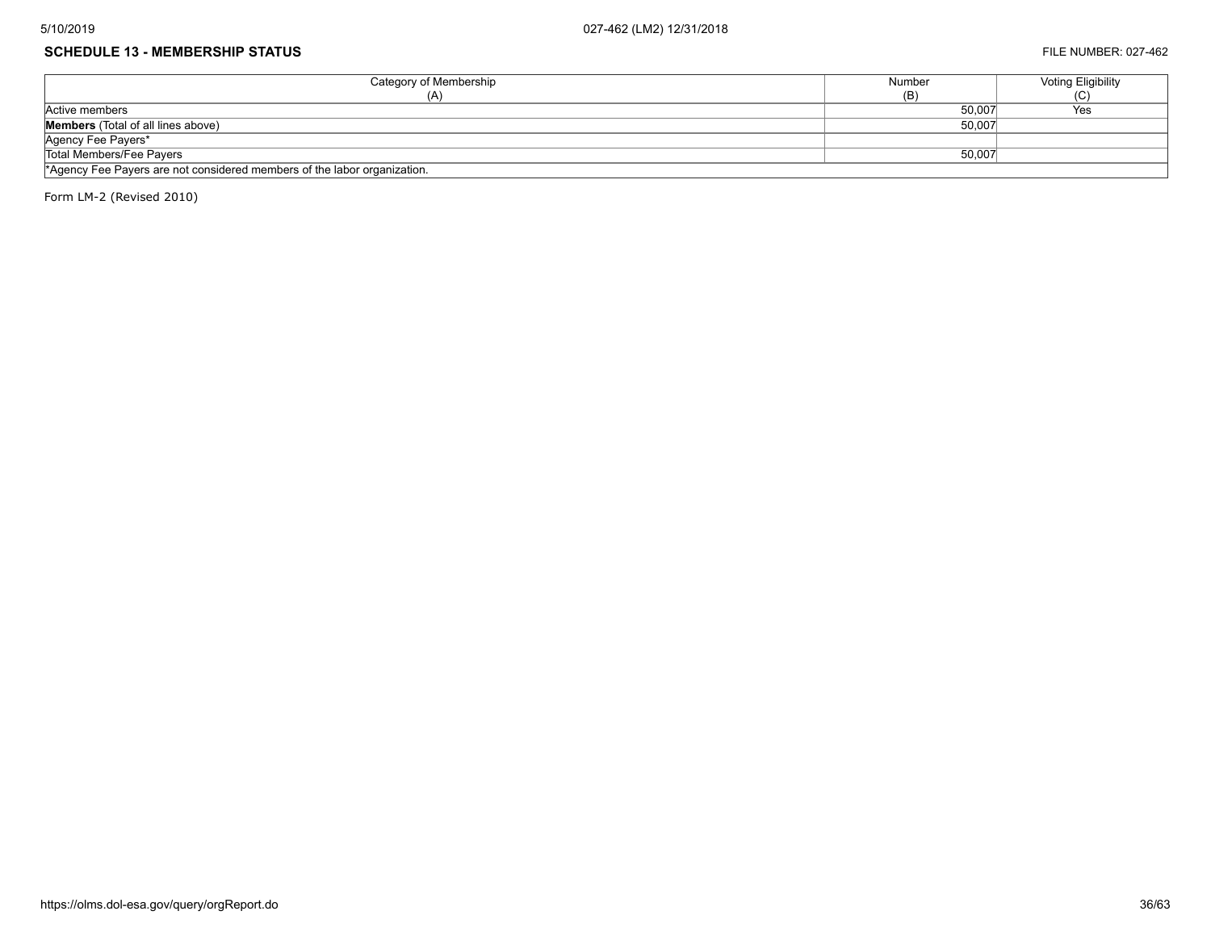#### **SCHEDULE 13 - MEMBERSHIP STATUS** FILE NUMBER: 027-462

| Category of Membership                                                   | Number | <b>Voting Eligibility</b> |  |  |  |  |
|--------------------------------------------------------------------------|--------|---------------------------|--|--|--|--|
| (A'                                                                      | (B)    | ا با                      |  |  |  |  |
| Active members                                                           | 50,007 | Yes                       |  |  |  |  |
| <b>Members</b> (Total of all lines above)                                | 50,007 |                           |  |  |  |  |
| Agency Fee Payers*                                                       |        |                           |  |  |  |  |
| Total Members/Fee Payers                                                 | 50,007 |                           |  |  |  |  |
| *Agency Fee Payers are not considered members of the labor organization. |        |                           |  |  |  |  |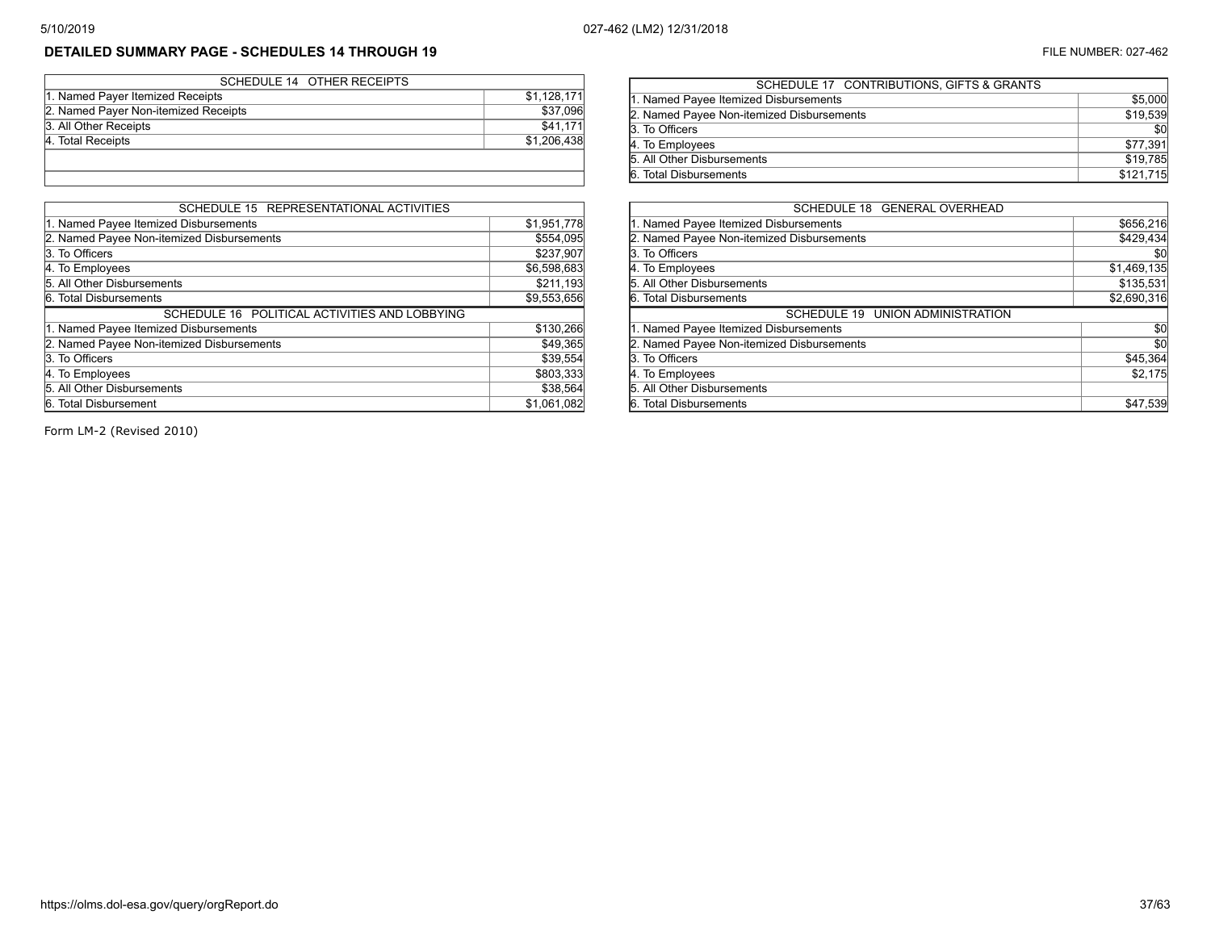# **DETAILED SUMMARY PAGE - SCHEDULES 14 THROUGH 19** FILE NUMBER: 027-462

| SCHEDULE 14 OTHER RECEIPTS           |             |
|--------------------------------------|-------------|
| 1. Named Payer Itemized Receipts     | \$1,128,171 |
| 2. Named Payer Non-itemized Receipts | \$37,096    |
| 3. All Other Receipts                | \$41,171    |
| 4. Total Receipts                    | \$1,206,438 |
|                                      |             |
|                                      |             |

| SCHEDULE 15 REPRESENTATIONAL ACTIVITIES       |             |
|-----------------------------------------------|-------------|
| 1. Named Payee Itemized Disbursements         | \$1,951,778 |
| 2. Named Payee Non-itemized Disbursements     | \$554,095   |
| 3. To Officers                                | \$237,907   |
| 4. To Employees                               | \$6,598,683 |
| 5. All Other Disbursements                    | \$211,193   |
| 6. Total Disbursements                        | \$9,553,656 |
| SCHEDULE 16 POLITICAL ACTIVITIES AND LOBBYING |             |
| 1. Named Payee Itemized Disbursements         | \$130,266   |
| 2. Named Payee Non-itemized Disbursements     | \$49,365    |
| 3. To Officers                                | \$39,554    |
| 4. To Employees                               | \$803,333   |
| 5. All Other Disbursements                    | \$38,564    |
| 6. Total Disbursement                         | \$1,061,082 |

| SCHEDULE 17 CONTRIBUTIONS, GIFTS & GRANTS |           |
|-------------------------------------------|-----------|
| 1. Named Payee Itemized Disbursements     | \$5,000   |
| 2. Named Payee Non-itemized Disbursements | \$19,539  |
| 3. To Officers                            | \$0       |
| 4. To Employees                           | \$77,391  |
| 5. All Other Disbursements                | \$19,785  |
| 6. Total Disbursements                    | \$121,715 |
|                                           |           |

| SCHEDULE 18 GENERAL OVERHEAD              |             |
|-------------------------------------------|-------------|
| 1. Named Payee Itemized Disbursements     | \$656,216   |
| 2. Named Payee Non-itemized Disbursements | \$429,434   |
| 3. To Officers                            | \$0         |
| 4. To Employees                           | \$1,469,135 |
| 5. All Other Disbursements                | \$135,531   |
| 6. Total Disbursements                    | \$2,690,316 |
| SCHEDULE 19 UNION ADMINISTRATION          |             |
| 1. Named Payee Itemized Disbursements     | \$0         |
| 2. Named Payee Non-itemized Disbursements | \$0         |
| 3. To Officers                            | \$45,364    |
| 4. To Employees                           | \$2,175     |
|                                           |             |
| 5. All Other Disbursements                |             |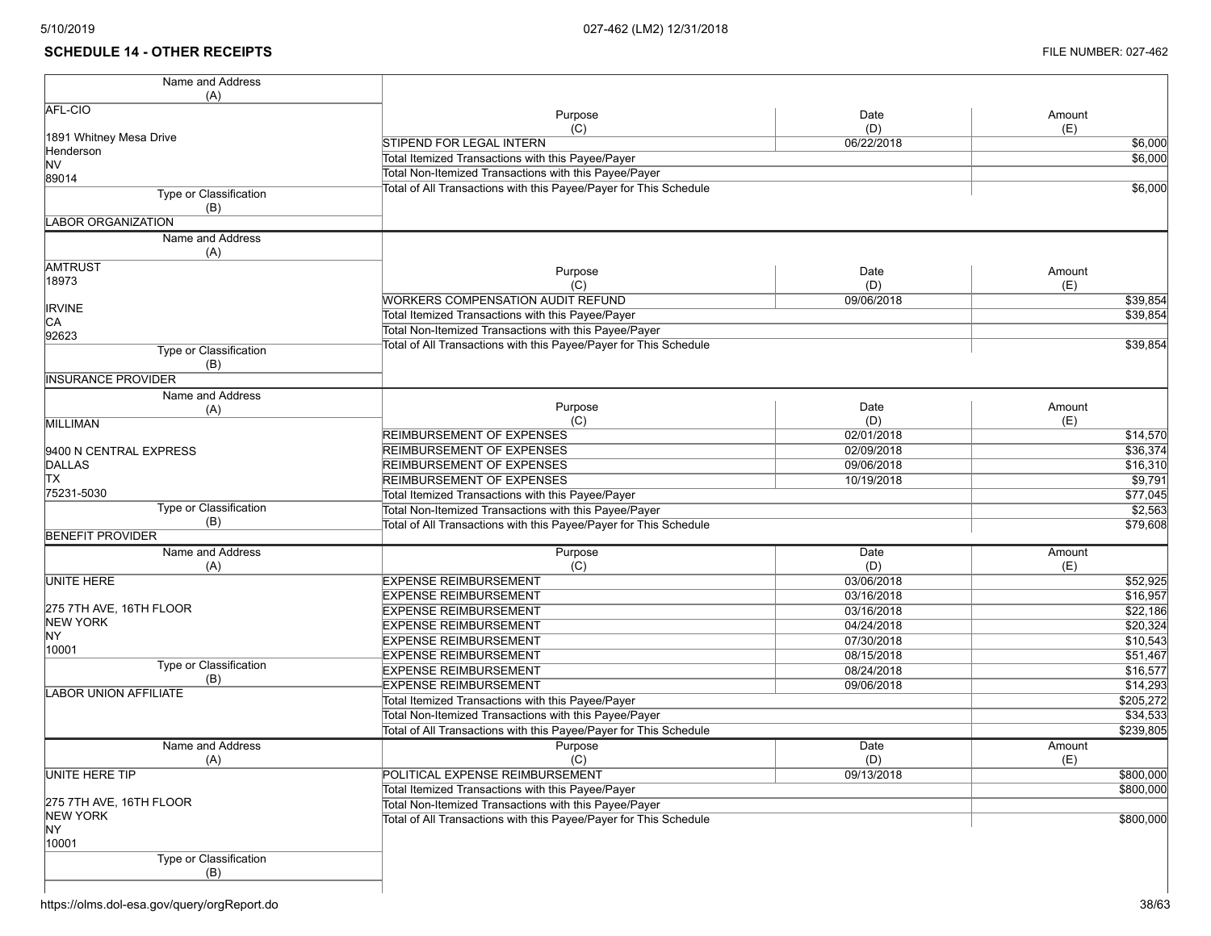## **SCHEDULE 14 - OTHER RECEIPTS** FILE NUMBER: 027-462

| AFL-CIO<br>Purpose<br>Date<br>Amount<br>(C)<br>(D)<br>(E)<br>1891 Whitney Mesa Drive<br><b>STIPEND FOR LEGAL INTERN</b><br>06/22/2018<br>Henderson<br>Total Itemized Transactions with this Payee/Payer<br><b>NV</b><br>Total Non-Itemized Transactions with this Payee/Payer<br>89014<br>Total of All Transactions with this Payee/Payer for This Schedule<br>Type or Classification<br>(B)<br><b>LABOR ORGANIZATION</b><br>Name and Address<br>(A)<br><b>AMTRUST</b><br>Purpose<br>Date<br>Amount<br>18973<br>(C)<br>(D)<br>(E)<br><b>WORKERS COMPENSATION AUDIT REFUND</b><br>09/06/2018<br>\$39,854<br><b>IRVINE</b><br>Total Itemized Transactions with this Payee/Payer<br>\$39,854<br>CA<br>Total Non-Itemized Transactions with this Payee/Payer<br>92623<br>Total of All Transactions with this Payee/Payer for This Schedule<br>\$39,854<br>Type or Classification<br>(B)<br><b>INSURANCE PROVIDER</b><br>Name and Address<br>Purpose<br>Date<br>Amount<br>(A)<br>(C)<br>(D)<br>(E)<br><b>MILLIMAN</b><br><b>REIMBURSEMENT OF EXPENSES</b><br>02/01/2018<br>\$14,570<br>02/09/2018<br>\$36,374<br>REIMBURSEMENT OF EXPENSES<br>9400 N CENTRAL EXPRESS<br>DALLAS<br><b>REIMBURSEMENT OF EXPENSES</b><br>09/06/2018<br>\$16,310<br><b>TX</b><br><b>REIMBURSEMENT OF EXPENSES</b><br>\$9,791<br>10/19/2018<br>75231-5030<br>Total Itemized Transactions with this Payee/Payer<br>\$77,045<br>Type or Classification<br>Total Non-Itemized Transactions with this Payee/Payer<br>\$2,563<br>(B)<br>Total of All Transactions with this Payee/Payer for This Schedule<br>\$79,608<br><b>BENEFIT PROVIDER</b><br>Name and Address<br>Purpose<br>Date<br>Amount<br>(C)<br>(D)<br>(E)<br>(A)<br><b>UNITE HERE</b><br><b>EXPENSE REIMBURSEMENT</b><br>03/06/2018<br>\$52,925<br><b>EXPENSE REIMBURSEMENT</b><br>03/16/2018<br>\$16,957<br>275 7TH AVE, 16TH FLOOR<br><b>EXPENSE REIMBURSEMENT</b><br>03/16/2018<br>\$22,186<br><b>NEW YORK</b><br><b>EXPENSE REIMBURSEMENT</b><br>04/24/2018<br>\$20,324<br>NY.<br><b>EXPENSE REIMBURSEMENT</b><br>07/30/2018<br>\$10,543<br>10001<br><b>EXPENSE REIMBURSEMENT</b><br>08/15/2018<br>\$51,467<br><b>Type or Classification</b><br><b>EXPENSE REIMBURSEMENT</b><br>08/24/2018<br>\$16,577<br>(B)<br><b>EXPENSE REIMBURSEMENT</b><br>09/06/2018<br>\$14,293<br><b>LABOR UNION AFFILIATE</b><br>Total Itemized Transactions with this Payee/Payer<br>\$205,272<br>Total Non-Itemized Transactions with this Payee/Payer<br>\$34,533<br>\$239,805<br>Total of All Transactions with this Payee/Payer for This Schedule<br>Name and Address<br>Purpose<br>Date<br>Amount<br>(C)<br>(E)<br>(A)<br>(D)<br>UNITE HERE TIP<br>\$800,000<br>POLITICAL EXPENSE REIMBURSEMENT<br>09/13/2018<br>Total Itemized Transactions with this Payee/Payer<br>\$800,000<br>275 7TH AVE, 16TH FLOOR<br>Total Non-Itemized Transactions with this Payee/Payer | Name and Address |  |           |
|---------------------------------------------------------------------------------------------------------------------------------------------------------------------------------------------------------------------------------------------------------------------------------------------------------------------------------------------------------------------------------------------------------------------------------------------------------------------------------------------------------------------------------------------------------------------------------------------------------------------------------------------------------------------------------------------------------------------------------------------------------------------------------------------------------------------------------------------------------------------------------------------------------------------------------------------------------------------------------------------------------------------------------------------------------------------------------------------------------------------------------------------------------------------------------------------------------------------------------------------------------------------------------------------------------------------------------------------------------------------------------------------------------------------------------------------------------------------------------------------------------------------------------------------------------------------------------------------------------------------------------------------------------------------------------------------------------------------------------------------------------------------------------------------------------------------------------------------------------------------------------------------------------------------------------------------------------------------------------------------------------------------------------------------------------------------------------------------------------------------------------------------------------------------------------------------------------------------------------------------------------------------------------------------------------------------------------------------------------------------------------------------------------------------------------------------------------------------------------------------------------------------------------------------------------------------------------------------------------------------------------------------------------------------------------------------------------------------------------------------------------------------------------------------------------------------------------------------------------------------------------------|------------------|--|-----------|
|                                                                                                                                                                                                                                                                                                                                                                                                                                                                                                                                                                                                                                                                                                                                                                                                                                                                                                                                                                                                                                                                                                                                                                                                                                                                                                                                                                                                                                                                                                                                                                                                                                                                                                                                                                                                                                                                                                                                                                                                                                                                                                                                                                                                                                                                                                                                                                                                                                                                                                                                                                                                                                                                                                                                                                                                                                                                                       | (A)              |  |           |
|                                                                                                                                                                                                                                                                                                                                                                                                                                                                                                                                                                                                                                                                                                                                                                                                                                                                                                                                                                                                                                                                                                                                                                                                                                                                                                                                                                                                                                                                                                                                                                                                                                                                                                                                                                                                                                                                                                                                                                                                                                                                                                                                                                                                                                                                                                                                                                                                                                                                                                                                                                                                                                                                                                                                                                                                                                                                                       |                  |  |           |
|                                                                                                                                                                                                                                                                                                                                                                                                                                                                                                                                                                                                                                                                                                                                                                                                                                                                                                                                                                                                                                                                                                                                                                                                                                                                                                                                                                                                                                                                                                                                                                                                                                                                                                                                                                                                                                                                                                                                                                                                                                                                                                                                                                                                                                                                                                                                                                                                                                                                                                                                                                                                                                                                                                                                                                                                                                                                                       |                  |  |           |
|                                                                                                                                                                                                                                                                                                                                                                                                                                                                                                                                                                                                                                                                                                                                                                                                                                                                                                                                                                                                                                                                                                                                                                                                                                                                                                                                                                                                                                                                                                                                                                                                                                                                                                                                                                                                                                                                                                                                                                                                                                                                                                                                                                                                                                                                                                                                                                                                                                                                                                                                                                                                                                                                                                                                                                                                                                                                                       |                  |  | \$6,000   |
|                                                                                                                                                                                                                                                                                                                                                                                                                                                                                                                                                                                                                                                                                                                                                                                                                                                                                                                                                                                                                                                                                                                                                                                                                                                                                                                                                                                                                                                                                                                                                                                                                                                                                                                                                                                                                                                                                                                                                                                                                                                                                                                                                                                                                                                                                                                                                                                                                                                                                                                                                                                                                                                                                                                                                                                                                                                                                       |                  |  | \$6,000   |
|                                                                                                                                                                                                                                                                                                                                                                                                                                                                                                                                                                                                                                                                                                                                                                                                                                                                                                                                                                                                                                                                                                                                                                                                                                                                                                                                                                                                                                                                                                                                                                                                                                                                                                                                                                                                                                                                                                                                                                                                                                                                                                                                                                                                                                                                                                                                                                                                                                                                                                                                                                                                                                                                                                                                                                                                                                                                                       |                  |  |           |
|                                                                                                                                                                                                                                                                                                                                                                                                                                                                                                                                                                                                                                                                                                                                                                                                                                                                                                                                                                                                                                                                                                                                                                                                                                                                                                                                                                                                                                                                                                                                                                                                                                                                                                                                                                                                                                                                                                                                                                                                                                                                                                                                                                                                                                                                                                                                                                                                                                                                                                                                                                                                                                                                                                                                                                                                                                                                                       |                  |  | \$6,000   |
|                                                                                                                                                                                                                                                                                                                                                                                                                                                                                                                                                                                                                                                                                                                                                                                                                                                                                                                                                                                                                                                                                                                                                                                                                                                                                                                                                                                                                                                                                                                                                                                                                                                                                                                                                                                                                                                                                                                                                                                                                                                                                                                                                                                                                                                                                                                                                                                                                                                                                                                                                                                                                                                                                                                                                                                                                                                                                       |                  |  |           |
|                                                                                                                                                                                                                                                                                                                                                                                                                                                                                                                                                                                                                                                                                                                                                                                                                                                                                                                                                                                                                                                                                                                                                                                                                                                                                                                                                                                                                                                                                                                                                                                                                                                                                                                                                                                                                                                                                                                                                                                                                                                                                                                                                                                                                                                                                                                                                                                                                                                                                                                                                                                                                                                                                                                                                                                                                                                                                       |                  |  |           |
|                                                                                                                                                                                                                                                                                                                                                                                                                                                                                                                                                                                                                                                                                                                                                                                                                                                                                                                                                                                                                                                                                                                                                                                                                                                                                                                                                                                                                                                                                                                                                                                                                                                                                                                                                                                                                                                                                                                                                                                                                                                                                                                                                                                                                                                                                                                                                                                                                                                                                                                                                                                                                                                                                                                                                                                                                                                                                       |                  |  |           |
|                                                                                                                                                                                                                                                                                                                                                                                                                                                                                                                                                                                                                                                                                                                                                                                                                                                                                                                                                                                                                                                                                                                                                                                                                                                                                                                                                                                                                                                                                                                                                                                                                                                                                                                                                                                                                                                                                                                                                                                                                                                                                                                                                                                                                                                                                                                                                                                                                                                                                                                                                                                                                                                                                                                                                                                                                                                                                       |                  |  |           |
|                                                                                                                                                                                                                                                                                                                                                                                                                                                                                                                                                                                                                                                                                                                                                                                                                                                                                                                                                                                                                                                                                                                                                                                                                                                                                                                                                                                                                                                                                                                                                                                                                                                                                                                                                                                                                                                                                                                                                                                                                                                                                                                                                                                                                                                                                                                                                                                                                                                                                                                                                                                                                                                                                                                                                                                                                                                                                       |                  |  |           |
|                                                                                                                                                                                                                                                                                                                                                                                                                                                                                                                                                                                                                                                                                                                                                                                                                                                                                                                                                                                                                                                                                                                                                                                                                                                                                                                                                                                                                                                                                                                                                                                                                                                                                                                                                                                                                                                                                                                                                                                                                                                                                                                                                                                                                                                                                                                                                                                                                                                                                                                                                                                                                                                                                                                                                                                                                                                                                       |                  |  |           |
|                                                                                                                                                                                                                                                                                                                                                                                                                                                                                                                                                                                                                                                                                                                                                                                                                                                                                                                                                                                                                                                                                                                                                                                                                                                                                                                                                                                                                                                                                                                                                                                                                                                                                                                                                                                                                                                                                                                                                                                                                                                                                                                                                                                                                                                                                                                                                                                                                                                                                                                                                                                                                                                                                                                                                                                                                                                                                       |                  |  |           |
|                                                                                                                                                                                                                                                                                                                                                                                                                                                                                                                                                                                                                                                                                                                                                                                                                                                                                                                                                                                                                                                                                                                                                                                                                                                                                                                                                                                                                                                                                                                                                                                                                                                                                                                                                                                                                                                                                                                                                                                                                                                                                                                                                                                                                                                                                                                                                                                                                                                                                                                                                                                                                                                                                                                                                                                                                                                                                       |                  |  |           |
|                                                                                                                                                                                                                                                                                                                                                                                                                                                                                                                                                                                                                                                                                                                                                                                                                                                                                                                                                                                                                                                                                                                                                                                                                                                                                                                                                                                                                                                                                                                                                                                                                                                                                                                                                                                                                                                                                                                                                                                                                                                                                                                                                                                                                                                                                                                                                                                                                                                                                                                                                                                                                                                                                                                                                                                                                                                                                       |                  |  |           |
|                                                                                                                                                                                                                                                                                                                                                                                                                                                                                                                                                                                                                                                                                                                                                                                                                                                                                                                                                                                                                                                                                                                                                                                                                                                                                                                                                                                                                                                                                                                                                                                                                                                                                                                                                                                                                                                                                                                                                                                                                                                                                                                                                                                                                                                                                                                                                                                                                                                                                                                                                                                                                                                                                                                                                                                                                                                                                       |                  |  |           |
|                                                                                                                                                                                                                                                                                                                                                                                                                                                                                                                                                                                                                                                                                                                                                                                                                                                                                                                                                                                                                                                                                                                                                                                                                                                                                                                                                                                                                                                                                                                                                                                                                                                                                                                                                                                                                                                                                                                                                                                                                                                                                                                                                                                                                                                                                                                                                                                                                                                                                                                                                                                                                                                                                                                                                                                                                                                                                       |                  |  |           |
|                                                                                                                                                                                                                                                                                                                                                                                                                                                                                                                                                                                                                                                                                                                                                                                                                                                                                                                                                                                                                                                                                                                                                                                                                                                                                                                                                                                                                                                                                                                                                                                                                                                                                                                                                                                                                                                                                                                                                                                                                                                                                                                                                                                                                                                                                                                                                                                                                                                                                                                                                                                                                                                                                                                                                                                                                                                                                       |                  |  |           |
|                                                                                                                                                                                                                                                                                                                                                                                                                                                                                                                                                                                                                                                                                                                                                                                                                                                                                                                                                                                                                                                                                                                                                                                                                                                                                                                                                                                                                                                                                                                                                                                                                                                                                                                                                                                                                                                                                                                                                                                                                                                                                                                                                                                                                                                                                                                                                                                                                                                                                                                                                                                                                                                                                                                                                                                                                                                                                       |                  |  |           |
|                                                                                                                                                                                                                                                                                                                                                                                                                                                                                                                                                                                                                                                                                                                                                                                                                                                                                                                                                                                                                                                                                                                                                                                                                                                                                                                                                                                                                                                                                                                                                                                                                                                                                                                                                                                                                                                                                                                                                                                                                                                                                                                                                                                                                                                                                                                                                                                                                                                                                                                                                                                                                                                                                                                                                                                                                                                                                       |                  |  |           |
|                                                                                                                                                                                                                                                                                                                                                                                                                                                                                                                                                                                                                                                                                                                                                                                                                                                                                                                                                                                                                                                                                                                                                                                                                                                                                                                                                                                                                                                                                                                                                                                                                                                                                                                                                                                                                                                                                                                                                                                                                                                                                                                                                                                                                                                                                                                                                                                                                                                                                                                                                                                                                                                                                                                                                                                                                                                                                       |                  |  |           |
|                                                                                                                                                                                                                                                                                                                                                                                                                                                                                                                                                                                                                                                                                                                                                                                                                                                                                                                                                                                                                                                                                                                                                                                                                                                                                                                                                                                                                                                                                                                                                                                                                                                                                                                                                                                                                                                                                                                                                                                                                                                                                                                                                                                                                                                                                                                                                                                                                                                                                                                                                                                                                                                                                                                                                                                                                                                                                       |                  |  |           |
|                                                                                                                                                                                                                                                                                                                                                                                                                                                                                                                                                                                                                                                                                                                                                                                                                                                                                                                                                                                                                                                                                                                                                                                                                                                                                                                                                                                                                                                                                                                                                                                                                                                                                                                                                                                                                                                                                                                                                                                                                                                                                                                                                                                                                                                                                                                                                                                                                                                                                                                                                                                                                                                                                                                                                                                                                                                                                       |                  |  |           |
|                                                                                                                                                                                                                                                                                                                                                                                                                                                                                                                                                                                                                                                                                                                                                                                                                                                                                                                                                                                                                                                                                                                                                                                                                                                                                                                                                                                                                                                                                                                                                                                                                                                                                                                                                                                                                                                                                                                                                                                                                                                                                                                                                                                                                                                                                                                                                                                                                                                                                                                                                                                                                                                                                                                                                                                                                                                                                       |                  |  |           |
|                                                                                                                                                                                                                                                                                                                                                                                                                                                                                                                                                                                                                                                                                                                                                                                                                                                                                                                                                                                                                                                                                                                                                                                                                                                                                                                                                                                                                                                                                                                                                                                                                                                                                                                                                                                                                                                                                                                                                                                                                                                                                                                                                                                                                                                                                                                                                                                                                                                                                                                                                                                                                                                                                                                                                                                                                                                                                       |                  |  |           |
|                                                                                                                                                                                                                                                                                                                                                                                                                                                                                                                                                                                                                                                                                                                                                                                                                                                                                                                                                                                                                                                                                                                                                                                                                                                                                                                                                                                                                                                                                                                                                                                                                                                                                                                                                                                                                                                                                                                                                                                                                                                                                                                                                                                                                                                                                                                                                                                                                                                                                                                                                                                                                                                                                                                                                                                                                                                                                       |                  |  |           |
|                                                                                                                                                                                                                                                                                                                                                                                                                                                                                                                                                                                                                                                                                                                                                                                                                                                                                                                                                                                                                                                                                                                                                                                                                                                                                                                                                                                                                                                                                                                                                                                                                                                                                                                                                                                                                                                                                                                                                                                                                                                                                                                                                                                                                                                                                                                                                                                                                                                                                                                                                                                                                                                                                                                                                                                                                                                                                       |                  |  |           |
|                                                                                                                                                                                                                                                                                                                                                                                                                                                                                                                                                                                                                                                                                                                                                                                                                                                                                                                                                                                                                                                                                                                                                                                                                                                                                                                                                                                                                                                                                                                                                                                                                                                                                                                                                                                                                                                                                                                                                                                                                                                                                                                                                                                                                                                                                                                                                                                                                                                                                                                                                                                                                                                                                                                                                                                                                                                                                       |                  |  |           |
|                                                                                                                                                                                                                                                                                                                                                                                                                                                                                                                                                                                                                                                                                                                                                                                                                                                                                                                                                                                                                                                                                                                                                                                                                                                                                                                                                                                                                                                                                                                                                                                                                                                                                                                                                                                                                                                                                                                                                                                                                                                                                                                                                                                                                                                                                                                                                                                                                                                                                                                                                                                                                                                                                                                                                                                                                                                                                       |                  |  |           |
|                                                                                                                                                                                                                                                                                                                                                                                                                                                                                                                                                                                                                                                                                                                                                                                                                                                                                                                                                                                                                                                                                                                                                                                                                                                                                                                                                                                                                                                                                                                                                                                                                                                                                                                                                                                                                                                                                                                                                                                                                                                                                                                                                                                                                                                                                                                                                                                                                                                                                                                                                                                                                                                                                                                                                                                                                                                                                       |                  |  |           |
|                                                                                                                                                                                                                                                                                                                                                                                                                                                                                                                                                                                                                                                                                                                                                                                                                                                                                                                                                                                                                                                                                                                                                                                                                                                                                                                                                                                                                                                                                                                                                                                                                                                                                                                                                                                                                                                                                                                                                                                                                                                                                                                                                                                                                                                                                                                                                                                                                                                                                                                                                                                                                                                                                                                                                                                                                                                                                       |                  |  |           |
|                                                                                                                                                                                                                                                                                                                                                                                                                                                                                                                                                                                                                                                                                                                                                                                                                                                                                                                                                                                                                                                                                                                                                                                                                                                                                                                                                                                                                                                                                                                                                                                                                                                                                                                                                                                                                                                                                                                                                                                                                                                                                                                                                                                                                                                                                                                                                                                                                                                                                                                                                                                                                                                                                                                                                                                                                                                                                       |                  |  |           |
|                                                                                                                                                                                                                                                                                                                                                                                                                                                                                                                                                                                                                                                                                                                                                                                                                                                                                                                                                                                                                                                                                                                                                                                                                                                                                                                                                                                                                                                                                                                                                                                                                                                                                                                                                                                                                                                                                                                                                                                                                                                                                                                                                                                                                                                                                                                                                                                                                                                                                                                                                                                                                                                                                                                                                                                                                                                                                       |                  |  |           |
|                                                                                                                                                                                                                                                                                                                                                                                                                                                                                                                                                                                                                                                                                                                                                                                                                                                                                                                                                                                                                                                                                                                                                                                                                                                                                                                                                                                                                                                                                                                                                                                                                                                                                                                                                                                                                                                                                                                                                                                                                                                                                                                                                                                                                                                                                                                                                                                                                                                                                                                                                                                                                                                                                                                                                                                                                                                                                       |                  |  |           |
|                                                                                                                                                                                                                                                                                                                                                                                                                                                                                                                                                                                                                                                                                                                                                                                                                                                                                                                                                                                                                                                                                                                                                                                                                                                                                                                                                                                                                                                                                                                                                                                                                                                                                                                                                                                                                                                                                                                                                                                                                                                                                                                                                                                                                                                                                                                                                                                                                                                                                                                                                                                                                                                                                                                                                                                                                                                                                       |                  |  |           |
|                                                                                                                                                                                                                                                                                                                                                                                                                                                                                                                                                                                                                                                                                                                                                                                                                                                                                                                                                                                                                                                                                                                                                                                                                                                                                                                                                                                                                                                                                                                                                                                                                                                                                                                                                                                                                                                                                                                                                                                                                                                                                                                                                                                                                                                                                                                                                                                                                                                                                                                                                                                                                                                                                                                                                                                                                                                                                       |                  |  |           |
|                                                                                                                                                                                                                                                                                                                                                                                                                                                                                                                                                                                                                                                                                                                                                                                                                                                                                                                                                                                                                                                                                                                                                                                                                                                                                                                                                                                                                                                                                                                                                                                                                                                                                                                                                                                                                                                                                                                                                                                                                                                                                                                                                                                                                                                                                                                                                                                                                                                                                                                                                                                                                                                                                                                                                                                                                                                                                       |                  |  |           |
|                                                                                                                                                                                                                                                                                                                                                                                                                                                                                                                                                                                                                                                                                                                                                                                                                                                                                                                                                                                                                                                                                                                                                                                                                                                                                                                                                                                                                                                                                                                                                                                                                                                                                                                                                                                                                                                                                                                                                                                                                                                                                                                                                                                                                                                                                                                                                                                                                                                                                                                                                                                                                                                                                                                                                                                                                                                                                       |                  |  |           |
|                                                                                                                                                                                                                                                                                                                                                                                                                                                                                                                                                                                                                                                                                                                                                                                                                                                                                                                                                                                                                                                                                                                                                                                                                                                                                                                                                                                                                                                                                                                                                                                                                                                                                                                                                                                                                                                                                                                                                                                                                                                                                                                                                                                                                                                                                                                                                                                                                                                                                                                                                                                                                                                                                                                                                                                                                                                                                       |                  |  |           |
|                                                                                                                                                                                                                                                                                                                                                                                                                                                                                                                                                                                                                                                                                                                                                                                                                                                                                                                                                                                                                                                                                                                                                                                                                                                                                                                                                                                                                                                                                                                                                                                                                                                                                                                                                                                                                                                                                                                                                                                                                                                                                                                                                                                                                                                                                                                                                                                                                                                                                                                                                                                                                                                                                                                                                                                                                                                                                       |                  |  |           |
|                                                                                                                                                                                                                                                                                                                                                                                                                                                                                                                                                                                                                                                                                                                                                                                                                                                                                                                                                                                                                                                                                                                                                                                                                                                                                                                                                                                                                                                                                                                                                                                                                                                                                                                                                                                                                                                                                                                                                                                                                                                                                                                                                                                                                                                                                                                                                                                                                                                                                                                                                                                                                                                                                                                                                                                                                                                                                       |                  |  |           |
|                                                                                                                                                                                                                                                                                                                                                                                                                                                                                                                                                                                                                                                                                                                                                                                                                                                                                                                                                                                                                                                                                                                                                                                                                                                                                                                                                                                                                                                                                                                                                                                                                                                                                                                                                                                                                                                                                                                                                                                                                                                                                                                                                                                                                                                                                                                                                                                                                                                                                                                                                                                                                                                                                                                                                                                                                                                                                       |                  |  |           |
|                                                                                                                                                                                                                                                                                                                                                                                                                                                                                                                                                                                                                                                                                                                                                                                                                                                                                                                                                                                                                                                                                                                                                                                                                                                                                                                                                                                                                                                                                                                                                                                                                                                                                                                                                                                                                                                                                                                                                                                                                                                                                                                                                                                                                                                                                                                                                                                                                                                                                                                                                                                                                                                                                                                                                                                                                                                                                       |                  |  |           |
|                                                                                                                                                                                                                                                                                                                                                                                                                                                                                                                                                                                                                                                                                                                                                                                                                                                                                                                                                                                                                                                                                                                                                                                                                                                                                                                                                                                                                                                                                                                                                                                                                                                                                                                                                                                                                                                                                                                                                                                                                                                                                                                                                                                                                                                                                                                                                                                                                                                                                                                                                                                                                                                                                                                                                                                                                                                                                       |                  |  |           |
|                                                                                                                                                                                                                                                                                                                                                                                                                                                                                                                                                                                                                                                                                                                                                                                                                                                                                                                                                                                                                                                                                                                                                                                                                                                                                                                                                                                                                                                                                                                                                                                                                                                                                                                                                                                                                                                                                                                                                                                                                                                                                                                                                                                                                                                                                                                                                                                                                                                                                                                                                                                                                                                                                                                                                                                                                                                                                       |                  |  |           |
|                                                                                                                                                                                                                                                                                                                                                                                                                                                                                                                                                                                                                                                                                                                                                                                                                                                                                                                                                                                                                                                                                                                                                                                                                                                                                                                                                                                                                                                                                                                                                                                                                                                                                                                                                                                                                                                                                                                                                                                                                                                                                                                                                                                                                                                                                                                                                                                                                                                                                                                                                                                                                                                                                                                                                                                                                                                                                       |                  |  |           |
|                                                                                                                                                                                                                                                                                                                                                                                                                                                                                                                                                                                                                                                                                                                                                                                                                                                                                                                                                                                                                                                                                                                                                                                                                                                                                                                                                                                                                                                                                                                                                                                                                                                                                                                                                                                                                                                                                                                                                                                                                                                                                                                                                                                                                                                                                                                                                                                                                                                                                                                                                                                                                                                                                                                                                                                                                                                                                       |                  |  |           |
| <b>NEW YORK</b>                                                                                                                                                                                                                                                                                                                                                                                                                                                                                                                                                                                                                                                                                                                                                                                                                                                                                                                                                                                                                                                                                                                                                                                                                                                                                                                                                                                                                                                                                                                                                                                                                                                                                                                                                                                                                                                                                                                                                                                                                                                                                                                                                                                                                                                                                                                                                                                                                                                                                                                                                                                                                                                                                                                                                                                                                                                                       |                  |  |           |
| Total of All Transactions with this Payee/Payer for This Schedule<br>NY.                                                                                                                                                                                                                                                                                                                                                                                                                                                                                                                                                                                                                                                                                                                                                                                                                                                                                                                                                                                                                                                                                                                                                                                                                                                                                                                                                                                                                                                                                                                                                                                                                                                                                                                                                                                                                                                                                                                                                                                                                                                                                                                                                                                                                                                                                                                                                                                                                                                                                                                                                                                                                                                                                                                                                                                                              |                  |  | \$800,000 |
| 10001                                                                                                                                                                                                                                                                                                                                                                                                                                                                                                                                                                                                                                                                                                                                                                                                                                                                                                                                                                                                                                                                                                                                                                                                                                                                                                                                                                                                                                                                                                                                                                                                                                                                                                                                                                                                                                                                                                                                                                                                                                                                                                                                                                                                                                                                                                                                                                                                                                                                                                                                                                                                                                                                                                                                                                                                                                                                                 |                  |  |           |
| Type or Classification                                                                                                                                                                                                                                                                                                                                                                                                                                                                                                                                                                                                                                                                                                                                                                                                                                                                                                                                                                                                                                                                                                                                                                                                                                                                                                                                                                                                                                                                                                                                                                                                                                                                                                                                                                                                                                                                                                                                                                                                                                                                                                                                                                                                                                                                                                                                                                                                                                                                                                                                                                                                                                                                                                                                                                                                                                                                |                  |  |           |
| (B)                                                                                                                                                                                                                                                                                                                                                                                                                                                                                                                                                                                                                                                                                                                                                                                                                                                                                                                                                                                                                                                                                                                                                                                                                                                                                                                                                                                                                                                                                                                                                                                                                                                                                                                                                                                                                                                                                                                                                                                                                                                                                                                                                                                                                                                                                                                                                                                                                                                                                                                                                                                                                                                                                                                                                                                                                                                                                   |                  |  |           |

https://olms.dol-esa.gov/query/orgReport.do 38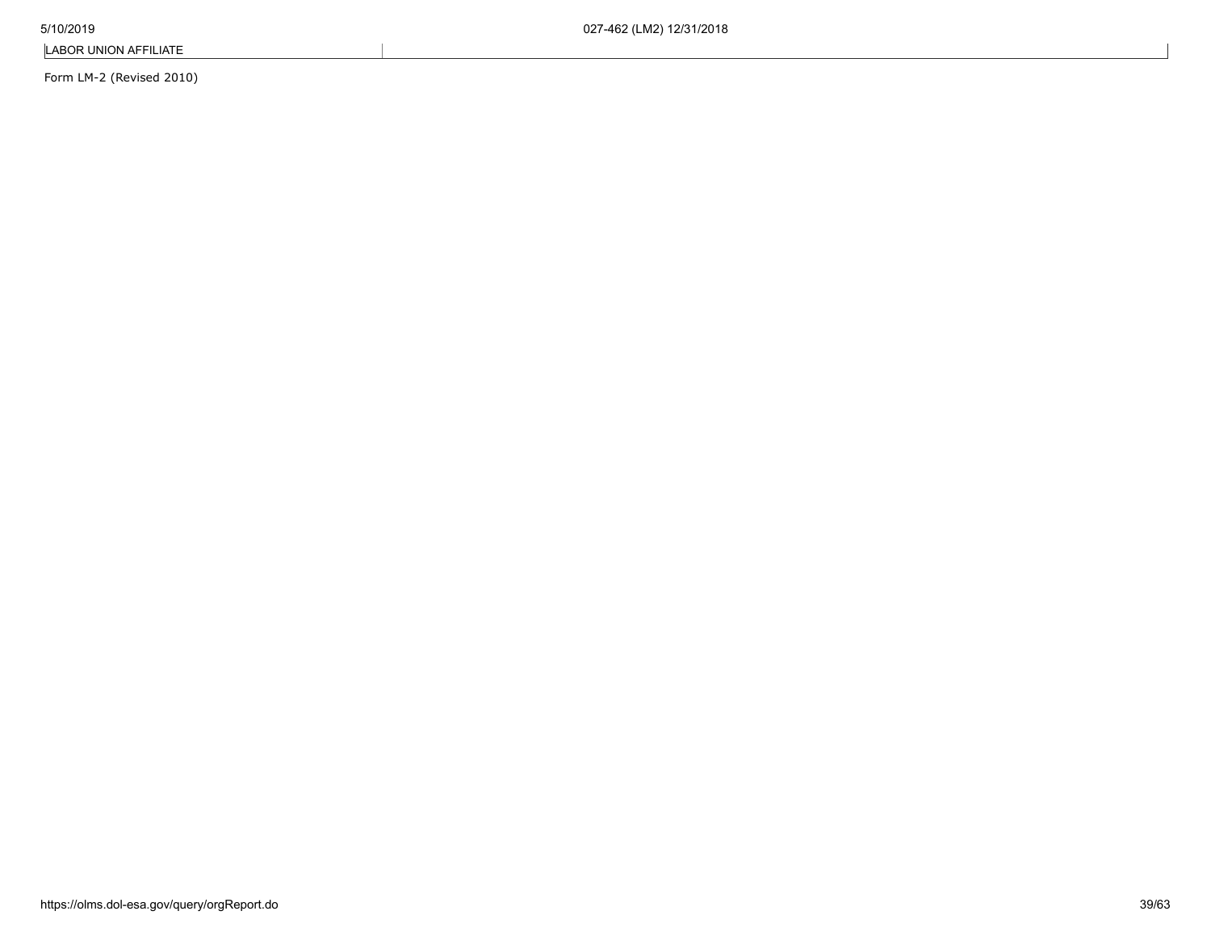Form LM-2 (Revised 2010)

https://olms.dol-esa.gov/query/orgReport.do 39/63

LABOR UNION AFFILIATE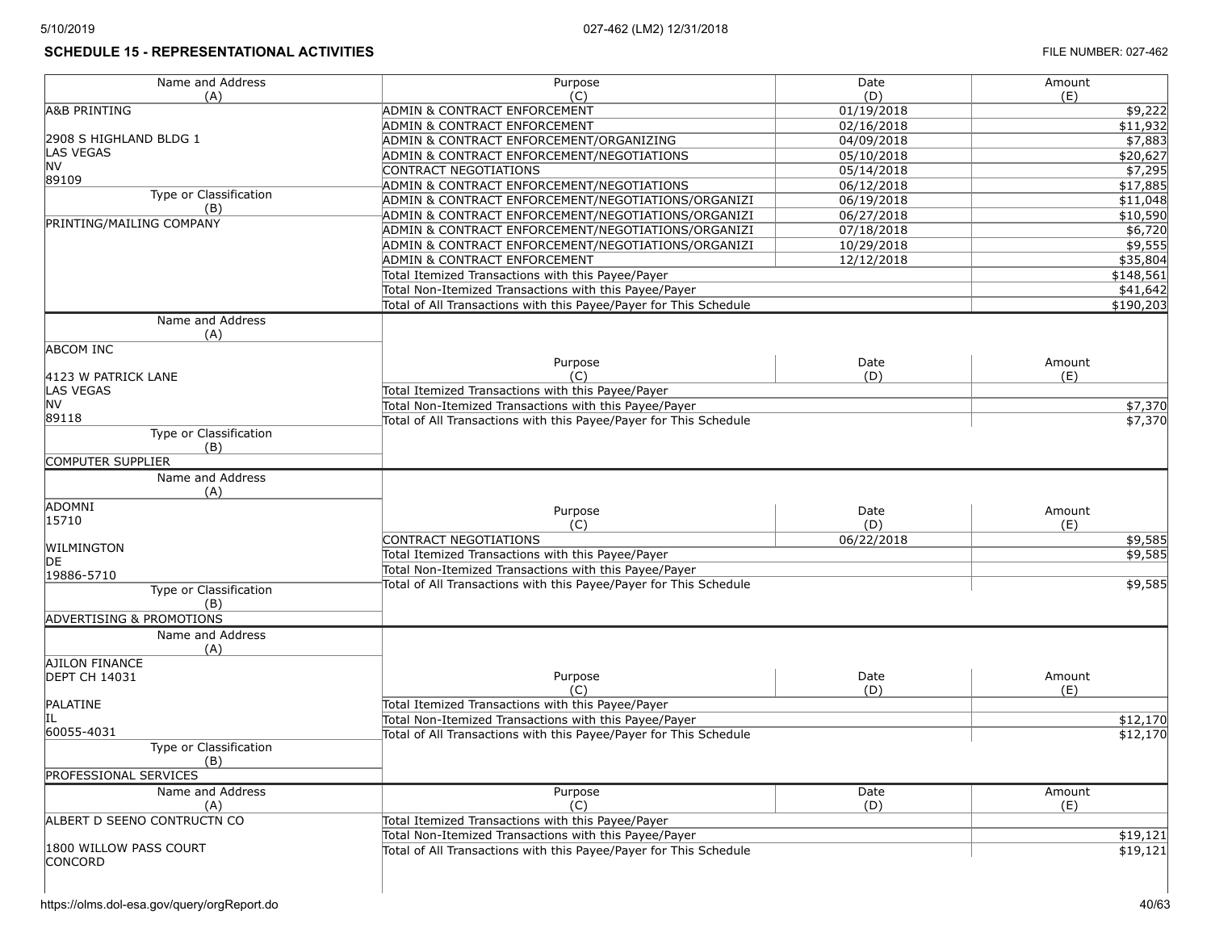# **SCHEDULE 15 - REPRESENTATIONAL ACTIVITIES FILE NUMBER: 027-462**

| Name and Address                    | Purpose                                                           | Date       | Amount    |
|-------------------------------------|-------------------------------------------------------------------|------------|-----------|
| (A)                                 | (C)                                                               | (D)        | (E)       |
| <b>A&amp;B PRINTING</b>             | ADMIN & CONTRACT ENFORCEMENT                                      | 01/19/2018 | \$9,222   |
|                                     | ADMIN & CONTRACT ENFORCEMENT                                      | 02/16/2018 | \$11,932  |
| 2908 S HIGHLAND BLDG 1              | ADMIN & CONTRACT ENFORCEMENT/ORGANIZING                           | 04/09/2018 | \$7,883   |
| <b>LAS VEGAS</b>                    | ADMIN & CONTRACT ENFORCEMENT/NEGOTIATIONS                         | 05/10/2018 | \$20,627  |
| <b>NV</b>                           | CONTRACT NEGOTIATIONS                                             | 05/14/2018 | \$7,295   |
| 89109                               | ADMIN & CONTRACT ENFORCEMENT/NEGOTIATIONS                         | 06/12/2018 | \$17,885  |
| Type or Classification              | ADMIN & CONTRACT ENFORCEMENT/NEGOTIATIONS/ORGANIZI                | 06/19/2018 | \$11,048  |
| (B)                                 | ADMIN & CONTRACT ENFORCEMENT/NEGOTIATIONS/ORGANIZI                | 06/27/2018 | \$10,590  |
| PRINTING/MAILING COMPANY            | ADMIN & CONTRACT ENFORCEMENT/NEGOTIATIONS/ORGANIZI                | 07/18/2018 | \$6,720   |
|                                     | ADMIN & CONTRACT ENFORCEMENT/NEGOTIATIONS/ORGANIZI                | 10/29/2018 | \$9,555   |
|                                     | ADMIN & CONTRACT ENFORCEMENT                                      | 12/12/2018 | \$35,804  |
|                                     | Total Itemized Transactions with this Payee/Payer                 |            | \$148,561 |
|                                     | Total Non-Itemized Transactions with this Payee/Payer             |            | \$41,642  |
|                                     | Total of All Transactions with this Payee/Payer for This Schedule |            | \$190,203 |
| Name and Address                    |                                                                   |            |           |
| (A)                                 |                                                                   |            |           |
| <b>ABCOM INC</b>                    |                                                                   |            |           |
|                                     | Purpose                                                           | Date       | Amount    |
| 4123 W PATRICK LANE                 | (C)                                                               | (D)        | (E)       |
| <b>LAS VEGAS</b>                    | Total Itemized Transactions with this Payee/Payer                 |            |           |
| <b>NV</b>                           | Total Non-Itemized Transactions with this Payee/Payer             |            | \$7,370   |
| 89118                               | Total of All Transactions with this Payee/Payer for This Schedule |            | \$7,370   |
| Type or Classification              |                                                                   |            |           |
| (B)                                 |                                                                   |            |           |
| <b>COMPUTER SUPPLIER</b>            |                                                                   |            |           |
| Name and Address                    |                                                                   |            |           |
| (A)                                 |                                                                   |            |           |
| ADOMNI                              | Purpose                                                           | Date       | Amount    |
| 15710                               | (C)                                                               | (D)        | (E)       |
|                                     | <b>CONTRACT NEGOTIATIONS</b>                                      | 06/22/2018 | \$9,585   |
| WILMINGTON                          | Total Itemized Transactions with this Payee/Payer                 |            | \$9,585   |
| DE                                  | Total Non-Itemized Transactions with this Payee/Payer             |            |           |
| 19886-5710                          | Total of All Transactions with this Payee/Payer for This Schedule |            | \$9,585   |
| Type or Classification              |                                                                   |            |           |
| (B)                                 |                                                                   |            |           |
| <b>ADVERTISING &amp; PROMOTIONS</b> |                                                                   |            |           |
| Name and Address                    |                                                                   |            |           |
| (A)                                 |                                                                   |            |           |
| <b>AJILON FINANCE</b>               |                                                                   |            |           |
| <b>DEPT CH 14031</b>                | Purpose                                                           | Date       | Amount    |
|                                     | (C)                                                               | (D)        | (E)       |
| PALATINE                            | Total Itemized Transactions with this Payee/Payer                 |            |           |
| IL                                  | Total Non-Itemized Transactions with this Payee/Payer             |            | \$12,170  |
| 60055-4031                          | Total of All Transactions with this Payee/Payer for This Schedule |            | \$12,170  |
| Type or Classification              |                                                                   |            |           |
| (B)                                 |                                                                   |            |           |
| <b>PROFESSIONAL SERVICES</b>        |                                                                   |            |           |
| Name and Address                    | Purpose                                                           | Date       | Amount    |
| (A)                                 | (C)                                                               | (D)        | (E)       |
| ALBERT D SEENO CONTRUCTN CO         | Total Itemized Transactions with this Payee/Payer                 |            |           |
|                                     | Total Non-Itemized Transactions with this Payee/Payer             |            | \$19,121  |
| 1800 WILLOW PASS COURT              | Total of All Transactions with this Payee/Payer for This Schedule |            | \$19,121  |
| <b>CONCORD</b>                      |                                                                   |            |           |
|                                     |                                                                   |            |           |
|                                     |                                                                   |            |           |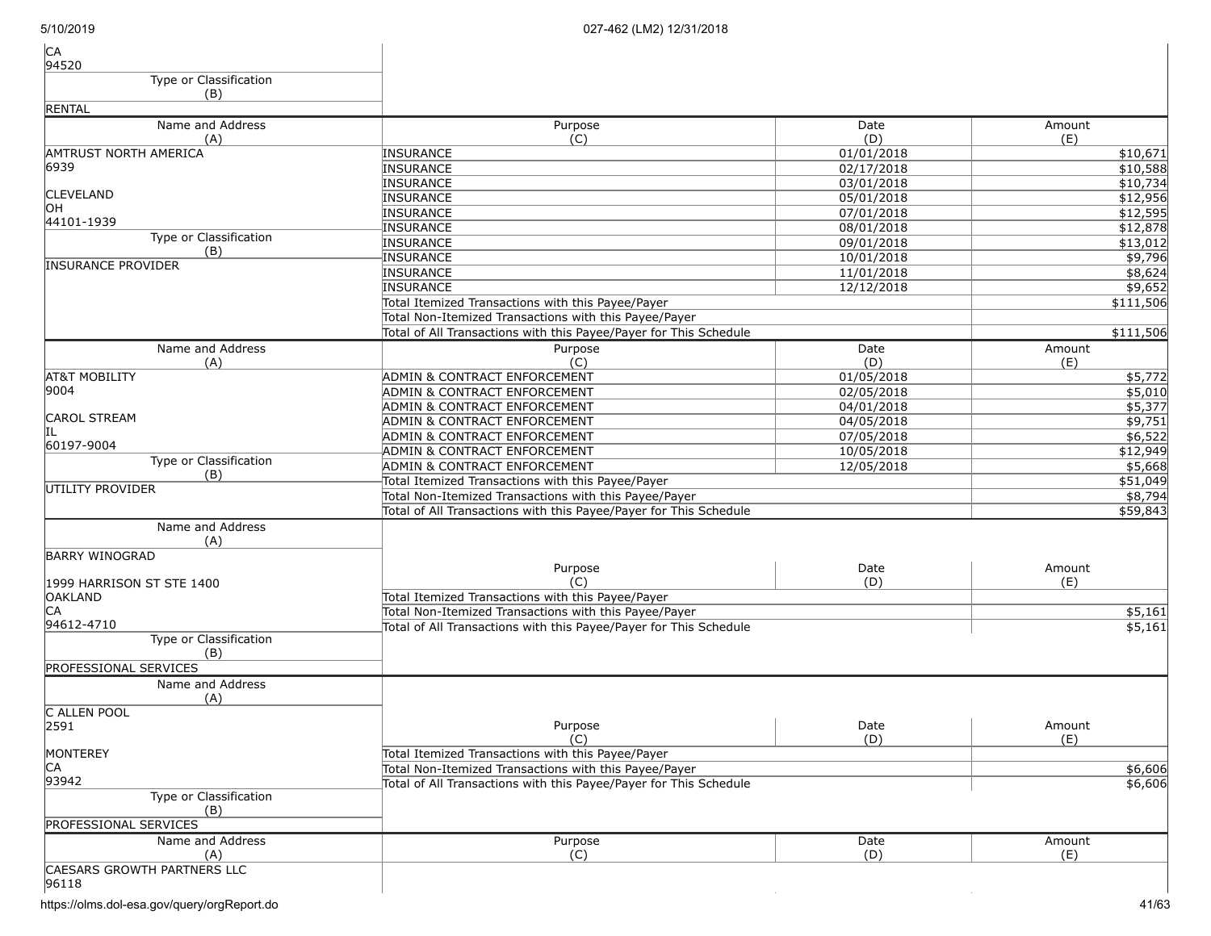| <b>CA</b><br>94520           |                                                                   |            |                     |
|------------------------------|-------------------------------------------------------------------|------------|---------------------|
| Type or Classification       |                                                                   |            |                     |
| (B)                          |                                                                   |            |                     |
| <b>RENTAL</b>                |                                                                   |            |                     |
| Name and Address             | Purpose                                                           | Date       | Amount              |
| (A)                          | (C)                                                               | (D)        | (E)                 |
| AMTRUST NORTH AMERICA        | INSURANCE                                                         | 01/01/2018 | \$10,671            |
| 6939                         | INSURANCE                                                         | 02/17/2018 | \$10,588            |
|                              | <b>INSURANCE</b>                                                  | 03/01/2018 | \$10,734            |
| <b>CLEVELAND</b>             | <b>INSURANCE</b>                                                  | 05/01/2018 | \$12,956            |
| ЮH                           | <b>INSURANCE</b>                                                  | 07/01/2018 | \$12,595            |
| 44101-1939                   | <b>INSURANCE</b>                                                  | 08/01/2018 | \$12,878            |
| Type or Classification       | <b>INSURANCE</b>                                                  | 09/01/2018 | \$13,012            |
| (B)                          | <b>INSURANCE</b>                                                  | 10/01/2018 | \$9,796             |
| <b>INSURANCE PROVIDER</b>    | <b>INSURANCE</b>                                                  | 11/01/2018 | \$8,624             |
|                              | INSURANCE                                                         | 12/12/2018 | \$9,652             |
|                              | Total Itemized Transactions with this Payee/Payer                 |            | \$111,506           |
|                              | Total Non-Itemized Transactions with this Payee/Payer             |            |                     |
|                              | Total of All Transactions with this Payee/Payer for This Schedule |            | \$111,506           |
| Name and Address             | Purpose                                                           | Date       | Amount              |
| (A)                          | (C)                                                               | (D)        | (E)                 |
| <b>AT&amp;T MOBILITY</b>     | <b>ADMIN &amp; CONTRACT ENFORCEMENT</b>                           | 01/05/2018 | \$5,772             |
| 9004                         | ADMIN & CONTRACT ENFORCEMENT                                      | 02/05/2018 | \$5,010             |
|                              | ADMIN & CONTRACT ENFORCEMENT                                      | 04/01/2018 | \$5,377             |
| <b>CAROL STREAM</b>          | <b>ADMIN &amp; CONTRACT ENFORCEMENT</b>                           | 04/05/2018 | \$9,751             |
|                              | <b>ADMIN &amp; CONTRACT ENFORCEMENT</b>                           | 07/05/2018 | \$6,522             |
| 60197-9004                   | ADMIN & CONTRACT ENFORCEMENT                                      | 10/05/2018 | \$12,949            |
| Type or Classification       | <b>ADMIN &amp; CONTRACT ENFORCEMENT</b>                           | 12/05/2018 | \$5,668             |
| (B)                          | Total Itemized Transactions with this Payee/Payer                 |            | \$51,049            |
| IUTILITY PROVIDER            | Total Non-Itemized Transactions with this Payee/Payer             |            |                     |
|                              |                                                                   |            | \$8,794             |
|                              | Total of All Transactions with this Payee/Payer for This Schedule |            | \$59,843            |
| Name and Address             |                                                                   |            |                     |
| (A)                          |                                                                   |            |                     |
| <b>BARRY WINOGRAD</b>        | Purpose                                                           | Date       | Amount              |
| 1999 HARRISON ST STE 1400    | (C)                                                               | (D)        | (E)                 |
| <b>OAKLAND</b>               | Total Itemized Transactions with this Payee/Payer                 |            |                     |
| CA                           | Total Non-Itemized Transactions with this Payee/Payer             |            | $\overline{$}5,161$ |
| 94612-4710                   | Total of All Transactions with this Payee/Payer for This Schedule |            | \$5,161             |
| Type or Classification       |                                                                   |            |                     |
| (B)                          |                                                                   |            |                     |
| <b>PROFESSIONAL SERVICES</b> |                                                                   |            |                     |
| Name and Address             |                                                                   |            |                     |
| (A)                          |                                                                   |            |                     |
| C ALLEN POOL                 |                                                                   |            |                     |
| 2591                         | Purpose                                                           | Date       | Amount              |
|                              | (C)                                                               | (D)        | (E)                 |
| MONTEREY                     | Total Itemized Transactions with this Payee/Payer                 |            |                     |
| CA                           | Total Non-Itemized Transactions with this Payee/Payer             |            | \$6,606             |
| 93942                        | Total of All Transactions with this Payee/Payer for This Schedule |            | \$6,606             |
| Type or Classification       |                                                                   |            |                     |
| (B)                          |                                                                   |            |                     |
| <b>PROFESSIONAL SERVICES</b> |                                                                   |            |                     |
| Name and Address             | Purpose                                                           | Date       | Amount              |
| (A)                          | (C)                                                               | (D)        | (E)                 |
| CAESARS GROWTH PARTNERS LLC  |                                                                   |            |                     |
| 96118                        |                                                                   |            |                     |
|                              |                                                                   |            |                     |

https://olms.dol-esa.gov/query/orgReport.do 41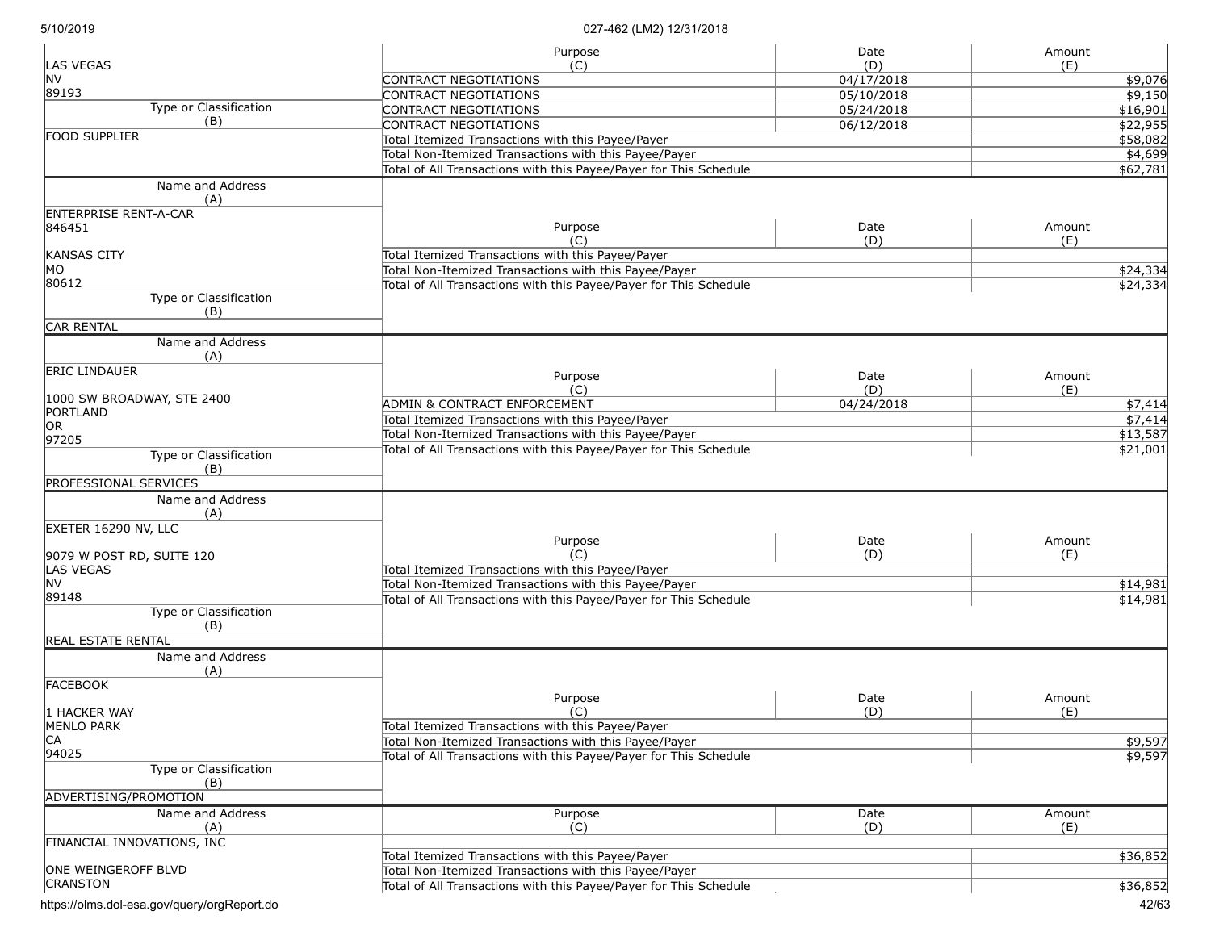| <b>LAS VEGAS</b>                              | Purpose<br>(C)                                                    | Date<br>(D) | Amount<br>(E)   |  |  |
|-----------------------------------------------|-------------------------------------------------------------------|-------------|-----------------|--|--|
| <b>NV</b>                                     |                                                                   |             |                 |  |  |
| 89193                                         | CONTRACT NEGOTIATIONS                                             | 04/17/2018  | \$9,076         |  |  |
| Type or Classification                        | CONTRACT NEGOTIATIONS                                             | 05/10/2018  | \$9,150         |  |  |
| (B)                                           | CONTRACT NEGOTIATIONS                                             | 05/24/2018  | \$16,901        |  |  |
| FOOD SUPPLIER                                 | CONTRACT NEGOTIATIONS                                             | 06/12/2018  | \$22,955        |  |  |
|                                               | Total Itemized Transactions with this Payee/Payer                 |             | \$58,082        |  |  |
|                                               | Total Non-Itemized Transactions with this Payee/Payer             |             | \$4,699         |  |  |
|                                               | Total of All Transactions with this Payee/Payer for This Schedule |             | \$62,781        |  |  |
| Name and Address<br>(A)                       |                                                                   |             |                 |  |  |
| <b>ENTERPRISE RENT-A-CAR</b>                  |                                                                   |             |                 |  |  |
| 846451                                        | Purpose                                                           | Date        | Amount          |  |  |
|                                               | (C)                                                               | (D)         | (E)             |  |  |
| <b>KANSAS CITY</b>                            | Total Itemized Transactions with this Payee/Payer                 |             |                 |  |  |
| MO                                            | Total Non-Itemized Transactions with this Payee/Payer             |             | \$24,334        |  |  |
| 80612                                         | Total of All Transactions with this Payee/Payer for This Schedule |             | \$24,334        |  |  |
| Type or Classification<br>(B)                 |                                                                   |             |                 |  |  |
| <b>CAR RENTAL</b>                             |                                                                   |             |                 |  |  |
| Name and Address<br>(A)                       |                                                                   |             |                 |  |  |
| <b>ERIC LINDAUER</b>                          | Purpose                                                           | Date        | Amount          |  |  |
|                                               | (C)                                                               | (D)         | (E)             |  |  |
| 1000 SW BROADWAY, STE 2400                    |                                                                   |             |                 |  |  |
| PORTLAND                                      | ADMIN & CONTRACT ENFORCEMENT                                      | 04/24/2018  | \$7,414         |  |  |
| OR <sub>.</sub>                               | Total Itemized Transactions with this Payee/Payer                 |             | $\sqrt{57,414}$ |  |  |
| 97205                                         | Total Non-Itemized Transactions with this Payee/Payer             |             | \$13,587        |  |  |
| Type or Classification                        | Total of All Transactions with this Payee/Payer for This Schedule |             | \$21,001        |  |  |
| (B)                                           |                                                                   |             |                 |  |  |
| PROFESSIONAL SERVICES                         |                                                                   |             |                 |  |  |
| Name and Address                              |                                                                   |             |                 |  |  |
|                                               |                                                                   |             |                 |  |  |
| (A)                                           |                                                                   |             |                 |  |  |
| EXETER 16290 NV, LLC                          | Purpose                                                           | Date        | Amount          |  |  |
|                                               | (C)                                                               | (D)         | (E)             |  |  |
| 9079 W POST RD, SUITE 120<br><b>LAS VEGAS</b> |                                                                   |             |                 |  |  |
| <b>NV</b>                                     | Total Itemized Transactions with this Payee/Payer                 |             |                 |  |  |
|                                               | Total Non-Itemized Transactions with this Payee/Payer             |             | \$14,981        |  |  |
| 89148                                         | Total of All Transactions with this Payee/Payer for This Schedule |             | \$14,981        |  |  |
| Type or Classification                        |                                                                   |             |                 |  |  |
| (B)                                           |                                                                   |             |                 |  |  |
| <b>REAL ESTATE RENTAL</b>                     |                                                                   |             |                 |  |  |
| Name and Address                              |                                                                   |             |                 |  |  |
| (A)                                           |                                                                   |             |                 |  |  |
| <b>FACEBOOK</b>                               |                                                                   |             |                 |  |  |
|                                               | Purpose                                                           | Date        | Amount          |  |  |
| 1 HACKER WAY                                  | (C)                                                               | (D)         | (E)             |  |  |
| <b>MENLO PARK</b>                             | Total Itemized Transactions with this Payee/Payer                 |             |                 |  |  |
| CA                                            | Total Non-Itemized Transactions with this Payee/Payer             |             | \$9,597         |  |  |
| 94025                                         | Total of All Transactions with this Payee/Payer for This Schedule |             | \$9,597         |  |  |
| Type or Classification<br>(B)                 |                                                                   |             |                 |  |  |
| ADVERTISING/PROMOTION                         |                                                                   |             |                 |  |  |
| Name and Address                              | Purpose                                                           | Date        | Amount          |  |  |
| (A)                                           | (C)                                                               | (D)         | (E)             |  |  |
| FINANCIAL INNOVATIONS, INC                    |                                                                   |             |                 |  |  |
|                                               | Total Itemized Transactions with this Payee/Payer                 |             | \$36,852        |  |  |
| ONE WEINGEROFF BLVD                           | Total Non-Itemized Transactions with this Payee/Payer             |             |                 |  |  |
| <b>CRANSTON</b>                               |                                                                   | \$36,852    |                 |  |  |
|                                               | Total of All Transactions with this Payee/Payer for This Schedule |             |                 |  |  |

https://olms.dol-esa.gov/query/orgReport.do 42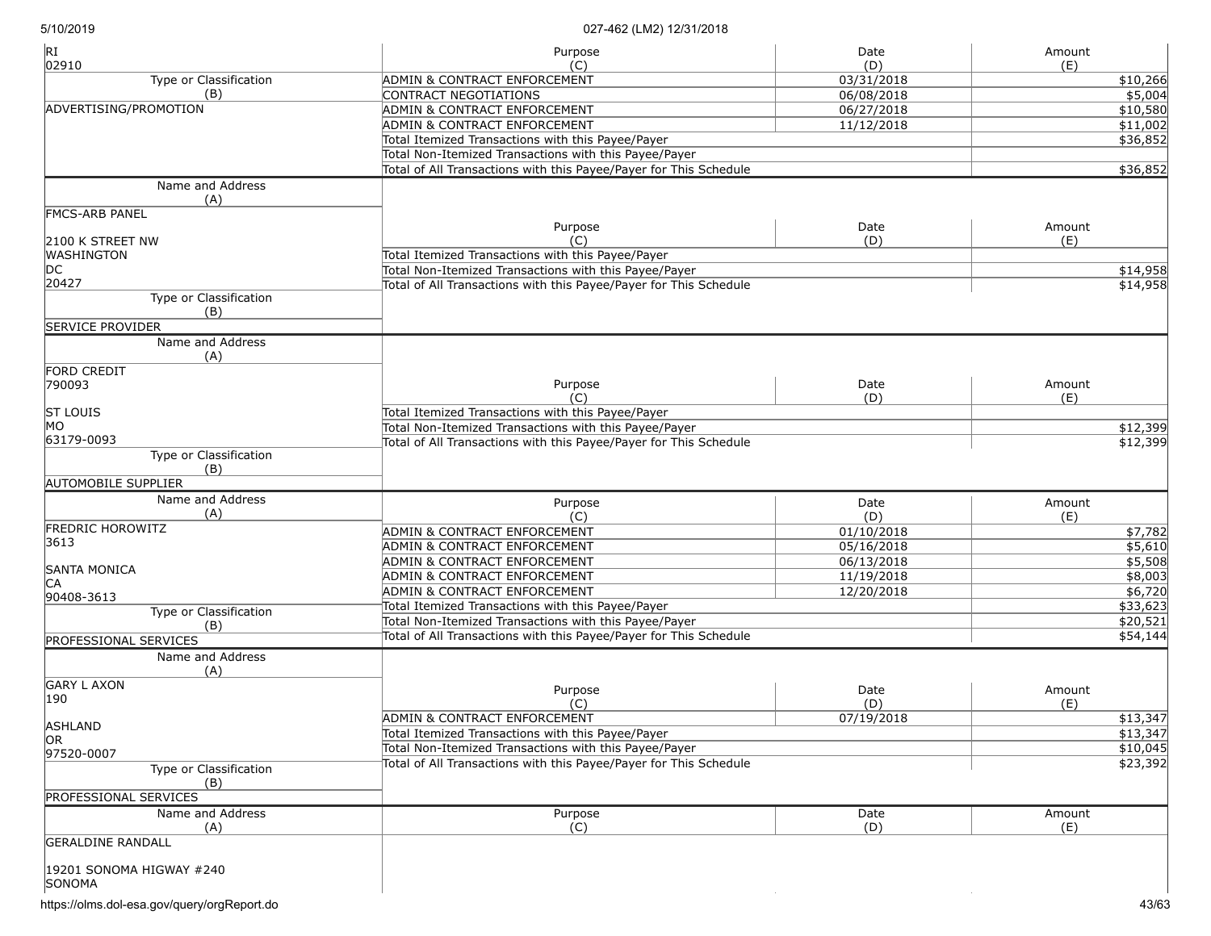| RI<br>02910                        | Purpose                                                           | Date              | Amount          |
|------------------------------------|-------------------------------------------------------------------|-------------------|-----------------|
| Type or Classification             | (C)<br>ADMIN & CONTRACT ENFORCEMENT                               | (D)<br>03/31/2018 | (E)<br>\$10,266 |
| (B)                                | CONTRACT NEGOTIATIONS                                             | 06/08/2018        | \$5,004         |
| ADVERTISING/PROMOTION              | ADMIN & CONTRACT ENFORCEMENT                                      | 06/27/2018        | \$10,580        |
|                                    |                                                                   |                   |                 |
|                                    | ADMIN & CONTRACT ENFORCEMENT                                      | 11/12/2018        | \$11,002        |
|                                    | Total Itemized Transactions with this Payee/Payer                 |                   | \$36,852        |
|                                    | Total Non-Itemized Transactions with this Payee/Payer             |                   |                 |
|                                    | Total of All Transactions with this Payee/Payer for This Schedule |                   | \$36,852        |
| Name and Address<br>(A)            |                                                                   |                   |                 |
| <b>FMCS-ARB PANEL</b>              |                                                                   |                   |                 |
|                                    | Purpose                                                           | Date              | Amount          |
| 2100 K STREET NW                   | (C)                                                               | (D)               | (E)             |
| <b>WASHINGTON</b>                  | Total Itemized Transactions with this Payee/Payer                 |                   |                 |
| DC                                 | Total Non-Itemized Transactions with this Payee/Payer             |                   | \$14,958        |
| 20427                              | Total of All Transactions with this Payee/Payer for This Schedule |                   | \$14,958        |
| Type or Classification<br>(B)      |                                                                   |                   |                 |
| <b>SERVICE PROVIDER</b>            |                                                                   |                   |                 |
| Name and Address<br>(A)            |                                                                   |                   |                 |
| FORD CREDIT                        |                                                                   |                   |                 |
| 790093                             | Purpose                                                           | Date              | Amount          |
|                                    | (C)                                                               | (D)               | (E)             |
| <b>ST LOUIS</b>                    | Total Itemized Transactions with this Payee/Payer                 |                   |                 |
| MO                                 | Total Non-Itemized Transactions with this Payee/Payer             |                   | \$12,399        |
| 63179-0093                         | Total of All Transactions with this Payee/Payer for This Schedule |                   | \$12,399        |
| Type or Classification             |                                                                   |                   |                 |
| (B)                                |                                                                   |                   |                 |
| <b>AUTOMOBILE SUPPLIER</b>         |                                                                   |                   |                 |
| Name and Address                   |                                                                   |                   |                 |
| (A)                                | Purpose<br>(C)                                                    | Date              | Amount          |
| <b>FREDRIC HOROWITZ</b>            |                                                                   | (D)               | (E)             |
| 3613                               | ADMIN & CONTRACT ENFORCEMENT                                      | 01/10/2018        | \$7,782         |
|                                    | ADMIN & CONTRACT ENFORCEMENT                                      | 05/16/2018        | \$5,610         |
| SANTA MONICA                       | ADMIN & CONTRACT ENFORCEMENT                                      | 06/13/2018        | \$5,508         |
| IСA                                | ADMIN & CONTRACT ENFORCEMENT                                      | 11/19/2018        | \$8,003         |
| 90408-3613                         | ADMIN & CONTRACT ENFORCEMENT                                      | 12/20/2018        | \$6,720         |
| Type or Classification             | Total Itemized Transactions with this Payee/Payer                 |                   | \$33,623        |
| (B)                                | Total Non-Itemized Transactions with this Payee/Payer             |                   | \$20,521        |
| <b>PROFESSIONAL SERVICES</b>       | Total of All Transactions with this Payee/Payer for This Schedule |                   | \$54,144        |
| Name and Address                   |                                                                   |                   |                 |
| (A)                                |                                                                   |                   |                 |
| <b>GARY L AXON</b>                 | Purpose                                                           | Date              | Amount          |
| 190                                | (C)                                                               | (D)               | (E)             |
|                                    | ADMIN & CONTRACT ENFORCEMENT                                      | 07/19/2018        | \$13,347        |
| <b>ASHLAND</b>                     | Total Itemized Transactions with this Payee/Payer                 |                   | \$13,347        |
| OR <sub></sub>                     | Total Non-Itemized Transactions with this Payee/Payer             |                   | \$10,045        |
| 97520-0007                         | Total of All Transactions with this Payee/Payer for This Schedule |                   | \$23,392        |
| Type or Classification<br>(B)      |                                                                   |                   |                 |
| PROFESSIONAL SERVICES              |                                                                   |                   |                 |
| Name and Address                   | Purpose                                                           | Date              | Amount          |
| (A)                                | (C)                                                               | (D)               | (E)             |
| <b>GERALDINE RANDALL</b>           |                                                                   |                   |                 |
| 19201 SONOMA HIGWAY #240<br>SONOMA |                                                                   |                   |                 |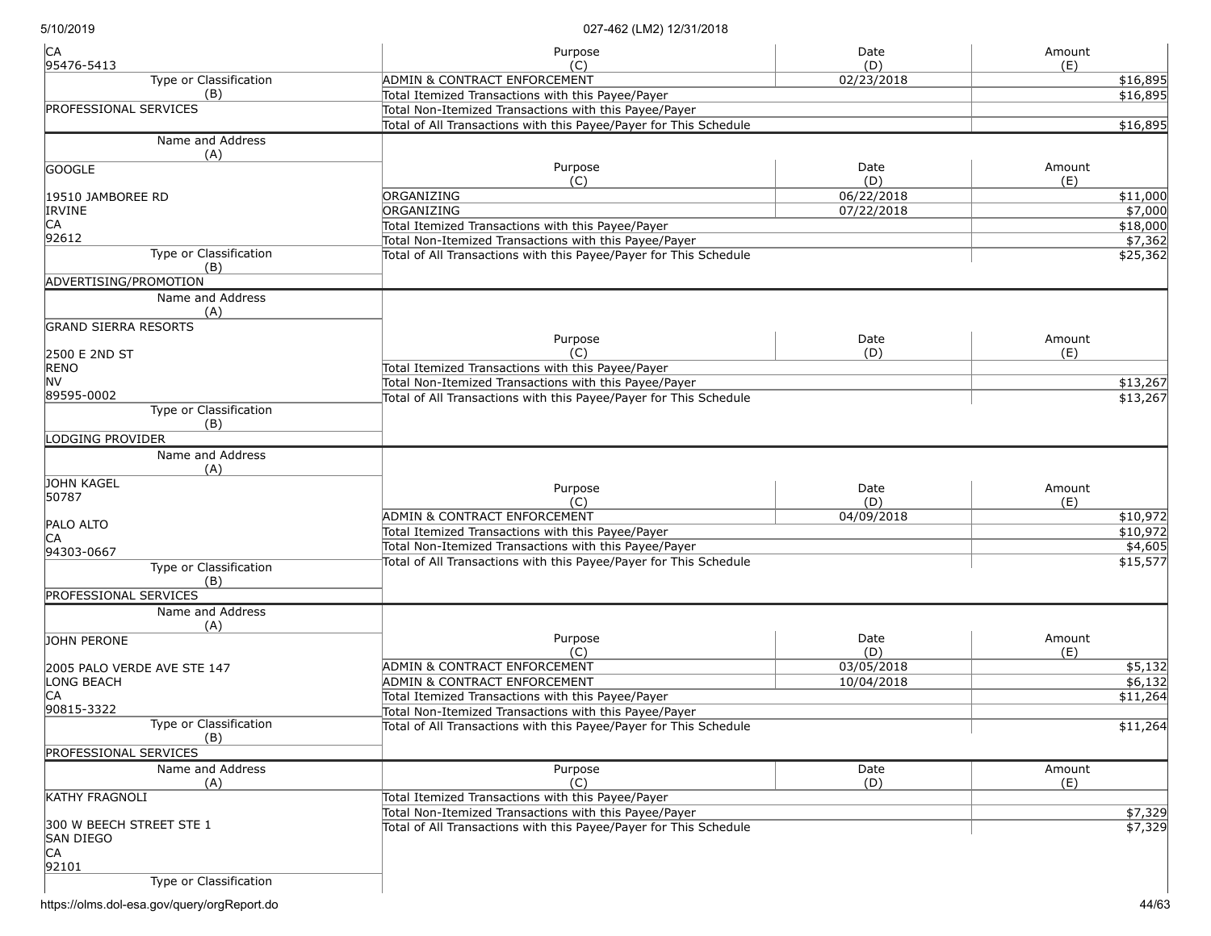| CA<br>95476-5413              | Purpose<br>(C)                                                    | Date<br>(D) | Amount<br>(E) |
|-------------------------------|-------------------------------------------------------------------|-------------|---------------|
| Type or Classification        | <b>ADMIN &amp; CONTRACT ENFORCEMENT</b>                           | 02/23/2018  | \$16,895      |
| (B)                           | Total Itemized Transactions with this Payee/Payer                 |             | \$16,895      |
| <b>PROFESSIONAL SERVICES</b>  | Total Non-Itemized Transactions with this Payee/Payer             |             |               |
|                               | Total of All Transactions with this Payee/Payer for This Schedule |             | \$16,895      |
| Name and Address<br>(A)       |                                                                   |             |               |
| <b>GOOGLE</b>                 | Purpose                                                           | Date        | Amount        |
|                               | (C)                                                               | (D)         | (E)           |
| 19510 JAMBOREE RD             | ORGANIZING                                                        | 06/22/2018  | \$11,000      |
| <b>IRVINE</b>                 | ORGANIZING                                                        | 07/22/2018  | \$7,000       |
| CA                            | Total Itemized Transactions with this Payee/Payer                 |             | \$18,000      |
| 92612                         | Total Non-Itemized Transactions with this Payee/Payer             |             | \$7,362       |
| Type or Classification        | Total of All Transactions with this Payee/Payer for This Schedule |             | \$25,362      |
| (B)                           |                                                                   |             |               |
| ADVERTISING/PROMOTION         |                                                                   |             |               |
| Name and Address              |                                                                   |             |               |
| (A)                           |                                                                   |             |               |
| <b>GRAND SIERRA RESORTS</b>   | Purpose                                                           | Date        | Amount        |
| 2500 E 2ND ST                 | (C)                                                               | (D)         | (E)           |
| <b>RENO</b>                   | Total Itemized Transactions with this Payee/Payer                 |             |               |
| <b>NV</b>                     | Total Non-Itemized Transactions with this Payee/Payer             |             | \$13,267      |
| 89595-0002                    | Total of All Transactions with this Payee/Payer for This Schedule |             | \$13,267      |
| Type or Classification<br>(B) |                                                                   |             |               |
| LODGING PROVIDER              |                                                                   |             |               |
| Name and Address              |                                                                   |             |               |
| (A)                           |                                                                   |             |               |
| JOHN KAGEL                    | Purpose                                                           | Date        | Amount        |
| 50787                         | (C)                                                               | (D)         | (E)           |
|                               | ADMIN & CONTRACT ENFORCEMENT                                      | 04/09/2018  | \$10,972      |
| <b>PALO ALTO</b>              | Total Itemized Transactions with this Payee/Payer                 |             | \$10,972      |
| IСA                           | Total Non-Itemized Transactions with this Payee/Payer             |             | \$4,605       |
| 94303-0667                    | Total of All Transactions with this Payee/Payer for This Schedule |             | \$15,577      |
| Type or Classification<br>(B) |                                                                   |             |               |
| <b>PROFESSIONAL SERVICES</b>  |                                                                   |             |               |
| Name and Address              |                                                                   |             |               |
| (A)                           |                                                                   |             |               |
| JOHN PERONE                   | Purpose                                                           | Date        | Amount        |
|                               | (C)                                                               | (D)         | (E)           |
| 2005 PALO VERDE AVE STE 147   | ADMIN & CONTRACT ENFORCEMENT                                      | 03/05/2018  | \$5,132       |
| LONG BEACH                    | ADMIN & CONTRACT ENFORCEMENT                                      | 10/04/2018  | \$6,132       |
| CA                            | Total Itemized Transactions with this Payee/Payer                 |             | \$11,264      |
| 90815-3322                    | Total Non-Itemized Transactions with this Payee/Payer             |             |               |
| Type or Classification        | Total of All Transactions with this Payee/Payer for This Schedule |             | \$11,264      |
| (B)                           |                                                                   |             |               |
| <b>PROFESSIONAL SERVICES</b>  |                                                                   |             |               |
| Name and Address              | Purpose                                                           | Date        | Amount        |
| (A)                           | (C)                                                               | (D)         | (E)           |
| <b>KATHY FRAGNOLI</b>         | Total Itemized Transactions with this Payee/Payer                 |             |               |
| 300 W BEECH STREET STE 1      | Total Non-Itemized Transactions with this Payee/Payer             |             | \$7,329       |
| <b>SAN DIEGO</b>              | Total of All Transactions with this Payee/Payer for This Schedule |             | \$7,329       |
| CA<br>92101                   |                                                                   |             |               |
| Type or Classification        |                                                                   |             |               |

https://olms.dol-esa.gov/query/orgReport.do 44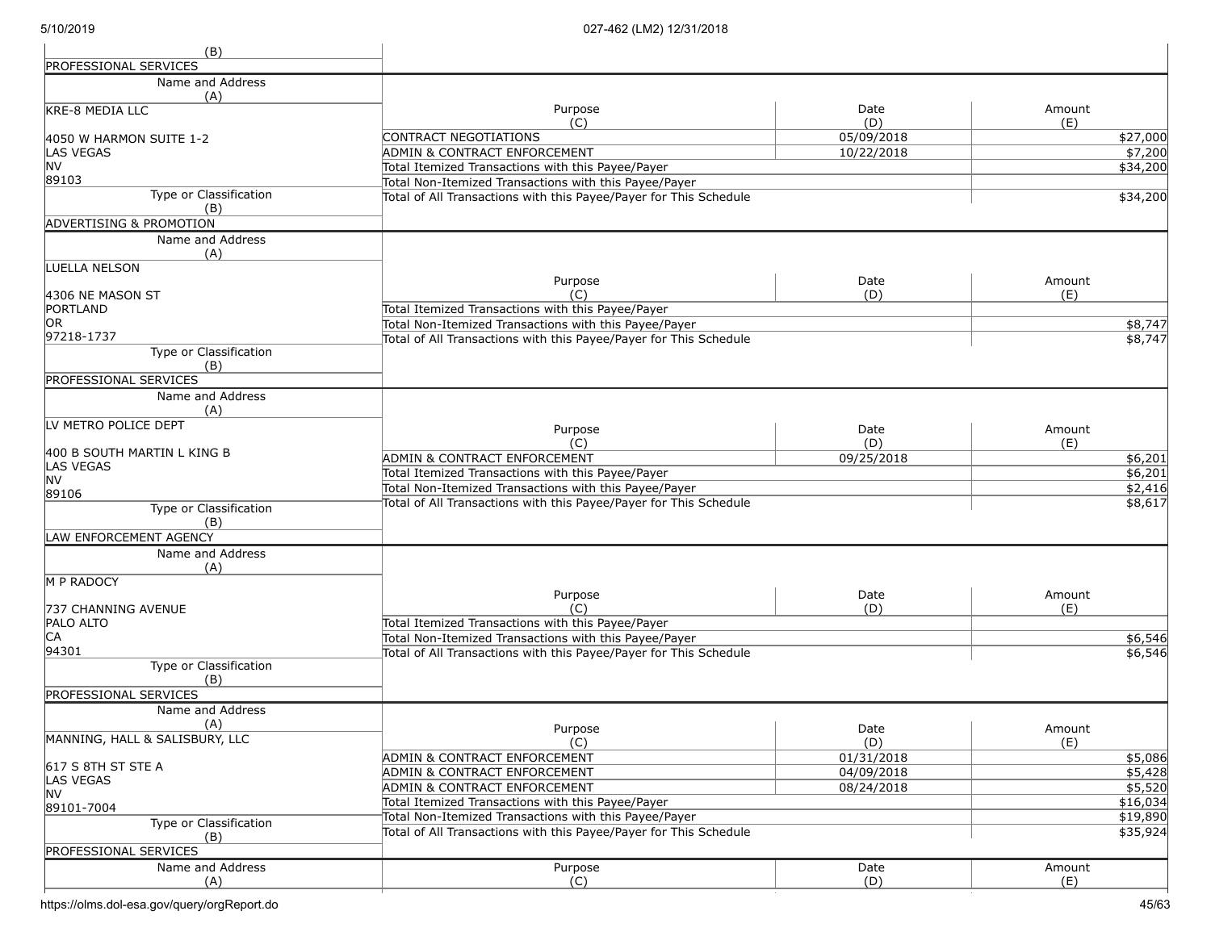| (B)                                 |                                                                   |            |                 |
|-------------------------------------|-------------------------------------------------------------------|------------|-----------------|
| <b>PROFESSIONAL SERVICES</b>        |                                                                   |            |                 |
| Name and Address                    |                                                                   |            |                 |
| (A)                                 |                                                                   |            |                 |
| KRE-8 MEDIA LLC                     | Purpose                                                           | Date       | Amount          |
|                                     | (C)                                                               | (D)        | (E)             |
| 4050 W HARMON SUITE 1-2             | CONTRACT NEGOTIATIONS                                             | 05/09/2018 | \$27,000        |
| <b>LAS VEGAS</b>                    | <b>ADMIN &amp; CONTRACT ENFORCEMENT</b>                           | 10/22/2018 | $\sqrt{$7,200}$ |
| <b>NV</b><br>89103                  | Total Itemized Transactions with this Payee/Payer                 |            | \$34,200        |
| Type or Classification              | Total Non-Itemized Transactions with this Payee/Payer             |            |                 |
| (B)                                 | Total of All Transactions with this Payee/Payer for This Schedule |            | \$34,200        |
| <b>ADVERTISING &amp; PROMOTION</b>  |                                                                   |            |                 |
| Name and Address                    |                                                                   |            |                 |
| (A)                                 |                                                                   |            |                 |
| LUELLA NELSON                       |                                                                   |            |                 |
|                                     | Purpose                                                           | Date       | Amount          |
| 4306 NE MASON ST                    | (C)                                                               | (D)        | (E)             |
| PORTLAND                            | Total Itemized Transactions with this Payee/Payer                 |            |                 |
| OR.                                 | Total Non-Itemized Transactions with this Payee/Payer             |            | \$8,747         |
| 97218-1737                          | Total of All Transactions with this Payee/Payer for This Schedule |            | \$8,747         |
| Type or Classification              |                                                                   |            |                 |
| (B)                                 |                                                                   |            |                 |
| <b>PROFESSIONAL SERVICES</b>        |                                                                   |            |                 |
| Name and Address                    |                                                                   |            |                 |
| (A)<br>LV METRO POLICE DEPT         |                                                                   |            |                 |
|                                     | Purpose                                                           | Date       | Amount          |
| 400 B SOUTH MARTIN L KING B         | (C)                                                               | (D)        | (E)             |
| LAS VEGAS                           | <b>ADMIN &amp; CONTRACT ENFORCEMENT</b>                           | 09/25/2018 | \$6,201         |
| <b>NV</b>                           | Total Itemized Transactions with this Payee/Payer                 |            | \$6,201         |
| 89106                               | Total Non-Itemized Transactions with this Payee/Payer             |            | \$2,416         |
| Type or Classification              | Total of All Transactions with this Payee/Payer for This Schedule |            | \$8,617         |
| (B)                                 |                                                                   |            |                 |
| LAW ENFORCEMENT AGENCY              |                                                                   |            |                 |
| Name and Address                    |                                                                   |            |                 |
| (A)                                 |                                                                   |            |                 |
| M P RADOCY                          |                                                                   |            |                 |
|                                     | Purpose<br>(C)                                                    | Date       | Amount          |
| 737 CHANNING AVENUE<br>PALO ALTO    | Total Itemized Transactions with this Payee/Payer                 | (D)        | (E)             |
| CA                                  | Total Non-Itemized Transactions with this Payee/Payer             |            | \$6,546         |
| 94301                               | Total of All Transactions with this Payee/Payer for This Schedule |            | \$6,546         |
| Type or Classification              |                                                                   |            |                 |
| (B)                                 |                                                                   |            |                 |
| <b>PROFESSIONAL SERVICES</b>        |                                                                   |            |                 |
| Name and Address                    |                                                                   |            |                 |
| (A)                                 | Purpose                                                           | Date       | Amount          |
| MANNING, HALL & SALISBURY, LLC      | (C)                                                               | (D)        | (E)             |
|                                     | <b>ADMIN &amp; CONTRACT ENFORCEMENT</b>                           | 01/31/2018 | \$5,086         |
| 617 S 8TH ST STE A                  | <b>ADMIN &amp; CONTRACT ENFORCEMENT</b>                           | 04/09/2018 | \$5,428         |
| <b>LAS VEGAS</b>                    | <b>ADMIN &amp; CONTRACT ENFORCEMENT</b>                           | 08/24/2018 | \$5,520         |
| <b>NV</b>                           | Total Itemized Transactions with this Payee/Payer                 |            | \$16,034        |
| 89101-7004                          | Total Non-Itemized Transactions with this Payee/Payer             |            | \$19,890        |
| Type or Classification              | Total of All Transactions with this Payee/Payer for This Schedule |            | \$35,924        |
| (B)<br><b>PROFESSIONAL SERVICES</b> |                                                                   |            |                 |
|                                     |                                                                   |            |                 |
| Name and Address                    | Purpose                                                           | Date       | Amount          |
| (A)                                 | (C)                                                               | (D)        | (E)             |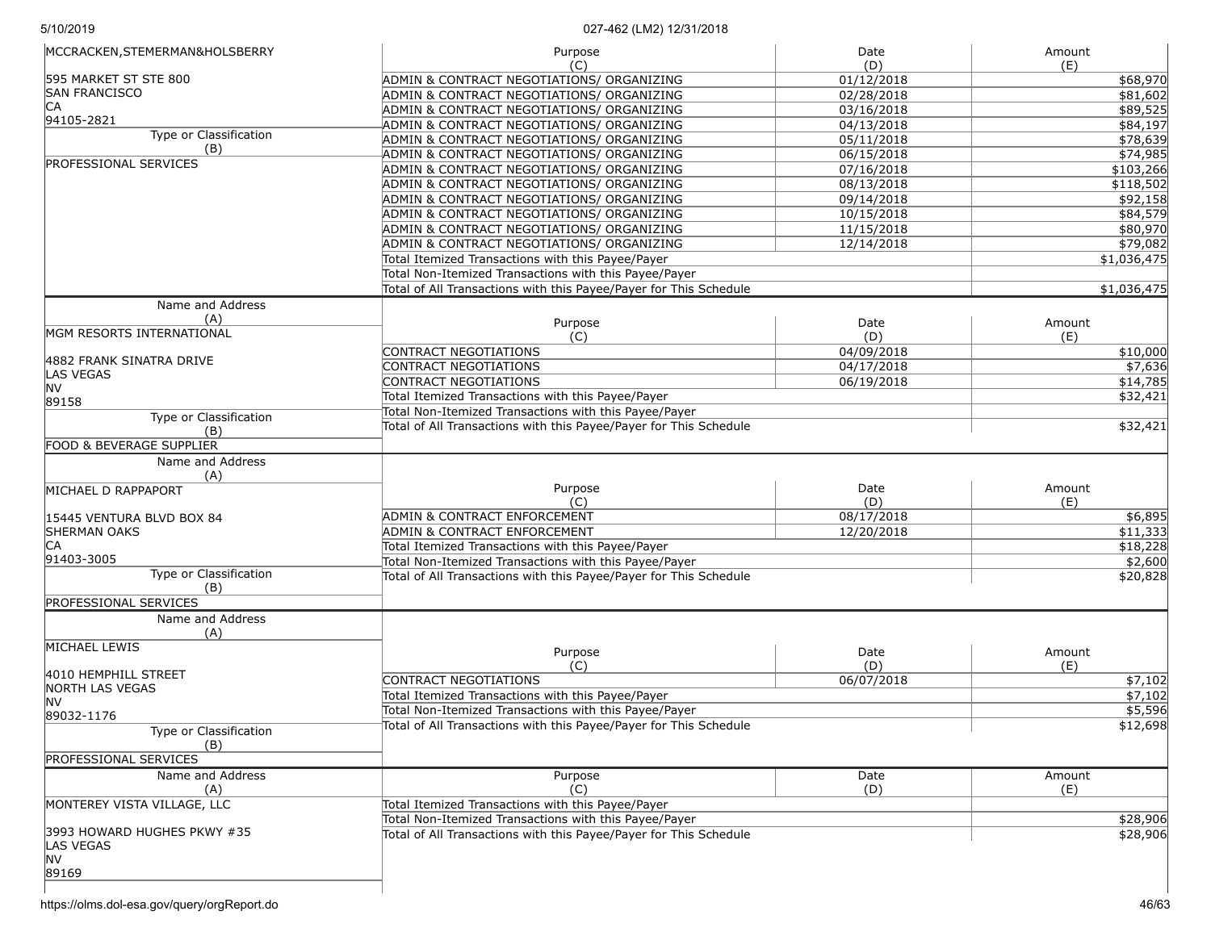| MCCRACKEN, STEMERMAN&HOLSBERRY | Purpose                                                           | Date       | Amount      |
|--------------------------------|-------------------------------------------------------------------|------------|-------------|
| 595 MARKET ST STE 800          | (C)                                                               | (D)        | (E)         |
| <b>SAN FRANCISCO</b>           | ADMIN & CONTRACT NEGOTIATIONS/ ORGANIZING                         | 01/12/2018 | \$68,970    |
| ICA                            | ADMIN & CONTRACT NEGOTIATIONS/ ORGANIZING                         | 02/28/2018 | \$81,602    |
| 94105-2821                     | ADMIN & CONTRACT NEGOTIATIONS/ ORGANIZING                         | 03/16/2018 | \$89,525    |
| Type or Classification         | ADMIN & CONTRACT NEGOTIATIONS/ ORGANIZING                         | 04/13/2018 | \$84,197    |
| (B)                            | ADMIN & CONTRACT NEGOTIATIONS/ ORGANIZING                         | 05/11/2018 | \$78,639    |
| <b>PROFESSIONAL SERVICES</b>   | ADMIN & CONTRACT NEGOTIATIONS/ ORGANIZING                         | 06/15/2018 | \$74,985    |
|                                | ADMIN & CONTRACT NEGOTIATIONS/ ORGANIZING                         | 07/16/2018 | \$103,266   |
|                                | ADMIN & CONTRACT NEGOTIATIONS/ ORGANIZING                         | 08/13/2018 | \$118,502   |
|                                | ADMIN & CONTRACT NEGOTIATIONS/ ORGANIZING                         | 09/14/2018 | \$92,158    |
|                                | ADMIN & CONTRACT NEGOTIATIONS/ ORGANIZING                         | 10/15/2018 | \$84,579    |
|                                | ADMIN & CONTRACT NEGOTIATIONS/ ORGANIZING                         | 11/15/2018 | \$80,970    |
|                                | ADMIN & CONTRACT NEGOTIATIONS/ ORGANIZING                         | 12/14/2018 | \$79,082    |
|                                | Total Itemized Transactions with this Payee/Payer                 |            | \$1,036,475 |
|                                | Total Non-Itemized Transactions with this Payee/Payer             |            |             |
|                                | Total of All Transactions with this Payee/Payer for This Schedule |            | \$1,036,475 |
| Name and Address               |                                                                   |            |             |
| (A)                            |                                                                   |            |             |
| MGM RESORTS INTERNATIONAL      | Purpose                                                           | Date       | Amount      |
|                                | (C)                                                               | (D)        | (E)         |
| 4882 FRANK SINATRA DRIVE       | CONTRACT NEGOTIATIONS                                             | 04/09/2018 | \$10,000    |
| <b>LAS VEGAS</b>               | <b>CONTRACT NEGOTIATIONS</b>                                      | 04/17/2018 | \$7,636     |
| NV                             | CONTRACT NEGOTIATIONS                                             | 06/19/2018 | \$14,785    |
| 89158                          | Total Itemized Transactions with this Payee/Payer                 |            | \$32,421    |
| Type or Classification         | Total Non-Itemized Transactions with this Payee/Payer             |            |             |
| (B)                            | Total of All Transactions with this Payee/Payer for This Schedule |            | \$32,421    |
|                                |                                                                   |            |             |
| FOOD & BEVERAGE SUPPLIER       |                                                                   |            |             |
| Name and Address<br>(A)        |                                                                   |            |             |
| MICHAEL D RAPPAPORT            | Purpose                                                           | Date       | Amount      |
|                                | (C)                                                               | (D)        | (E)         |
| 15445 VENTURA BLVD BOX 84      | ADMIN & CONTRACT ENFORCEMENT                                      | 08/17/2018 | \$6,895     |
| <b>SHERMAN OAKS</b>            | ADMIN & CONTRACT ENFORCEMENT                                      | 12/20/2018 | \$11,333    |
| IСA                            | Total Itemized Transactions with this Payee/Payer                 |            |             |
| 91403-3005                     |                                                                   |            | \$18,228    |
| Type or Classification         | Total Non-Itemized Transactions with this Payee/Payer             |            | \$2,600     |
| (B)                            | Total of All Transactions with this Payee/Payer for This Schedule |            | \$20,828    |
|                                |                                                                   |            |             |
| <b>PROFESSIONAL SERVICES</b>   |                                                                   |            |             |
| Name and Address               |                                                                   |            |             |
| (A)                            |                                                                   |            |             |
| MICHAEL LEWIS                  | Purpose                                                           | Date       | Amount      |
|                                | (C)                                                               | (D)        | (E)         |
| 4010 HEMPHILL STREET           | <b>CONTRACT NEGOTIATIONS</b>                                      | 06/07/2018 | \$7,102     |
| NORTH LAS VEGAS                | Total Itemized Transactions with this Payee/Payer                 |            | \$7,102     |
| NV                             | Total Non-Itemized Transactions with this Payee/Payer             |            | \$5,596     |
| 89032-1176                     | Total of All Transactions with this Payee/Payer for This Schedule |            | \$12,698    |
| Type or Classification<br>(B)  |                                                                   |            |             |
| <b>PROFESSIONAL SERVICES</b>   |                                                                   |            |             |
| Name and Address               | Purpose                                                           | Date       | Amount      |
| (A)                            | (C)                                                               | (D)        | (E)         |
| MONTEREY VISTA VILLAGE, LLC    | Total Itemized Transactions with this Payee/Payer                 |            |             |
|                                |                                                                   |            |             |
| 3993 HOWARD HUGHES PKWY #35    | Total Non-Itemized Transactions with this Payee/Payer             |            | \$28,906    |
| <b>LAS VEGAS</b>               | Total of All Transactions with this Payee/Payer for This Schedule |            | \$28,906    |
| <b>NV</b>                      |                                                                   |            |             |
| 89169                          |                                                                   |            |             |
|                                |                                                                   |            |             |
|                                |                                                                   |            |             |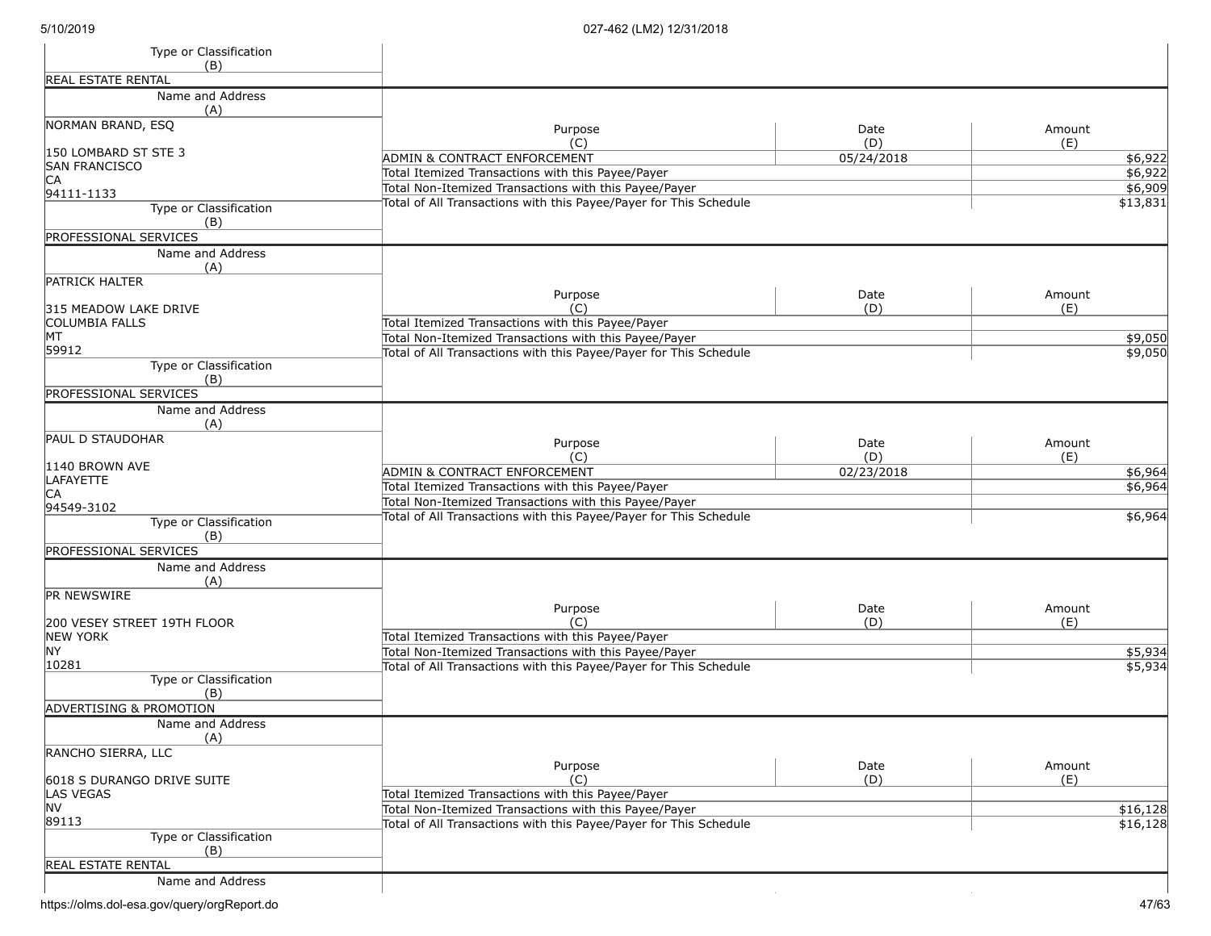| Type or Classification                                 |                                                                                                                            |             |                    |
|--------------------------------------------------------|----------------------------------------------------------------------------------------------------------------------------|-------------|--------------------|
| (B)                                                    |                                                                                                                            |             |                    |
| <b>REAL ESTATE RENTAL</b>                              |                                                                                                                            |             |                    |
| Name and Address<br>(A)                                |                                                                                                                            |             |                    |
| NORMAN BRAND, ESQ                                      | Purpose                                                                                                                    | Date        | Amount             |
| 150 LOMBARD ST STE 3                                   | (C)                                                                                                                        | (D)         | (E)                |
| <b>SAN FRANCISCO</b>                                   | ADMIN & CONTRACT ENFORCEMENT<br>Total Itemized Transactions with this Payee/Payer                                          | 05/24/2018  | \$6,922<br>\$6,922 |
| CA                                                     | Total Non-Itemized Transactions with this Payee/Payer                                                                      |             | \$6,909            |
| 94111-1133                                             | Total of All Transactions with this Payee/Payer for This Schedule                                                          |             | \$13,831           |
| Type or Classification<br>(B)                          |                                                                                                                            |             |                    |
| PROFESSIONAL SERVICES                                  |                                                                                                                            |             |                    |
| Name and Address<br>(A)                                |                                                                                                                            |             |                    |
| <b>PATRICK HALTER</b>                                  |                                                                                                                            |             |                    |
|                                                        | Purpose<br>(C)                                                                                                             | Date<br>(D) | Amount<br>(E)      |
| 315 MEADOW LAKE DRIVE<br><b>COLUMBIA FALLS</b>         | Total Itemized Transactions with this Payee/Payer                                                                          |             |                    |
| MT                                                     | Total Non-Itemized Transactions with this Payee/Payer                                                                      |             | \$9,050            |
| 59912                                                  | Total of All Transactions with this Payee/Payer for This Schedule                                                          |             | \$9,050            |
| Type or Classification                                 |                                                                                                                            |             |                    |
| (B)                                                    |                                                                                                                            |             |                    |
| PROFESSIONAL SERVICES                                  |                                                                                                                            |             |                    |
| Name and Address<br>(A)                                |                                                                                                                            |             |                    |
| <b>PAUL D STAUDOHAR</b>                                | Purpose                                                                                                                    | Date        | Amount             |
| 1140 BROWN AVE                                         | (C)                                                                                                                        | (D)         | (E)                |
| LAFAYETTE                                              | ADMIN & CONTRACT ENFORCEMENT                                                                                               | 02/23/2018  | \$6,964            |
| CА                                                     | Total Itemized Transactions with this Payee/Payer                                                                          |             | \$6,964            |
| 94549-3102                                             | Total Non-Itemized Transactions with this Payee/Payer                                                                      |             |                    |
| Type or Classification<br>(B)                          | Total of All Transactions with this Payee/Payer for This Schedule                                                          |             | \$6,964            |
| <b>PROFESSIONAL SERVICES</b>                           |                                                                                                                            |             |                    |
| Name and Address<br>(A)                                |                                                                                                                            |             |                    |
| PR NEWSWIRE                                            |                                                                                                                            |             |                    |
|                                                        | Purpose                                                                                                                    | Date        | Amount             |
| 200 VESEY STREET 19TH FLOOR<br><b>NEW YORK</b>         | (C)<br>Total Itemized Transactions with this Payee/Payer                                                                   | (D)         | (E)                |
| <b>NY</b>                                              | Total Non-Itemized Transactions with this Payee/Payer                                                                      |             | \$5,934            |
| 10281                                                  | Total of All Transactions with this Payee/Payer for This Schedule                                                          |             | \$5,934            |
| Type or Classification                                 |                                                                                                                            |             |                    |
| (B)                                                    |                                                                                                                            |             |                    |
| <b>ADVERTISING &amp; PROMOTION</b><br>Name and Address |                                                                                                                            |             |                    |
| (A)                                                    |                                                                                                                            |             |                    |
| RANCHO SIERRA, LLC                                     |                                                                                                                            |             |                    |
|                                                        | Purpose                                                                                                                    | Date        | Amount             |
| 6018 S DURANGO DRIVE SUITE                             | (C)                                                                                                                        | (D)         | (E)                |
| LAS VEGAS<br>NV                                        | Total Itemized Transactions with this Payee/Payer                                                                          |             |                    |
| 89113                                                  | Total Non-Itemized Transactions with this Payee/Payer<br>Total of All Transactions with this Payee/Payer for This Schedule |             | \$16,128           |
| Type or Classification                                 |                                                                                                                            |             | \$16,128           |
| (B)                                                    |                                                                                                                            |             |                    |
| <b>REAL ESTATE RENTAL</b>                              |                                                                                                                            |             |                    |
| Name and Address                                       |                                                                                                                            |             |                    |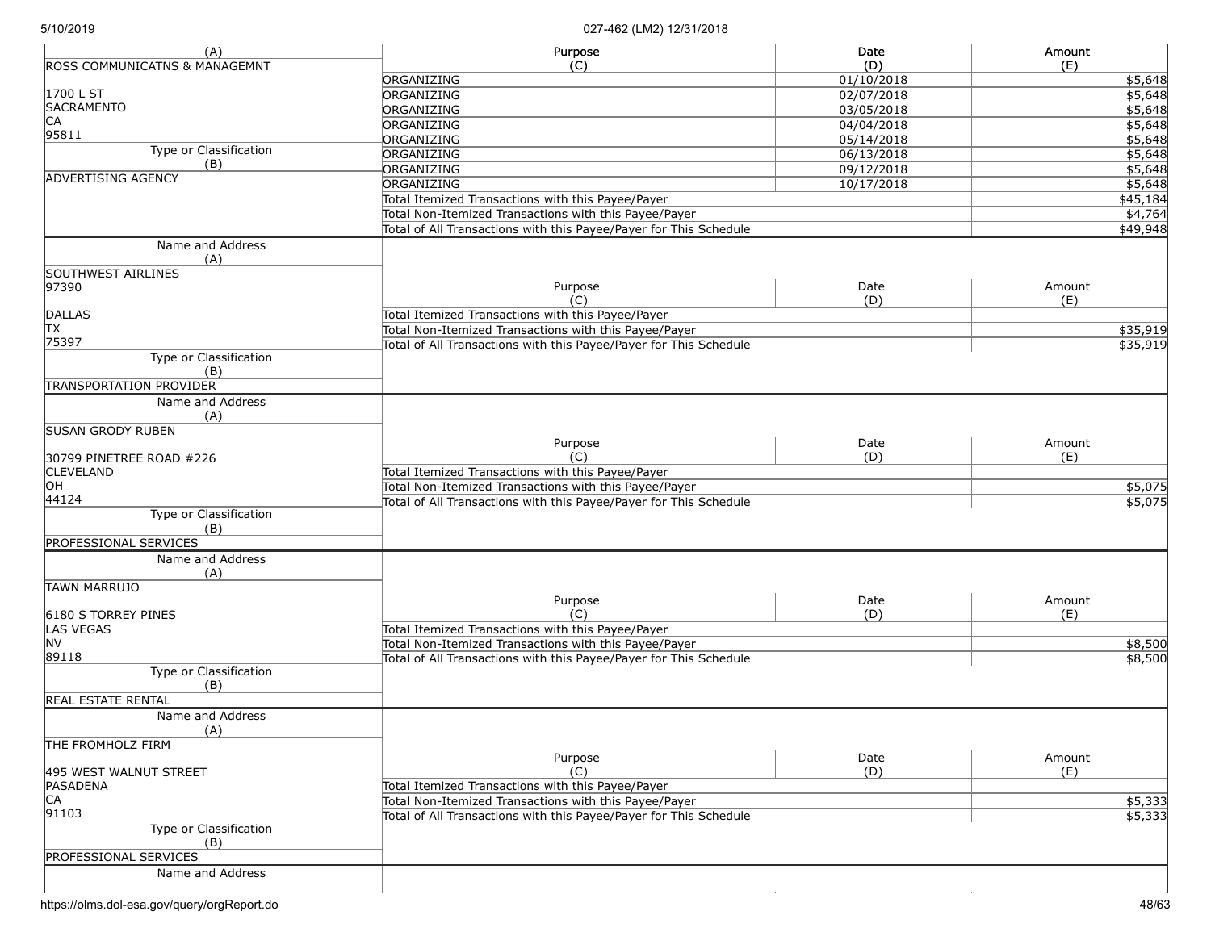| (A)                                      | Purpose                                                           | Date       | Amount   |
|------------------------------------------|-------------------------------------------------------------------|------------|----------|
| <b>ROSS COMMUNICATNS &amp; MANAGEMNT</b> | (C)                                                               | (D)        | (E)      |
|                                          | ORGANIZING                                                        | 01/10/2018 | \$5,648  |
| 1700 L ST                                | ORGANIZING                                                        | 02/07/2018 | \$5,648  |
| <b>SACRAMENTO</b>                        | ORGANIZING                                                        | 03/05/2018 | \$5,648  |
| CA                                       | ORGANIZING                                                        | 04/04/2018 | \$5,648  |
| 95811                                    | ORGANIZING                                                        | 05/14/2018 | \$5,648  |
| Type or Classification                   | ORGANIZING                                                        | 06/13/2018 | \$5,648  |
| (B)                                      | ORGANIZING                                                        | 09/12/2018 | \$5,648  |
| <b>ADVERTISING AGENCY</b>                | ORGANIZING                                                        | 10/17/2018 | \$5,648  |
|                                          | Total Itemized Transactions with this Payee/Payer                 |            | \$45,184 |
|                                          | Total Non-Itemized Transactions with this Payee/Payer             |            | \$4,764  |
|                                          | Total of All Transactions with this Payee/Payer for This Schedule |            | \$49,948 |
| Name and Address                         |                                                                   |            |          |
| (A)                                      |                                                                   |            |          |
| SOUTHWEST AIRLINES                       |                                                                   |            |          |
| 97390                                    | Purpose                                                           | Date       | Amount   |
|                                          | (C)                                                               | (D)        | (E)      |
| <b>DALLAS</b>                            | Total Itemized Transactions with this Payee/Payer                 |            |          |
| TX                                       | Total Non-Itemized Transactions with this Payee/Payer             |            | \$35,919 |
| 75397                                    | Total of All Transactions with this Payee/Payer for This Schedule |            | \$35,919 |
| Type or Classification                   |                                                                   |            |          |
| (B)                                      |                                                                   |            |          |
| <b>TRANSPORTATION PROVIDER</b>           |                                                                   |            |          |
| Name and Address                         |                                                                   |            |          |
| (A)                                      |                                                                   |            |          |
| <b>ISUSAN GRODY RUBEN</b>                |                                                                   |            |          |
|                                          | Purpose                                                           | Date       | Amount   |
| 30799 PINETREE ROAD #226                 | (C)                                                               | (D)        | (E)      |
| <b>CLEVELAND</b>                         | Total Itemized Transactions with this Payee/Payer                 |            |          |
| OH                                       | Total Non-Itemized Transactions with this Payee/Payer             |            | \$5,075  |
| 44124                                    | Total of All Transactions with this Payee/Payer for This Schedule |            | \$5,075  |
| Type or Classification                   |                                                                   |            |          |
| (B)                                      |                                                                   |            |          |
| <b>PROFESSIONAL SERVICES</b>             |                                                                   |            |          |
| Name and Address                         |                                                                   |            |          |
| (A)                                      |                                                                   |            |          |
| <b>TAWN MARRUJO</b>                      |                                                                   |            |          |
|                                          | Purpose                                                           | Date       | Amount   |
| 6180 S TORREY PINES                      | (C)                                                               | (D)        | (E)      |
| LAS VEGAS                                | Total Itemized Transactions with this Payee/Payer                 |            |          |
| <b>NV</b>                                | Total Non-Itemized Transactions with this Payee/Payer             |            | \$8,500  |
| 89118                                    | Total of All Transactions with this Payee/Payer for This Schedule |            | \$8,500  |
| Type or Classification                   |                                                                   |            |          |
| (B)                                      |                                                                   |            |          |
| <b>REAL ESTATE RENTAL</b>                |                                                                   |            |          |
| Name and Address                         |                                                                   |            |          |
| (A)                                      |                                                                   |            |          |
| THE FROMHOLZ FIRM                        |                                                                   |            |          |
|                                          | Purpose                                                           | Date       | Amount   |
| 495 WEST WALNUT STREET                   | (C)                                                               | (D)        | (E)      |
| PASADENA                                 | Total Itemized Transactions with this Payee/Payer                 |            |          |
| CA                                       | Total Non-Itemized Transactions with this Payee/Payer             |            | \$5,333  |
| 91103                                    | Total of All Transactions with this Payee/Payer for This Schedule |            | \$5,333  |
| Type or Classification                   |                                                                   |            |          |
| (B)                                      |                                                                   |            |          |
| PROFESSIONAL SERVICES                    |                                                                   |            |          |
| Name and Address                         |                                                                   |            |          |
|                                          |                                                                   |            |          |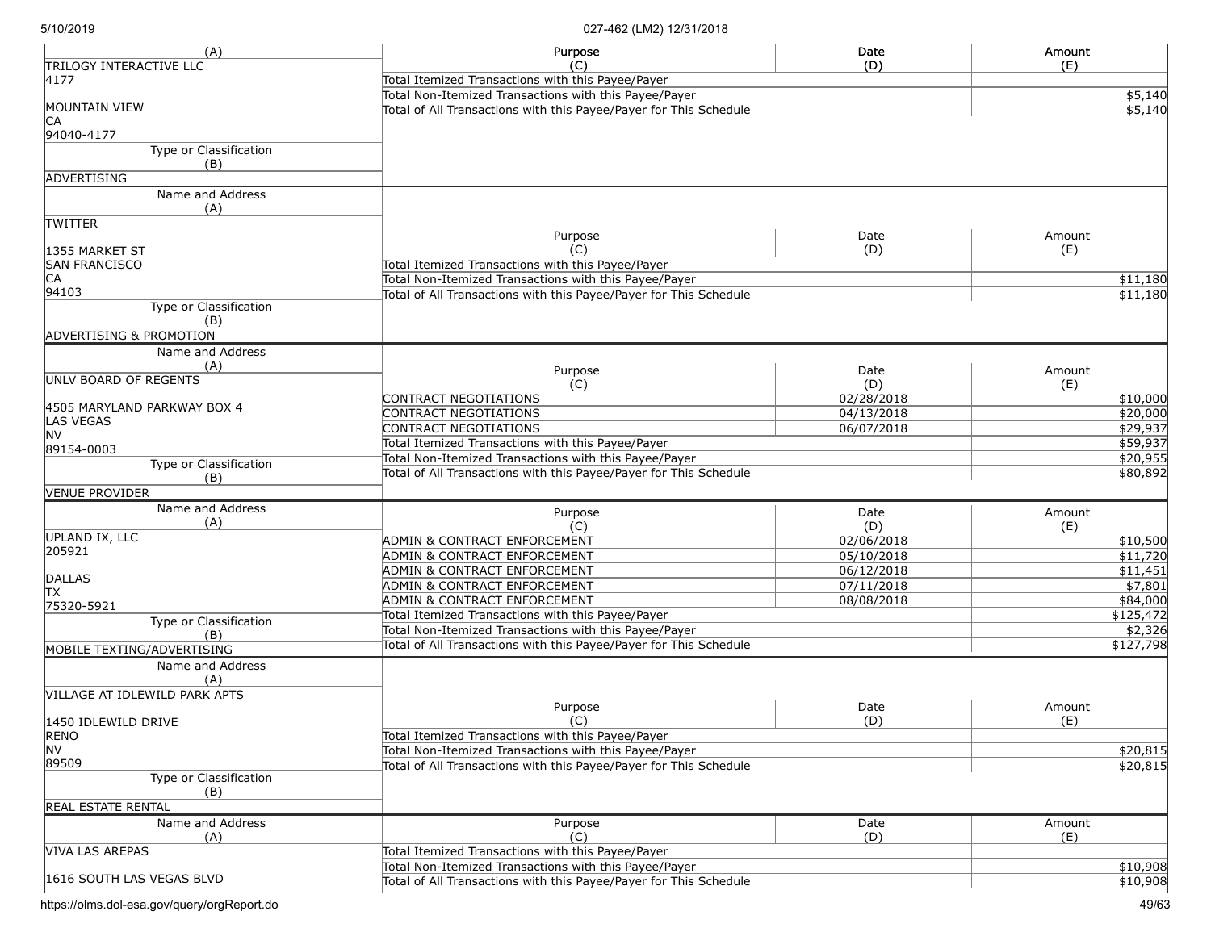| (A)                                  | Purpose                                                                                                                    | Date       | Amount               |
|--------------------------------------|----------------------------------------------------------------------------------------------------------------------------|------------|----------------------|
| <b>TRILOGY INTERACTIVE LLC</b>       | (C)                                                                                                                        | (D)        | (E)                  |
| 4177                                 | Total Itemized Transactions with this Payee/Payer                                                                          |            |                      |
| MOUNTAIN VIEW                        | Total Non-Itemized Transactions with this Payee/Payer<br>Total of All Transactions with this Payee/Payer for This Schedule |            | \$5,140              |
| IСA<br>94040-4177                    |                                                                                                                            |            | \$5,140              |
| Type or Classification               |                                                                                                                            |            |                      |
| (B)                                  |                                                                                                                            |            |                      |
| ADVERTISING                          |                                                                                                                            |            |                      |
| Name and Address                     |                                                                                                                            |            |                      |
| (A)                                  |                                                                                                                            |            |                      |
| <b>TWITTER</b>                       |                                                                                                                            |            |                      |
|                                      | Purpose                                                                                                                    | Date       | Amount               |
| 1355 MARKET ST                       | (C)                                                                                                                        | (D)        | (E)                  |
| <b>SAN FRANCISCO</b>                 | Total Itemized Transactions with this Payee/Payer                                                                          |            |                      |
| CA                                   | Total Non-Itemized Transactions with this Payee/Payer                                                                      |            | \$11,180             |
| 94103                                | Total of All Transactions with this Payee/Payer for This Schedule                                                          |            | \$11,180             |
| Type or Classification<br>(B)        |                                                                                                                            |            |                      |
| <b>ADVERTISING &amp; PROMOTION</b>   |                                                                                                                            |            |                      |
|                                      |                                                                                                                            |            |                      |
| Name and Address                     |                                                                                                                            |            |                      |
| (A)<br>UNLV BOARD OF REGENTS         | Purpose                                                                                                                    | Date       | Amount               |
|                                      | (C)                                                                                                                        | (D)        | (E)                  |
| 4505 MARYLAND PARKWAY BOX 4          | CONTRACT NEGOTIATIONS                                                                                                      | 02/28/2018 | \$10,000             |
| <b>LAS VEGAS</b>                     | <b>CONTRACT NEGOTIATIONS</b>                                                                                               | 04/13/2018 | \$20,000             |
| <b>NV</b>                            | <b>CONTRACT NEGOTIATIONS</b>                                                                                               | 06/07/2018 | \$29,937             |
| 89154-0003                           | Total Itemized Transactions with this Payee/Payer                                                                          |            | \$59,937             |
| Type or Classification               | Total Non-Itemized Transactions with this Payee/Payer                                                                      |            | \$20,955             |
| (B)                                  | Total of All Transactions with this Payee/Payer for This Schedule                                                          |            | \$80,892             |
| <b>VENUE PROVIDER</b>                |                                                                                                                            |            |                      |
| Name and Address                     | Purpose                                                                                                                    | Date       | Amount               |
| (A)                                  | (C)                                                                                                                        | (D)        | (E)                  |
| UPLAND IX, LLC                       | <b>ADMIN &amp; CONTRACT ENFORCEMENT</b>                                                                                    | 02/06/2018 | \$10,500             |
| 205921                               | ADMIN & CONTRACT ENFORCEMENT                                                                                               | 05/10/2018 | $\overline{$11,720}$ |
|                                      | ADMIN & CONTRACT ENFORCEMENT                                                                                               | 06/12/2018 | \$11,451             |
| DALLAS                               | ADMIN & CONTRACT ENFORCEMENT                                                                                               | 07/11/2018 | \$7,801              |
| TХ                                   | ADMIN & CONTRACT ENFORCEMENT                                                                                               | 08/08/2018 | \$84,000             |
| 75320-5921<br>Type or Classification | Total Itemized Transactions with this Payee/Payer                                                                          |            | \$125,472            |
| (B)                                  | Total Non-Itemized Transactions with this Payee/Payer                                                                      |            | \$2,326              |
| MOBILE TEXTING/ADVERTISING           | Total of All Transactions with this Payee/Payer for This Schedule                                                          |            | \$127,798            |
| Name and Address                     |                                                                                                                            |            |                      |
| (A)                                  |                                                                                                                            |            |                      |
| VILLAGE AT IDLEWILD PARK APTS        |                                                                                                                            |            |                      |
|                                      | Purpose                                                                                                                    | Date       | Amount               |
| 1450 IDLEWILD DRIVE                  | (C)                                                                                                                        | (D)        | (E)                  |
| <b>RENO</b>                          | Total Itemized Transactions with this Payee/Payer                                                                          |            |                      |
| <b>NV</b>                            | Total Non-Itemized Transactions with this Payee/Payer                                                                      |            | \$20,815             |
| 89509                                | Total of All Transactions with this Payee/Payer for This Schedule                                                          |            | \$20,815             |
| Type or Classification<br>(B)        |                                                                                                                            |            |                      |
| <b>REAL ESTATE RENTAL</b>            |                                                                                                                            |            |                      |
| Name and Address                     | Purpose                                                                                                                    | Date       | Amount               |
| (A)                                  | (C)                                                                                                                        | (D)        | (E)                  |
| VIVA LAS AREPAS                      | Total Itemized Transactions with this Payee/Payer                                                                          |            |                      |
|                                      | Total Non-Itemized Transactions with this Payee/Payer                                                                      |            | $\overline{$10,908}$ |
| 1616 SOUTH LAS VEGAS BLVD            | Total of All Transactions with this Payee/Payer for This Schedule                                                          |            | \$10,908             |
|                                      |                                                                                                                            |            |                      |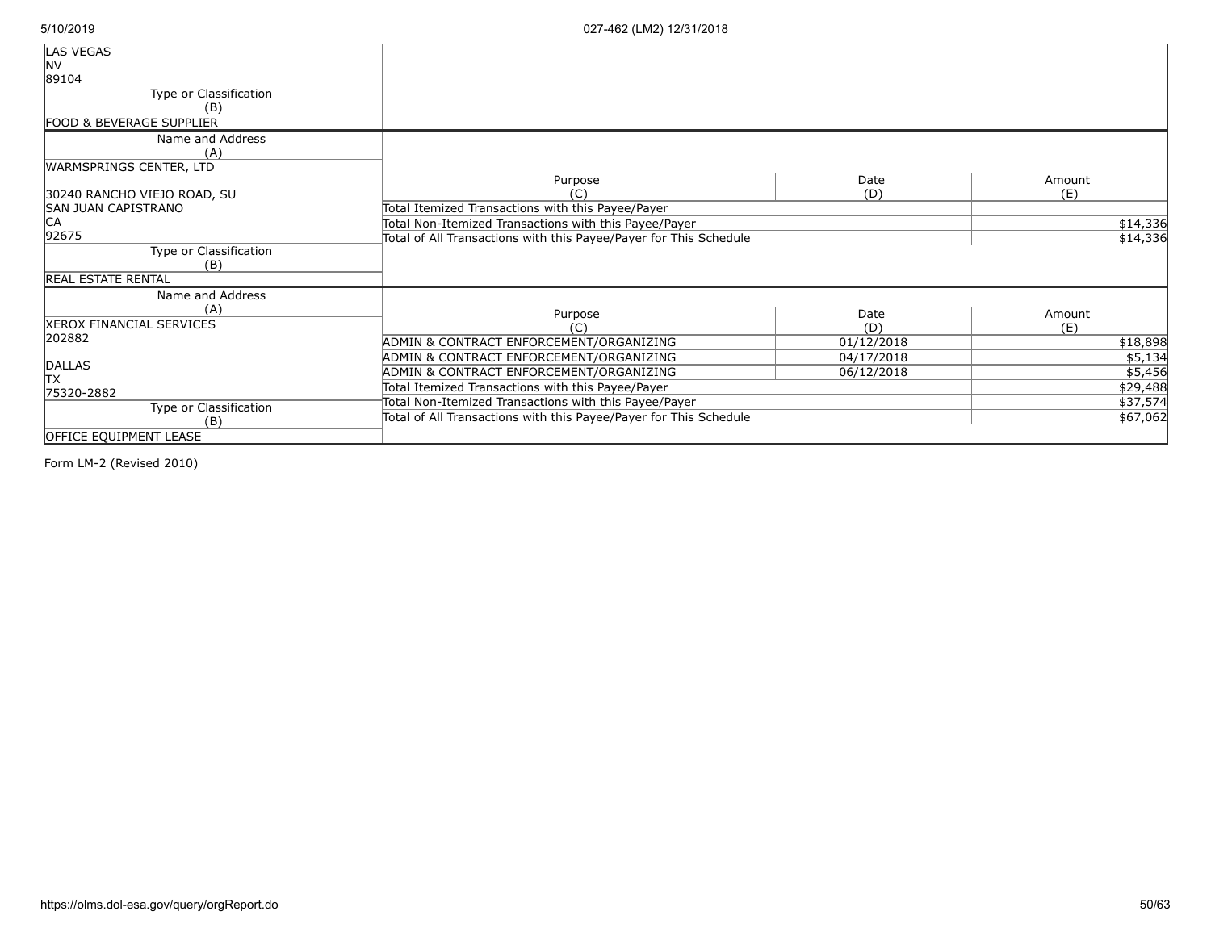| LAS VEGAS<br><b>NV</b><br>89104 |                                                                   |            |          |
|---------------------------------|-------------------------------------------------------------------|------------|----------|
| Type or Classification<br>(B)   |                                                                   |            |          |
| FOOD & BEVERAGE SUPPLIER        |                                                                   |            |          |
| Name and Address<br>(A)         |                                                                   |            |          |
| WARMSPRINGS CENTER, LTD         | Purpose                                                           | Date       | Amount   |
| 30240 RANCHO VIEJO ROAD, SU     | (C)                                                               | (D)        | (E)      |
| SAN JUAN CAPISTRANO             | Total Itemized Transactions with this Payee/Payer                 |            |          |
| CA                              | Total Non-Itemized Transactions with this Payee/Payer             |            | \$14,336 |
| 92675                           | Total of All Transactions with this Payee/Payer for This Schedule |            | \$14,336 |
| Type or Classification          |                                                                   |            |          |
| (B)                             |                                                                   |            |          |
| <b>REAL ESTATE RENTAL</b>       |                                                                   |            |          |
| Name and Address                |                                                                   |            |          |
| (A)                             | Purpose                                                           | Date       | Amount   |
| <b>XEROX FINANCIAL SERVICES</b> |                                                                   | (D)        | (E)      |
| 202882                          | ADMIN & CONTRACT ENFORCEMENT/ORGANIZING                           | 01/12/2018 | \$18,898 |
|                                 | ADMIN & CONTRACT ENFORCEMENT/ORGANIZING                           | 04/17/2018 | \$5,134  |
| DALLAS                          | ADMIN & CONTRACT ENFORCEMENT/ORGANIZING                           | 06/12/2018 | \$5,456  |
| lТX                             | Total Itemized Transactions with this Payee/Payer                 |            | \$29,488 |
| 75320-2882                      | Total Non-Itemized Transactions with this Payee/Payer             |            | \$37,574 |
| Type or Classification          |                                                                   |            |          |
| (B)                             | Total of All Transactions with this Payee/Payer for This Schedule |            | \$67,062 |
| <b>OFFICE EQUIPMENT LEASE</b>   |                                                                   |            |          |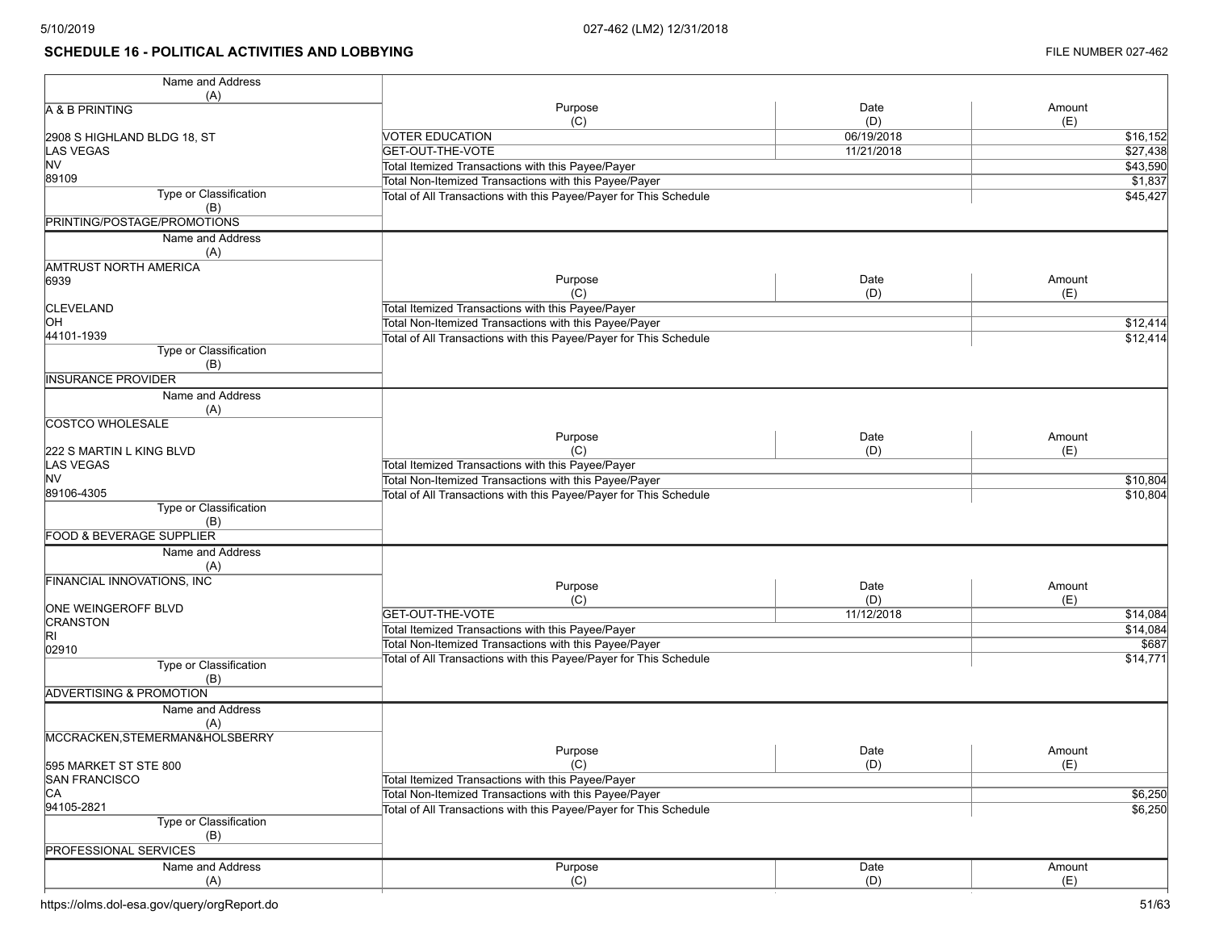# **SCHEDULE 16 - POLITICAL ACTIVITIES AND LOBBYING FILE NUMBER 027-462**

| Name and Address                    |                                                                   |            |                  |
|-------------------------------------|-------------------------------------------------------------------|------------|------------------|
| (A)                                 |                                                                   |            |                  |
| A & B PRINTING                      | Purpose                                                           | Date       | Amount           |
|                                     | (C)                                                               | (D)        | (E)              |
| 2908 S HIGHLAND BLDG 18, ST         | <b>VOTER EDUCATION</b>                                            | 06/19/2018 | \$16,152         |
| <b>LAS VEGAS</b>                    | GET-OUT-THE-VOTE                                                  | 11/21/2018 | \$27,438         |
| NV.                                 | Total Itemized Transactions with this Payee/Payer                 |            | \$43,590         |
| 89109                               | Total Non-Itemized Transactions with this Payee/Payer             |            | \$1,837          |
| Type or Classification              | Total of All Transactions with this Payee/Payer for This Schedule |            | \$45,427         |
| (B)                                 |                                                                   |            |                  |
| PRINTING/POSTAGE/PROMOTIONS         |                                                                   |            |                  |
|                                     |                                                                   |            |                  |
| Name and Address                    |                                                                   |            |                  |
| (A)                                 |                                                                   |            |                  |
| AMTRUST NORTH AMERICA               |                                                                   |            |                  |
| 6939                                | Purpose                                                           | Date       | Amount           |
|                                     | (C)                                                               | (D)        | (E)              |
| <b>CLEVELAND</b>                    | Total Itemized Transactions with this Payee/Payer                 |            |                  |
| OН                                  | Total Non-Itemized Transactions with this Payee/Payer             |            | $\sqrt{$12,414}$ |
| 44101-1939                          | Total of All Transactions with this Payee/Payer for This Schedule |            | \$12,414         |
| Type or Classification              |                                                                   |            |                  |
| (B)                                 |                                                                   |            |                  |
| <b>INSURANCE PROVIDER</b>           |                                                                   |            |                  |
|                                     |                                                                   |            |                  |
| Name and Address                    |                                                                   |            |                  |
| (A)                                 |                                                                   |            |                  |
| <b>COSTCO WHOLESALE</b>             |                                                                   |            |                  |
|                                     | Purpose                                                           | Date       | Amount           |
| 222 S MARTIN L KING BLVD            | (C)                                                               | (D)        | (E)              |
| <b>LAS VEGAS</b>                    | Total Itemized Transactions with this Payee/Payer                 |            |                  |
| NV.                                 | Total Non-Itemized Transactions with this Payee/Payer             |            | \$10,804         |
| 89106-4305                          | Total of All Transactions with this Payee/Payer for This Schedule |            | \$10,804         |
| Type or Classification              |                                                                   |            |                  |
| (B)                                 |                                                                   |            |                  |
| <b>FOOD &amp; BEVERAGE SUPPLIER</b> |                                                                   |            |                  |
| Name and Address                    |                                                                   |            |                  |
|                                     |                                                                   |            |                  |
| (A)                                 |                                                                   |            |                  |
| FINANCIAL INNOVATIONS, INC          | Purpose                                                           | Date       | Amount           |
|                                     | (C)                                                               | (D)        | (E)              |
| ONE WEINGEROFF BLVD                 | GET-OUT-THE-VOTE                                                  | 11/12/2018 | \$14,084         |
| <b>CRANSTON</b>                     | Total Itemized Transactions with this Payee/Payer                 |            | \$14,084         |
| RI                                  | Total Non-Itemized Transactions with this Payee/Payer             |            | \$687            |
| 02910                               | Total of All Transactions with this Payee/Payer for This Schedule |            | \$14,771         |
| Type or Classification              |                                                                   |            |                  |
| (B)                                 |                                                                   |            |                  |
| <b>ADVERTISING &amp; PROMOTION</b>  |                                                                   |            |                  |
| Name and Address                    |                                                                   |            |                  |
| (A)                                 |                                                                   |            |                  |
| MCCRACKEN, STEMERMAN&HOLSBERRY      |                                                                   |            |                  |
|                                     | Purpose                                                           | Date       | Amount           |
|                                     |                                                                   |            |                  |
| 595 MARKET ST STE 800               | (C)                                                               | (D)        | (E)              |
| <b>SAN FRANCISCO</b>                | Total Itemized Transactions with this Payee/Payer                 |            |                  |
| CA                                  | Total Non-Itemized Transactions with this Payee/Payer             |            | \$6,250          |
| 94105-2821                          | Total of All Transactions with this Payee/Payer for This Schedule |            | \$6,250          |
| Type or Classification              |                                                                   |            |                  |
| (B)                                 |                                                                   |            |                  |
| <b>PROFESSIONAL SERVICES</b>        |                                                                   |            |                  |
| Name and Address                    | Purpose                                                           | Date       | Amount           |
| (A)                                 | (C)                                                               | (D)        | (E)              |
|                                     |                                                                   |            |                  |

https://olms.dol-esa.gov/query/orgReport.do 51/63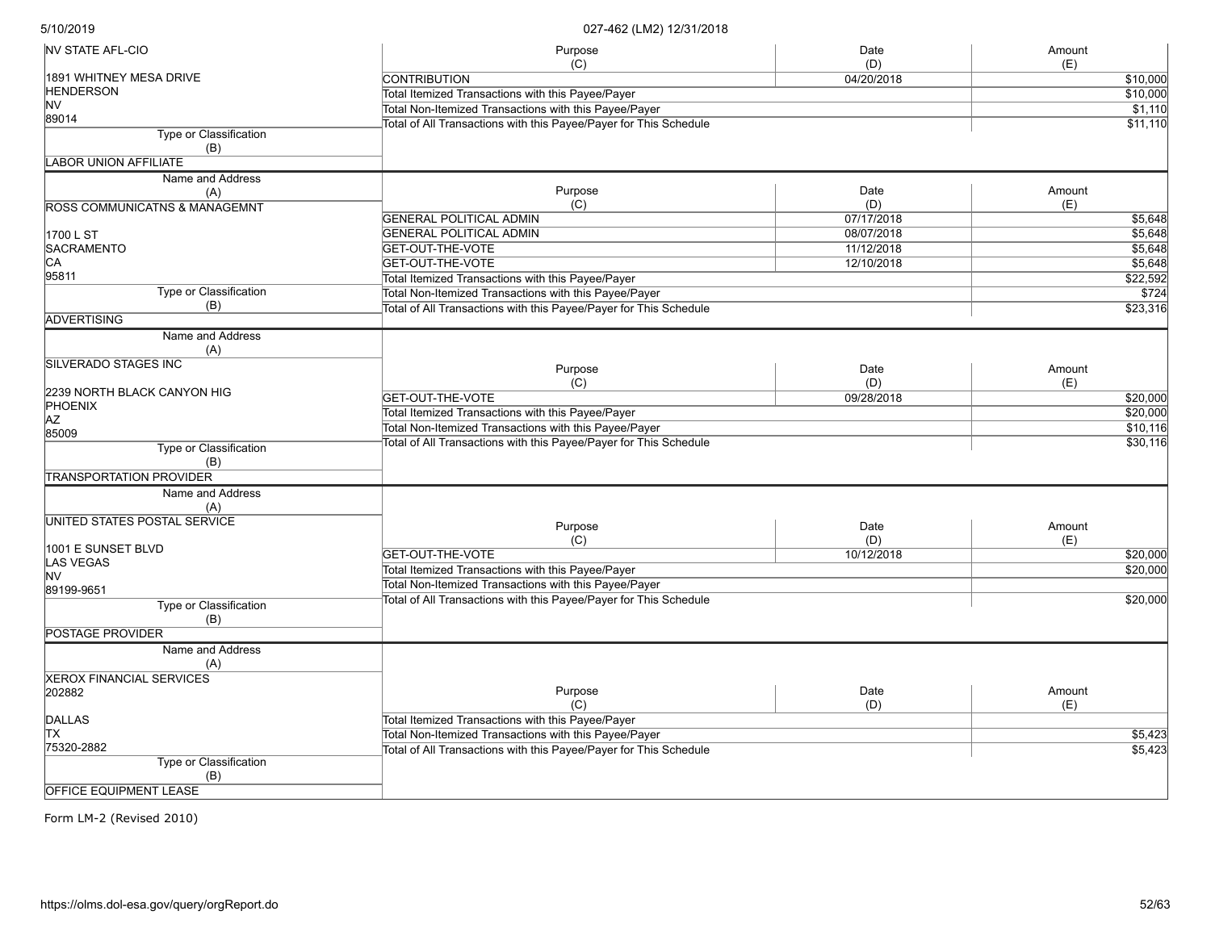| <b>NV STATE AFL-CIO</b>         | Purpose                                                           | Date       | Amount   |
|---------------------------------|-------------------------------------------------------------------|------------|----------|
|                                 | (C)                                                               | (D)        | (E)      |
| 1891 WHITNEY MESA DRIVE         | <b>CONTRIBUTION</b>                                               | 04/20/2018 | \$10,000 |
| <b>HENDERSON</b><br><b>NV</b>   | Total Itemized Transactions with this Payee/Payer                 |            | \$10,000 |
| 89014                           | Total Non-Itemized Transactions with this Payee/Payer             |            | \$1,110  |
| Type or Classification          | Total of All Transactions with this Payee/Payer for This Schedule |            | \$11,110 |
| (B)                             |                                                                   |            |          |
| <b>LABOR UNION AFFILIATE</b>    |                                                                   |            |          |
| Name and Address                |                                                                   |            |          |
| (A)                             | Purpose                                                           | Date       | Amount   |
| ROSS COMMUNICATNS & MANAGEMNT   | (C)                                                               | (D)        | (E)      |
|                                 | <b>GENERAL POLITICAL ADMIN</b>                                    | 07/17/2018 | \$5,648  |
| 1700 L ST                       | <b>GENERAL POLITICAL ADMIN</b>                                    | 08/07/2018 | \$5,648  |
| <b>SACRAMENTO</b>               | GET-OUT-THE-VOTE                                                  | 11/12/2018 | \$5,648  |
| IСA                             | GET-OUT-THE-VOTE                                                  | 12/10/2018 | \$5,648  |
| 95811                           |                                                                   |            |          |
| Type or Classification          | Total Itemized Transactions with this Payee/Payer                 |            | \$22,592 |
|                                 | Total Non-Itemized Transactions with this Payee/Payer             |            | \$724    |
| (B)                             | Total of All Transactions with this Payee/Payer for This Schedule |            | \$23,316 |
| ADVERTISING                     |                                                                   |            |          |
| Name and Address<br>(A)         |                                                                   |            |          |
| SILVERADO STAGES INC            | Purpose                                                           | Date       | Amount   |
|                                 | (C)                                                               | (D)        | (E)      |
| 2239 NORTH BLACK CANYON HIG     | GET-OUT-THE-VOTE                                                  | 09/28/2018 | \$20,000 |
| <b>PHOENIX</b>                  |                                                                   |            |          |
| AZ                              | Total Itemized Transactions with this Payee/Payer                 |            | \$20,000 |
| 85009                           | Total Non-Itemized Transactions with this Payee/Payer             |            | \$10,116 |
| Type or Classification          | Total of All Transactions with this Payee/Payer for This Schedule |            | \$30,116 |
| (B)                             |                                                                   |            |          |
| <b>TRANSPORTATION PROVIDER</b>  |                                                                   |            |          |
| Name and Address                |                                                                   |            |          |
| (A)                             |                                                                   |            |          |
| UNITED STATES POSTAL SERVICE    |                                                                   |            |          |
|                                 | Purpose                                                           | Date       | Amount   |
| 1001 E SUNSET BLVD              | (C)                                                               | (D)        | (E)      |
| <b>LAS VEGAS</b>                | GET-OUT-THE-VOTE                                                  | 10/12/2018 | \$20,000 |
| <b>NV</b>                       | Total Itemized Transactions with this Payee/Payer                 |            | \$20,000 |
| 89199-9651                      | Total Non-Itemized Transactions with this Payee/Payer             |            |          |
|                                 | Total of All Transactions with this Payee/Payer for This Schedule |            | \$20,000 |
| Type or Classification          |                                                                   |            |          |
| (B)                             |                                                                   |            |          |
| POSTAGE PROVIDER                |                                                                   |            |          |
| Name and Address                |                                                                   |            |          |
| (A)                             |                                                                   |            |          |
| <b>XEROX FINANCIAL SERVICES</b> |                                                                   |            |          |
| 202882                          | Purpose                                                           | Date       | Amount   |
|                                 | (C)                                                               | (D)        | (E)      |
| <b>DALLAS</b>                   | Total Itemized Transactions with this Payee/Payer                 |            |          |
| <b>TX</b>                       | Total Non-Itemized Transactions with this Payee/Payer             |            | \$5,423  |
| 75320-2882                      | Total of All Transactions with this Payee/Payer for This Schedule |            | \$5,423  |
| Type or Classification          |                                                                   |            |          |
| (B)                             |                                                                   |            |          |
| <b>OFFICE EQUIPMENT LEASE</b>   |                                                                   |            |          |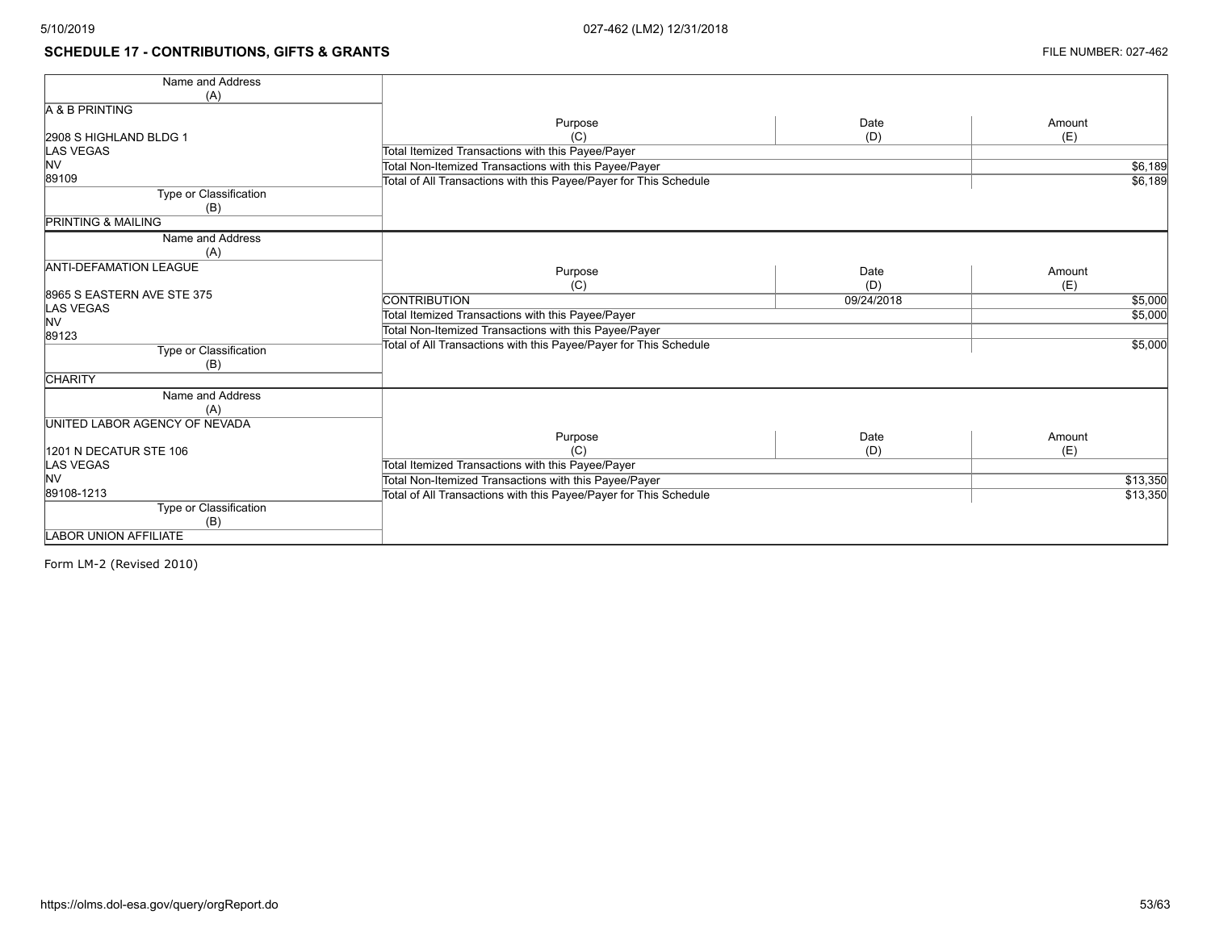# **SCHEDULE 17 - CONTRIBUTIONS, GIFTS & GRANTS FILE NUMBER: 027-462**

| Name and Address              |                                                                   |            |          |
|-------------------------------|-------------------------------------------------------------------|------------|----------|
| (A)                           |                                                                   |            |          |
| A & B PRINTING                |                                                                   |            |          |
|                               | Purpose                                                           | Date       | Amount   |
| 2908 S HIGHLAND BLDG 1        | (C)                                                               | (D)        | (E)      |
| <b>LAS VEGAS</b>              | Total Itemized Transactions with this Payee/Payer                 |            |          |
| <b>NV</b>                     | Total Non-Itemized Transactions with this Payee/Payer             |            | \$6,189  |
| 89109                         | Total of All Transactions with this Payee/Payer for This Schedule |            | \$6,189  |
| Type or Classification        |                                                                   |            |          |
| (B)                           |                                                                   |            |          |
| <b>PRINTING &amp; MAILING</b> |                                                                   |            |          |
| Name and Address              |                                                                   |            |          |
| (A)                           |                                                                   |            |          |
| <b>ANTI-DEFAMATION LEAGUE</b> | Purpose                                                           | Date       | Amount   |
|                               | (C)                                                               | (D)        | (E)      |
| 8965 S EASTERN AVE STE 375    | <b>CONTRIBUTION</b>                                               | 09/24/2018 | \$5,000  |
| <b>LAS VEGAS</b>              | Total Itemized Transactions with this Payee/Payer                 |            | \$5,000  |
| NV                            | Total Non-Itemized Transactions with this Payee/Payer             |            |          |
| 89123                         |                                                                   |            |          |
| Type or Classification        | Total of All Transactions with this Payee/Payer for This Schedule |            | \$5,000  |
| (B)                           |                                                                   |            |          |
| <b>CHARITY</b>                |                                                                   |            |          |
| Name and Address              |                                                                   |            |          |
| (A)                           |                                                                   |            |          |
| UNITED LABOR AGENCY OF NEVADA |                                                                   |            |          |
|                               | Purpose                                                           | Date       | Amount   |
| 1201 N DECATUR STE 106        | (C)                                                               | (D)        | (E)      |
| <b>LAS VEGAS</b>              | Total Itemized Transactions with this Payee/Payer                 |            |          |
| <b>NV</b>                     | Total Non-Itemized Transactions with this Payee/Payer             |            | \$13,350 |
| 89108-1213                    | Total of All Transactions with this Payee/Payer for This Schedule |            | \$13,350 |
| Type or Classification        |                                                                   |            |          |
| (B)                           |                                                                   |            |          |
| <b>LABOR UNION AFFILIATE</b>  |                                                                   |            |          |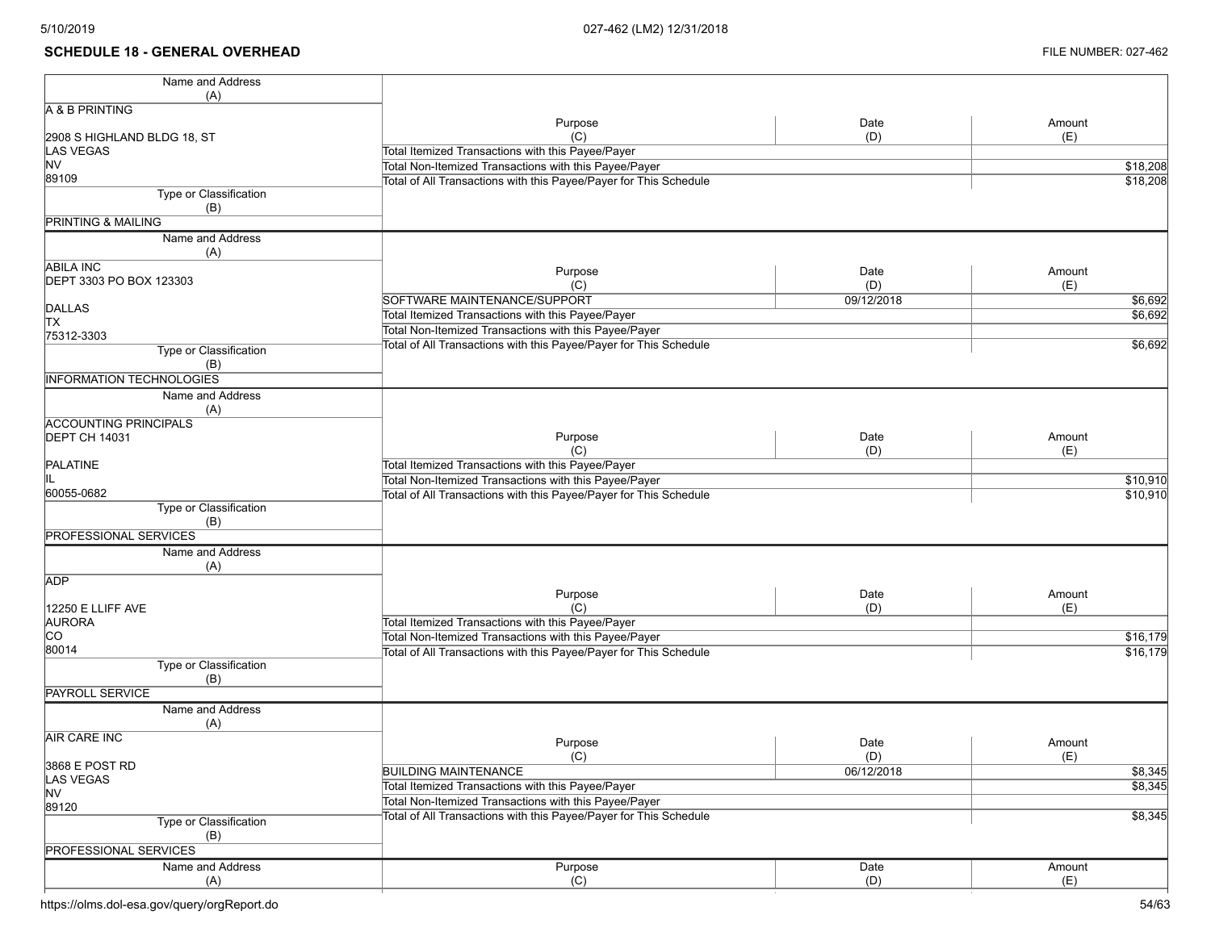#### **SCHEDULE 18 - GENERAL OVERHEAD** FILE NUMBER: 027-462

| Name and Address                                |                                                                   |            |                    |
|-------------------------------------------------|-------------------------------------------------------------------|------------|--------------------|
| (A)                                             |                                                                   |            |                    |
| A & B PRINTING                                  |                                                                   |            |                    |
|                                                 | Purpose                                                           | Date       | Amount             |
| 2908 S HIGHLAND BLDG 18, ST<br><b>LAS VEGAS</b> | (C)<br>Total Itemized Transactions with this Payee/Payer          | (D)        | (E)                |
| <b>NV</b>                                       | Total Non-Itemized Transactions with this Payee/Payer             |            |                    |
| 89109                                           |                                                                   |            | \$18,208           |
| Type or Classification                          | Total of All Transactions with this Payee/Payer for This Schedule |            | \$18,208           |
| (B)                                             |                                                                   |            |                    |
| <b>PRINTING &amp; MAILING</b>                   |                                                                   |            |                    |
| Name and Address                                |                                                                   |            |                    |
| (A)                                             |                                                                   |            |                    |
| <b>ABILA INC</b>                                |                                                                   | Date       | Amount             |
| DEPT 3303 PO BOX 123303                         | Purpose<br>(C)                                                    | (D)        |                    |
|                                                 | SOFTWARE MAINTENANCE/SUPPORT                                      | 09/12/2018 | (E)                |
| <b>DALLAS</b>                                   |                                                                   |            | \$6,692<br>\$6,692 |
| <b>TX</b>                                       | Total Itemized Transactions with this Payee/Payer                 |            |                    |
| 75312-3303                                      | Total Non-Itemized Transactions with this Payee/Payer             |            |                    |
| Type or Classification                          | Total of All Transactions with this Payee/Payer for This Schedule |            | \$6,692            |
| (B)                                             |                                                                   |            |                    |
| <b>INFORMATION TECHNOLOGIES</b>                 |                                                                   |            |                    |
| Name and Address                                |                                                                   |            |                    |
| (A)                                             |                                                                   |            |                    |
| <b>ACCOUNTING PRINCIPALS</b>                    |                                                                   |            |                    |
| <b>DEPT CH 14031</b>                            | Purpose                                                           | Date       | Amount             |
|                                                 | (C)                                                               | (D)        | (E)                |
| PALATINE                                        | Total Itemized Transactions with this Payee/Payer                 |            |                    |
| IIL                                             | Total Non-Itemized Transactions with this Payee/Payer             |            | \$10,910           |
| 60055-0682                                      | Total of All Transactions with this Payee/Payer for This Schedule |            | \$10,910           |
| Type or Classification                          |                                                                   |            |                    |
| (B)                                             |                                                                   |            |                    |
| <b>PROFESSIONAL SERVICES</b>                    |                                                                   |            |                    |
| Name and Address                                |                                                                   |            |                    |
| (A)                                             |                                                                   |            |                    |
| <b>ADP</b>                                      |                                                                   |            |                    |
|                                                 | Purpose                                                           | Date       | Amount             |
| 12250 E LLIFF AVE                               | (C)                                                               | (D)        | (E)                |
| <b>AURORA</b>                                   | Total Itemized Transactions with this Payee/Payer                 |            |                    |
| <b>CO</b>                                       | Total Non-Itemized Transactions with this Payee/Payer             |            | \$16,179           |
| 80014                                           | Total of All Transactions with this Payee/Payer for This Schedule |            | \$16,179           |
| Type or Classification                          |                                                                   |            |                    |
| (B)                                             |                                                                   |            |                    |
| <b>PAYROLL SERVICE</b>                          |                                                                   |            |                    |
| Name and Address                                |                                                                   |            |                    |
| (A)                                             |                                                                   |            |                    |
| <b>AIR CARE INC</b>                             | Purpose                                                           | Date       | Amount             |
|                                                 | (C)                                                               | (D)        | (E)                |
| 3868 E POST RD                                  | <b>BUILDING MAINTENANCE</b>                                       | 06/12/2018 | \$8,345            |
| LAS VEGAS<br><b>NV</b>                          | Total Itemized Transactions with this Payee/Payer                 |            | \$8,345            |
| 89120                                           | Total Non-Itemized Transactions with this Payee/Payer             |            |                    |
| Type or Classification                          | Total of All Transactions with this Payee/Payer for This Schedule |            | \$8,345            |
|                                                 |                                                                   |            |                    |
| (B)<br><b>PROFESSIONAL SERVICES</b>             |                                                                   |            |                    |
|                                                 |                                                                   |            |                    |
| Name and Address                                | Purpose                                                           | Date       | Amount             |
| (A)                                             | (C)                                                               | (D)        | (E)                |

https://olms.dol-esa.gov/query/orgReport.do 54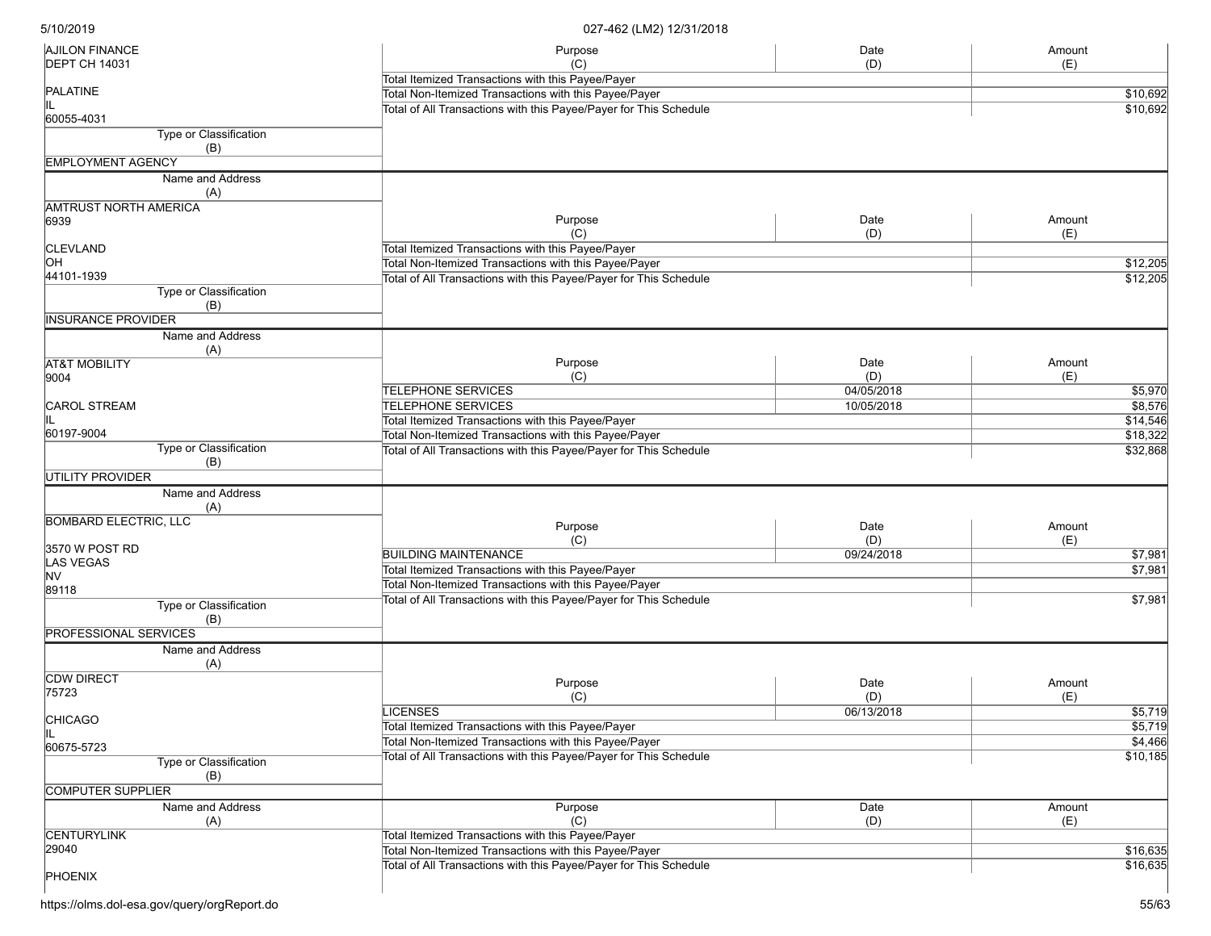| <b>AJILON FINANCE</b>            | Purpose                                                           | Date       | Amount   |
|----------------------------------|-------------------------------------------------------------------|------------|----------|
| <b>DEPT CH 14031</b>             | (C)                                                               | (D)        | (E)      |
| PALATINE                         | Total Itemized Transactions with this Payee/Payer                 |            | \$10,692 |
|                                  | Total Non-Itemized Transactions with this Payee/Payer             | \$10,692   |          |
| 60055-4031                       | Total of All Transactions with this Payee/Payer for This Schedule |            |          |
| Type or Classification           |                                                                   |            |          |
| (B)                              |                                                                   |            |          |
| <b>EMPLOYMENT AGENCY</b>         |                                                                   |            |          |
| Name and Address<br>(A)          |                                                                   |            |          |
| <b>AMTRUST NORTH AMERICA</b>     |                                                                   |            |          |
| 6939                             | Purpose                                                           | Date       | Amount   |
|                                  | (C)                                                               | (D)        | (E)      |
| <b>CLEVLAND</b>                  | Total Itemized Transactions with this Payee/Payer                 |            |          |
| OН                               | Total Non-Itemized Transactions with this Payee/Payer             |            | \$12,205 |
| 44101-1939                       | Total of All Transactions with this Payee/Payer for This Schedule |            | \$12,205 |
| Type or Classification           |                                                                   |            |          |
| (B)                              |                                                                   |            |          |
| <b>INSURANCE PROVIDER</b>        |                                                                   |            |          |
| Name and Address                 |                                                                   |            |          |
| (A)                              | Purpose                                                           | Date       | Amount   |
| <b>AT&amp;T MOBILITY</b><br>9004 | (C)                                                               | (D)        | (E)      |
|                                  | <b>TELEPHONE SERVICES</b>                                         | 04/05/2018 | \$5,970  |
| <b>CAROL STREAM</b>              | <b>TELEPHONE SERVICES</b>                                         | 10/05/2018 | \$8,576  |
|                                  | Total Itemized Transactions with this Payee/Payer                 |            | \$14,546 |
| 60197-9004                       | Total Non-Itemized Transactions with this Payee/Payer             |            | \$18,322 |
| Type or Classification           | Total of All Transactions with this Payee/Payer for This Schedule |            | \$32,868 |
| (B)                              |                                                                   |            |          |
| <b>UTILITY PROVIDER</b>          |                                                                   |            |          |
| Name and Address                 |                                                                   |            |          |
| (A)                              |                                                                   |            |          |
| <b>BOMBARD ELECTRIC, LLC</b>     | Purpose                                                           | Date       | Amount   |
|                                  | (C)                                                               | (D)        | (E)      |
| 3570 W POST RD                   | <b>BUILDING MAINTENANCE</b>                                       | 09/24/2018 | \$7,981  |
| LAS VEGAS                        | Total Itemized Transactions with this Payee/Payer                 |            | \$7,981  |
| NV                               | Total Non-Itemized Transactions with this Payee/Payer             |            |          |
| 89118                            | Total of All Transactions with this Payee/Payer for This Schedule |            | \$7,981  |
| Type or Classification           |                                                                   |            |          |
| (B)                              |                                                                   |            |          |
| <b>PROFESSIONAL SERVICES</b>     |                                                                   |            |          |
| Name and Address                 |                                                                   |            |          |
| (A)                              |                                                                   |            |          |
| <b>CDW DIRECT</b>                | Purpose                                                           | Date       | Amount   |
| 75723                            | (C)                                                               | (D)        | (E)      |
| <b>CHICAGO</b>                   | <b>LICENSES</b>                                                   | 06/13/2018 | \$5,719  |
| Ш                                | Total Itemized Transactions with this Payee/Payer                 |            | \$5,719  |
| 60675-5723                       | Total Non-Itemized Transactions with this Payee/Payer             |            | \$4,466  |
| <b>Type or Classification</b>    | Total of All Transactions with this Payee/Payer for This Schedule |            | \$10,185 |
| (B)                              |                                                                   |            |          |
| COMPUTER SUPPLIER                |                                                                   |            |          |
| Name and Address                 | Purpose                                                           | Date       | Amount   |
| (A)                              | (C)                                                               | (D)        | (E)      |
| <b>CENTURYLINK</b>               | Total Itemized Transactions with this Payee/Payer                 |            |          |
| 29040                            | Total Non-Itemized Transactions with this Payee/Payer             |            | \$16,635 |
|                                  | Total of All Transactions with this Payee/Payer for This Schedule |            | \$16,635 |
| <b>PHOENIX</b>                   |                                                                   |            |          |
|                                  |                                                                   |            |          |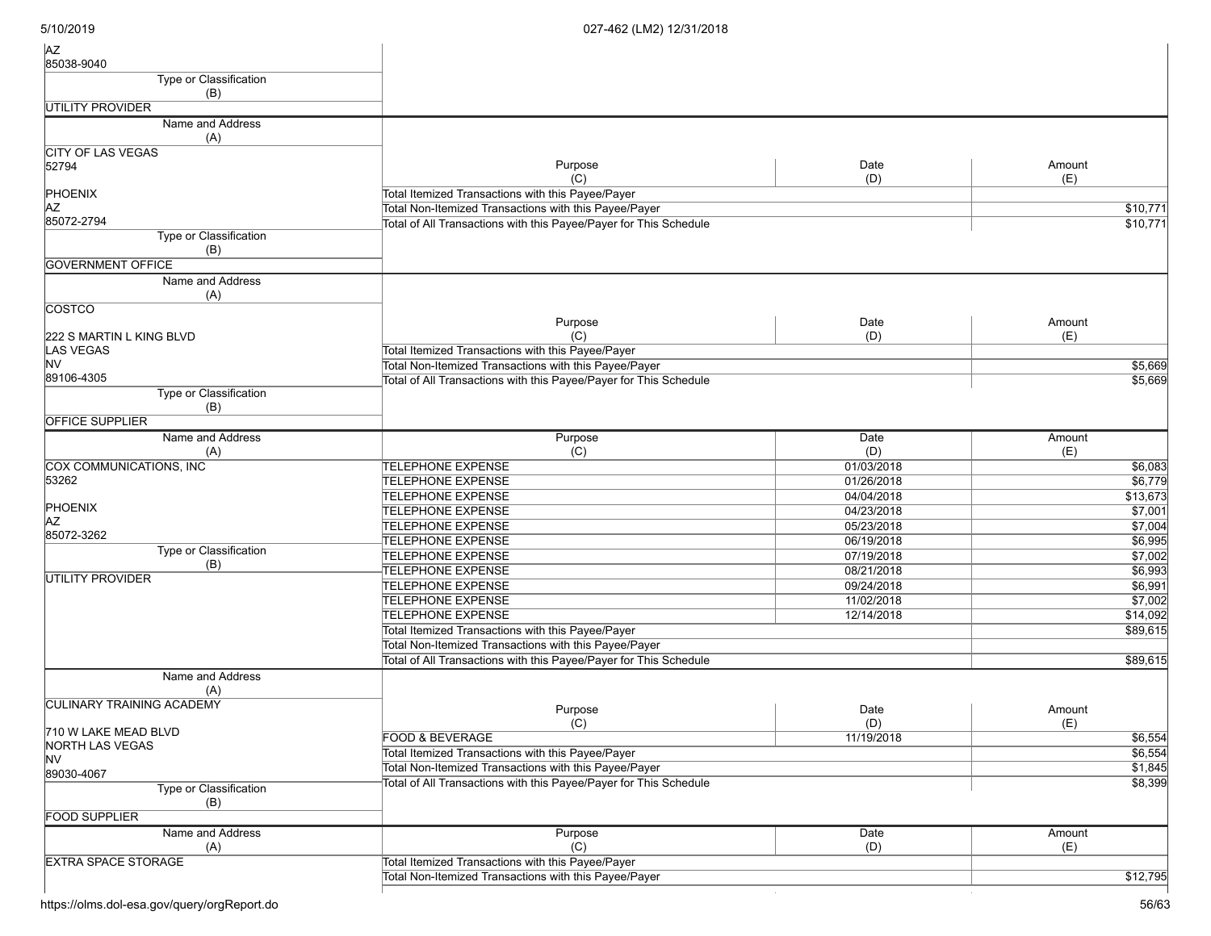| <b>AZ</b><br>85038-9040          |                                                                   |             |               |
|----------------------------------|-------------------------------------------------------------------|-------------|---------------|
| Type or Classification           |                                                                   |             |               |
| (B)                              |                                                                   |             |               |
| UTILITY PROVIDER                 |                                                                   |             |               |
| Name and Address<br>(A)          |                                                                   |             |               |
| CITY OF LAS VEGAS                |                                                                   |             |               |
| 52794                            | Purpose                                                           | Date        | Amount        |
|                                  | (C)                                                               | (D)         | (E)           |
| PHOENIX                          | Total Itemized Transactions with this Payee/Payer                 |             |               |
| AZ                               | Total Non-Itemized Transactions with this Payee/Payer             |             | \$10,771      |
| 85072-2794                       | Total of All Transactions with this Payee/Payer for This Schedule |             | \$10,771      |
| Type or Classification<br>(B)    |                                                                   |             |               |
| <b>GOVERNMENT OFFICE</b>         |                                                                   |             |               |
| Name and Address                 |                                                                   |             |               |
| (A)                              |                                                                   |             |               |
| <b>COSTCO</b>                    |                                                                   |             |               |
|                                  | Purpose                                                           | Date        | Amount        |
| 222 S MARTIN L KING BLVD         | (C)                                                               | (D)         | (E)           |
| LAS VEGAS<br><b>NV</b>           | Total Itemized Transactions with this Payee/Payer                 |             |               |
| 89106-4305                       | Total Non-Itemized Transactions with this Payee/Payer             |             | 5,669         |
| Type or Classification           | Total of All Transactions with this Payee/Payer for This Schedule |             | \$5,669       |
| (B)                              |                                                                   |             |               |
| <b>OFFICE SUPPLIER</b>           |                                                                   |             |               |
| Name and Address                 | Purpose                                                           | Date        | Amount        |
| (A)                              | (C)                                                               | (D)         | (E)           |
| COX COMMUNICATIONS, INC          | <b>TELEPHONE EXPENSE</b>                                          | 01/03/2018  | \$6,083       |
| 53262                            | <b>TELEPHONE EXPENSE</b>                                          | 01/26/2018  | \$6,779       |
|                                  | <b>TELEPHONE EXPENSE</b>                                          | 04/04/2018  | \$13,673      |
| PHOENIX                          | <b>TELEPHONE EXPENSE</b>                                          | 04/23/2018  | \$7,001       |
| AZ                               | <b>TELEPHONE EXPENSE</b>                                          | 05/23/2018  | \$7,004       |
| 85072-3262                       | <b>TELEPHONE EXPENSE</b>                                          | 06/19/2018  | \$6,995       |
| Type or Classification           | <b>TELEPHONE EXPENSE</b>                                          | 07/19/2018  | \$7,002       |
| (B)                              | <b>TELEPHONE EXPENSE</b>                                          | 08/21/2018  | \$6,993       |
| UTILITY PROVIDER                 | <b>TELEPHONE EXPENSE</b>                                          | 09/24/2018  | \$6,991       |
|                                  | <b>TELEPHONE EXPENSE</b>                                          | 11/02/2018  | \$7,002       |
|                                  | <b>TELEPHONE EXPENSE</b>                                          | 12/14/2018  | \$14,092      |
|                                  | Total Itemized Transactions with this Payee/Payer                 |             | \$89,615      |
|                                  | Total Non-Itemized Transactions with this Payee/Payer             |             |               |
|                                  | Total of All Transactions with this Payee/Payer for This Schedule | \$89,615    |               |
| Name and Address                 |                                                                   |             |               |
| (A)<br>CULINARY TRAINING ACADEMY |                                                                   |             |               |
|                                  | Purpose<br>(C)                                                    | Date<br>(D) | Amount<br>(E) |
| 710 W LAKE MEAD BLVD             | FOOD & BEVERAGE                                                   | 11/19/2018  | \$6,554       |
| NORTH LAS VEGAS                  | Total Itemized Transactions with this Payee/Payer                 |             | \$6,554       |
| NV.<br>89030-4067                | Total Non-Itemized Transactions with this Payee/Payer             |             | \$1,845       |
| Type or Classification           | Total of All Transactions with this Payee/Payer for This Schedule |             | \$8,399       |
| (B)<br><b>FOOD SUPPLIER</b>      |                                                                   |             |               |
| Name and Address                 | Purpose                                                           | Date        | Amount        |
| (A)                              | (C)                                                               | (D)         | (E)           |
| <b>EXTRA SPACE STORAGE</b>       | Total Itemized Transactions with this Payee/Payer                 |             |               |
|                                  | Total Non-Itemized Transactions with this Payee/Payer             |             | \$12,795      |
|                                  |                                                                   |             |               |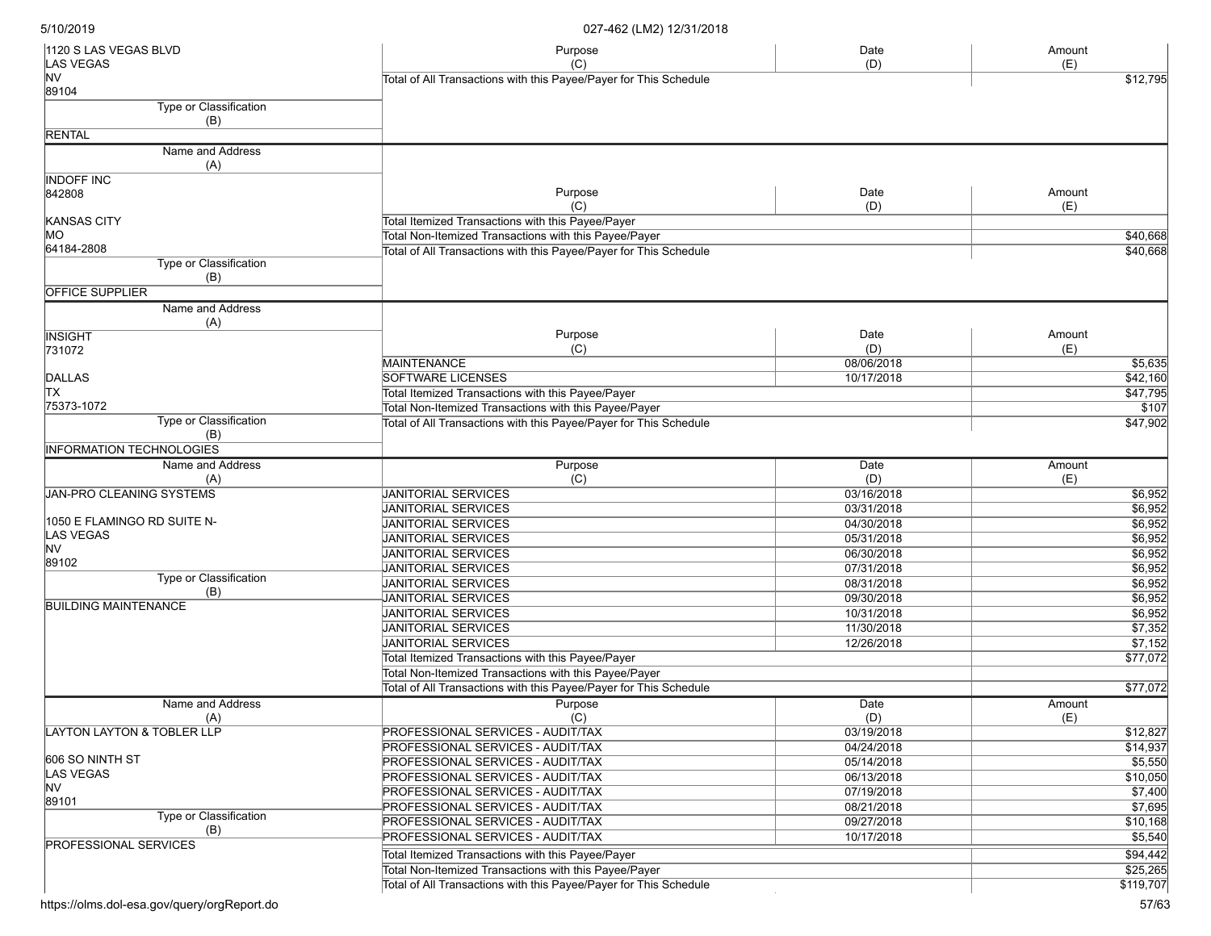| 1120 S LAS VEGAS BLVD           | Purpose                                                           | Date       | Amount                 |
|---------------------------------|-------------------------------------------------------------------|------------|------------------------|
| LAS VEGAS<br>NV                 | (C)                                                               | (D)        | (E)                    |
| 89104                           | Total of All Transactions with this Payee/Payer for This Schedule |            | \$12,795               |
| Type or Classification          |                                                                   |            |                        |
| (B)                             |                                                                   |            |                        |
| <b>RENTAL</b>                   |                                                                   |            |                        |
| Name and Address                |                                                                   |            |                        |
| (A)                             |                                                                   |            |                        |
| <b>INDOFF INC</b>               |                                                                   |            |                        |
| 842808                          | Purpose                                                           | Date       | Amount                 |
|                                 | (C)                                                               | (D)        | (E)                    |
| KANSAS CITY                     | Total Itemized Transactions with this Payee/Payer                 |            |                        |
| MO                              | Total Non-Itemized Transactions with this Payee/Payer             |            | \$40,668               |
| 64184-2808                      | Total of All Transactions with this Payee/Payer for This Schedule |            | \$40,668               |
| Type or Classification          |                                                                   |            |                        |
| (B)                             |                                                                   |            |                        |
| <b>OFFICE SUPPLIER</b>          |                                                                   |            |                        |
| Name and Address                |                                                                   |            |                        |
| (A)                             |                                                                   |            |                        |
| <b>INSIGHT</b>                  | Purpose                                                           | Date       | Amount                 |
| 731072                          | (C)                                                               | (D)        | (E)                    |
|                                 | <b>MAINTENANCE</b>                                                | 08/06/2018 | \$5,635                |
| <b>DALLAS</b>                   | <b>SOFTWARE LICENSES</b>                                          | 10/17/2018 | \$42,160               |
| <b>TX</b>                       | Total Itemized Transactions with this Payee/Payer                 |            | \$47,795               |
| 75373-1072                      | Total Non-Itemized Transactions with this Payee/Payer             |            | \$107                  |
| Type or Classification<br>(B)   | Total of All Transactions with this Payee/Payer for This Schedule |            | $\frac{1}{1}$ \$47,902 |
| <b>INFORMATION TECHNOLOGIES</b> |                                                                   |            |                        |
| Name and Address                |                                                                   | Date       |                        |
| (A)                             | Purpose<br>(C)                                                    | (D)        | Amount<br>(E)          |
| <b>JAN-PRO CLEANING SYSTEMS</b> | <b>JANITORIAL SERVICES</b>                                        | 03/16/2018 | \$6,952                |
|                                 | <b>JANITORIAL SERVICES</b>                                        | 03/31/2018 | \$6,952                |
| 1050 E FLAMINGO RD SUITE N-     | <b>JANITORIAL SERVICES</b>                                        | 04/30/2018 | \$6,952                |
| LAS VEGAS                       | JANITORIAL SERVICES                                               | 05/31/2018 | \$6,952                |
| <b>NV</b>                       | <b>JANITORIAL SERVICES</b>                                        | 06/30/2018 | \$6,952                |
| 89102                           | <b>JANITORIAL SERVICES</b>                                        | 07/31/2018 | \$6,952                |
| Type or Classification          | <b>JANITORIAL SERVICES</b>                                        | 08/31/2018 | \$6,952                |
| (B)                             | <b>JANITORIAL SERVICES</b>                                        | 09/30/2018 | \$6,952                |
| <b>BUILDING MAINTENANCE</b>     | <b>JANITORIAL SERVICES</b>                                        | 10/31/2018 | \$6,952                |
|                                 | <b>JANITORIAL SERVICES</b>                                        | 11/30/2018 | \$7,352                |
|                                 | <b>JANITORIAL SERVICES</b>                                        | 12/26/2018 | $\overline{$7,152}$    |
|                                 | Total Itemized Transactions with this Payee/Payer                 |            | \$77,072               |
|                                 | Total Non-Itemized Transactions with this Payee/Payer             |            |                        |
|                                 | Total of All Transactions with this Payee/Payer for This Schedule |            | \$77,072               |
| Name and Address                | Purpose                                                           | Date       | Amount                 |
| (A)                             | (C)                                                               | (D)        | (E)                    |
| LAYTON LAYTON & TOBLER LLP      | PROFESSIONAL SERVICES - AUDIT/TAX                                 | 03/19/2018 | \$12,827               |
|                                 | PROFESSIONAL SERVICES - AUDIT/TAX                                 | 04/24/2018 | \$14,937               |
| 606 SO NINTH ST                 | PROFESSIONAL SERVICES - AUDIT/TAX                                 | 05/14/2018 | \$5,550                |
| <b>LAS VEGAS</b>                | PROFESSIONAL SERVICES - AUDIT/TAX                                 | 06/13/2018 | \$10,050               |
| <b>NV</b>                       | PROFESSIONAL SERVICES - AUDIT/TAX                                 | 07/19/2018 | \$7,400                |
| 89101                           | PROFESSIONAL SERVICES - AUDIT/TAX                                 | 08/21/2018 | \$7,695                |
| Type or Classification          | PROFESSIONAL SERVICES - AUDIT/TAX                                 | 09/27/2018 | \$10,168               |
| (B)                             |                                                                   |            |                        |
| <b>PROFESSIONAL SERVICES</b>    | PROFESSIONAL SERVICES - AUDIT/TAX                                 | 10/17/2018 | \$5,540                |
|                                 | Total Itemized Transactions with this Payee/Payer                 |            | \$94,442               |
|                                 | Total Non-Itemized Transactions with this Payee/Payer             |            | \$25,265               |
|                                 | Total of All Transactions with this Payee/Payer for This Schedule |            | \$119,707              |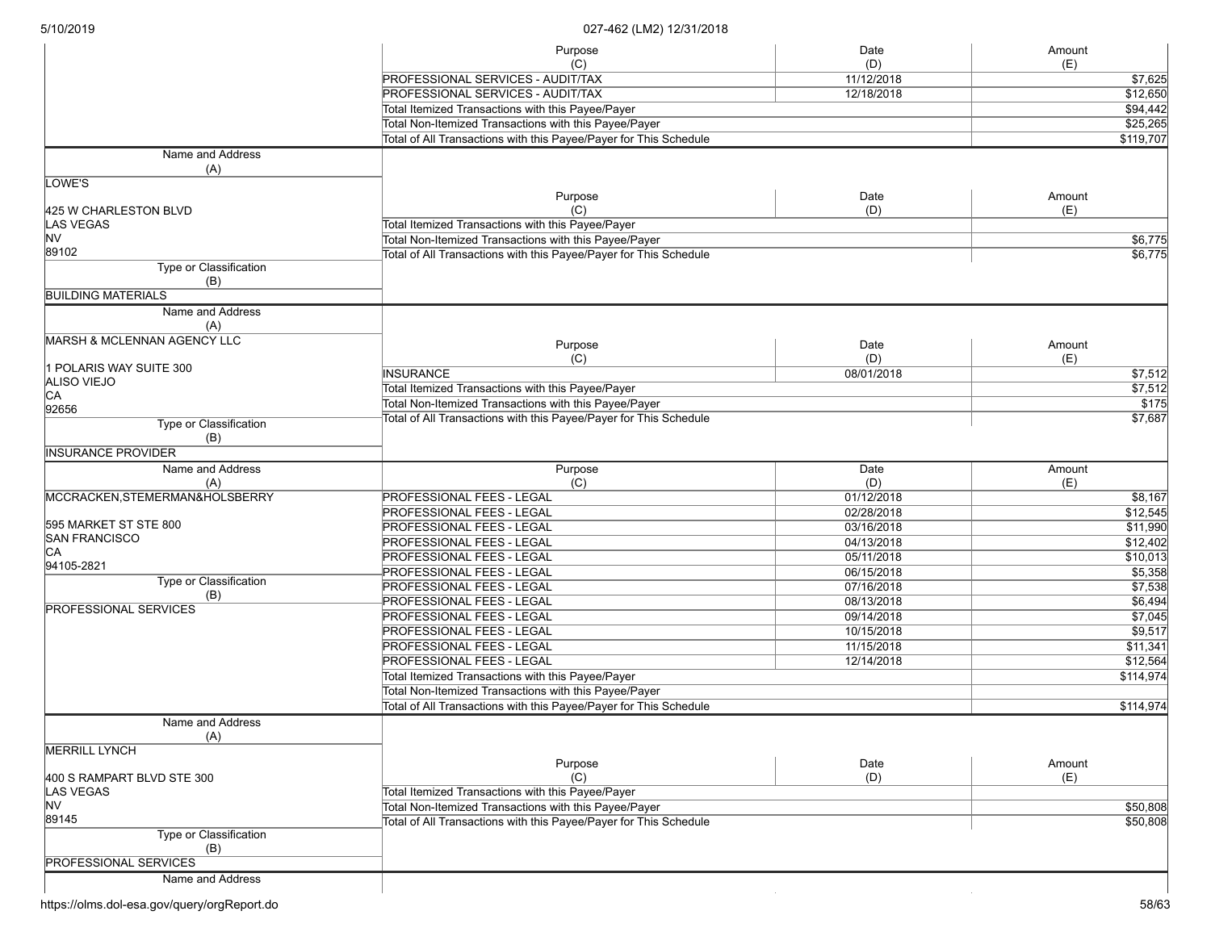|  | 5/10/2019 |  |
|--|-----------|--|
|  |           |  |

|                                | Purpose                                                           | Date       | Amount            |
|--------------------------------|-------------------------------------------------------------------|------------|-------------------|
|                                | (C)                                                               | (D)        | (E)               |
|                                | PROFESSIONAL SERVICES - AUDIT/TAX                                 | 11/12/2018 | \$7,625           |
|                                | <b>PROFESSIONAL SERVICES - AUDIT/TAX</b>                          | 12/18/2018 | \$12,650          |
|                                | Total Itemized Transactions with this Payee/Payer                 |            | \$94,442          |
|                                | Total Non-Itemized Transactions with this Payee/Payer             |            | \$25,265          |
|                                | Total of All Transactions with this Payee/Payer for This Schedule |            | \$119,707         |
| Name and Address               |                                                                   |            |                   |
| (A)                            |                                                                   |            |                   |
| LOWE'S                         |                                                                   |            |                   |
|                                | Purpose                                                           | Date       | Amount            |
| 425 W CHARLESTON BLVD          | (C)                                                               | (D)        | (E)               |
| <b>LAS VEGAS</b>               | Total Itemized Transactions with this Payee/Payer                 |            |                   |
| <b>NV</b>                      | Total Non-Itemized Transactions with this Payee/Payer             |            | \$6,775           |
| 89102                          | Total of All Transactions with this Payee/Payer for This Schedule |            | \$6,775           |
| Type or Classification<br>(B)  |                                                                   |            |                   |
| <b>BUILDING MATERIALS</b>      |                                                                   |            |                   |
| Name and Address               |                                                                   |            |                   |
| (A)                            |                                                                   |            |                   |
| MARSH & MCLENNAN AGENCY LLC    |                                                                   |            |                   |
|                                | Purpose                                                           | Date       | Amount            |
| 1 POLARIS WAY SUITE 300        | (C)                                                               | (D)        | (E)               |
| ALISO VIEJO                    | <b>INSURANCE</b>                                                  | 08/01/2018 | \$7,512           |
| CA                             | Total Itemized Transactions with this Payee/Payer                 |            | \$7,512           |
| 92656                          | Total Non-Itemized Transactions with this Payee/Payer             |            | $\overline{$175}$ |
| Type or Classification         | Total of All Transactions with this Payee/Payer for This Schedule |            | \$7,687           |
| (B)                            |                                                                   |            |                   |
| <b>INSURANCE PROVIDER</b>      |                                                                   |            |                   |
| Name and Address               | Purpose                                                           | Date       | Amount            |
| (A)                            | (C)                                                               | (D)        | (E)               |
| MCCRACKEN, STEMERMAN&HOLSBERRY | <b>PROFESSIONAL FEES - LEGAL</b>                                  | 01/12/2018 | \$8,167           |
|                                | <b>PROFESSIONAL FEES - LEGAL</b>                                  | 02/28/2018 | \$12,545          |
| 595 MARKET ST STE 800          | <b>PROFESSIONAL FEES - LEGAL</b>                                  | 03/16/2018 | \$11,990          |
| <b>SAN FRANCISCO</b>           | <b>PROFESSIONAL FEES - LEGAL</b>                                  | 04/13/2018 | \$12,402          |
| CA                             | PROFESSIONAL FEES - LEGAL                                         | 05/11/2018 | \$10,013          |
| 94105-2821                     | PROFESSIONAL FEES - LEGAL                                         | 06/15/2018 | \$5,358           |
| Type or Classification         | <b>PROFESSIONAL FEES - LEGAL</b>                                  | 07/16/2018 | \$7,538           |
| (B)                            | PROFESSIONAL FEES - LEGAL                                         | 08/13/2018 | \$6,494           |
| <b>PROFESSIONAL SERVICES</b>   | PROFESSIONAL FEES - LEGAL                                         | 09/14/2018 | \$7,045           |
|                                |                                                                   |            | \$9,517           |
|                                | PROFESSIONAL FEES - LEGAL                                         | 10/15/2018 |                   |
|                                | <b>PROFESSIONAL FEES - LEGAL</b>                                  | 11/15/2018 | \$11,341          |
|                                | <b>PROFESSIONAL FEES - LEGAL</b>                                  | 12/14/2018 | \$12,564          |
|                                | Total Itemized Transactions with this Payee/Payer                 | \$114,974  |                   |
|                                | Total Non-Itemized Transactions with this Payee/Payer             |            |                   |
|                                | Total of All Transactions with this Payee/Payer for This Schedule |            | \$114,974         |
| Name and Address               |                                                                   |            |                   |
| (A)                            |                                                                   |            |                   |
| <b>MERRILL LYNCH</b>           |                                                                   |            |                   |
|                                | Purpose                                                           | Date       | Amount            |
| 400 S RAMPART BLVD STE 300     | (C)                                                               | (D)        | (E)               |
| <b>LAS VEGAS</b>               | Total Itemized Transactions with this Payee/Payer                 |            |                   |
| NV                             | Total Non-Itemized Transactions with this Payee/Payer             |            | \$50,808          |
| 89145                          | Total of All Transactions with this Payee/Payer for This Schedule |            | \$50,808          |
| Type or Classification         |                                                                   |            |                   |
| (B)                            |                                                                   |            |                   |
| <b>PROFESSIONAL SERVICES</b>   |                                                                   |            |                   |
| Name and Address               |                                                                   |            |                   |
|                                |                                                                   |            |                   |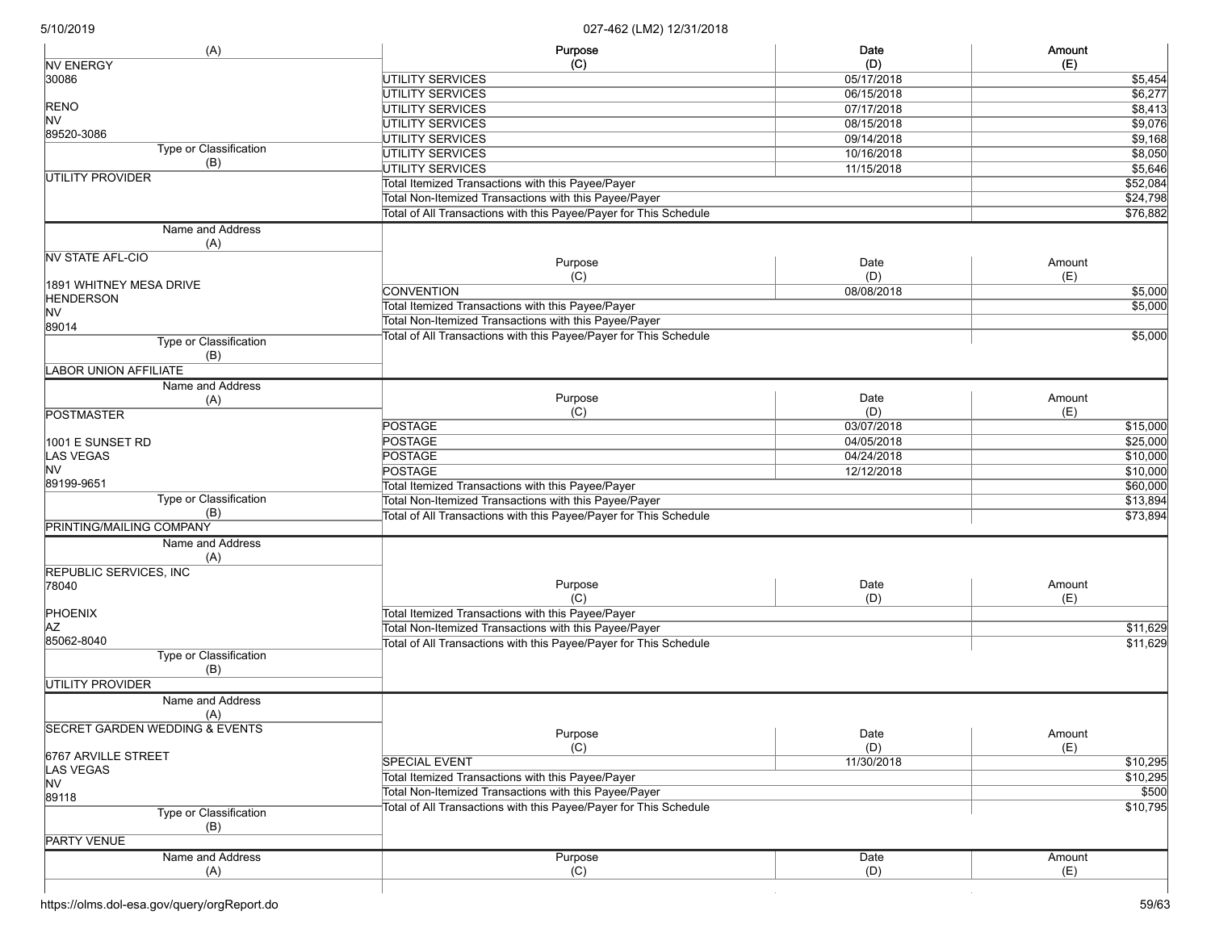| (A)                                       | Purpose                                                           | Date       | Amount   |
|-------------------------------------------|-------------------------------------------------------------------|------------|----------|
| <b>NV ENERGY</b>                          | (C)                                                               | (D)        | (E)      |
| 30086                                     | <b>UTILITY SERVICES</b>                                           | 05/17/2018 | \$5,454  |
|                                           | <b>UTILITY SERVICES</b>                                           | 06/15/2018 | \$6,277  |
| <b>RENO</b>                               | <b>UTILITY SERVICES</b>                                           | 07/17/2018 | \$8,413  |
| <b>NV</b>                                 | <b>UTILITY SERVICES</b>                                           | 08/15/2018 | \$9,076  |
| 89520-3086                                | <b>UTILITY SERVICES</b>                                           | 09/14/2018 | \$9,168  |
| Type or Classification                    | <b>UTILITY SERVICES</b>                                           | 10/16/2018 | \$8,050  |
| (B)                                       | UTILITY SERVICES                                                  | 11/15/2018 | \$5,646  |
| UTILITY PROVIDER                          | Total Itemized Transactions with this Payee/Payer                 |            | \$52,084 |
|                                           | Total Non-Itemized Transactions with this Payee/Payer             |            | \$24,798 |
|                                           | Total of All Transactions with this Payee/Payer for This Schedule |            | \$76,882 |
| Name and Address                          |                                                                   |            |          |
| (A)                                       |                                                                   |            |          |
| <b>NV STATE AFL-CIO</b>                   | Purpose                                                           | Date       | Amount   |
|                                           | (C)                                                               | (D)        | (E)      |
| 1891 WHITNEY MESA DRIVE                   | <b>CONVENTION</b>                                                 | 08/08/2018 | \$5,000  |
| <b>HENDERSON</b>                          | Total Itemized Transactions with this Payee/Payer                 |            | \$5,000  |
| <b>NV</b>                                 | Total Non-Itemized Transactions with this Payee/Payer             |            |          |
| 89014                                     |                                                                   |            |          |
| Type or Classification                    | Total of All Transactions with this Payee/Payer for This Schedule |            | \$5,000  |
| (B)                                       |                                                                   |            |          |
| <b>LABOR UNION AFFILIATE</b>              |                                                                   |            |          |
| Name and Address                          |                                                                   |            |          |
| (A)                                       | Purpose                                                           | Date       | Amount   |
| <b>POSTMASTER</b>                         | (C)                                                               | (D)        | (E)      |
|                                           | <b>POSTAGE</b>                                                    | 03/07/2018 | \$15,000 |
| 1001 E SUNSET RD                          | <b>POSTAGE</b>                                                    | 04/05/2018 | \$25,000 |
| <b>LAS VEGAS</b>                          | <b>POSTAGE</b>                                                    | 04/24/2018 | \$10,000 |
| <b>NV</b>                                 | <b>POSTAGE</b>                                                    | 12/12/2018 | \$10,000 |
| 89199-9651                                | Total Itemized Transactions with this Payee/Payer                 |            | \$60,000 |
| Type or Classification                    | Total Non-Itemized Transactions with this Payee/Payer             |            | \$13,894 |
| (B)                                       | Total of All Transactions with this Payee/Payer for This Schedule |            | \$73,894 |
| <b>PRINTING/MAILING COMPANY</b>           |                                                                   |            |          |
| Name and Address                          |                                                                   |            |          |
| (A)                                       |                                                                   |            |          |
| REPUBLIC SERVICES, INC                    |                                                                   |            |          |
| 78040                                     | Purpose                                                           | Date       | Amount   |
|                                           | (C)                                                               | (D)        | (E)      |
| PHOENIX                                   | Total Itemized Transactions with this Payee/Payer                 |            |          |
| ΑZ                                        | Total Non-Itemized Transactions with this Payee/Payer             |            | \$11,629 |
| 85062-8040                                | Total of All Transactions with this Payee/Payer for This Schedule |            | \$11,629 |
| Type or Classification                    |                                                                   |            |          |
| (B)                                       |                                                                   |            |          |
| <b>UTILITY PROVIDER</b>                   |                                                                   |            |          |
| Name and Address                          |                                                                   |            |          |
|                                           |                                                                   |            |          |
| (A)                                       |                                                                   |            |          |
| <b>SECRET GARDEN WEDDING &amp; EVENTS</b> | Purpose                                                           | Date       | Amount   |
|                                           | (C)                                                               | (D)        | (E)      |
| 6767 ARVILLE STREET                       | <b>SPECIAL EVENT</b>                                              | 11/30/2018 | \$10,295 |
| LAS VEGAS                                 | Total Itemized Transactions with this Payee/Payer                 |            | \$10,295 |
| <b>NV</b>                                 | Total Non-Itemized Transactions with this Payee/Payer             |            | \$500    |
| 89118                                     | Total of All Transactions with this Payee/Payer for This Schedule |            | \$10,795 |
| Type or Classification                    |                                                                   |            |          |
| (B)                                       |                                                                   |            |          |
| <b>PARTY VENUE</b>                        |                                                                   |            |          |
| Name and Address                          | Purpose                                                           | Date       | Amount   |
| (A)                                       | (C)                                                               | (D)        | (E)      |
|                                           |                                                                   |            |          |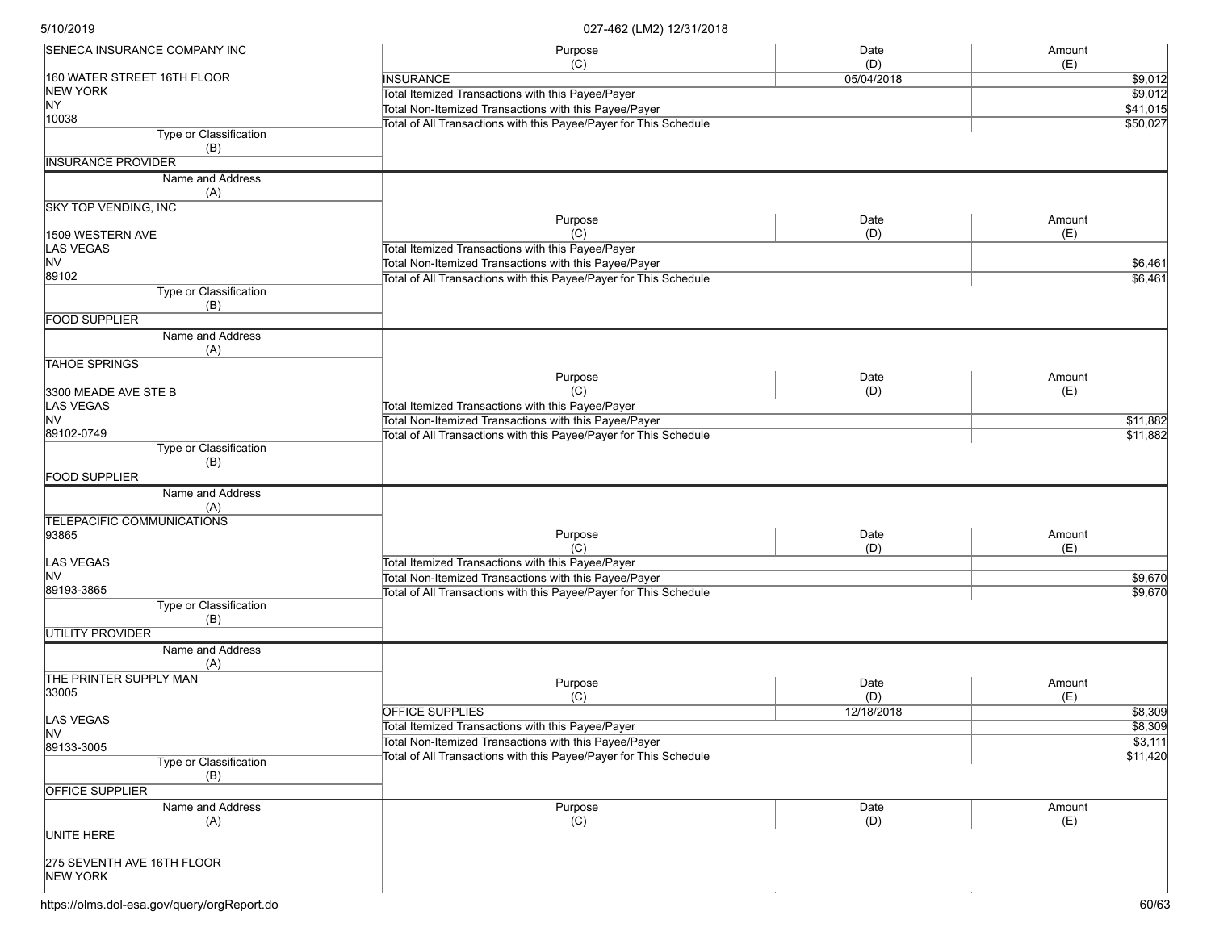| SENECA INSURANCE COMPANY INC     | Purpose                                                                                                                    | Date       | Amount        |
|----------------------------------|----------------------------------------------------------------------------------------------------------------------------|------------|---------------|
|                                  | (C)                                                                                                                        | (D)        | (E)           |
| 160 WATER STREET 16TH FLOOR      | <b>INSURANCE</b>                                                                                                           | 05/04/2018 | \$9,012       |
| NEW YORK                         | Total Itemized Transactions with this Payee/Payer                                                                          |            | \$9,012       |
| NY                               | Total Non-Itemized Transactions with this Payee/Payer                                                                      |            | \$41,015      |
| 10038                            | Total of All Transactions with this Payee/Payer for This Schedule                                                          |            | \$50,027      |
| Type or Classification           |                                                                                                                            |            |               |
| (B)<br><b>INSURANCE PROVIDER</b> |                                                                                                                            |            |               |
|                                  |                                                                                                                            |            |               |
| Name and Address                 |                                                                                                                            |            |               |
| (A)                              |                                                                                                                            |            |               |
| <b>SKY TOP VENDING, INC</b>      |                                                                                                                            | Date       |               |
|                                  | Purpose<br>(C)                                                                                                             | (D)        | Amount<br>(E) |
| 1509 WESTERN AVE<br>LAS VEGAS    | Total Itemized Transactions with this Payee/Payer                                                                          |            |               |
| <b>NV</b>                        | Total Non-Itemized Transactions with this Payee/Payer                                                                      |            |               |
| 89102                            |                                                                                                                            |            | \$6,461       |
| Type or Classification           | Total of All Transactions with this Payee/Payer for This Schedule                                                          |            | \$6,461       |
| (B)                              |                                                                                                                            |            |               |
| <b>FOOD SUPPLIER</b>             |                                                                                                                            |            |               |
| Name and Address                 |                                                                                                                            |            |               |
| (A)                              |                                                                                                                            |            |               |
| <b>TAHOE SPRINGS</b>             |                                                                                                                            |            |               |
|                                  | Purpose                                                                                                                    | Date       | Amount        |
| 3300 MEADE AVE STE B             | (C)                                                                                                                        | (D)        | (E)           |
| LAS VEGAS                        | Total Itemized Transactions with this Payee/Payer                                                                          |            |               |
| <b>NV</b>                        | Total Non-Itemized Transactions with this Payee/Payer                                                                      |            | \$11,882      |
| 89102-0749                       | Total of All Transactions with this Payee/Payer for This Schedule                                                          |            | \$11,882      |
| Type or Classification           |                                                                                                                            |            |               |
| (B)                              |                                                                                                                            |            |               |
| <b>FOOD SUPPLIER</b>             |                                                                                                                            |            |               |
| Name and Address                 |                                                                                                                            |            |               |
| (A)                              |                                                                                                                            |            |               |
| TELEPACIFIC COMMUNICATIONS       |                                                                                                                            |            |               |
| 93865                            | Purpose                                                                                                                    | Date       | Amount        |
|                                  | (C)                                                                                                                        | (D)        | (E)           |
| LAS VEGAS                        | Total Itemized Transactions with this Payee/Payer                                                                          |            |               |
| lNV                              | Total Non-Itemized Transactions with this Payee/Payer                                                                      |            | \$9,670       |
| 89193-3865                       | Total of All Transactions with this Payee/Payer for This Schedule                                                          |            | \$9,670       |
| Type or Classification           |                                                                                                                            |            |               |
| (B)                              |                                                                                                                            |            |               |
| <b>UTILITY PROVIDER</b>          |                                                                                                                            |            |               |
| Name and Address                 |                                                                                                                            |            |               |
| (A)                              |                                                                                                                            |            |               |
| THE PRINTER SUPPLY MAN           | Purpose                                                                                                                    | Date       | Amount        |
| 33005                            | (C)                                                                                                                        | (D)        | (E)           |
|                                  | <b>OFFICE SUPPLIES</b>                                                                                                     | 12/18/2018 | \$8,309       |
| LAS VEGAS                        | Total Itemized Transactions with this Payee/Payer                                                                          |            | \$8,309       |
| <b>NV</b>                        |                                                                                                                            |            | \$3,111       |
| 89133-3005                       | Total Non-Itemized Transactions with this Payee/Payer<br>Total of All Transactions with this Payee/Payer for This Schedule |            | \$11,420      |
| Type or Classification           |                                                                                                                            |            |               |
| (B)                              |                                                                                                                            |            |               |
| <b>OFFICE SUPPLIER</b>           |                                                                                                                            |            |               |
| Name and Address                 | Purpose                                                                                                                    | Date       | Amount        |
| (A)                              | (C)                                                                                                                        | (D)        | (E)           |
| <b>UNITE HERE</b>                |                                                                                                                            |            |               |
|                                  |                                                                                                                            |            |               |
| 275 SEVENTH AVE 16TH FLOOR       |                                                                                                                            |            |               |
| NEW YORK                         |                                                                                                                            |            |               |
|                                  |                                                                                                                            |            |               |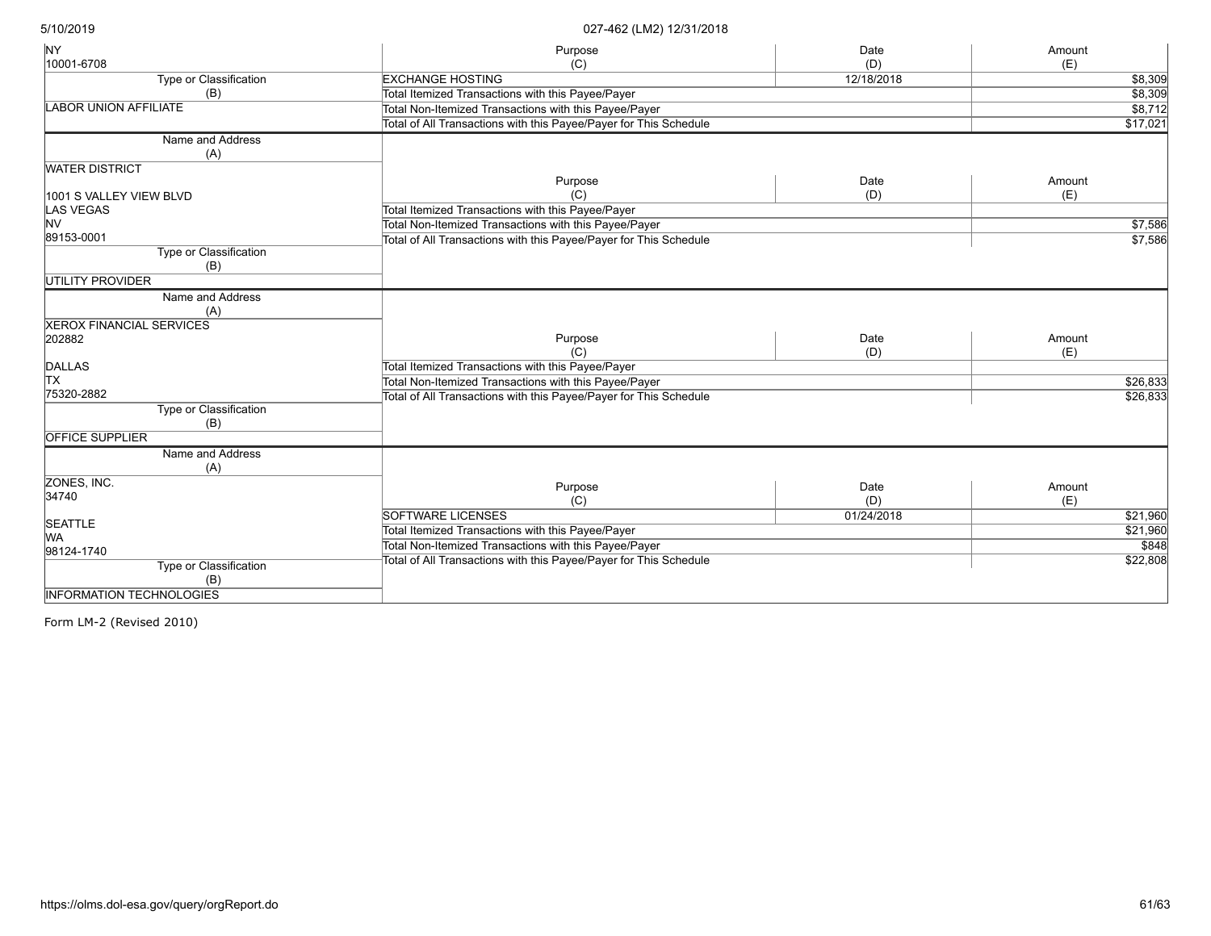| <b>NY</b>                       | Purpose                                                           | Date       | Amount   |
|---------------------------------|-------------------------------------------------------------------|------------|----------|
| 10001-6708                      | (C)                                                               | (D)        | (E)      |
| <b>Type or Classification</b>   | <b>EXCHANGE HOSTING</b>                                           | 12/18/2018 | \$8,309  |
| (B)                             | <b>Total Itemized Transactions with this Payee/Payer</b>          |            | \$8,309  |
| <b>LABOR UNION AFFILIATE</b>    | Total Non-Itemized Transactions with this Payee/Payer             |            | \$8,712  |
|                                 | Total of All Transactions with this Payee/Payer for This Schedule |            | \$17,021 |
| Name and Address                |                                                                   |            |          |
| (A)                             |                                                                   |            |          |
| <b>WATER DISTRICT</b>           |                                                                   |            |          |
|                                 | Purpose                                                           | Date       | Amount   |
| 1001 S VALLEY VIEW BLVD         | (C)                                                               | (D)        | (E)      |
| <b>LAS VEGAS</b>                | Total Itemized Transactions with this Payee/Payer                 |            |          |
| lnv                             | Total Non-Itemized Transactions with this Payee/Payer             |            | \$7,586  |
| 89153-0001                      | Total of All Transactions with this Payee/Payer for This Schedule |            | \$7,586  |
| <b>Type or Classification</b>   |                                                                   |            |          |
| (B)                             |                                                                   |            |          |
| <b>UTILITY PROVIDER</b>         |                                                                   |            |          |
| Name and Address                |                                                                   |            |          |
| (A)                             |                                                                   |            |          |
| <b>XEROX FINANCIAL SERVICES</b> |                                                                   |            |          |
| 202882                          | Purpose                                                           | Date       | Amount   |
|                                 | (C)                                                               | (D)        | (E)      |
| <b>DALLAS</b>                   | Total Itemized Transactions with this Payee/Payer                 |            |          |
| <b>TX</b>                       | Total Non-Itemized Transactions with this Payee/Payer             | \$26,833   |          |
| 75320-2882                      | Total of All Transactions with this Payee/Payer for This Schedule | \$26,833   |          |
| Type or Classification          |                                                                   |            |          |
| (B)                             |                                                                   |            |          |
| <b>OFFICE SUPPLIER</b>          |                                                                   |            |          |
| Name and Address                |                                                                   |            |          |
| (A)                             |                                                                   |            |          |
| ZONES, INC.                     | Purpose                                                           | Date       | Amount   |
| 34740                           | (C)                                                               | (D)        | (E)      |
|                                 | <b>SOFTWARE LICENSES</b>                                          | 01/24/2018 | \$21,960 |
| <b>SEATTLE</b>                  | Total Itemized Transactions with this Payee/Payer                 |            | \$21,960 |
| lwa.                            | Total Non-Itemized Transactions with this Payee/Payer             |            | \$848    |
| 98124-1740                      | Total of All Transactions with this Payee/Payer for This Schedule |            | \$22,808 |
| Type or Classification          |                                                                   |            |          |
| (B)                             |                                                                   |            |          |
| <b>INFORMATION TECHNOLOGIES</b> |                                                                   |            |          |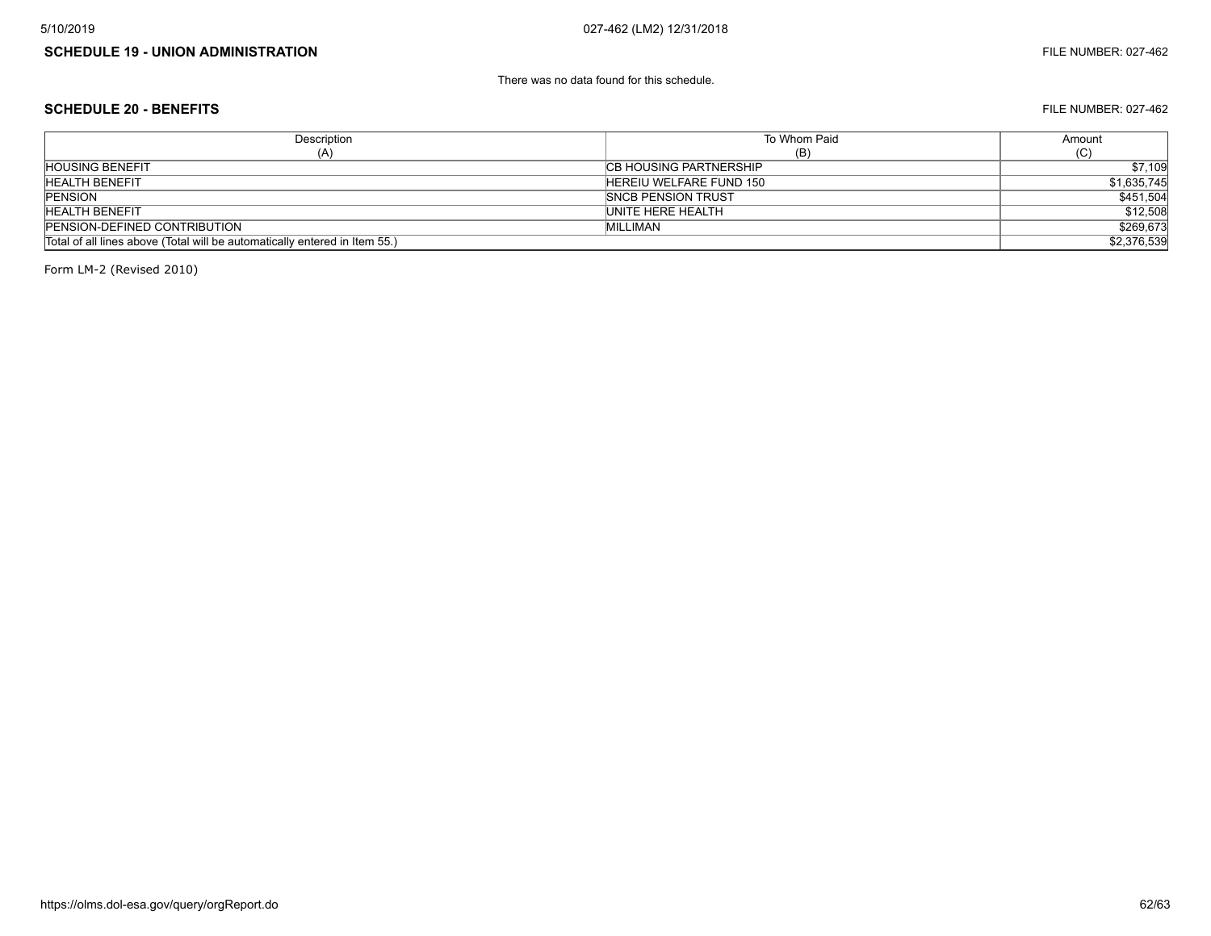# **SCHEDULE 19 - UNION ADMINISTRATION** FILE NUMBER: 027-462

There was no data found for this schedule.

#### **SCHEDULE 20 - BENEFITS** FILE NUMBER: 027-462

| Description                                                                | To Whom Paid                   | Amount      |
|----------------------------------------------------------------------------|--------------------------------|-------------|
| (A)                                                                        | (B)                            | (C)         |
| <b>HOUSING BENEFIT</b>                                                     | <b>ICB HOUSING PARTNERSHIP</b> | \$7,109     |
| <b>HEALTH BENEFIT</b>                                                      | HEREIU WELFARE FUND 150        | \$1,635,745 |
| <b>PENSION</b>                                                             | <b>SNCB PENSION TRUST</b>      | \$451,504   |
| <b>HEALTH BENEFIT</b>                                                      | UNITE HERE HEALTH              | \$12,508    |
| <b>PENSION-DEFINED CONTRIBUTION</b>                                        | MILLIMAN                       | \$269,673   |
| Total of all lines above (Total will be automatically entered in Item 55.) |                                | \$2,376,539 |